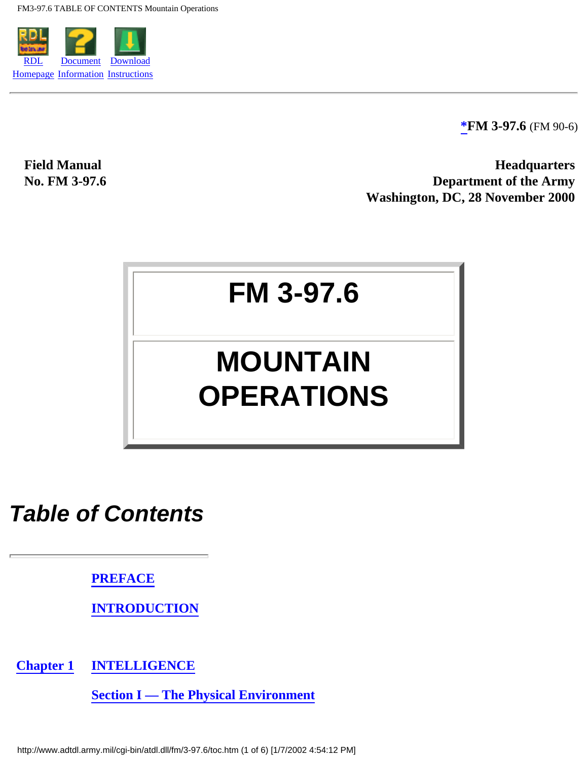<span id="page-0-0"></span>

**[\\*F](#page-5-0)M 3-97.6** (FM 90-6)

**Field Manual No. FM 3-97.6**

**Headquarters Department of the Army Washington, DC, 28 November 2000**

# **FM 3-97.6**

# **MOUNTAIN OPERATIONS**

## **Table of Contents**

**[PREFACE](#page-6-0)**

**[INTRODUCTION](#page-7-0)**

**[Chapter 1](#page-9-0) [INTELLIGENCE](#page-9-0)**

**[Section I — The Physical Environment](#page-9-1)**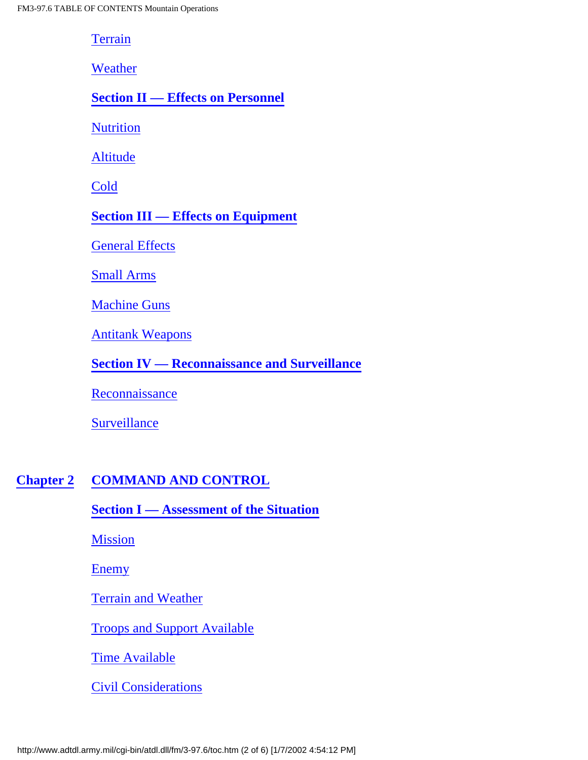#### **[Terrain](#page-10-0)**

[Weather](#page-14-0)

#### **[Section II — Effects on Personnel](#page-19-0)**

**[Nutrition](#page-20-0)** 

[Altitude](#page-21-0)

Cold

#### **Section III — Effects on Equipment**

General Effects

Small Arms

Machine Guns

**Antitank Weapons** 

**Section IV — Reconnaissance and Surveillance**

**Reconnaissance** 

**Surveillance** 

#### **[Chapter 2](#page-32-0) [COMMAND AND CONTROL](#page-32-0)**

**[Section I — Assessment of the Situation](#page-34-0)**

[Mission](#page-35-0)

[Enemy](#page-36-0)

**[Terrain and Weather](#page-36-1)** 

[Troops and Support Available](#page-40-0)

[Time Available](#page-40-1)

[Civil Considerations](#page-41-0)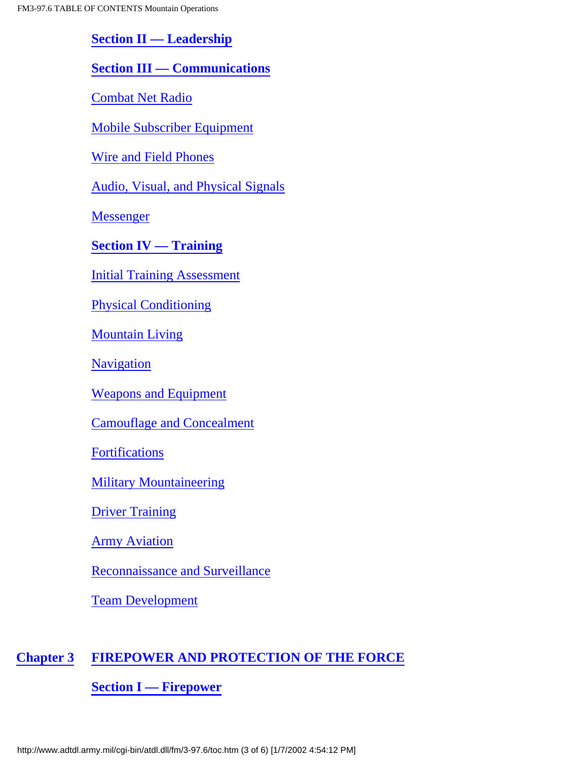**[Section II — Leadership](#page-42-0)**

#### **[Section III — Communications](#page-42-1)**

[Combat Net Radio](#page-43-0)

[Mobile Subscriber Equipment](#page-45-0)

[Wire and Field Phones](#page-45-1)

[Audio, Visual, and Physical Signals](#page-46-0)

[Messenger](#page-46-1)

**[Section IV — Training](#page-47-0)**

[Initial Training Assessment](#page-48-0)

[Physical Conditioning](#page-49-0)

[Mountain Living](#page-50-0)

**[Navigation](#page-50-1)** 

[Weapons and Equipment](#page-50-2)

[Camouflage and Concealment](#page-51-0)

[Fortifications](#page-51-1)

[Military Mountaineering](#page-53-0)

[Driver Training](#page-56-0)

[Army Aviation](#page-56-1)

[Reconnaissance and Surveillance](#page-57-0)

[Team Development](#page-57-1)

#### **[Chapter 3](#page-58-0) [FIREPOWER AND PROTECTION OF THE FORCE](#page-58-0)**

**Section I — Firepower**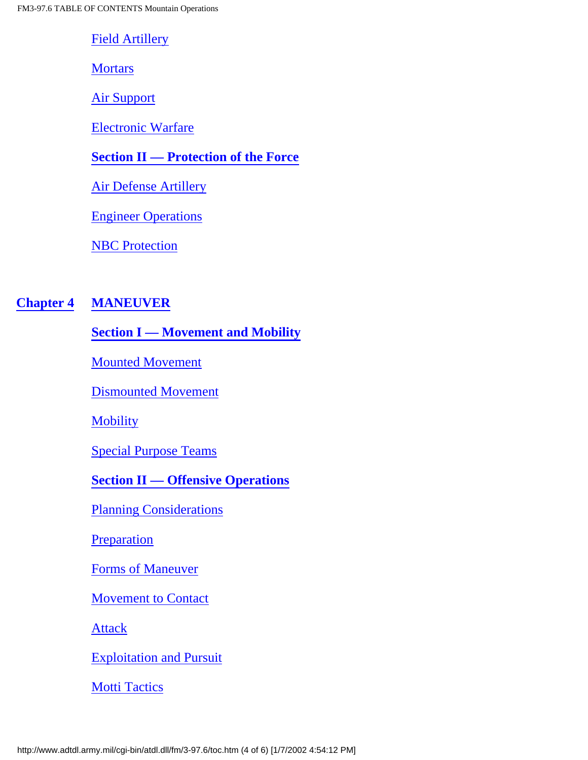Field Artillery

**Mortars** 

Air Support

Electronic Warfare

#### **Section II — Protection of the Force**

Air Defense Artillery

Engineer Operations

NBC Protection

#### **[Chapter 4](#page-71-0) [MANEUVER](#page-71-0)**

#### **Section I — Movement and Mobility**

Mounted Movement

Dismounted Movement

**Mobility** 

Special Purpose Teams

**Section II — Offensive Operations**

Planning Considerations

Preparation

[Forms of Maneuver](#page-90-0)

**[Movement to Contact](#page-92-0)** 

[Attack](#page-93-0)

[Exploitation and Pursuit](#page-95-0)

**[Motti Tactics](#page-95-1)**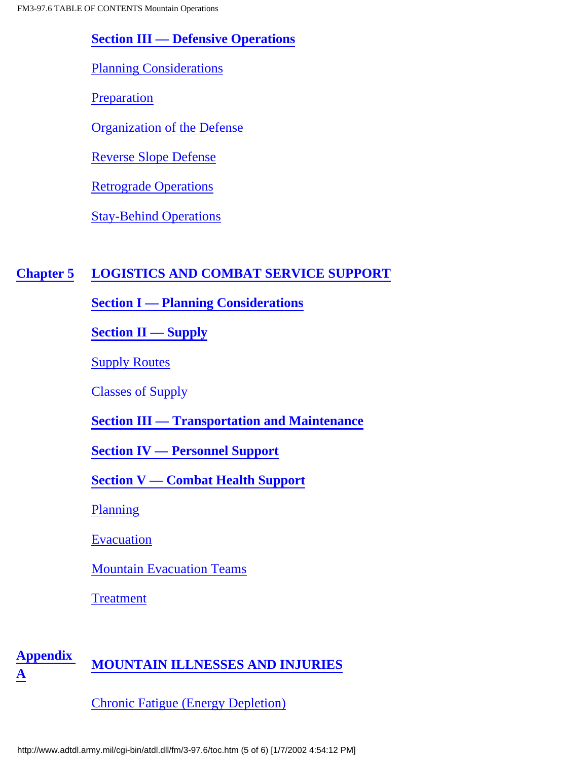#### **[Section III — Defensive Operations](#page-97-0)**

[Planning Considerations](#page-98-0)

[Preparation](#page-99-0)

[Organization of the Defense](#page-99-1)

[Reverse Slope Defense](#page-102-0)

[Retrograde Operations](#page-103-0)

[Stay-Behind Operations](#page-104-0)

### **[Chapter 5](#page-106-0) [LOGISTICS AND COMBAT SERVICE SUPPORT](#page-106-0)**

**Section I — Planning Considerations**

**Section II — Supply**

**Supply Routes** 

Classes of Supply

**Section III — Transportation and Maintenance**

**Section IV — Personnel Support**

**Section V — Combat Health Support**

**Planning** 

Evacuation

Mountain Evacuation Teams

Treatment

#### **[Appendix](#page-120-0) [A](#page-120-0) [MOUNTAIN ILLNESSES AND INJURIES](#page-120-0)**

Chronic Fatigue (Energy Depletion)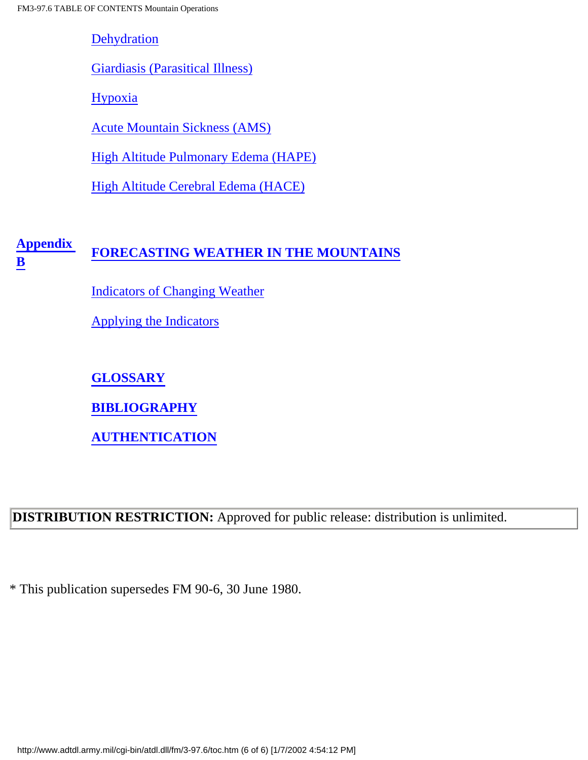Dehydration

Giardiasis (Parasitical Illness)

**Hypoxia** 

Acute Mountain Sickness (AMS)

High Altitude Pulmonary Edema (HAPE)

High Altitude Cerebral Edema (HACE)

#### **[Appendix](#page-126-0) [FORECASTING WEATHER IN THE MOUNTAINS](#page-126-0)**

[Indicators of Changing Weather](#page-126-1)

[Applying the Indicators](#page-129-0)

**[GLOSSARY](#page-132-0) [BIBLIOGRAPHY](#page-143-0)**

**[AUTHENTICATION](#page-149-0)**

**DISTRIBUTION RESTRICTION:** Approved for public release: distribution is unlimited.

<span id="page-5-0"></span>\* This publication supersedes FM 90-6, 30 June 1980.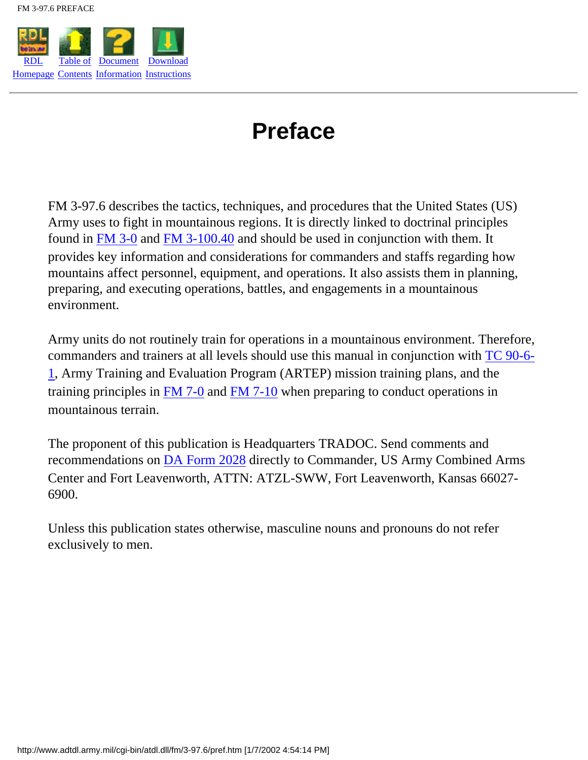<span id="page-6-0"></span>

## **Preface**

FM 3-97.6 describes the tactics, techniques, and procedures that the United States (US) Army uses to fight in mountainous regions. It is directly linked to doctrinal principles found in [FM 3-0](#page-148-0) and [FM 3-100.40](#page-146-0) and should be used in conjunction with them. It provides key information and considerations for commanders and staffs regarding how mountains affect personnel, equipment, and operations. It also assists them in planning, preparing, and executing operations, battles, and engagements in a mountainous environment.

Army units do not routinely train for operations in a mountainous environment. Therefore, commanders and trainers at all levels should use this manual in conjunction with TC 90-6- 1, Army Training and Evaluation Program (ARTEP) mission training plans, and the training principles in FM 7-0 and FM 7-10 when preparing to conduct operations in mountainous terrain.

The proponent of this publication is Headquarters TRADOC. Send comments and recommendations on [DA Form 2028](#page-148-1) directly to Commander, US Army Combined Arms Center and Fort Leavenworth, ATTN: ATZL-SWW, Fort Leavenworth, Kansas 66027- 6900.

Unless this publication states otherwise, masculine nouns and pronouns do not refer exclusively to men.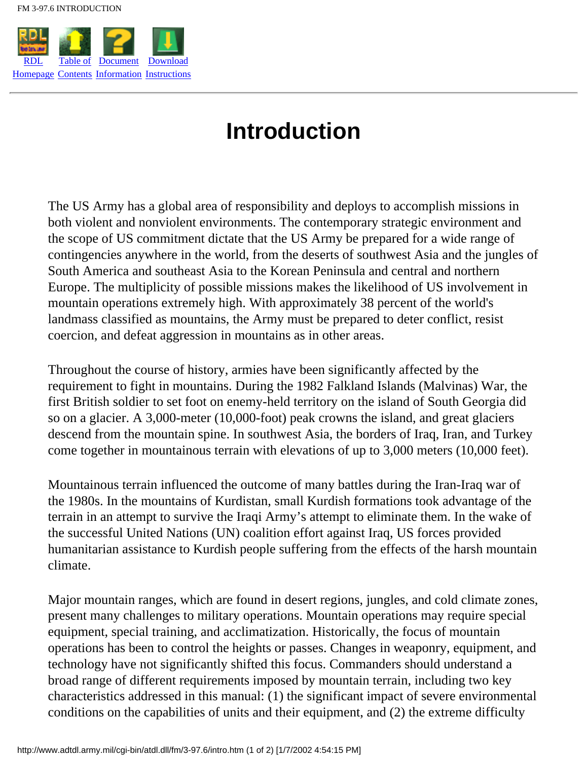<span id="page-7-0"></span>

## **Introduction**

The US Army has a global area of responsibility and deploys to accomplish missions in both violent and nonviolent environments. The contemporary strategic environment and the scope of US commitment dictate that the US Army be prepared for a wide range of contingencies anywhere in the world, from the deserts of southwest Asia and the jungles of South America and southeast Asia to the Korean Peninsula and central and northern Europe. The multiplicity of possible missions makes the likelihood of US involvement in mountain operations extremely high. With approximately 38 percent of the world's landmass classified as mountains, the Army must be prepared to deter conflict, resist coercion, and defeat aggression in mountains as in other areas.

Throughout the course of history, armies have been significantly affected by the requirement to fight in mountains. During the 1982 Falkland Islands (Malvinas) War, the first British soldier to set foot on enemy-held territory on the island of South Georgia did so on a glacier. A 3,000-meter (10,000-foot) peak crowns the island, and great glaciers descend from the mountain spine. In southwest Asia, the borders of Iraq, Iran, and Turkey come together in mountainous terrain with elevations of up to 3,000 meters (10,000 feet).

Mountainous terrain influenced the outcome of many battles during the Iran-Iraq war of the 1980s. In the mountains of Kurdistan, small Kurdish formations took advantage of the terrain in an attempt to survive the Iraqi Army's attempt to eliminate them. In the wake of the successful United Nations (UN) coalition effort against Iraq, US forces provided humanitarian assistance to Kurdish people suffering from the effects of the harsh mountain climate.

Major mountain ranges, which are found in desert regions, jungles, and cold climate zones, present many challenges to military operations. Mountain operations may require special equipment, special training, and acclimatization. Historically, the focus of mountain operations has been to control the heights or passes. Changes in weaponry, equipment, and technology have not significantly shifted this focus. Commanders should understand a broad range of different requirements imposed by mountain terrain, including two key characteristics addressed in this manual: (1) the significant impact of severe environmental conditions on the capabilities of units and their equipment, and (2) the extreme difficulty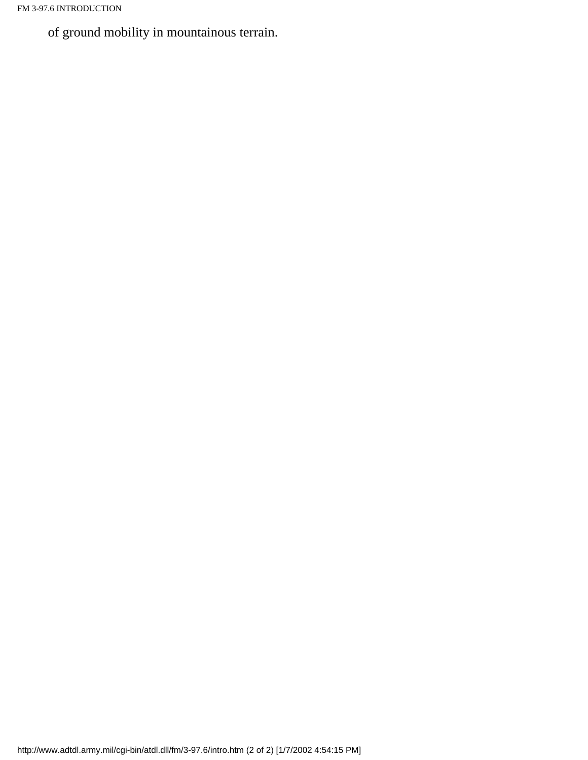of ground mobility in mountainous terrain.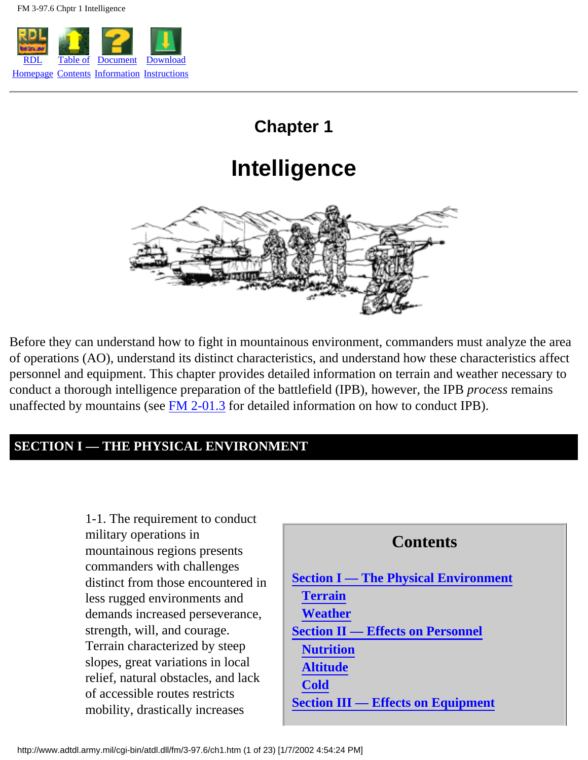<span id="page-9-0"></span>

## **Chapter 1**

## **Intelligence**



Before they can understand how to fight in mountainous environment, commanders must analyze the area of operations (AO), understand its distinct characteristics, and understand how these characteristics affect personnel and equipment. This chapter provides detailed information on terrain and weather necessary to conduct a thorough intelligence preparation of the battlefield (IPB), however, the IPB *process* remains unaffected by mountains (see [FM 2-01.3](#page-143-1) for detailed information on how to conduct IPB).

#### <span id="page-9-1"></span>**SECTION I — THE PHYSICAL ENVIRONMENT**

1-1. The requirement to conduct military operations in mountainous regions presents commanders with challenges distinct from those encountered in less rugged environments and demands increased perseverance, strength, will, and courage. Terrain characterized by steep slopes, great variations in local relief, natural obstacles, and lack of accessible routes restricts mobility, drastically increases

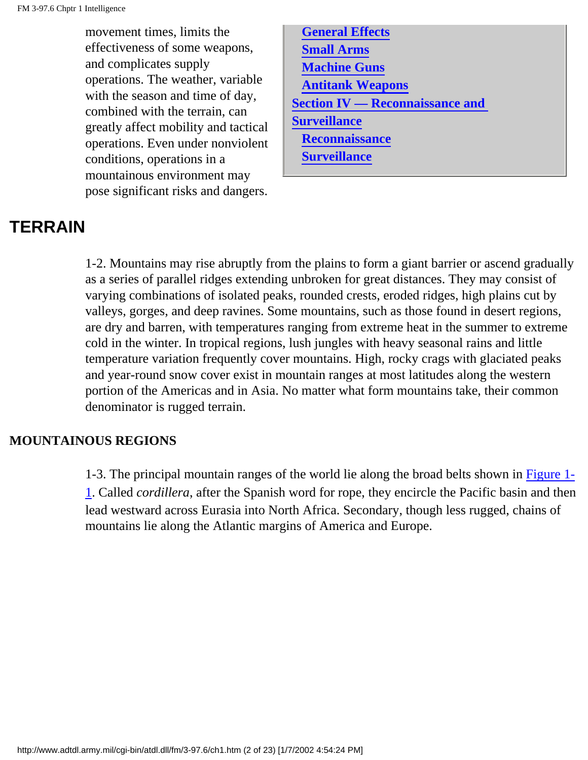movement times, limits the effectiveness of some weapons, and complicates supply operations. The weather, variable with the season and time of day, combined with the terrain, can greatly affect mobility and tactical operations. Even under nonviolent conditions, operations in a mountainous environment may pose significant risks and dangers.

| <b>General Effects</b>                 |  |
|----------------------------------------|--|
| <b>Small Arms</b>                      |  |
| <b>Machine Guns</b>                    |  |
| <b>Antitank Weapons</b>                |  |
| <b>Section IV – Reconnaissance and</b> |  |
| <b>Surveillance</b>                    |  |
| <b>Reconnaissance</b>                  |  |
| <b>Surveillance</b>                    |  |
|                                        |  |

## <span id="page-10-0"></span>**TERRAIN**

1-2. Mountains may rise abruptly from the plains to form a giant barrier or ascend gradually as a series of parallel ridges extending unbroken for great distances. They may consist of varying combinations of isolated peaks, rounded crests, eroded ridges, high plains cut by valleys, gorges, and deep ravines. Some mountains, such as those found in desert regions, are dry and barren, with temperatures ranging from extreme heat in the summer to extreme cold in the winter. In tropical regions, lush jungles with heavy seasonal rains and little temperature variation frequently cover mountains. High, rocky crags with glaciated peaks and year-round snow cover exist in mountain ranges at most latitudes along the western portion of the Americas and in Asia. No matter what form mountains take, their common denominator is rugged terrain.

#### <span id="page-10-1"></span>**MOUNTAINOUS REGIONS**

1-3. The principal mountain ranges of the world lie along the broad belts shown in [Figure 1-](#page-10-1) [1.](#page-10-1) Called *cordillera*, after the Spanish word for rope, they encircle the Pacific basin and then lead westward across Eurasia into North Africa. Secondary, though less rugged, chains of mountains lie along the Atlantic margins of America and Europe.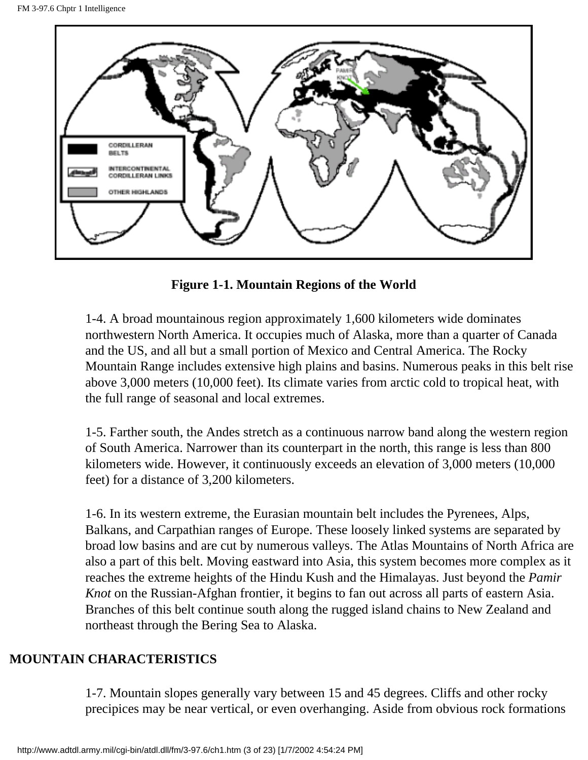

**Figure 1-1. Mountain Regions of the World**

1-4. A broad mountainous region approximately 1,600 kilometers wide dominates northwestern North America. It occupies much of Alaska, more than a quarter of Canada and the US, and all but a small portion of Mexico and Central America. The Rocky Mountain Range includes extensive high plains and basins. Numerous peaks in this belt rise above 3,000 meters (10,000 feet). Its climate varies from arctic cold to tropical heat, with the full range of seasonal and local extremes.

1-5. Farther south, the Andes stretch as a continuous narrow band along the western region of South America. Narrower than its counterpart in the north, this range is less than 800 kilometers wide. However, it continuously exceeds an elevation of 3,000 meters (10,000 feet) for a distance of 3,200 kilometers.

1-6. In its western extreme, the Eurasian mountain belt includes the Pyrenees, Alps, Balkans, and Carpathian ranges of Europe. These loosely linked systems are separated by broad low basins and are cut by numerous valleys. The Atlas Mountains of North Africa are also a part of this belt. Moving eastward into Asia, this system becomes more complex as it reaches the extreme heights of the Hindu Kush and the Himalayas. Just beyond the *Pamir Knot* on the Russian-Afghan frontier, it begins to fan out across all parts of eastern Asia. Branches of this belt continue south along the rugged island chains to New Zealand and northeast through the Bering Sea to Alaska.

#### **MOUNTAIN CHARACTERISTICS**

1-7. Mountain slopes generally vary between 15 and 45 degrees. Cliffs and other rocky precipices may be near vertical, or even overhanging. Aside from obvious rock formations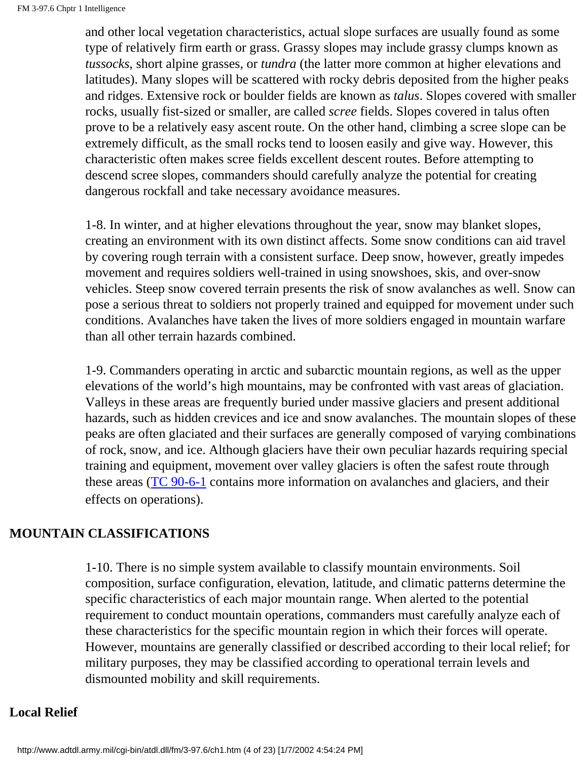and other local vegetation characteristics, actual slope surfaces are usually found as some type of relatively firm earth or grass. Grassy slopes may include grassy clumps known as *tussocks,* short alpine grasses, or *tundra* (the latter more common at higher elevations and latitudes). Many slopes will be scattered with rocky debris deposited from the higher peaks and ridges. Extensive rock or boulder fields are known as *talus*. Slopes covered with smaller rocks, usually fist-sized or smaller, are called *scree* fields. Slopes covered in talus often prove to be a relatively easy ascent route. On the other hand, climbing a scree slope can be extremely difficult, as the small rocks tend to loosen easily and give way. However, this characteristic often makes scree fields excellent descent routes. Before attempting to descend scree slopes, commanders should carefully analyze the potential for creating dangerous rockfall and take necessary avoidance measures.

1-8. In winter, and at higher elevations throughout the year, snow may blanket slopes, creating an environment with its own distinct affects. Some snow conditions can aid travel by covering rough terrain with a consistent surface. Deep snow, however, greatly impedes movement and requires soldiers well-trained in using snowshoes, skis, and over-snow vehicles. Steep snow covered terrain presents the risk of snow avalanches as well. Snow can pose a serious threat to soldiers not properly trained and equipped for movement under such conditions. Avalanches have taken the lives of more soldiers engaged in mountain warfare than all other terrain hazards combined.

1-9. Commanders operating in arctic and subarctic mountain regions, as well as the upper elevations of the world's high mountains, may be confronted with vast areas of glaciation. Valleys in these areas are frequently buried under massive glaciers and present additional hazards, such as hidden crevices and ice and snow avalanches. The mountain slopes of these peaks are often glaciated and their surfaces are generally composed of varying combinations of rock, snow, and ice. Although glaciers have their own peculiar hazards requiring special training and equipment, movement over valley glaciers is often the safest route through these areas (TC 90-6-1 contains more information on avalanches and glaciers, and their effects on operations).

#### **MOUNTAIN CLASSIFICATIONS**

1-10. There is no simple system available to classify mountain environments. Soil composition, surface configuration, elevation, latitude, and climatic patterns determine the specific characteristics of each major mountain range. When alerted to the potential requirement to conduct mountain operations, commanders must carefully analyze each of these characteristics for the specific mountain region in which their forces will operate. However, mountains are generally classified or described according to their local relief; for military purposes, they may be classified according to operational terrain levels and dismounted mobility and skill requirements.

#### **Local Relief**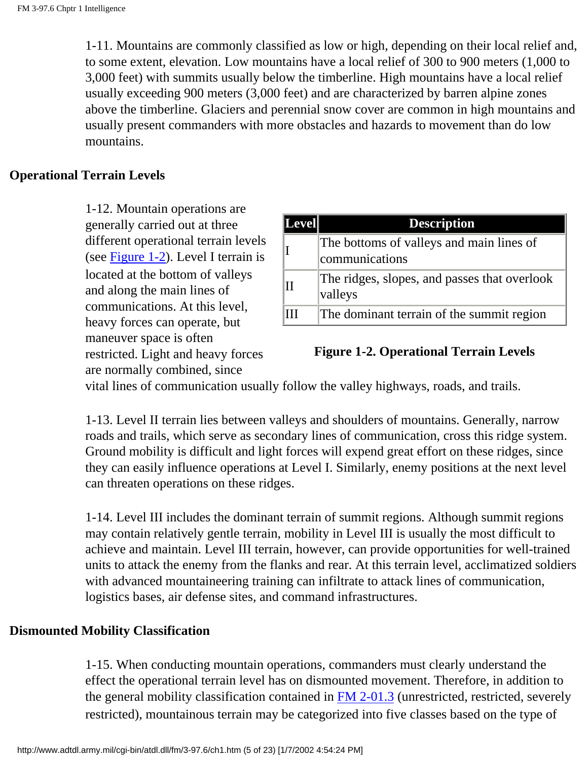1-11. Mountains are commonly classified as low or high, depending on their local relief and, to some extent, elevation. Low mountains have a local relief of 300 to 900 meters (1,000 to 3,000 feet) with summits usually below the timberline. High mountains have a local relief usually exceeding 900 meters (3,000 feet) and are characterized by barren alpine zones above the timberline. Glaciers and perennial snow cover are common in high mountains and usually present commanders with more obstacles and hazards to movement than do low mountains.

#### <span id="page-13-0"></span>**Operational Terrain Levels**

1-12. Mountain operations are generally carried out at three different operational terrain levels (see [Figure 1-2\)](#page-13-0). Level I terrain is located at the bottom of valleys and along the main lines of communications. At this level, heavy forces can operate, but maneuver space is often restricted. Light and heavy forces are normally combined, since

| Level | <b>Description</b>                                         |
|-------|------------------------------------------------------------|
|       | The bottoms of valleys and main lines of<br>communications |
| ΙI    | The ridges, slopes, and passes that overlook<br>valleys    |
|       | The dominant terrain of the summit region                  |

#### **Figure 1-2. Operational Terrain Levels**

vital lines of communication usually follow the valley highways, roads, and trails.

1-13. Level II terrain lies between valleys and shoulders of mountains. Generally, narrow roads and trails, which serve as secondary lines of communication, cross this ridge system. Ground mobility is difficult and light forces will expend great effort on these ridges, since they can easily influence operations at Level I. Similarly, enemy positions at the next level can threaten operations on these ridges.

1-14. Level III includes the dominant terrain of summit regions. Although summit regions may contain relatively gentle terrain, mobility in Level III is usually the most difficult to achieve and maintain. Level III terrain, however, can provide opportunities for well-trained units to attack the enemy from the flanks and rear. At this terrain level, acclimatized soldiers with advanced mountaineering training can infiltrate to attack lines of communication, logistics bases, air defense sites, and command infrastructures.

#### **Dismounted Mobility Classification**

1-15. When conducting mountain operations, commanders must clearly understand the effect the operational terrain level has on dismounted movement. Therefore, in addition to the general mobility classification contained in [FM 2-01.3](#page-143-1) (unrestricted, restricted, severely restricted), mountainous terrain may be categorized into five classes based on the type of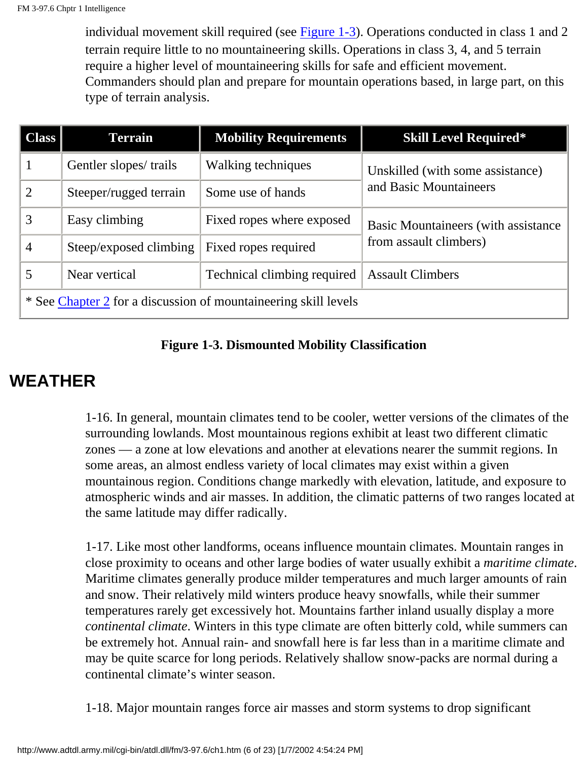individual movement skill required (see [Figure 1-3\)](#page-14-1). Operations conducted in class 1 and 2 terrain require little to no mountaineering skills. Operations in class 3, 4, and 5 terrain require a higher level of mountaineering skills for safe and efficient movement. Commanders should plan and prepare for mountain operations based, in large part, on this type of terrain analysis.

<span id="page-14-1"></span>

| <b>Class</b>                                                            | <b>Terrain</b>         | <b>Mobility Requirements</b> | <b>Skill Level Required*</b>        |  |  |  |  |  |
|-------------------------------------------------------------------------|------------------------|------------------------------|-------------------------------------|--|--|--|--|--|
|                                                                         | Gentler slopes/ trails | Walking techniques           | Unskilled (with some assistance)    |  |  |  |  |  |
| $\overline{2}$                                                          | Steeper/rugged terrain | Some use of hands            | and Basic Mountaineers              |  |  |  |  |  |
| 3                                                                       | Easy climbing          | Fixed ropes where exposed    | Basic Mountaineers (with assistance |  |  |  |  |  |
| $\overline{4}$                                                          | Steep/exposed climbing | Fixed ropes required         | from assault climbers)              |  |  |  |  |  |
| Near vertical<br>Technical climbing required<br><b>Assault Climbers</b> |                        |                              |                                     |  |  |  |  |  |
| * See Chapter 2 for a discussion of mountaineering skill levels         |                        |                              |                                     |  |  |  |  |  |

#### **Figure 1-3. Dismounted Mobility Classification**

## <span id="page-14-0"></span>**WEATHER**

1-16. In general, mountain climates tend to be cooler, wetter versions of the climates of the surrounding lowlands. Most mountainous regions exhibit at least two different climatic zones — a zone at low elevations and another at elevations nearer the summit regions. In some areas, an almost endless variety of local climates may exist within a given mountainous region. Conditions change markedly with elevation, latitude, and exposure to atmospheric winds and air masses. In addition, the climatic patterns of two ranges located at the same latitude may differ radically.

1-17. Like most other landforms, oceans influence mountain climates. Mountain ranges in close proximity to oceans and other large bodies of water usually exhibit a *maritime climate*. Maritime climates generally produce milder temperatures and much larger amounts of rain and snow. Their relatively mild winters produce heavy snowfalls, while their summer temperatures rarely get excessively hot. Mountains farther inland usually display a more *continental climate*. Winters in this type climate are often bitterly cold, while summers can be extremely hot. Annual rain- and snowfall here is far less than in a maritime climate and may be quite scarce for long periods. Relatively shallow snow-packs are normal during a continental climate's winter season.

1-18. Major mountain ranges force air masses and storm systems to drop significant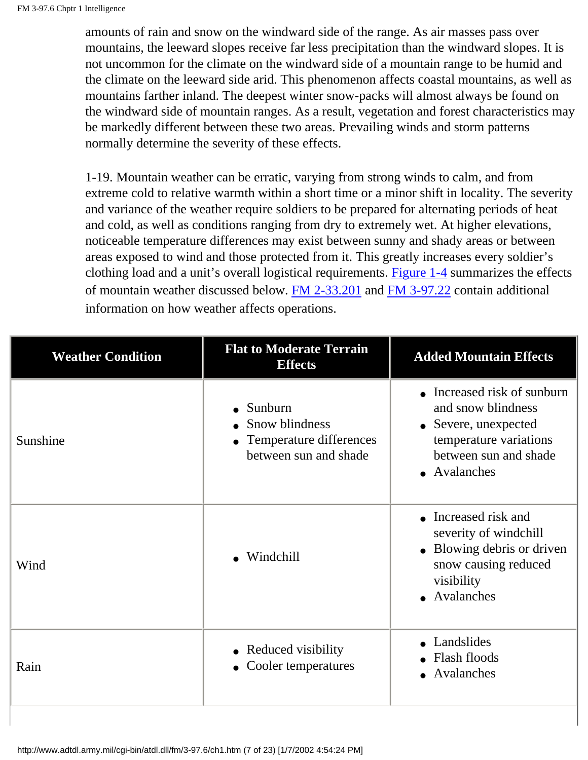amounts of rain and snow on the windward side of the range. As air masses pass over mountains, the leeward slopes receive far less precipitation than the windward slopes. It is not uncommon for the climate on the windward side of a mountain range to be humid and the climate on the leeward side arid. This phenomenon affects coastal mountains, as well as mountains farther inland. The deepest winter snow-packs will almost always be found on the windward side of mountain ranges. As a result, vegetation and forest characteristics may be markedly different between these two areas. Prevailing winds and storm patterns normally determine the severity of these effects.

1-19. Mountain weather can be erratic, varying from strong winds to calm, and from extreme cold to relative warmth within a short time or a minor shift in locality. The severity and variance of the weather require soldiers to be prepared for alternating periods of heat and cold, as well as conditions ranging from dry to extremely wet. At higher elevations, noticeable temperature differences may exist between sunny and shady areas or between areas exposed to wind and those protected from it. This greatly increases every soldier's clothing load and a unit's overall logistical requirements. [Figure 1-4](#page-15-0) summarizes the effects of mountain weather discussed below. [FM 2-33.201](#page-143-2) and [FM 3-97.22](#page-145-0) contain additional information on how weather affects operations.

<span id="page-15-0"></span>

| <b>Weather Condition</b> | <b>Flat to Moderate Terrain</b><br><b>Effects</b>                                          | <b>Added Mountain Effects</b>                                                                                                                |
|--------------------------|--------------------------------------------------------------------------------------------|----------------------------------------------------------------------------------------------------------------------------------------------|
| Sunshine                 | Sunburn<br>Snow blindness<br>Temperature differences<br>$\bullet$<br>between sun and shade | • Increased risk of sunburn<br>and snow blindness<br>• Severe, unexpected<br>temperature variations<br>between sun and shade<br>• Avalanches |
| Wind                     | • Windchill                                                                                | • Increased risk and<br>severity of windchill<br>Blowing debris or driven<br>snow causing reduced<br>visibility<br>• Avalanches              |
| Rain                     | • Reduced visibility<br>Cooler temperatures                                                | • Landslides<br>Flash floods<br>• Avalanches                                                                                                 |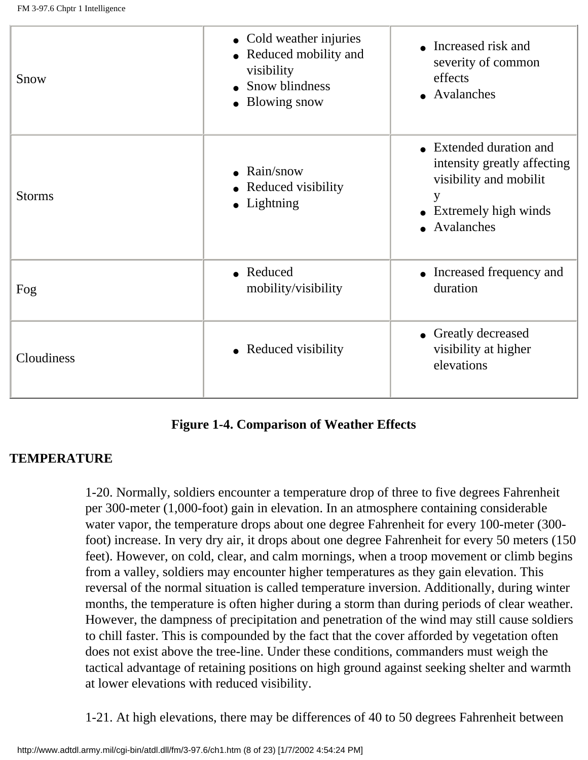| Snow          | • Cold weather injuries<br>• Reduced mobility and<br>visibility<br>• Snow blindness<br>Blowing snow<br>$\bullet$ | • Increased risk and<br>severity of common<br>effects<br>• Avalanches                                                           |
|---------------|------------------------------------------------------------------------------------------------------------------|---------------------------------------------------------------------------------------------------------------------------------|
| <b>Storms</b> | $\bullet$ Rain/snow<br>• Reduced visibility<br>$\bullet$ Lightning                                               | • Extended duration and<br>intensity greatly affecting<br>visibility and mobilit<br>y<br>• Extremely high winds<br>• Avalanches |
| Fog           | • Reduced<br>mobility/visibility                                                                                 | • Increased frequency and<br>duration                                                                                           |
| Cloudiness    | • Reduced visibility                                                                                             | • Greatly decreased<br>visibility at higher<br>elevations                                                                       |

#### **Figure 1-4. Comparison of Weather Effects**

#### **TEMPERATURE**

1-20. Normally, soldiers encounter a temperature drop of three to five degrees Fahrenheit per 300-meter (1,000-foot) gain in elevation. In an atmosphere containing considerable water vapor, the temperature drops about one degree Fahrenheit for every 100-meter (300 foot) increase. In very dry air, it drops about one degree Fahrenheit for every 50 meters (150 feet). However, on cold, clear, and calm mornings, when a troop movement or climb begins from a valley, soldiers may encounter higher temperatures as they gain elevation. This reversal of the normal situation is called temperature inversion. Additionally, during winter months, the temperature is often higher during a storm than during periods of clear weather. However, the dampness of precipitation and penetration of the wind may still cause soldiers to chill faster. This is compounded by the fact that the cover afforded by vegetation often does not exist above the tree-line. Under these conditions, commanders must weigh the tactical advantage of retaining positions on high ground against seeking shelter and warmth at lower elevations with reduced visibility.

1-21. At high elevations, there may be differences of 40 to 50 degrees Fahrenheit between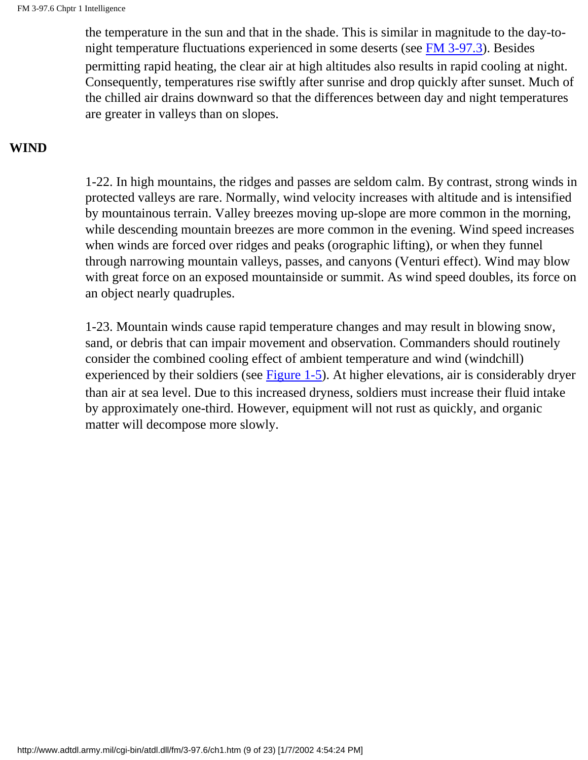the temperature in the sun and that in the shade. This is similar in magnitude to the day-tonight temperature fluctuations experienced in some deserts (see [FM 3-97.3\)](#page-145-1). Besides permitting rapid heating, the clear air at high altitudes also results in rapid cooling at night. Consequently, temperatures rise swiftly after sunrise and drop quickly after sunset. Much of the chilled air drains downward so that the differences between day and night temperatures are greater in valleys than on slopes.

#### **WIND**

1-22. In high mountains, the ridges and passes are seldom calm. By contrast, strong winds in protected valleys are rare. Normally, wind velocity increases with altitude and is intensified by mountainous terrain. Valley breezes moving up-slope are more common in the morning, while descending mountain breezes are more common in the evening. Wind speed increases when winds are forced over ridges and peaks (orographic lifting), or when they funnel through narrowing mountain valleys, passes, and canyons (Venturi effect). Wind may blow with great force on an exposed mountainside or summit. As wind speed doubles, its force on an object nearly quadruples.

<span id="page-17-0"></span>1-23. Mountain winds cause rapid temperature changes and may result in blowing snow, sand, or debris that can impair movement and observation. Commanders should routinely consider the combined cooling effect of ambient temperature and wind (windchill) experienced by their soldiers (see  $Figure 1-5$ ). At higher elevations, air is considerably dryer than air at sea level. Due to this increased dryness, soldiers must increase their fluid intake by approximately one-third. However, equipment will not rust as quickly, and organic matter will decompose more slowly.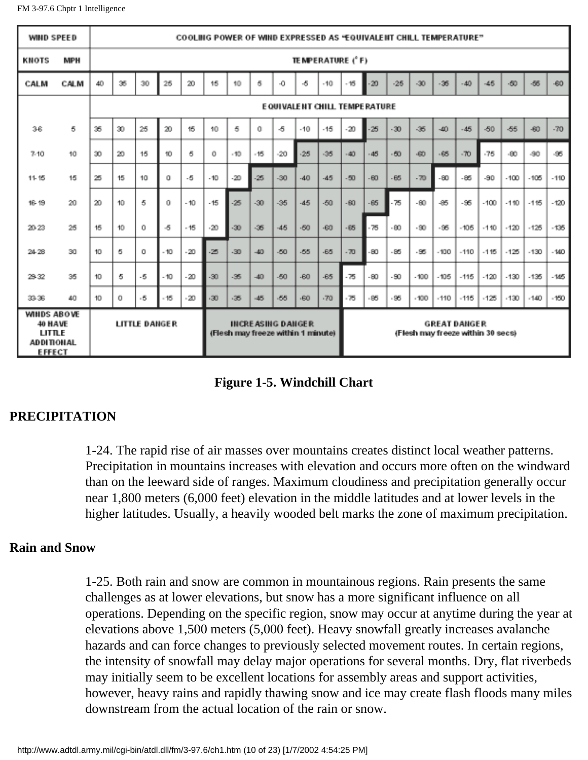| <b>WIND SPEED</b>                                                             |             |                                                                                        | COOLING POWER OF WIND EXPRESSED AS "EQUIVALENT CHILL TEMPERATURE" |    |       |       |                 |       |       |       |                                   |                     |       |       |       |        |        |        |        |        |        |        |
|-------------------------------------------------------------------------------|-------------|----------------------------------------------------------------------------------------|-------------------------------------------------------------------|----|-------|-------|-----------------|-------|-------|-------|-----------------------------------|---------------------|-------|-------|-------|--------|--------|--------|--------|--------|--------|--------|
| KNOTS                                                                         | <b>MPH</b>  |                                                                                        | TEMPERATURE (°F)                                                  |    |       |       |                 |       |       |       |                                   |                     |       |       |       |        |        |        |        |        |        |        |
| <b>CALM</b>                                                                   | <b>CALM</b> | 40                                                                                     | 35                                                                | 30 | 25    | 20    | 15              | 10    | 5     | ٠O    | -5                                | $-10$               | $-15$ | $-20$ | $-25$ | $-30$  | $-36$  | $-40$  | $-45$  | $-50$  | $-56$  | $-60$  |
|                                                                               |             | E QUIVALE NT CHILL TEMPE RATURE                                                        |                                                                   |    |       |       |                 |       |       |       |                                   |                     |       |       |       |        |        |        |        |        |        |        |
| 36                                                                            | 5           | 36                                                                                     | 30                                                                | 25 | 20    | 15    | 10              | 5     | o     | -5    | $-10$                             | $-15$               | $-20$ | $-25$ | $-30$ | -36    | $-40$  | $-45$  | $-50$  | -55    | $-60$  | $-70$  |
| 7.10                                                                          | 10          | 30                                                                                     | 20                                                                | 15 | 10    | 5     | Ű.              | $-10$ | $-15$ | $-20$ | $-25$                             | -35                 | $-40$ | $-45$ | $-60$ | -60    | $-65$  | $-70$  | $-76$  | $-80$  | $-90$  | -96    |
| 11-15                                                                         | 15          | 25                                                                                     | 15                                                                | 10 | 0     | $-5$  | $-10$           | $-20$ | -25   | $-30$ | $-40$                             | $-45$               | $-50$ | $-B0$ | $-65$ | $-70$  | $-80$  | $-85$  | $-90$  | $-100$ | $-105$ | $-110$ |
| 临悟                                                                            | 20          | 20                                                                                     | 10                                                                | 5  | ū     | $-10$ | $-15$           | 25    | $-30$ | $-35$ | $-45$                             | $-50$               | $-60$ | $-65$ | $-75$ | $-60$  | -85    | $-96$  | $-100$ | $-110$ | $-115$ | $-120$ |
| 20-23                                                                         | 25          | 15                                                                                     | 10 <sub>1</sub>                                                   | 0. | -5    | $-15$ | $-20$           | $-30$ | $-36$ | $-45$ | $-50$                             | $-60$               | $-65$ | .76   | $-80$ | $-90$  | $-96$  | $-105$ | $-110$ | $-120$ | $-125$ | $-135$ |
| 24-28                                                                         | 30          | 10                                                                                     | 5                                                                 | 0  | $-10$ | $-20$ | 25              | $-30$ | $-40$ | $-50$ | $-55$                             | -65                 | $-70$ | -80   | $-85$ | $-96$  | $-100$ | $-110$ | $-115$ | $-125$ | $-130$ | $-140$ |
| 29.32                                                                         | 35          | 10                                                                                     | 5                                                                 | -5 | $-10$ | $-20$ | -30             | -36   | $-40$ | $-50$ | $-60$                             | -65                 | $-75$ | $-80$ | $-90$ | $-100$ | $-105$ | $-115$ | $-120$ | $-130$ | $-135$ | $-145$ |
| 33.36                                                                         | 40          | 10 <sub>1</sub>                                                                        | 0                                                                 | -5 | 15    | $-20$ | 30 <sub>1</sub> | -35   | .45   | -55   | $-60$                             | $-70$               | $-75$ | $-86$ | .96   | $-100$ | $-110$ | $-115$ | $-125$ | $-130$ | $-140$ | $-150$ |
| <b>WINDS ABOVE</b><br>40 HAVE<br>LITTLE<br><b>ADDITIONAL</b><br><b>EFFECT</b> |             | <b>LITTLE DANGER</b><br><b>INCREASING DANGER</b><br>(Flesh may freeze within 1 minute) |                                                                   |    |       |       |                 |       |       |       | (Flesh may freeze within 30 secs) | <b>GREAT DANGER</b> |       |       |       |        |        |        |        |        |        |        |

**Figure 1-5. Windchill Chart**

#### **PRECIPITATION**

1-24. The rapid rise of air masses over mountains creates distinct local weather patterns. Precipitation in mountains increases with elevation and occurs more often on the windward than on the leeward side of ranges. Maximum cloudiness and precipitation generally occur near 1,800 meters (6,000 feet) elevation in the middle latitudes and at lower levels in the higher latitudes. Usually, a heavily wooded belt marks the zone of maximum precipitation.

#### **Rain and Snow**

1-25. Both rain and snow are common in mountainous regions. Rain presents the same challenges as at lower elevations, but snow has a more significant influence on all operations. Depending on the specific region, snow may occur at anytime during the year at elevations above 1,500 meters (5,000 feet). Heavy snowfall greatly increases avalanche hazards and can force changes to previously selected movement routes. In certain regions, the intensity of snowfall may delay major operations for several months. Dry, flat riverbeds may initially seem to be excellent locations for assembly areas and support activities, however, heavy rains and rapidly thawing snow and ice may create flash floods many miles downstream from the actual location of the rain or snow.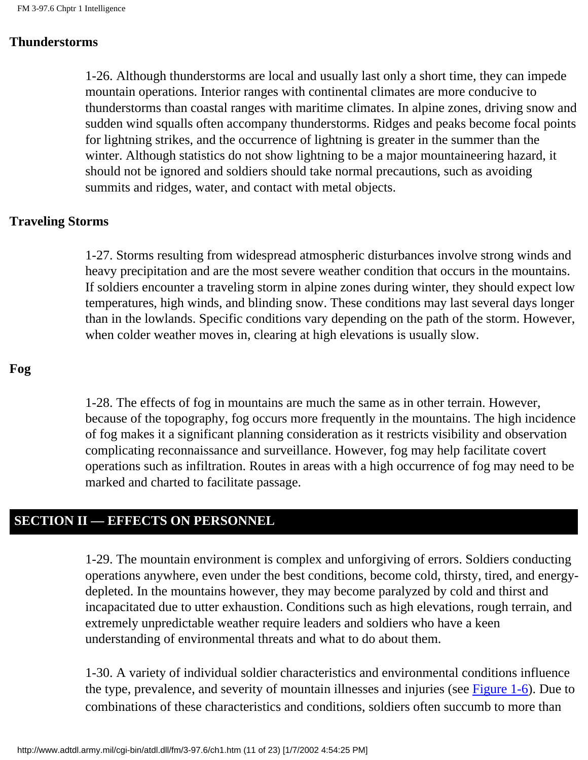#### **Thunderstorms**

1-26. Although thunderstorms are local and usually last only a short time, they can impede mountain operations. Interior ranges with continental climates are more conducive to thunderstorms than coastal ranges with maritime climates. In alpine zones, driving snow and sudden wind squalls often accompany thunderstorms. Ridges and peaks become focal points for lightning strikes, and the occurrence of lightning is greater in the summer than the winter. Although statistics do not show lightning to be a major mountaineering hazard, it should not be ignored and soldiers should take normal precautions, such as avoiding summits and ridges, water, and contact with metal objects.

#### **Traveling Storms**

1-27. Storms resulting from widespread atmospheric disturbances involve strong winds and heavy precipitation and are the most severe weather condition that occurs in the mountains. If soldiers encounter a traveling storm in alpine zones during winter, they should expect low temperatures, high winds, and blinding snow. These conditions may last several days longer than in the lowlands. Specific conditions vary depending on the path of the storm. However, when colder weather moves in, clearing at high elevations is usually slow.

#### **Fog**

1-28. The effects of fog in mountains are much the same as in other terrain. However, because of the topography, fog occurs more frequently in the mountains. The high incidence of fog makes it a significant planning consideration as it restricts visibility and observation complicating reconnaissance and surveillance. However, fog may help facilitate covert operations such as infiltration. Routes in areas with a high occurrence of fog may need to be marked and charted to facilitate passage.

#### <span id="page-19-0"></span>**SECTION II — EFFECTS ON PERSONNEL**

1-29. The mountain environment is complex and unforgiving of errors. Soldiers conducting operations anywhere, even under the best conditions, become cold, thirsty, tired, and energydepleted. In the mountains however, they may become paralyzed by cold and thirst and incapacitated due to utter exhaustion. Conditions such as high elevations, rough terrain, and extremely unpredictable weather require leaders and soldiers who have a keen understanding of environmental threats and what to do about them.

<span id="page-19-1"></span>1-30. A variety of individual soldier characteristics and environmental conditions influence the type, prevalence, and severity of mountain illnesses and injuries (see [Figure 1-6](#page-19-1)). Due to combinations of these characteristics and conditions, soldiers often succumb to more than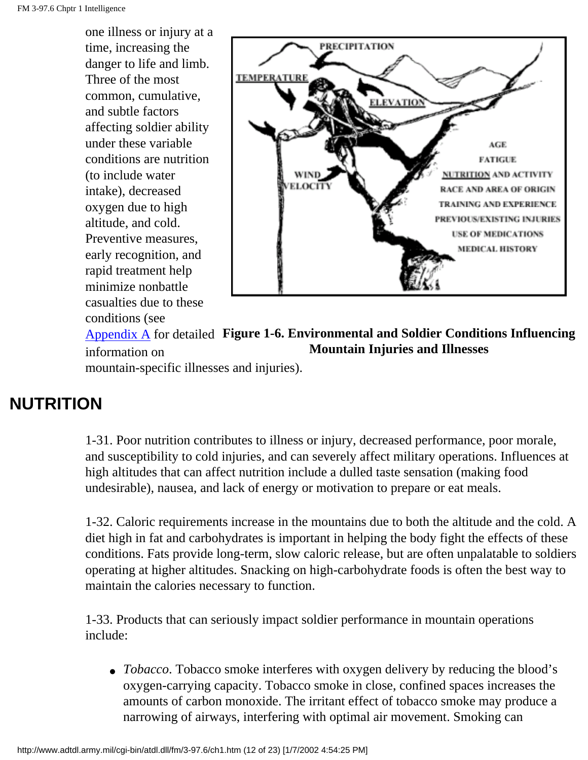

## <span id="page-20-0"></span>**NUTRITION**

1-31. Poor nutrition contributes to illness or injury, decreased performance, poor morale, and susceptibility to cold injuries, and can severely affect military operations. Influences at high altitudes that can affect nutrition include a dulled taste sensation (making food undesirable), nausea, and lack of energy or motivation to prepare or eat meals.

1-32. Caloric requirements increase in the mountains due to both the altitude and the cold. A diet high in fat and carbohydrates is important in helping the body fight the effects of these conditions. Fats provide long-term, slow caloric release, but are often unpalatable to soldiers operating at higher altitudes. Snacking on high-carbohydrate foods is often the best way to maintain the calories necessary to function.

1-33. Products that can seriously impact soldier performance in mountain operations include:

• *Tobacco*. Tobacco smoke interferes with oxygen delivery by reducing the blood's oxygen-carrying capacity. Tobacco smoke in close, confined spaces increases the amounts of carbon monoxide. The irritant effect of tobacco smoke may produce a narrowing of airways, interfering with optimal air movement. Smoking can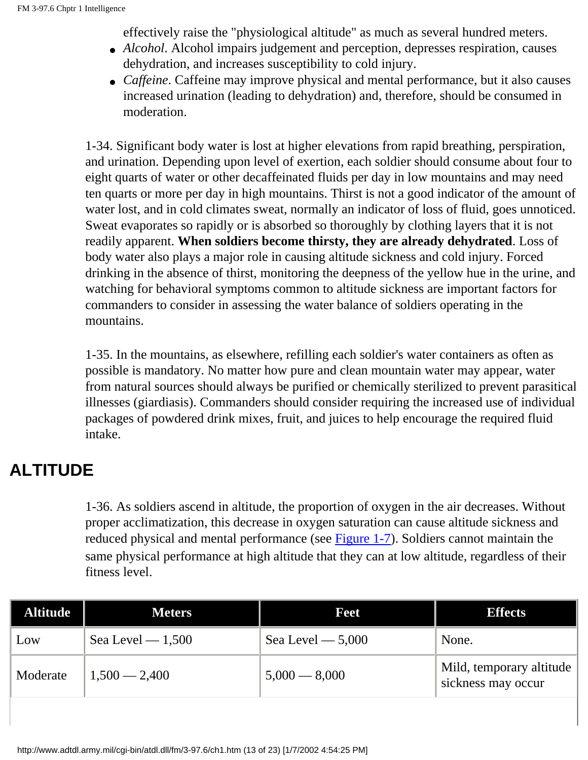effectively raise the "physiological altitude" as much as several hundred meters.

- *Alcohol*. Alcohol impairs judgement and perception, depresses respiration, causes dehydration, and increases susceptibility to cold injury.
- *Caffeine*. Caffeine may improve physical and mental performance, but it also causes increased urination (leading to dehydration) and, therefore, should be consumed in moderation.

1-34. Significant body water is lost at higher elevations from rapid breathing, perspiration, and urination. Depending upon level of exertion, each soldier should consume about four to eight quarts of water or other decaffeinated fluids per day in low mountains and may need ten quarts or more per day in high mountains. Thirst is not a good indicator of the amount of water lost, and in cold climates sweat, normally an indicator of loss of fluid, goes unnoticed. Sweat evaporates so rapidly or is absorbed so thoroughly by clothing layers that it is not readily apparent. **When soldiers become thirsty, they are already dehydrated**. Loss of body water also plays a major role in causing altitude sickness and cold injury. Forced drinking in the absence of thirst, monitoring the deepness of the yellow hue in the urine, and watching for behavioral symptoms common to altitude sickness are important factors for commanders to consider in assessing the water balance of soldiers operating in the mountains.

1-35. In the mountains, as elsewhere, refilling each soldier's water containers as often as possible is mandatory. No matter how pure and clean mountain water may appear, water from natural sources should always be purified or chemically sterilized to prevent parasitical illnesses (giardiasis). Commanders should consider requiring the increased use of individual packages of powdered drink mixes, fruit, and juices to help encourage the required fluid intake.

## <span id="page-21-0"></span>**ALTITUDE**

1-36. As soldiers ascend in altitude, the proportion of oxygen in the air decreases. Without proper acclimatization, this decrease in oxygen saturation can cause altitude sickness and reduced physical and mental performance (see [Figure 1-7\)](#page-21-1). Soldiers cannot maintain the same physical performance at high altitude that they can at low altitude, regardless of their fitness level.

<span id="page-21-1"></span>

| <b>Altitude</b> | <b>Meters</b>      | Feet               | <b>Effects</b>                                 |
|-----------------|--------------------|--------------------|------------------------------------------------|
| Low             | Sea Level $-1,500$ | Sea Level $-5,000$ | None.                                          |
| Moderate        | $1,500 - 2,400$    | $5,000 - 8,000$    | Mild, temporary altitude<br>sickness may occur |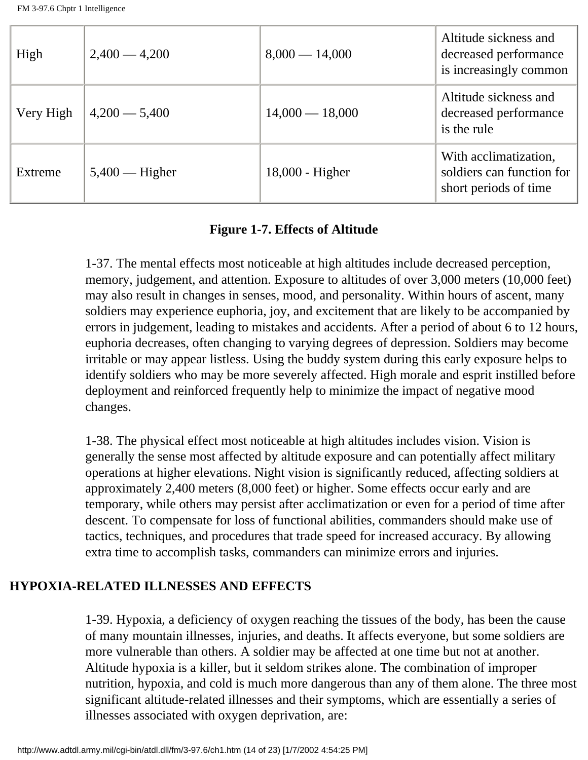| High      | $2,400 - 4,200$  | $8,000 - 14,000$  | Altitude sickness and<br>decreased performance<br>is increasingly common    |
|-----------|------------------|-------------------|-----------------------------------------------------------------------------|
| Very High | $4,200 - 5,400$  | $14,000 - 18,000$ | Altitude sickness and<br>decreased performance<br>is the rule               |
| Extreme   | $5,400$ — Higher | $18,000$ - Higher | With acclimatization,<br>soldiers can function for<br>short periods of time |

#### **Figure 1-7. Effects of Altitude**

1-37. The mental effects most noticeable at high altitudes include decreased perception, memory, judgement, and attention. Exposure to altitudes of over 3,000 meters (10,000 feet) may also result in changes in senses, mood, and personality. Within hours of ascent, many soldiers may experience euphoria, joy, and excitement that are likely to be accompanied by errors in judgement, leading to mistakes and accidents. After a period of about 6 to 12 hours, euphoria decreases, often changing to varying degrees of depression. Soldiers may become irritable or may appear listless. Using the buddy system during this early exposure helps to identify soldiers who may be more severely affected. High morale and esprit instilled before deployment and reinforced frequently help to minimize the impact of negative mood changes.

1-38. The physical effect most noticeable at high altitudes includes vision. Vision is generally the sense most affected by altitude exposure and can potentially affect military operations at higher elevations. Night vision is significantly reduced, affecting soldiers at approximately 2,400 meters (8,000 feet) or higher. Some effects occur early and are temporary, while others may persist after acclimatization or even for a period of time after descent. To compensate for loss of functional abilities, commanders should make use of tactics, techniques, and procedures that trade speed for increased accuracy. By allowing extra time to accomplish tasks, commanders can minimize errors and injuries.

#### **HYPOXIA-RELATED ILLNESSES AND EFFECTS**

1-39. Hypoxia, a deficiency of oxygen reaching the tissues of the body, has been the cause of many mountain illnesses, injuries, and deaths. It affects everyone, but some soldiers are more vulnerable than others. A soldier may be affected at one time but not at another. Altitude hypoxia is a killer, but it seldom strikes alone. The combination of improper nutrition, hypoxia, and cold is much more dangerous than any of them alone. The three most significant altitude-related illnesses and their symptoms, which are essentially a series of illnesses associated with oxygen deprivation, are: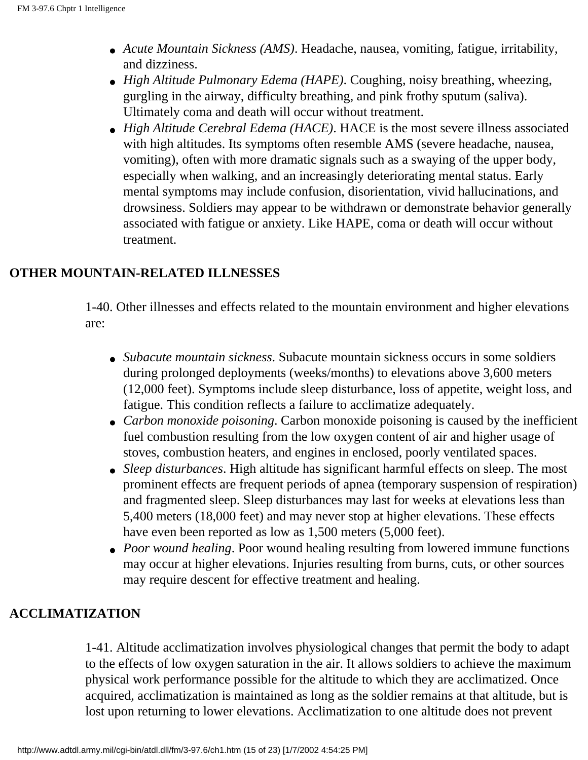- *Acute Mountain Sickness (AMS)*. Headache, nausea, vomiting, fatigue, irritability, and dizziness.
- *High Altitude Pulmonary Edema (HAPE)*. Coughing, noisy breathing, wheezing, gurgling in the airway, difficulty breathing, and pink frothy sputum (saliva). Ultimately coma and death will occur without treatment.
- *High Altitude Cerebral Edema (HACE)*. HACE is the most severe illness associated with high altitudes. Its symptoms often resemble AMS (severe headache, nausea, vomiting), often with more dramatic signals such as a swaying of the upper body, especially when walking, and an increasingly deteriorating mental status. Early mental symptoms may include confusion, disorientation, vivid hallucinations, and drowsiness. Soldiers may appear to be withdrawn or demonstrate behavior generally associated with fatigue or anxiety. Like HAPE, coma or death will occur without treatment.

#### **OTHER MOUNTAIN-RELATED ILLNESSES**

1-40. Other illnesses and effects related to the mountain environment and higher elevations are:

- *Subacute mountain sickness*. Subacute mountain sickness occurs in some soldiers during prolonged deployments (weeks/months) to elevations above 3,600 meters (12,000 feet). Symptoms include sleep disturbance, loss of appetite, weight loss, and fatigue. This condition reflects a failure to acclimatize adequately.
- *Carbon monoxide poisoning*. Carbon monoxide poisoning is caused by the inefficient fuel combustion resulting from the low oxygen content of air and higher usage of stoves, combustion heaters, and engines in enclosed, poorly ventilated spaces.
- *Sleep disturbances*. High altitude has significant harmful effects on sleep. The most prominent effects are frequent periods of apnea (temporary suspension of respiration) and fragmented sleep. Sleep disturbances may last for weeks at elevations less than 5,400 meters (18,000 feet) and may never stop at higher elevations. These effects have even been reported as low as 1,500 meters (5,000 feet).
- *Poor wound healing*. Poor wound healing resulting from lowered immune functions may occur at higher elevations. Injuries resulting from burns, cuts, or other sources may require descent for effective treatment and healing.

#### **ACCLIMATIZATION**

1-41. Altitude acclimatization involves physiological changes that permit the body to adapt to the effects of low oxygen saturation in the air. It allows soldiers to achieve the maximum physical work performance possible for the altitude to which they are acclimatized. Once acquired, acclimatization is maintained as long as the soldier remains at that altitude, but is lost upon returning to lower elevations. Acclimatization to one altitude does not prevent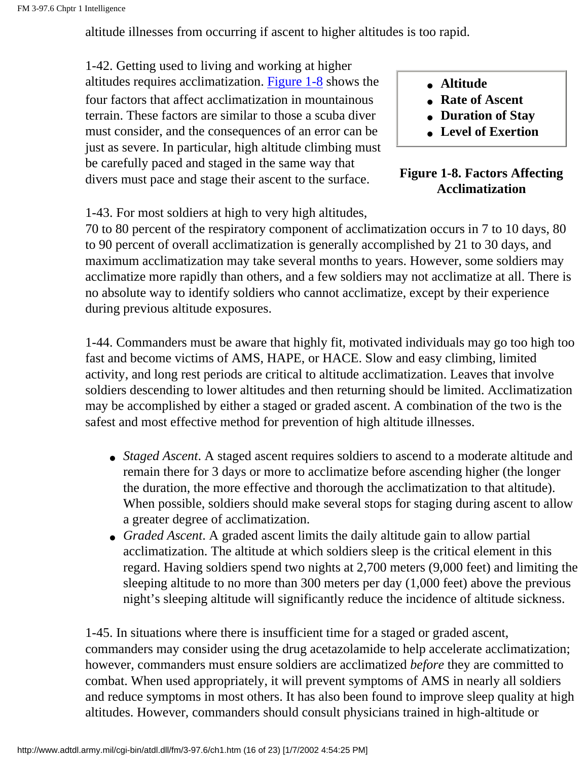<span id="page-24-0"></span>altitude illnesses from occurring if ascent to higher altitudes is too rapid.

1-42. Getting used to living and working at higher altitudes requires acclimatization. [Figure 1-8](#page-24-0) shows the four factors that affect acclimatization in mountainous terrain. These factors are similar to those a scuba diver must consider, and the consequences of an error can be just as severe. In particular, high altitude climbing must be carefully paced and staged in the same way that divers must pace and stage their ascent to the surface.

- **Altitude**
- **Rate of Ascent**
- **Duration of Stay**
- **Level of Exertion**

#### **Figure 1-8. Factors Affecting Acclimatization**

1-43. For most soldiers at high to very high altitudes,

70 to 80 percent of the respiratory component of acclimatization occurs in 7 to 10 days, 80 to 90 percent of overall acclimatization is generally accomplished by 21 to 30 days, and maximum acclimatization may take several months to years. However, some soldiers may acclimatize more rapidly than others, and a few soldiers may not acclimatize at all. There is no absolute way to identify soldiers who cannot acclimatize, except by their experience during previous altitude exposures.

1-44. Commanders must be aware that highly fit, motivated individuals may go too high too fast and become victims of AMS, HAPE, or HACE. Slow and easy climbing, limited activity, and long rest periods are critical to altitude acclimatization. Leaves that involve soldiers descending to lower altitudes and then returning should be limited. Acclimatization may be accomplished by either a staged or graded ascent. A combination of the two is the safest and most effective method for prevention of high altitude illnesses.

- *Staged Ascent*. A staged ascent requires soldiers to ascend to a moderate altitude and remain there for 3 days or more to acclimatize before ascending higher (the longer the duration, the more effective and thorough the acclimatization to that altitude). When possible, soldiers should make several stops for staging during ascent to allow a greater degree of acclimatization.
- *Graded Ascent*. A graded ascent limits the daily altitude gain to allow partial acclimatization. The altitude at which soldiers sleep is the critical element in this regard. Having soldiers spend two nights at 2,700 meters (9,000 feet) and limiting the sleeping altitude to no more than 300 meters per day (1,000 feet) above the previous night's sleeping altitude will significantly reduce the incidence of altitude sickness.

1-45. In situations where there is insufficient time for a staged or graded ascent, commanders may consider using the drug acetazolamide to help accelerate acclimatization; however, commanders must ensure soldiers are acclimatized *before* they are committed to combat. When used appropriately, it will prevent symptoms of AMS in nearly all soldiers and reduce symptoms in most others. It has also been found to improve sleep quality at high altitudes. However, commanders should consult physicians trained in high-altitude or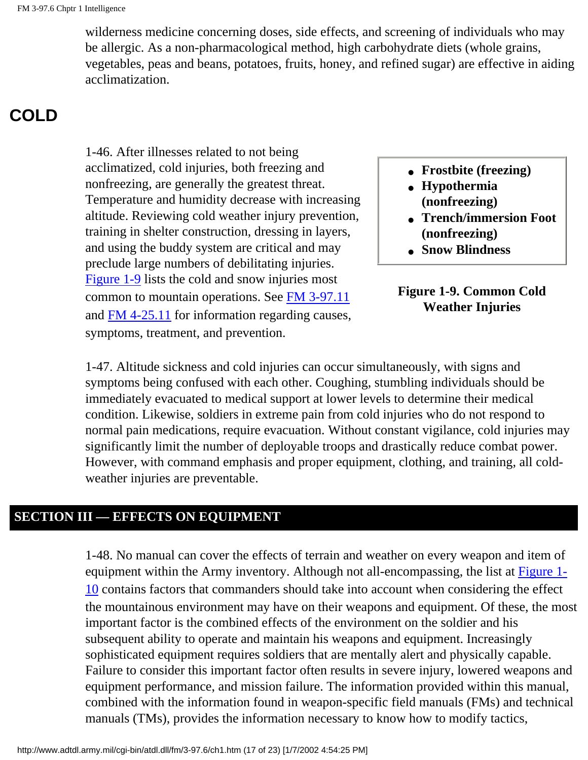wilderness medicine concerning doses, side effects, and screening of individuals who may be allergic. As a non-pharmacological method, high carbohydrate diets (whole grains, vegetables, peas and beans, potatoes, fruits, honey, and refined sugar) are effective in aiding acclimatization.

## <span id="page-25-0"></span>**COLD**

1-46. After illnesses related to not being acclimatized, cold injuries, both freezing and nonfreezing, are generally the greatest threat. Temperature and humidity decrease with increasing altitude. Reviewing cold weather injury prevention, training in shelter construction, dressing in layers, and using the buddy system are critical and may preclude large numbers of debilitating injuries. [Figure 1-9](#page-25-0) lists the cold and snow injuries most common to mountain operations. See [FM 3-97.11](#page-145-2) and [FM 4-25.11](#page-146-1) for information regarding causes, symptoms, treatment, and prevention.

- **Frostbite (freezing)**
- **Hypothermia (nonfreezing)**
- **Trench/immersion Foot (nonfreezing)**
- **Snow Blindness**

#### **Figure 1-9. Common Cold Weather Injuries**

1-47. Altitude sickness and cold injuries can occur simultaneously, with signs and symptoms being confused with each other. Coughing, stumbling individuals should be immediately evacuated to medical support at lower levels to determine their medical condition. Likewise, soldiers in extreme pain from cold injuries who do not respond to normal pain medications, require evacuation. Without constant vigilance, cold injuries may significantly limit the number of deployable troops and drastically reduce combat power. However, with command emphasis and proper equipment, clothing, and training, all coldweather injuries are preventable.

#### <span id="page-25-1"></span>**SECTION III — EFFECTS ON EQUIPMENT**

1-48. No manual can cover the effects of terrain and weather on every weapon and item of equipment within the Army inventory. Although not all-encompassing, the list at [Figure 1-](#page-25-1) [10](#page-25-1) contains factors that commanders should take into account when considering the effect the mountainous environment may have on their weapons and equipment. Of these, the most important factor is the combined effects of the environment on the soldier and his subsequent ability to operate and maintain his weapons and equipment. Increasingly sophisticated equipment requires soldiers that are mentally alert and physically capable. Failure to consider this important factor often results in severe injury, lowered weapons and equipment performance, and mission failure. The information provided within this manual, combined with the information found in weapon-specific field manuals (FMs) and technical manuals (TMs), provides the information necessary to know how to modify tactics,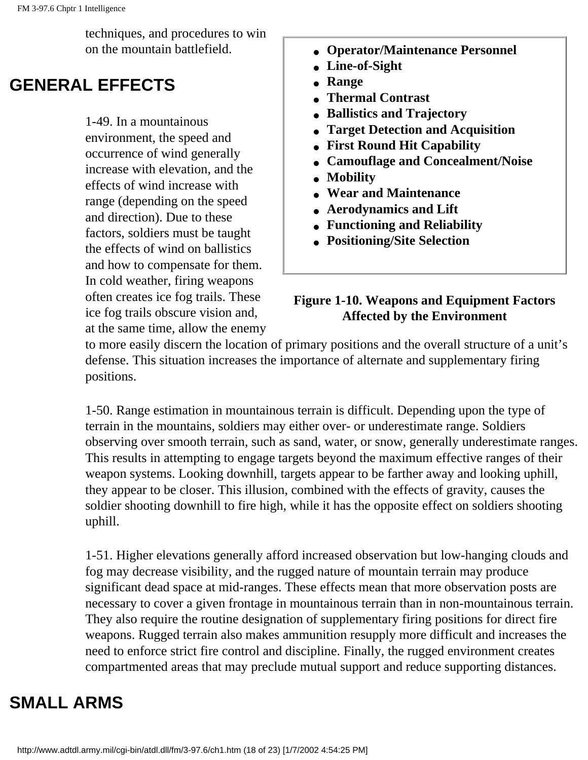techniques, and procedures to win on the mountain battlefield.

## **GENERAL EFFECTS**

1-49. In a mountainous environment, the speed and occurrence of wind generally increase with elevation, and the effects of wind increase with range (depending on the speed and direction). Due to these factors, soldiers must be taught the effects of wind on ballistics and how to compensate for them. In cold weather, firing weapons often creates ice fog trails. These ice fog trails obscure vision and, at the same time, allow the enemy

- **Operator/Maintenance Personnel**
- **Line-of-Sight**
- **Range**
- **Thermal Contrast**
- **Ballistics and Trajectory**
- **Target Detection and Acquisition**
- **First Round Hit Capability**
- **Camouflage and Concealment/Noise**
- **Mobility**
- **Wear and Maintenance**
- **Aerodynamics and Lift**
- **Functioning and Reliability**
- **Positioning/Site Selection**

#### **Figure 1-10. Weapons and Equipment Factors Affected by the Environment**

to more easily discern the location of primary positions and the overall structure of a unit's defense. This situation increases the importance of alternate and supplementary firing positions.

1-50. Range estimation in mountainous terrain is difficult. Depending upon the type of terrain in the mountains, soldiers may either over- or underestimate range. Soldiers observing over smooth terrain, such as sand, water, or snow, generally underestimate ranges. This results in attempting to engage targets beyond the maximum effective ranges of their weapon systems. Looking downhill, targets appear to be farther away and looking uphill, they appear to be closer. This illusion, combined with the effects of gravity, causes the soldier shooting downhill to fire high, while it has the opposite effect on soldiers shooting uphill.

1-51. Higher elevations generally afford increased observation but low-hanging clouds and fog may decrease visibility, and the rugged nature of mountain terrain may produce significant dead space at mid-ranges. These effects mean that more observation posts are necessary to cover a given frontage in mountainous terrain than in non-mountainous terrain. They also require the routine designation of supplementary firing positions for direct fire weapons. Rugged terrain also makes ammunition resupply more difficult and increases the need to enforce strict fire control and discipline. Finally, the rugged environment creates compartmented areas that may preclude mutual support and reduce supporting distances.

## **SMALL ARMS**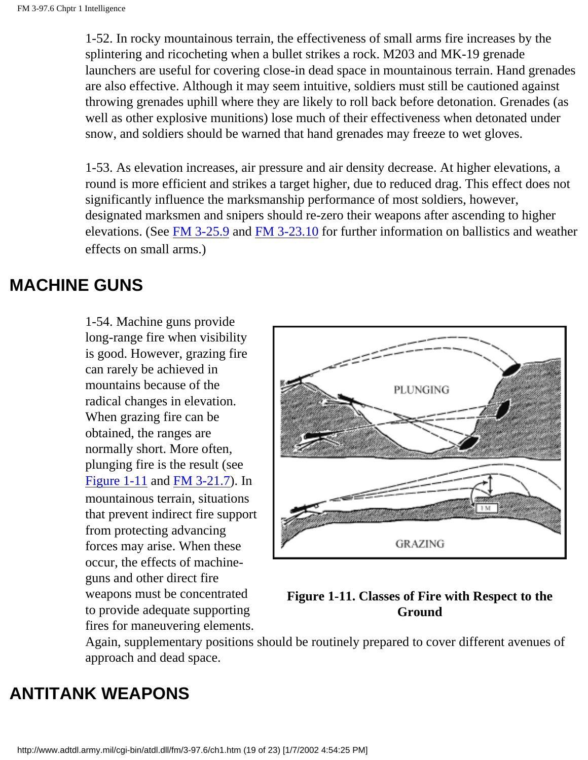1-52. In rocky mountainous terrain, the effectiveness of small arms fire increases by the splintering and ricocheting when a bullet strikes a rock. M203 and MK-19 grenade launchers are useful for covering close-in dead space in mountainous terrain. Hand grenades are also effective. Although it may seem intuitive, soldiers must still be cautioned against throwing grenades uphill where they are likely to roll back before detonation. Grenades (as well as other explosive munitions) lose much of their effectiveness when detonated under snow, and soldiers should be warned that hand grenades may freeze to wet gloves.

1-53. As elevation increases, air pressure and air density decrease. At higher elevations, a round is more efficient and strikes a target higher, due to reduced drag. This effect does not significantly influence the marksmanship performance of most soldiers, however, designated marksmen and snipers should re-zero their weapons after ascending to higher elevations. (See [FM 3-25.9](#page-144-0) and [FM 3-23.10](#page-144-1) for further information on ballistics and weather effects on small arms.)

### <span id="page-27-0"></span>**MACHINE GUNS**

1-54. Machine guns provide long-range fire when visibility is good. However, grazing fire can rarely be achieved in mountains because of the radical changes in elevation. When grazing fire can be obtained, the ranges are normally short. More often, plunging fire is the result (see [Figure 1-11](#page-27-0) and [FM 3-21.7\)](#page-144-2). In mountainous terrain, situations that prevent indirect fire support from protecting advancing forces may arise. When these occur, the effects of machineguns and other direct fire weapons must be concentrated to provide adequate supporting fires for maneuvering elements.



#### **Figure 1-11. Classes of Fire with Respect to the Ground**

Again, supplementary positions should be routinely prepared to cover different avenues of approach and dead space.

## **ANTITANK WEAPONS**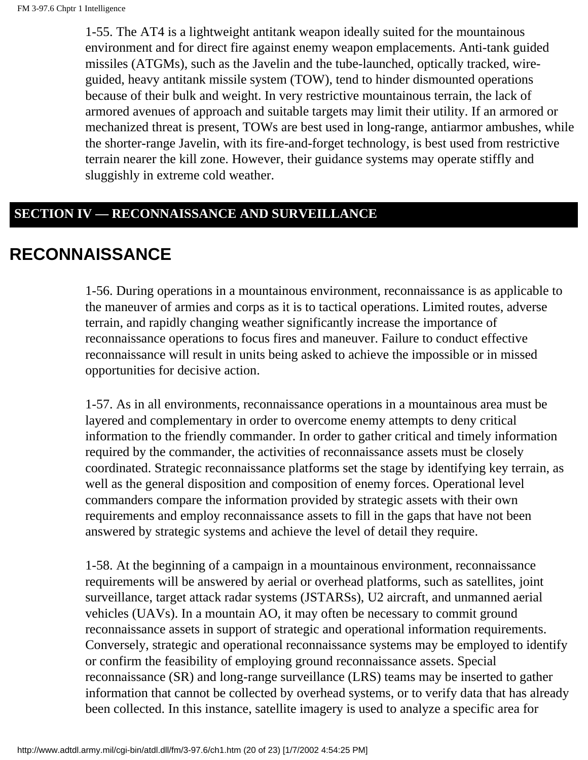1-55. The AT4 is a lightweight antitank weapon ideally suited for the mountainous environment and for direct fire against enemy weapon emplacements. Anti-tank guided missiles (ATGMs), such as the Javelin and the tube-launched, optically tracked, wireguided, heavy antitank missile system (TOW), tend to hinder dismounted operations because of their bulk and weight. In very restrictive mountainous terrain, the lack of armored avenues of approach and suitable targets may limit their utility. If an armored or mechanized threat is present, TOWs are best used in long-range, antiarmor ambushes, while the shorter-range Javelin, with its fire-and-forget technology, is best used from restrictive terrain nearer the kill zone. However, their guidance systems may operate stiffly and sluggishly in extreme cold weather.

#### **SECTION IV — RECONNAISSANCE AND SURVEILLANCE**

### **RECONNAISSANCE**

1-56. During operations in a mountainous environment, reconnaissance is as applicable to the maneuver of armies and corps as it is to tactical operations. Limited routes, adverse terrain, and rapidly changing weather significantly increase the importance of reconnaissance operations to focus fires and maneuver. Failure to conduct effective reconnaissance will result in units being asked to achieve the impossible or in missed opportunities for decisive action.

1-57. As in all environments, reconnaissance operations in a mountainous area must be layered and complementary in order to overcome enemy attempts to deny critical information to the friendly commander. In order to gather critical and timely information required by the commander, the activities of reconnaissance assets must be closely coordinated. Strategic reconnaissance platforms set the stage by identifying key terrain, as well as the general disposition and composition of enemy forces. Operational level commanders compare the information provided by strategic assets with their own requirements and employ reconnaissance assets to fill in the gaps that have not been answered by strategic systems and achieve the level of detail they require.

1-58. At the beginning of a campaign in a mountainous environment, reconnaissance requirements will be answered by aerial or overhead platforms, such as satellites, joint surveillance, target attack radar systems (JSTARSs), U2 aircraft, and unmanned aerial vehicles (UAVs). In a mountain AO, it may often be necessary to commit ground reconnaissance assets in support of strategic and operational information requirements. Conversely, strategic and operational reconnaissance systems may be employed to identify or confirm the feasibility of employing ground reconnaissance assets. Special reconnaissance (SR) and long-range surveillance (LRS) teams may be inserted to gather information that cannot be collected by overhead systems, or to verify data that has already been collected. In this instance, satellite imagery is used to analyze a specific area for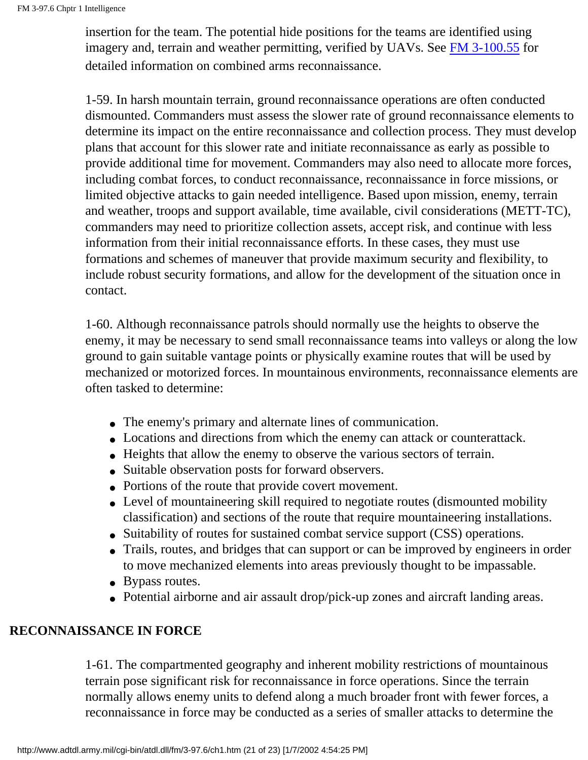insertion for the team. The potential hide positions for the teams are identified using imagery and, terrain and weather permitting, verified by UAVs. See [FM 3-100.55](#page-146-2) for detailed information on combined arms reconnaissance.

1-59. In harsh mountain terrain, ground reconnaissance operations are often conducted dismounted. Commanders must assess the slower rate of ground reconnaissance elements to determine its impact on the entire reconnaissance and collection process. They must develop plans that account for this slower rate and initiate reconnaissance as early as possible to provide additional time for movement. Commanders may also need to allocate more forces, including combat forces, to conduct reconnaissance, reconnaissance in force missions, or limited objective attacks to gain needed intelligence. Based upon mission, enemy, terrain and weather, troops and support available, time available, civil considerations (METT-TC), commanders may need to prioritize collection assets, accept risk, and continue with less information from their initial reconnaissance efforts. In these cases, they must use formations and schemes of maneuver that provide maximum security and flexibility, to include robust security formations, and allow for the development of the situation once in contact.

1-60. Although reconnaissance patrols should normally use the heights to observe the enemy, it may be necessary to send small reconnaissance teams into valleys or along the low ground to gain suitable vantage points or physically examine routes that will be used by mechanized or motorized forces. In mountainous environments, reconnaissance elements are often tasked to determine:

- The enemy's primary and alternate lines of communication.
- Locations and directions from which the enemy can attack or counterattack.
- Heights that allow the enemy to observe the various sectors of terrain.
- Suitable observation posts for forward observers.
- Portions of the route that provide covert movement.
- Level of mountaineering skill required to negotiate routes (dismounted mobility classification) and sections of the route that require mountaineering installations.
- Suitability of routes for sustained combat service support (CSS) operations.
- Trails, routes, and bridges that can support or can be improved by engineers in order to move mechanized elements into areas previously thought to be impassable.
- Bypass routes.
- Potential airborne and air assault drop/pick-up zones and aircraft landing areas.

#### **RECONNAISSANCE IN FORCE**

1-61. The compartmented geography and inherent mobility restrictions of mountainous terrain pose significant risk for reconnaissance in force operations. Since the terrain normally allows enemy units to defend along a much broader front with fewer forces, a reconnaissance in force may be conducted as a series of smaller attacks to determine the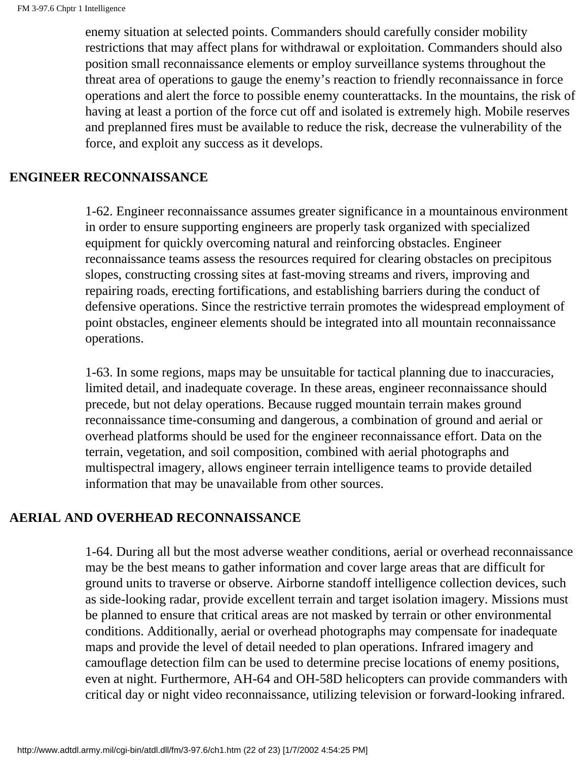enemy situation at selected points. Commanders should carefully consider mobility restrictions that may affect plans for withdrawal or exploitation. Commanders should also position small reconnaissance elements or employ surveillance systems throughout the threat area of operations to gauge the enemy's reaction to friendly reconnaissance in force operations and alert the force to possible enemy counterattacks. In the mountains, the risk of having at least a portion of the force cut off and isolated is extremely high. Mobile reserves and preplanned fires must be available to reduce the risk, decrease the vulnerability of the force, and exploit any success as it develops.

#### **ENGINEER RECONNAISSANCE**

1-62. Engineer reconnaissance assumes greater significance in a mountainous environment in order to ensure supporting engineers are properly task organized with specialized equipment for quickly overcoming natural and reinforcing obstacles. Engineer reconnaissance teams assess the resources required for clearing obstacles on precipitous slopes, constructing crossing sites at fast-moving streams and rivers, improving and repairing roads, erecting fortifications, and establishing barriers during the conduct of defensive operations. Since the restrictive terrain promotes the widespread employment of point obstacles, engineer elements should be integrated into all mountain reconnaissance operations.

1-63. In some regions, maps may be unsuitable for tactical planning due to inaccuracies, limited detail, and inadequate coverage. In these areas, engineer reconnaissance should precede, but not delay operations. Because rugged mountain terrain makes ground reconnaissance time-consuming and dangerous, a combination of ground and aerial or overhead platforms should be used for the engineer reconnaissance effort. Data on the terrain, vegetation, and soil composition, combined with aerial photographs and multispectral imagery, allows engineer terrain intelligence teams to provide detailed information that may be unavailable from other sources.

#### **AERIAL AND OVERHEAD RECONNAISSANCE**

1-64. During all but the most adverse weather conditions, aerial or overhead reconnaissance may be the best means to gather information and cover large areas that are difficult for ground units to traverse or observe. Airborne standoff intelligence collection devices, such as side-looking radar, provide excellent terrain and target isolation imagery. Missions must be planned to ensure that critical areas are not masked by terrain or other environmental conditions. Additionally, aerial or overhead photographs may compensate for inadequate maps and provide the level of detail needed to plan operations. Infrared imagery and camouflage detection film can be used to determine precise locations of enemy positions, even at night. Furthermore, AH-64 and OH-58D helicopters can provide commanders with critical day or night video reconnaissance, utilizing television or forward-looking infrared.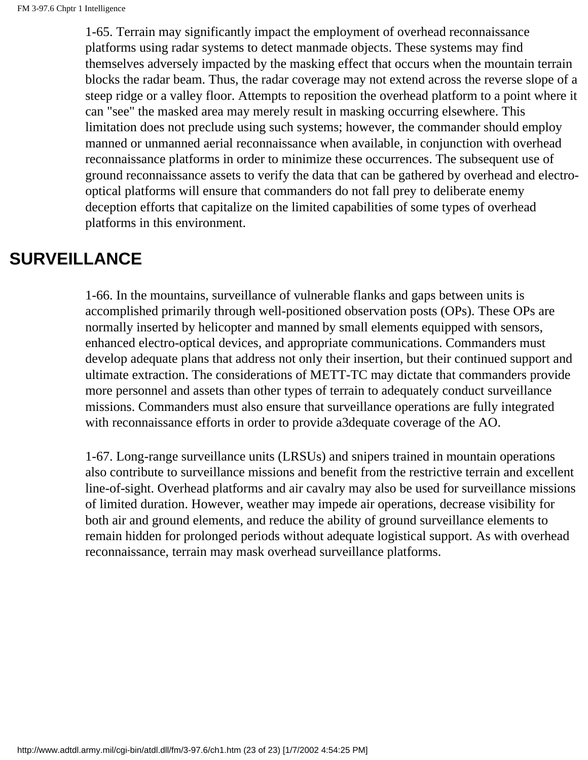1-65. Terrain may significantly impact the employment of overhead reconnaissance platforms using radar systems to detect manmade objects. These systems may find themselves adversely impacted by the masking effect that occurs when the mountain terrain blocks the radar beam. Thus, the radar coverage may not extend across the reverse slope of a steep ridge or a valley floor. Attempts to reposition the overhead platform to a point where it can "see" the masked area may merely result in masking occurring elsewhere. This limitation does not preclude using such systems; however, the commander should employ manned or unmanned aerial reconnaissance when available, in conjunction with overhead reconnaissance platforms in order to minimize these occurrences. The subsequent use of ground reconnaissance assets to verify the data that can be gathered by overhead and electrooptical platforms will ensure that commanders do not fall prey to deliberate enemy deception efforts that capitalize on the limited capabilities of some types of overhead platforms in this environment.

## **SURVEILLANCE**

1-66. In the mountains, surveillance of vulnerable flanks and gaps between units is accomplished primarily through well-positioned observation posts (OPs). These OPs are normally inserted by helicopter and manned by small elements equipped with sensors, enhanced electro-optical devices, and appropriate communications. Commanders must develop adequate plans that address not only their insertion, but their continued support and ultimate extraction. The considerations of METT-TC may dictate that commanders provide more personnel and assets than other types of terrain to adequately conduct surveillance missions. Commanders must also ensure that surveillance operations are fully integrated with reconnaissance efforts in order to provide a3dequate coverage of the AO.

1-67. Long-range surveillance units (LRSUs) and snipers trained in mountain operations also contribute to surveillance missions and benefit from the restrictive terrain and excellent line-of-sight. Overhead platforms and air cavalry may also be used for surveillance missions of limited duration. However, weather may impede air operations, decrease visibility for both air and ground elements, and reduce the ability of ground surveillance elements to remain hidden for prolonged periods without adequate logistical support. As with overhead reconnaissance, terrain may mask overhead surveillance platforms.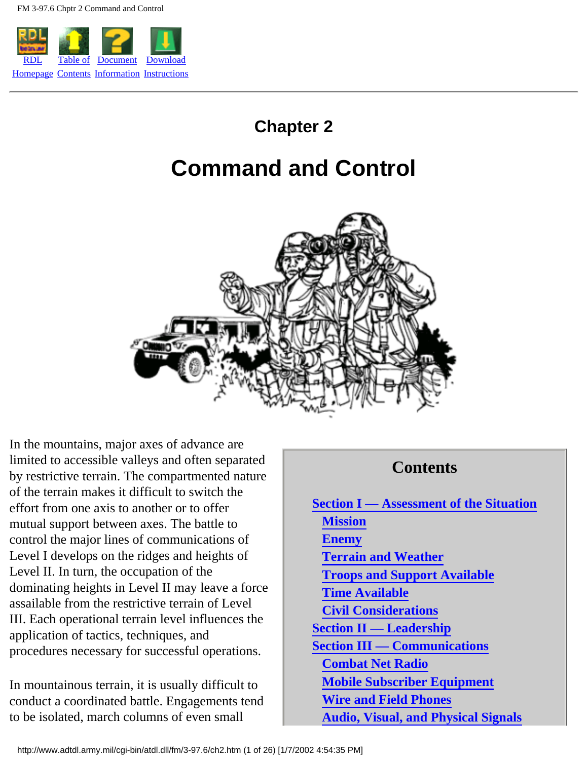<span id="page-32-0"></span>

## **Chapter 2**

## **Command and Control**



In the mountains, major axes of advance are limited to accessible valleys and often separated by restrictive terrain. The compartmented nature of the terrain makes it difficult to switch the effort from one axis to another or to offer mutual support between axes. The battle to control the major lines of communications of Level I develops on the ridges and heights of Level II. In turn, the occupation of the dominating heights in Level II may leave a force assailable from the restrictive terrain of Level III. Each operational terrain level influences the application of tactics, techniques, and procedures necessary for successful operations.

In mountainous terrain, it is usually difficult to conduct a coordinated battle. Engagements tend to be isolated, march columns of even small

### **Contents**

**[Section I — Assessment of the Situation](#page-34-0) [Mission](#page-35-0) [Enemy](#page-36-0) [Terrain and Weather](#page-36-1) [Troops and Support Available](#page-40-0) [Time Available](#page-40-1) [Civil Considerations](#page-41-0) [Section II — Leadership](#page-42-0) [Section III — Communications](#page-42-1) [Combat Net Radio](#page-43-0) [Mobile Subscriber Equipment](#page-45-0) [Wire and Field Phones](#page-45-1) [Audio, Visual, and Physical Signals](#page-46-0)**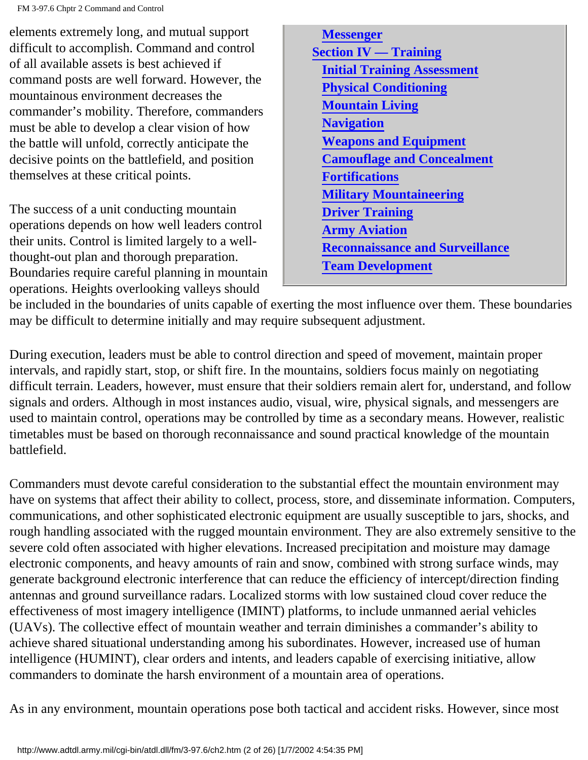FM 3-97.6 Chptr 2 Command and Control

elements extremely long, and mutual support difficult to accomplish. Command and control of all available assets is best achieved if command posts are well forward. However, the mountainous environment decreases the commander's mobility. Therefore, commanders must be able to develop a clear vision of how the battle will unfold, correctly anticipate the decisive points on the battlefield, and position themselves at these critical points.

The success of a unit conducting mountain operations depends on how well leaders control their units. Control is limited largely to a wellthought-out plan and thorough preparation. Boundaries require careful planning in mountain operations. Heights overlooking valleys should

 **[Messenger](#page-46-1) [Section IV — Training](#page-47-0) [Initial Training Assessment](#page-48-0) [Physical Conditioning](#page-49-0) [Mountain Living](#page-50-0) [Navigation](#page-50-1) [Weapons and Equipment](#page-50-2) [Camouflage and Concealment](#page-51-0) [Fortifications](#page-51-1) [Military Mountaineering](#page-53-0) [Driver Training](#page-56-0) [Army Aviation](#page-56-1) [Reconnaissance and Surveillance](#page-57-0) [Team Development](#page-57-1)**

be included in the boundaries of units capable of exerting the most influence over them. These boundaries may be difficult to determine initially and may require subsequent adjustment.

During execution, leaders must be able to control direction and speed of movement, maintain proper intervals, and rapidly start, stop, or shift fire. In the mountains, soldiers focus mainly on negotiating difficult terrain. Leaders, however, must ensure that their soldiers remain alert for, understand, and follow signals and orders. Although in most instances audio, visual, wire, physical signals, and messengers are used to maintain control, operations may be controlled by time as a secondary means. However, realistic timetables must be based on thorough reconnaissance and sound practical knowledge of the mountain battlefield.

Commanders must devote careful consideration to the substantial effect the mountain environment may have on systems that affect their ability to collect, process, store, and disseminate information. Computers, communications, and other sophisticated electronic equipment are usually susceptible to jars, shocks, and rough handling associated with the rugged mountain environment. They are also extremely sensitive to the severe cold often associated with higher elevations. Increased precipitation and moisture may damage electronic components, and heavy amounts of rain and snow, combined with strong surface winds, may generate background electronic interference that can reduce the efficiency of intercept/direction finding antennas and ground surveillance radars. Localized storms with low sustained cloud cover reduce the effectiveness of most imagery intelligence (IMINT) platforms, to include unmanned aerial vehicles (UAVs). The collective effect of mountain weather and terrain diminishes a commander's ability to achieve shared situational understanding among his subordinates. However, increased use of human intelligence (HUMINT), clear orders and intents, and leaders capable of exercising initiative, allow commanders to dominate the harsh environment of a mountain area of operations.

As in any environment, mountain operations pose both tactical and accident risks. However, since most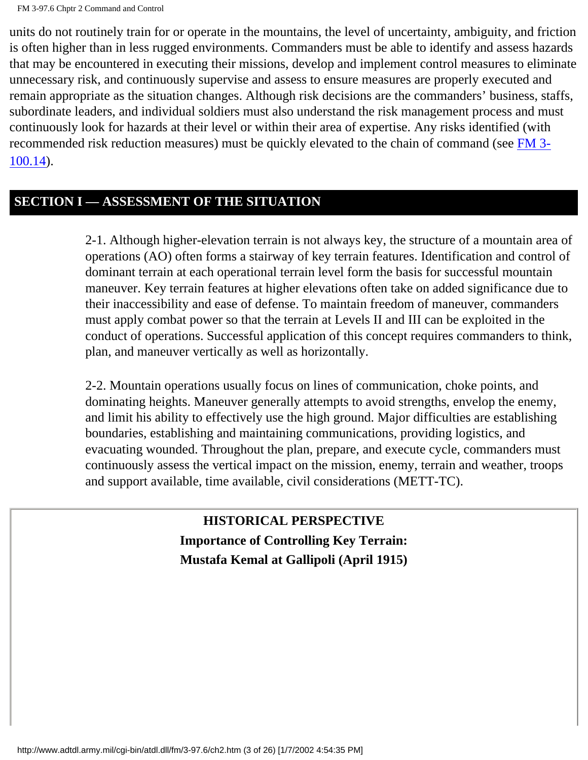FM 3-97.6 Chptr 2 Command and Control

units do not routinely train for or operate in the mountains, the level of uncertainty, ambiguity, and friction is often higher than in less rugged environments. Commanders must be able to identify and assess hazards that may be encountered in executing their missions, develop and implement control measures to eliminate unnecessary risk, and continuously supervise and assess to ensure measures are properly executed and remain appropriate as the situation changes. Although risk decisions are the commanders' business, staffs, subordinate leaders, and individual soldiers must also understand the risk management process and must continuously look for hazards at their level or within their area of expertise. Any risks identified (with recommended risk reduction measures) must be quickly elevated to the chain of command (see [FM 3-](#page-146-3) [100.14\)](#page-146-3).

#### <span id="page-34-0"></span>**SECTION I — ASSESSMENT OF THE SITUATION**

2-1. Although higher-elevation terrain is not always key, the structure of a mountain area of operations (AO) often forms a stairway of key terrain features. Identification and control of dominant terrain at each operational terrain level form the basis for successful mountain maneuver. Key terrain features at higher elevations often take on added significance due to their inaccessibility and ease of defense. To maintain freedom of maneuver, commanders must apply combat power so that the terrain at Levels II and III can be exploited in the conduct of operations. Successful application of this concept requires commanders to think, plan, and maneuver vertically as well as horizontally.

2-2. Mountain operations usually focus on lines of communication, choke points, and dominating heights. Maneuver generally attempts to avoid strengths, envelop the enemy, and limit his ability to effectively use the high ground. Major difficulties are establishing boundaries, establishing and maintaining communications, providing logistics, and evacuating wounded. Throughout the plan, prepare, and execute cycle, commanders must continuously assess the vertical impact on the mission, enemy, terrain and weather, troops and support available, time available, civil considerations (METT-TC).

> **HISTORICAL PERSPECTIVE Importance of Controlling Key Terrain: Mustafa Kemal at Gallipoli (April 1915)**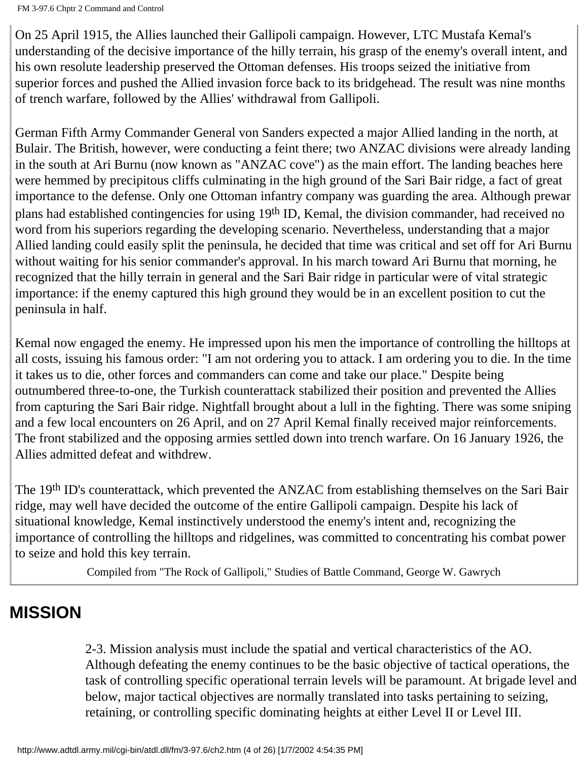On 25 April 1915, the Allies launched their Gallipoli campaign. However, LTC Mustafa Kemal's understanding of the decisive importance of the hilly terrain, his grasp of the enemy's overall intent, and his own resolute leadership preserved the Ottoman defenses. His troops seized the initiative from superior forces and pushed the Allied invasion force back to its bridgehead. The result was nine months of trench warfare, followed by the Allies' withdrawal from Gallipoli.

German Fifth Army Commander General von Sanders expected a major Allied landing in the north, at Bulair. The British, however, were conducting a feint there; two ANZAC divisions were already landing in the south at Ari Burnu (now known as "ANZAC cove") as the main effort. The landing beaches here were hemmed by precipitous cliffs culminating in the high ground of the Sari Bair ridge, a fact of great importance to the defense. Only one Ottoman infantry company was guarding the area. Although prewar plans had established contingencies for using 19th ID, Kemal, the division commander, had received no word from his superiors regarding the developing scenario. Nevertheless, understanding that a major Allied landing could easily split the peninsula, he decided that time was critical and set off for Ari Burnu without waiting for his senior commander's approval. In his march toward Ari Burnu that morning, he recognized that the hilly terrain in general and the Sari Bair ridge in particular were of vital strategic importance: if the enemy captured this high ground they would be in an excellent position to cut the peninsula in half.

Kemal now engaged the enemy. He impressed upon his men the importance of controlling the hilltops at all costs, issuing his famous order: "I am not ordering you to attack. I am ordering you to die. In the time it takes us to die, other forces and commanders can come and take our place." Despite being outnumbered three-to-one, the Turkish counterattack stabilized their position and prevented the Allies from capturing the Sari Bair ridge. Nightfall brought about a lull in the fighting. There was some sniping and a few local encounters on 26 April, and on 27 April Kemal finally received major reinforcements. The front stabilized and the opposing armies settled down into trench warfare. On 16 January 1926, the Allies admitted defeat and withdrew.

The 19<sup>th</sup> ID's counterattack, which prevented the ANZAC from establishing themselves on the Sari Bair ridge, may well have decided the outcome of the entire Gallipoli campaign. Despite his lack of situational knowledge, Kemal instinctively understood the enemy's intent and, recognizing the importance of controlling the hilltops and ridgelines, was committed to concentrating his combat power to seize and hold this key terrain.

Compiled from "The Rock of Gallipoli," Studies of Battle Command, George W. Gawrych

## <span id="page-35-0"></span>**MISSION**

2-3. Mission analysis must include the spatial and vertical characteristics of the AO. Although defeating the enemy continues to be the basic objective of tactical operations, the task of controlling specific operational terrain levels will be paramount. At brigade level and below, major tactical objectives are normally translated into tasks pertaining to seizing, retaining, or controlling specific dominating heights at either Level II or Level III.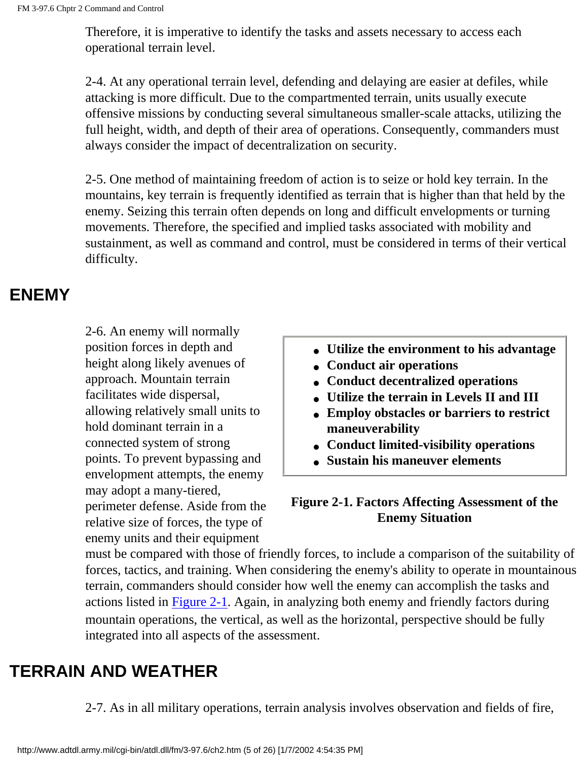Therefore, it is imperative to identify the tasks and assets necessary to access each operational terrain level.

2-4. At any operational terrain level, defending and delaying are easier at defiles, while attacking is more difficult. Due to the compartmented terrain, units usually execute offensive missions by conducting several simultaneous smaller-scale attacks, utilizing the full height, width, and depth of their area of operations. Consequently, commanders must always consider the impact of decentralization on security.

2-5. One method of maintaining freedom of action is to seize or hold key terrain. In the mountains, key terrain is frequently identified as terrain that is higher than that held by the enemy. Seizing this terrain often depends on long and difficult envelopments or turning movements. Therefore, the specified and implied tasks associated with mobility and sustainment, as well as command and control, must be considered in terms of their vertical difficulty.

## <span id="page-36-0"></span>**ENEMY**

2-6. An enemy will normally position forces in depth and height along likely avenues of approach. Mountain terrain facilitates wide dispersal, allowing relatively small units to hold dominant terrain in a connected system of strong points. To prevent bypassing and envelopment attempts, the enemy may adopt a many-tiered, perimeter defense. Aside from the

relative size of forces, the type of enemy units and their equipment

- **Utilize the environment to his advantage**
- **Conduct air operations**
- **Conduct decentralized operations**
- **Utilize the terrain in Levels II and III**
- **Employ obstacles or barriers to restrict maneuverability**
- **Conduct limited-visibility operations**
- **Sustain his maneuver elements**

#### **Figure 2-1. Factors Affecting Assessment of the Enemy Situation**

must be compared with those of friendly forces, to include a comparison of the suitability of forces, tactics, and training. When considering the enemy's ability to operate in mountainous terrain, commanders should consider how well the enemy can accomplish the tasks and actions listed in [Figure 2-1](#page-36-0). Again, in analyzing both enemy and friendly factors during mountain operations, the vertical, as well as the horizontal, perspective should be fully integrated into all aspects of the assessment.

## **TERRAIN AND WEATHER**

2-7. As in all military operations, terrain analysis involves observation and fields of fire,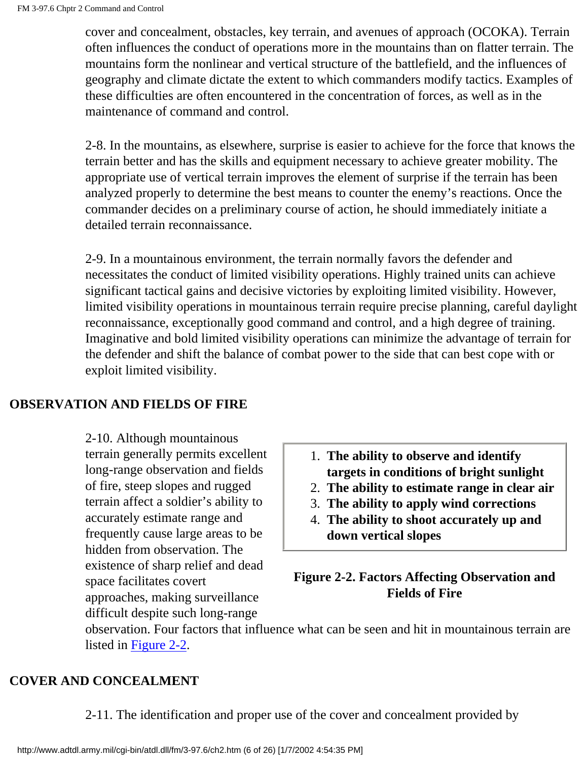cover and concealment, obstacles, key terrain, and avenues of approach (OCOKA). Terrain often influences the conduct of operations more in the mountains than on flatter terrain. The mountains form the nonlinear and vertical structure of the battlefield, and the influences of geography and climate dictate the extent to which commanders modify tactics. Examples of these difficulties are often encountered in the concentration of forces, as well as in the maintenance of command and control.

2-8. In the mountains, as elsewhere, surprise is easier to achieve for the force that knows the terrain better and has the skills and equipment necessary to achieve greater mobility. The appropriate use of vertical terrain improves the element of surprise if the terrain has been analyzed properly to determine the best means to counter the enemy's reactions. Once the commander decides on a preliminary course of action, he should immediately initiate a detailed terrain reconnaissance.

2-9. In a mountainous environment, the terrain normally favors the defender and necessitates the conduct of limited visibility operations. Highly trained units can achieve significant tactical gains and decisive victories by exploiting limited visibility. However, limited visibility operations in mountainous terrain require precise planning, careful daylight reconnaissance, exceptionally good command and control, and a high degree of training. Imaginative and bold limited visibility operations can minimize the advantage of terrain for the defender and shift the balance of combat power to the side that can best cope with or exploit limited visibility.

#### <span id="page-37-0"></span>**OBSERVATION AND FIELDS OF FIRE**

2-10. Although mountainous terrain generally permits excellent long-range observation and fields of fire, steep slopes and rugged terrain affect a soldier's ability to accurately estimate range and frequently cause large areas to be hidden from observation. The existence of sharp relief and dead space facilitates covert approaches, making surveillance difficult despite such long-range

- 1. **The ability to observe and identify targets in conditions of bright sunlight**
- 2. **The ability to estimate range in clear air**
- 3. **The ability to apply wind corrections**
- 4. **The ability to shoot accurately up and down vertical slopes**

#### **Figure 2-2. Factors Affecting Observation and Fields of Fire**

observation. Four factors that influence what can be seen and hit in mountainous terrain are listed in [Figure 2-2](#page-37-0).

## **COVER AND CONCEALMENT**

2-11. The identification and proper use of the cover and concealment provided by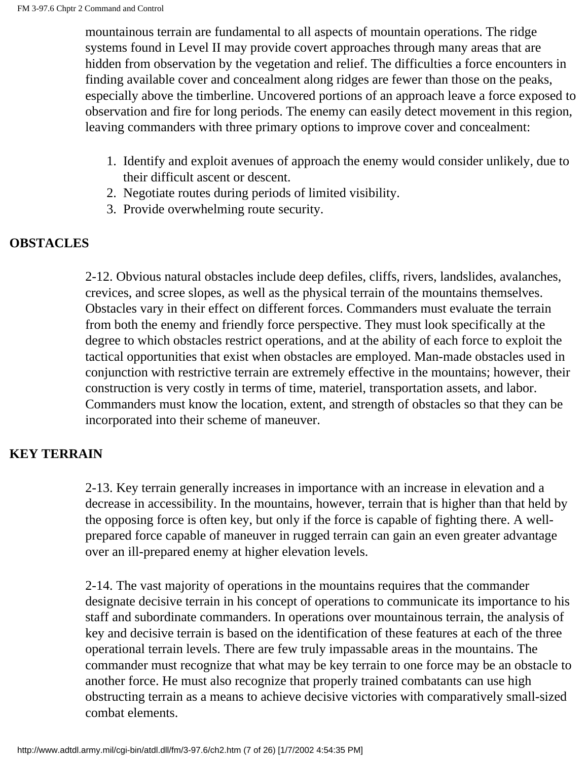mountainous terrain are fundamental to all aspects of mountain operations. The ridge systems found in Level II may provide covert approaches through many areas that are hidden from observation by the vegetation and relief. The difficulties a force encounters in finding available cover and concealment along ridges are fewer than those on the peaks, especially above the timberline. Uncovered portions of an approach leave a force exposed to observation and fire for long periods. The enemy can easily detect movement in this region, leaving commanders with three primary options to improve cover and concealment:

- 1. Identify and exploit avenues of approach the enemy would consider unlikely, due to their difficult ascent or descent.
- 2. Negotiate routes during periods of limited visibility.
- 3. Provide overwhelming route security.

#### **OBSTACLES**

2-12. Obvious natural obstacles include deep defiles, cliffs, rivers, landslides, avalanches, crevices, and scree slopes, as well as the physical terrain of the mountains themselves. Obstacles vary in their effect on different forces. Commanders must evaluate the terrain from both the enemy and friendly force perspective. They must look specifically at the degree to which obstacles restrict operations, and at the ability of each force to exploit the tactical opportunities that exist when obstacles are employed. Man-made obstacles used in conjunction with restrictive terrain are extremely effective in the mountains; however, their construction is very costly in terms of time, materiel, transportation assets, and labor. Commanders must know the location, extent, and strength of obstacles so that they can be incorporated into their scheme of maneuver.

#### **KEY TERRAIN**

2-13. Key terrain generally increases in importance with an increase in elevation and a decrease in accessibility. In the mountains, however, terrain that is higher than that held by the opposing force is often key, but only if the force is capable of fighting there. A wellprepared force capable of maneuver in rugged terrain can gain an even greater advantage over an ill-prepared enemy at higher elevation levels.

2-14. The vast majority of operations in the mountains requires that the commander designate decisive terrain in his concept of operations to communicate its importance to his staff and subordinate commanders. In operations over mountainous terrain, the analysis of key and decisive terrain is based on the identification of these features at each of the three operational terrain levels. There are few truly impassable areas in the mountains. The commander must recognize that what may be key terrain to one force may be an obstacle to another force. He must also recognize that properly trained combatants can use high obstructing terrain as a means to achieve decisive victories with comparatively small-sized combat elements.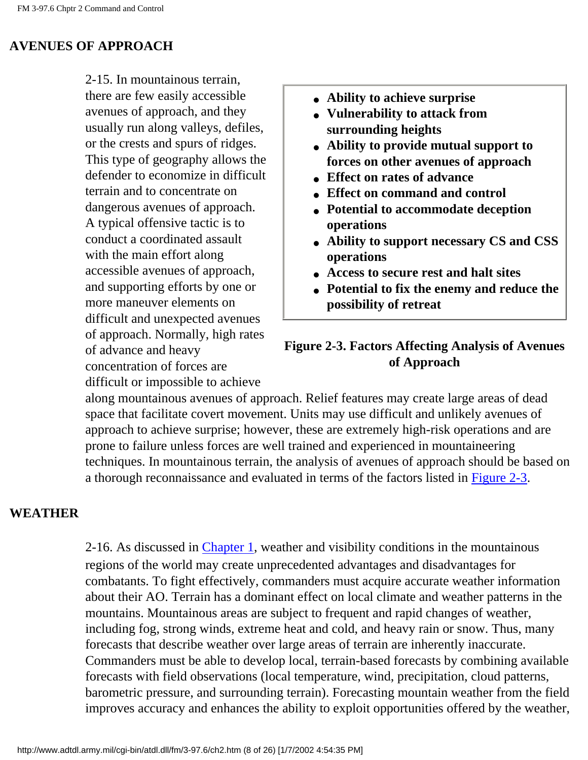#### <span id="page-39-0"></span>**AVENUES OF APPROACH**

2-15. In mountainous terrain, there are few easily accessible avenues of approach, and they usually run along valleys, defiles, or the crests and spurs of ridges. This type of geography allows the defender to economize in difficult terrain and to concentrate on dangerous avenues of approach. A typical offensive tactic is to conduct a coordinated assault with the main effort along accessible avenues of approach, and supporting efforts by one or more maneuver elements on difficult and unexpected avenues of approach. Normally, high rates of advance and heavy concentration of forces are difficult or impossible to achieve

- **Ability to achieve surprise**
- **Vulnerability to attack from surrounding heights**
- **Ability to provide mutual support to forces on other avenues of approach**
- **Effect on rates of advance**
- **Effect on command and control**
- **Potential to accommodate deception operations**
- **Ability to support necessary CS and CSS operations**
- **Access to secure rest and halt sites**
- **Potential to fix the enemy and reduce the possibility of retreat**

#### **Figure 2-3. Factors Affecting Analysis of Avenues of Approach**

along mountainous avenues of approach. Relief features may create large areas of dead space that facilitate covert movement. Units may use difficult and unlikely avenues of approach to achieve surprise; however, these are extremely high-risk operations and are prone to failure unless forces are well trained and experienced in mountaineering techniques. In mountainous terrain, the analysis of avenues of approach should be based on a thorough reconnaissance and evaluated in terms of the factors listed in [Figure 2-3](#page-39-0).

#### **WEATHER**

2-16. As discussed in [Chapter 1,](#page-9-0) weather and visibility conditions in the mountainous regions of the world may create unprecedented advantages and disadvantages for combatants. To fight effectively, commanders must acquire accurate weather information about their AO. Terrain has a dominant effect on local climate and weather patterns in the mountains. Mountainous areas are subject to frequent and rapid changes of weather, including fog, strong winds, extreme heat and cold, and heavy rain or snow. Thus, many forecasts that describe weather over large areas of terrain are inherently inaccurate. Commanders must be able to develop local, terrain-based forecasts by combining available forecasts with field observations (local temperature, wind, precipitation, cloud patterns, barometric pressure, and surrounding terrain). Forecasting mountain weather from the field improves accuracy and enhances the ability to exploit opportunities offered by the weather,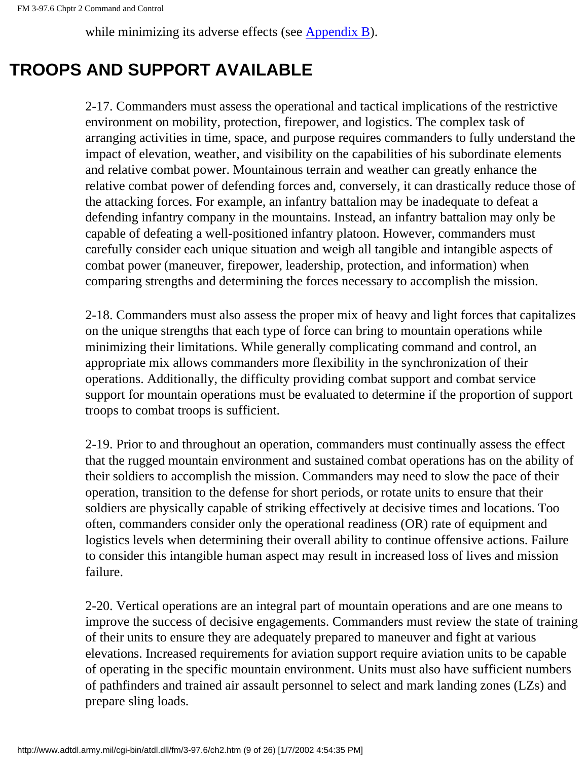while minimizing its adverse effects (see [Appendix B\)](#page-126-0).

## **TROOPS AND SUPPORT AVAILABLE**

2-17. Commanders must assess the operational and tactical implications of the restrictive environment on mobility, protection, firepower, and logistics. The complex task of arranging activities in time, space, and purpose requires commanders to fully understand the impact of elevation, weather, and visibility on the capabilities of his subordinate elements and relative combat power. Mountainous terrain and weather can greatly enhance the relative combat power of defending forces and, conversely, it can drastically reduce those of the attacking forces. For example, an infantry battalion may be inadequate to defeat a defending infantry company in the mountains. Instead, an infantry battalion may only be capable of defeating a well-positioned infantry platoon. However, commanders must carefully consider each unique situation and weigh all tangible and intangible aspects of combat power (maneuver, firepower, leadership, protection, and information) when comparing strengths and determining the forces necessary to accomplish the mission.

2-18. Commanders must also assess the proper mix of heavy and light forces that capitalizes on the unique strengths that each type of force can bring to mountain operations while minimizing their limitations. While generally complicating command and control, an appropriate mix allows commanders more flexibility in the synchronization of their operations. Additionally, the difficulty providing combat support and combat service support for mountain operations must be evaluated to determine if the proportion of support troops to combat troops is sufficient.

2-19. Prior to and throughout an operation, commanders must continually assess the effect that the rugged mountain environment and sustained combat operations has on the ability of their soldiers to accomplish the mission. Commanders may need to slow the pace of their operation, transition to the defense for short periods, or rotate units to ensure that their soldiers are physically capable of striking effectively at decisive times and locations. Too often, commanders consider only the operational readiness (OR) rate of equipment and logistics levels when determining their overall ability to continue offensive actions. Failure to consider this intangible human aspect may result in increased loss of lives and mission failure.

2-20. Vertical operations are an integral part of mountain operations and are one means to improve the success of decisive engagements. Commanders must review the state of training of their units to ensure they are adequately prepared to maneuver and fight at various elevations. Increased requirements for aviation support require aviation units to be capable of operating in the specific mountain environment. Units must also have sufficient numbers of pathfinders and trained air assault personnel to select and mark landing zones (LZs) and prepare sling loads.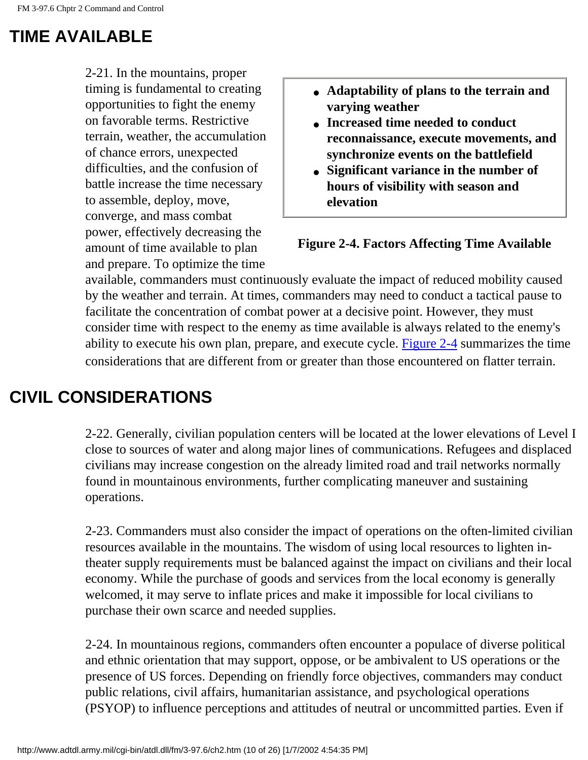## <span id="page-41-0"></span>**TIME AVAILABLE**

2-21. In the mountains, proper timing is fundamental to creating opportunities to fight the enemy on favorable terms. Restrictive terrain, weather, the accumulation of chance errors, unexpected difficulties, and the confusion of battle increase the time necessary to assemble, deploy, move, converge, and mass combat power, effectively decreasing the amount of time available to plan and prepare. To optimize the time

- **Adaptability of plans to the terrain and varying weather**
- **Increased time needed to conduct reconnaissance, execute movements, and synchronize events on the battlefield**
- **Significant variance in the number of hours of visibility with season and elevation**

#### **Figure 2-4. Factors Affecting Time Available**

available, commanders must continuously evaluate the impact of reduced mobility caused by the weather and terrain. At times, commanders may need to conduct a tactical pause to facilitate the concentration of combat power at a decisive point. However, they must consider time with respect to the enemy as time available is always related to the enemy's ability to execute his own plan, prepare, and execute cycle. [Figure 2-4](#page-41-0) summarizes the time considerations that are different from or greater than those encountered on flatter terrain.

## **CIVIL CONSIDERATIONS**

2-22. Generally, civilian population centers will be located at the lower elevations of Level I close to sources of water and along major lines of communications. Refugees and displaced civilians may increase congestion on the already limited road and trail networks normally found in mountainous environments, further complicating maneuver and sustaining operations.

2-23. Commanders must also consider the impact of operations on the often-limited civilian resources available in the mountains. The wisdom of using local resources to lighten intheater supply requirements must be balanced against the impact on civilians and their local economy. While the purchase of goods and services from the local economy is generally welcomed, it may serve to inflate prices and make it impossible for local civilians to purchase their own scarce and needed supplies.

2-24. In mountainous regions, commanders often encounter a populace of diverse political and ethnic orientation that may support, oppose, or be ambivalent to US operations or the presence of US forces. Depending on friendly force objectives, commanders may conduct public relations, civil affairs, humanitarian assistance, and psychological operations (PSYOP) to influence perceptions and attitudes of neutral or uncommitted parties. Even if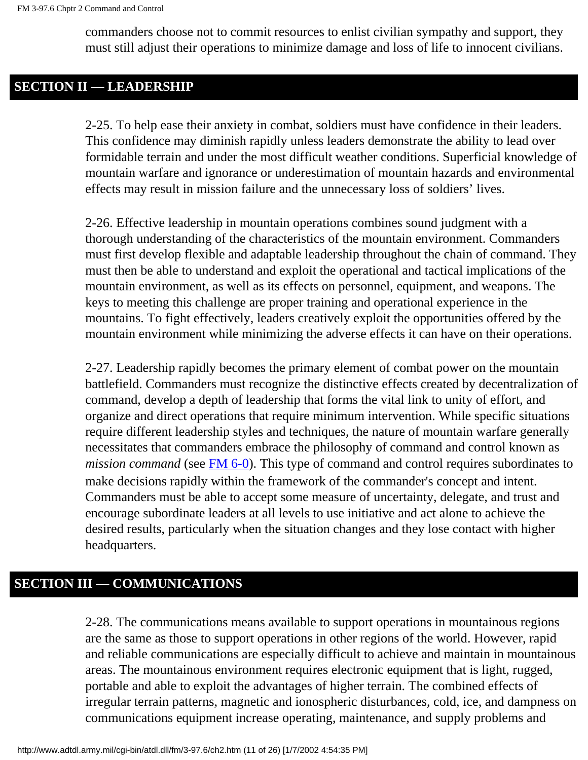commanders choose not to commit resources to enlist civilian sympathy and support, they must still adjust their operations to minimize damage and loss of life to innocent civilians.

#### **SECTION II — LEADERSHIP**

2-25. To help ease their anxiety in combat, soldiers must have confidence in their leaders. This confidence may diminish rapidly unless leaders demonstrate the ability to lead over formidable terrain and under the most difficult weather conditions. Superficial knowledge of mountain warfare and ignorance or underestimation of mountain hazards and environmental effects may result in mission failure and the unnecessary loss of soldiers' lives.

2-26. Effective leadership in mountain operations combines sound judgment with a thorough understanding of the characteristics of the mountain environment. Commanders must first develop flexible and adaptable leadership throughout the chain of command. They must then be able to understand and exploit the operational and tactical implications of the mountain environment, as well as its effects on personnel, equipment, and weapons. The keys to meeting this challenge are proper training and operational experience in the mountains. To fight effectively, leaders creatively exploit the opportunities offered by the mountain environment while minimizing the adverse effects it can have on their operations.

2-27. Leadership rapidly becomes the primary element of combat power on the mountain battlefield. Commanders must recognize the distinctive effects created by decentralization of command, develop a depth of leadership that forms the vital link to unity of effort, and organize and direct operations that require minimum intervention. While specific situations require different leadership styles and techniques, the nature of mountain warfare generally necessitates that commanders embrace the philosophy of command and control known as *mission command* (see [FM 6-0](#page-146-0)). This type of command and control requires subordinates to make decisions rapidly within the framework of the commander's concept and intent. Commanders must be able to accept some measure of uncertainty, delegate, and trust and encourage subordinate leaders at all levels to use initiative and act alone to achieve the desired results, particularly when the situation changes and they lose contact with higher headquarters.

## **SECTION III — COMMUNICATIONS**

2-28. The communications means available to support operations in mountainous regions are the same as those to support operations in other regions of the world. However, rapid and reliable communications are especially difficult to achieve and maintain in mountainous areas. The mountainous environment requires electronic equipment that is light, rugged, portable and able to exploit the advantages of higher terrain. The combined effects of irregular terrain patterns, magnetic and ionospheric disturbances, cold, ice, and dampness on communications equipment increase operating, maintenance, and supply problems and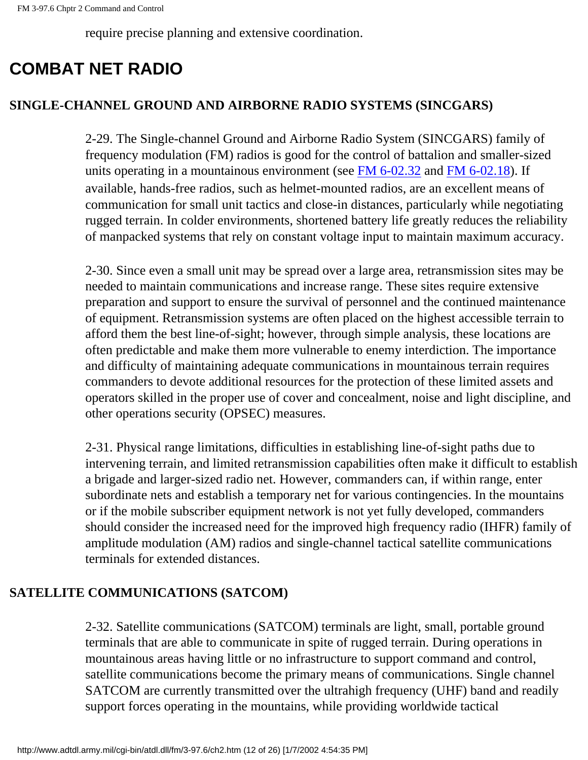require precise planning and extensive coordination.

## **COMBAT NET RADIO**

#### **SINGLE-CHANNEL GROUND AND AIRBORNE RADIO SYSTEMS (SINCGARS)**

2-29. The Single-channel Ground and Airborne Radio System (SINCGARS) family of frequency modulation (FM) radios is good for the control of battalion and smaller-sized units operating in a mountainous environment (see FM 6-02.32 and FM 6-02.18). If available, hands-free radios, such as helmet-mounted radios, are an excellent means of communication for small unit tactics and close-in distances, particularly while negotiating rugged terrain. In colder environments, shortened battery life greatly reduces the reliability of manpacked systems that rely on constant voltage input to maintain maximum accuracy.

2-30. Since even a small unit may be spread over a large area, retransmission sites may be needed to maintain communications and increase range. These sites require extensive preparation and support to ensure the survival of personnel and the continued maintenance of equipment. Retransmission systems are often placed on the highest accessible terrain to afford them the best line-of-sight; however, through simple analysis, these locations are often predictable and make them more vulnerable to enemy interdiction. The importance and difficulty of maintaining adequate communications in mountainous terrain requires commanders to devote additional resources for the protection of these limited assets and operators skilled in the proper use of cover and concealment, noise and light discipline, and other operations security (OPSEC) measures.

2-31. Physical range limitations, difficulties in establishing line-of-sight paths due to intervening terrain, and limited retransmission capabilities often make it difficult to establish a brigade and larger-sized radio net. However, commanders can, if within range, enter subordinate nets and establish a temporary net for various contingencies. In the mountains or if the mobile subscriber equipment network is not yet fully developed, commanders should consider the increased need for the improved high frequency radio (IHFR) family of amplitude modulation (AM) radios and single-channel tactical satellite communications terminals for extended distances.

#### <span id="page-43-0"></span>**SATELLITE COMMUNICATIONS (SATCOM)**

2-32. Satellite communications (SATCOM) terminals are light, small, portable ground terminals that are able to communicate in spite of rugged terrain. During operations in mountainous areas having little or no infrastructure to support command and control, satellite communications become the primary means of communications. Single channel SATCOM are currently transmitted over the ultrahigh frequency (UHF) band and readily support forces operating in the mountains, while providing worldwide tactical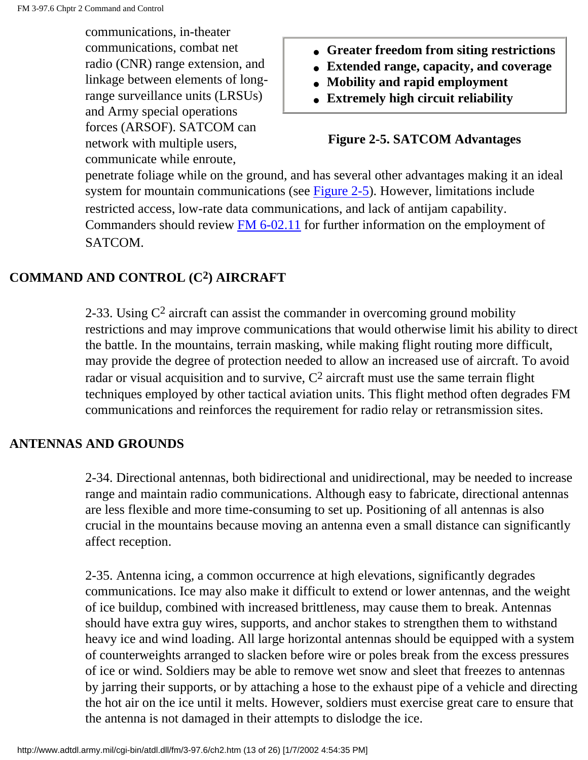communications, in-theater communications, combat net radio (CNR) range extension, and linkage between elements of longrange surveillance units (LRSUs) and Army special operations forces (ARSOF). SATCOM can network with multiple users, communicate while enroute,

- **Greater freedom from siting restrictions**
- **Extended range, capacity, and coverage**
- **Mobility and rapid employment**
- **Extremely high circuit reliability**

#### **Figure 2-5. SATCOM Advantages**

penetrate foliage while on the ground, and has several other advantages making it an ideal system for mountain communications (see [Figure 2-5](#page-43-0)). However, limitations include restricted access, low-rate data communications, and lack of antijam capability. Commanders should review [FM 6-02.11](#page-146-1) for further information on the employment of SATCOM.

#### **COMMAND AND CONTROL (C2) AIRCRAFT**

2-33. Using  $C<sup>2</sup>$  aircraft can assist the commander in overcoming ground mobility restrictions and may improve communications that would otherwise limit his ability to direct the battle. In the mountains, terrain masking, while making flight routing more difficult, may provide the degree of protection needed to allow an increased use of aircraft. To avoid radar or visual acquisition and to survive,  $C<sup>2</sup>$  aircraft must use the same terrain flight techniques employed by other tactical aviation units. This flight method often degrades FM communications and reinforces the requirement for radio relay or retransmission sites.

#### **ANTENNAS AND GROUNDS**

2-34. Directional antennas, both bidirectional and unidirectional, may be needed to increase range and maintain radio communications. Although easy to fabricate, directional antennas are less flexible and more time-consuming to set up. Positioning of all antennas is also crucial in the mountains because moving an antenna even a small distance can significantly affect reception.

2-35. Antenna icing, a common occurrence at high elevations, significantly degrades communications. Ice may also make it difficult to extend or lower antennas, and the weight of ice buildup, combined with increased brittleness, may cause them to break. Antennas should have extra guy wires, supports, and anchor stakes to strengthen them to withstand heavy ice and wind loading. All large horizontal antennas should be equipped with a system of counterweights arranged to slacken before wire or poles break from the excess pressures of ice or wind. Soldiers may be able to remove wet snow and sleet that freezes to antennas by jarring their supports, or by attaching a hose to the exhaust pipe of a vehicle and directing the hot air on the ice until it melts. However, soldiers must exercise great care to ensure that the antenna is not damaged in their attempts to dislodge the ice.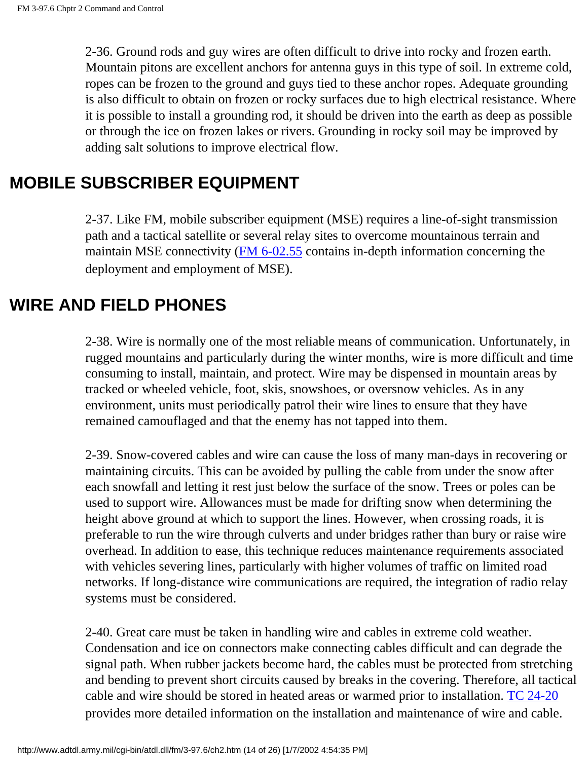2-36. Ground rods and guy wires are often difficult to drive into rocky and frozen earth. Mountain pitons are excellent anchors for antenna guys in this type of soil. In extreme cold, ropes can be frozen to the ground and guys tied to these anchor ropes. Adequate grounding is also difficult to obtain on frozen or rocky surfaces due to high electrical resistance. Where it is possible to install a grounding rod, it should be driven into the earth as deep as possible or through the ice on frozen lakes or rivers. Grounding in rocky soil may be improved by adding salt solutions to improve electrical flow.

## **MOBILE SUBSCRIBER EQUIPMENT**

2-37. Like FM, mobile subscriber equipment (MSE) requires a line-of-sight transmission path and a tactical satellite or several relay sites to overcome mountainous terrain and maintain MSE connectivity (FM 6-02.55 contains in-depth information concerning the deployment and employment of MSE).

## **WIRE AND FIELD PHONES**

2-38. Wire is normally one of the most reliable means of communication. Unfortunately, in rugged mountains and particularly during the winter months, wire is more difficult and time consuming to install, maintain, and protect. Wire may be dispensed in mountain areas by tracked or wheeled vehicle, foot, skis, snowshoes, or oversnow vehicles. As in any environment, units must periodically patrol their wire lines to ensure that they have remained camouflaged and that the enemy has not tapped into them.

2-39. Snow-covered cables and wire can cause the loss of many man-days in recovering or maintaining circuits. This can be avoided by pulling the cable from under the snow after each snowfall and letting it rest just below the surface of the snow. Trees or poles can be used to support wire. Allowances must be made for drifting snow when determining the height above ground at which to support the lines. However, when crossing roads, it is preferable to run the wire through culverts and under bridges rather than bury or raise wire overhead. In addition to ease, this technique reduces maintenance requirements associated with vehicles severing lines, particularly with higher volumes of traffic on limited road networks. If long-distance wire communications are required, the integration of radio relay systems must be considered.

2-40. Great care must be taken in handling wire and cables in extreme cold weather. Condensation and ice on connectors make connecting cables difficult and can degrade the signal path. When rubber jackets become hard, the cables must be protected from stretching and bending to prevent short circuits caused by breaks in the covering. Therefore, all tactical cable and wire should be stored in heated areas or warmed prior to installation. TC 24-20 provides more detailed information on the installation and maintenance of wire and cable.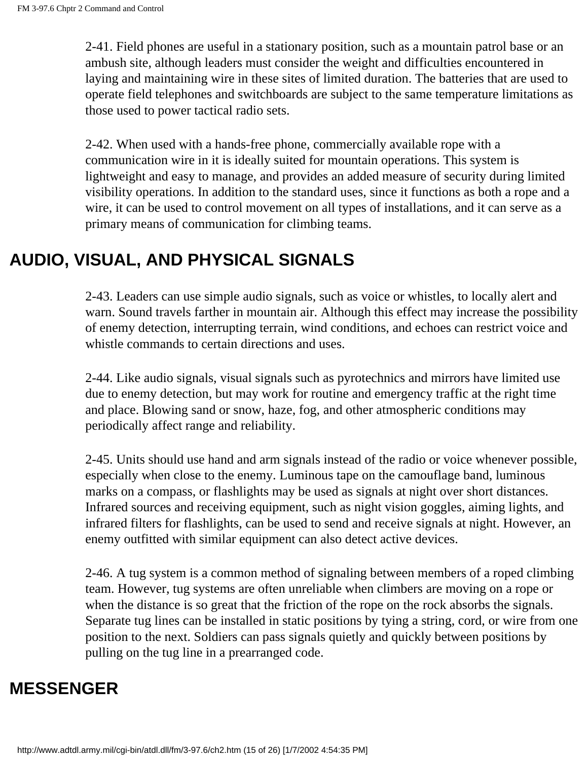2-41. Field phones are useful in a stationary position, such as a mountain patrol base or an ambush site, although leaders must consider the weight and difficulties encountered in laying and maintaining wire in these sites of limited duration. The batteries that are used to operate field telephones and switchboards are subject to the same temperature limitations as those used to power tactical radio sets.

2-42. When used with a hands-free phone, commercially available rope with a communication wire in it is ideally suited for mountain operations. This system is lightweight and easy to manage, and provides an added measure of security during limited visibility operations. In addition to the standard uses, since it functions as both a rope and a wire, it can be used to control movement on all types of installations, and it can serve as a primary means of communication for climbing teams.

## **AUDIO, VISUAL, AND PHYSICAL SIGNALS**

2-43. Leaders can use simple audio signals, such as voice or whistles, to locally alert and warn. Sound travels farther in mountain air. Although this effect may increase the possibility of enemy detection, interrupting terrain, wind conditions, and echoes can restrict voice and whistle commands to certain directions and uses.

2-44. Like audio signals, visual signals such as pyrotechnics and mirrors have limited use due to enemy detection, but may work for routine and emergency traffic at the right time and place. Blowing sand or snow, haze, fog, and other atmospheric conditions may periodically affect range and reliability.

2-45. Units should use hand and arm signals instead of the radio or voice whenever possible, especially when close to the enemy. Luminous tape on the camouflage band, luminous marks on a compass, or flashlights may be used as signals at night over short distances. Infrared sources and receiving equipment, such as night vision goggles, aiming lights, and infrared filters for flashlights, can be used to send and receive signals at night. However, an enemy outfitted with similar equipment can also detect active devices.

2-46. A tug system is a common method of signaling between members of a roped climbing team. However, tug systems are often unreliable when climbers are moving on a rope or when the distance is so great that the friction of the rope on the rock absorbs the signals. Separate tug lines can be installed in static positions by tying a string, cord, or wire from one position to the next. Soldiers can pass signals quietly and quickly between positions by pulling on the tug line in a prearranged code.

## **MESSENGER**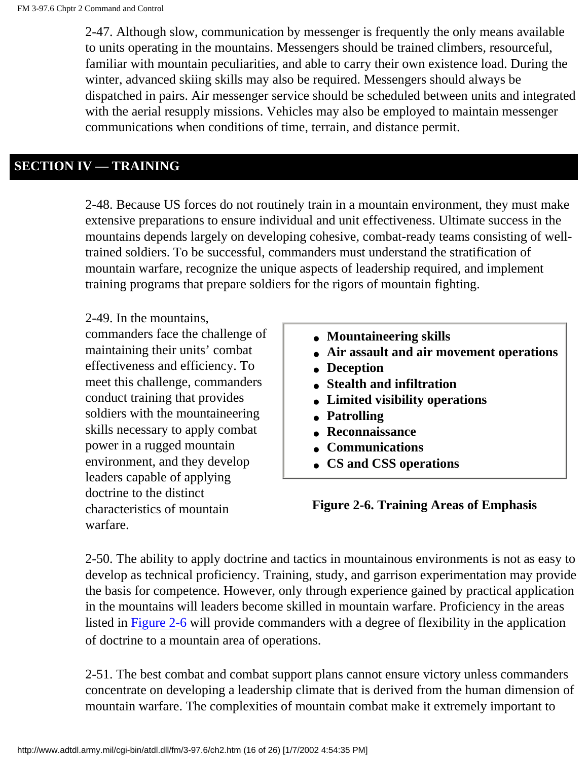2-47. Although slow, communication by messenger is frequently the only means available to units operating in the mountains. Messengers should be trained climbers, resourceful, familiar with mountain peculiarities, and able to carry their own existence load. During the winter, advanced skiing skills may also be required. Messengers should always be dispatched in pairs. Air messenger service should be scheduled between units and integrated with the aerial resupply missions. Vehicles may also be employed to maintain messenger communications when conditions of time, terrain, and distance permit.

#### **SECTION IV — TRAINING**

2-48. Because US forces do not routinely train in a mountain environment, they must make extensive preparations to ensure individual and unit effectiveness. Ultimate success in the mountains depends largely on developing cohesive, combat-ready teams consisting of welltrained soldiers. To be successful, commanders must understand the stratification of mountain warfare, recognize the unique aspects of leadership required, and implement training programs that prepare soldiers for the rigors of mountain fighting.

#### <span id="page-47-0"></span>2-49. In the mountains,

commanders face the challenge of maintaining their units' combat effectiveness and efficiency. To meet this challenge, commanders conduct training that provides soldiers with the mountaineering skills necessary to apply combat power in a rugged mountain environment, and they develop leaders capable of applying doctrine to the distinct characteristics of mountain warfare.

- **Mountaineering skills**
- **Air assault and air movement operations**
- **Deception**
- **Stealth and infiltration**
- **Limited visibility operations**
- **Patrolling**
- **Reconnaissance**
- **Communications**
- **CS and CSS operations**

#### **Figure 2-6. Training Areas of Emphasis**

2-50. The ability to apply doctrine and tactics in mountainous environments is not as easy to develop as technical proficiency. Training, study, and garrison experimentation may provide the basis for competence. However, only through experience gained by practical application in the mountains will leaders become skilled in mountain warfare. Proficiency in the areas listed in [Figure 2-6](#page-47-0) will provide commanders with a degree of flexibility in the application of doctrine to a mountain area of operations.

2-51. The best combat and combat support plans cannot ensure victory unless commanders concentrate on developing a leadership climate that is derived from the human dimension of mountain warfare. The complexities of mountain combat make it extremely important to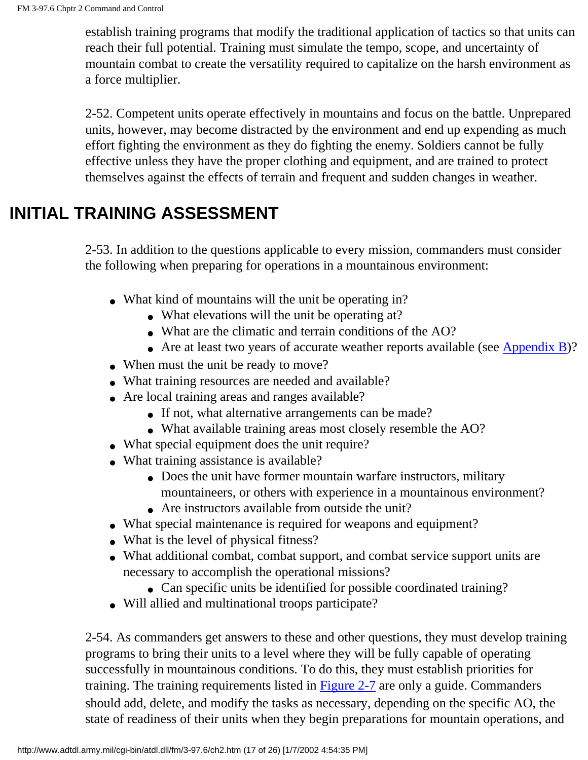establish training programs that modify the traditional application of tactics so that units can reach their full potential. Training must simulate the tempo, scope, and uncertainty of mountain combat to create the versatility required to capitalize on the harsh environment as a force multiplier.

2-52. Competent units operate effectively in mountains and focus on the battle. Unprepared units, however, may become distracted by the environment and end up expending as much effort fighting the environment as they do fighting the enemy. Soldiers cannot be fully effective unless they have the proper clothing and equipment, and are trained to protect themselves against the effects of terrain and frequent and sudden changes in weather.

## **INITIAL TRAINING ASSESSMENT**

2-53. In addition to the questions applicable to every mission, commanders must consider the following when preparing for operations in a mountainous environment:

- What kind of mountains will the unit be operating in?
	- What elevations will the unit be operating at?
	- What are the climatic and terrain conditions of the AO?
	- Are at least two years of accurate weather reports available (see Appendix  $\overline{B}$ )?
- When must the unit be ready to move?
- What training resources are needed and available?
- Are local training areas and ranges available?
	- If not, what alternative arrangements can be made?
	- What available training areas most closely resemble the AO?
- What special equipment does the unit require?
- What training assistance is available?
	- Does the unit have former mountain warfare instructors, military mountaineers, or others with experience in a mountainous environment?
	- Are instructors available from outside the unit?
- What special maintenance is required for weapons and equipment?
- What is the level of physical fitness?
- What additional combat, combat support, and combat service support units are necessary to accomplish the operational missions?
	- Can specific units be identified for possible coordinated training?
- Will allied and multinational troops participate?

2-54. As commanders get answers to these and other questions, they must develop training programs to bring their units to a level where they will be fully capable of operating successfully in mountainous conditions. To do this, they must establish priorities for training. The training requirements listed in [Figure 2-7](#page-49-0) are only a guide. Commanders should add, delete, and modify the tasks as necessary, depending on the specific AO, the state of readiness of their units when they begin preparations for mountain operations, and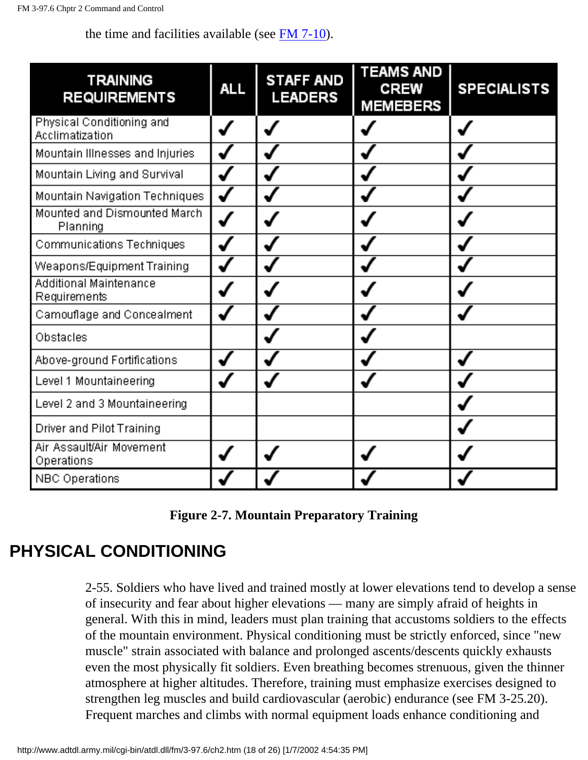the time and facilities available (see FM 7-10).

<span id="page-49-0"></span>

| <b>TRAINING</b><br><b>REQUIREMENTS</b>        | ALL | <b>STAFF AND</b><br><b>LEADERS</b> | <b>TEAMS AND</b><br><b>CREW</b><br><b>MEMEBERS</b> | <b>SPECIALISTS</b> |
|-----------------------------------------------|-----|------------------------------------|----------------------------------------------------|--------------------|
| Physical Conditioning and<br>Acclimatization  |     |                                    |                                                    |                    |
| Mountain Illnesses and Injuries               |     |                                    |                                                    |                    |
| Mountain Living and Survival                  |     |                                    |                                                    |                    |
| Mountain Navigation Techniques                |     |                                    |                                                    |                    |
| Mounted and Dismounted March.<br>Planning     |     |                                    |                                                    |                    |
| Communications Techniques                     |     |                                    |                                                    |                    |
| Weapons/Equipment Training                    |     |                                    |                                                    |                    |
| <b>Additional Maintenance</b><br>Requirements |     |                                    |                                                    |                    |
| Camouflage and Concealment                    |     |                                    |                                                    |                    |
| Obstacles                                     |     |                                    |                                                    |                    |
| Above-ground Fortifications                   |     |                                    |                                                    |                    |
| Level 1 Mountaineering                        |     |                                    |                                                    |                    |
| Level 2 and 3 Mountaineering                  |     |                                    |                                                    |                    |
| <b>Driver and Pilot Training</b>              |     |                                    |                                                    |                    |
| Air Assault/Air Movement<br>Operations        |     |                                    |                                                    |                    |
| NBC Operations                                |     |                                    |                                                    |                    |

**Figure 2-7. Mountain Preparatory Training**

## **PHYSICAL CONDITIONING**

2-55. Soldiers who have lived and trained mostly at lower elevations tend to develop a sense of insecurity and fear about higher elevations — many are simply afraid of heights in general. With this in mind, leaders must plan training that accustoms soldiers to the effects of the mountain environment. Physical conditioning must be strictly enforced, since "new muscle" strain associated with balance and prolonged ascents/descents quickly exhausts even the most physically fit soldiers. Even breathing becomes strenuous, given the thinner atmosphere at higher altitudes. Therefore, training must emphasize exercises designed to strengthen leg muscles and build cardiovascular (aerobic) endurance (see FM 3-25.20). Frequent marches and climbs with normal equipment loads enhance conditioning and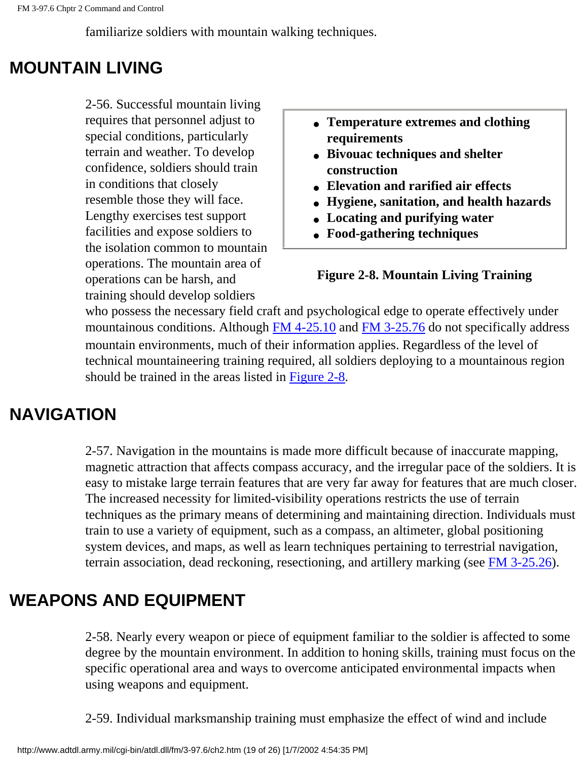familiarize soldiers with mountain walking techniques.

## <span id="page-50-0"></span>**MOUNTAIN LIVING**

2-56. Successful mountain living requires that personnel adjust to special conditions, particularly terrain and weather. To develop confidence, soldiers should train in conditions that closely resemble those they will face. Lengthy exercises test support facilities and expose soldiers to the isolation common to mountain operations. The mountain area of operations can be harsh, and training should develop soldiers

- **Temperature extremes and clothing requirements**
- **Bivouac techniques and shelter construction**
- **Elevation and rarified air effects**
- **Hygiene, sanitation, and health hazards**
- **Locating and purifying water**
- **Food-gathering techniques**

#### **Figure 2-8. Mountain Living Training**

who possess the necessary field craft and psychological edge to operate effectively under mountainous conditions. Although [FM 4-25.10](#page-146-2) and [FM 3-25.76](#page-145-0) do not specifically address mountain environments, much of their information applies. Regardless of the level of technical mountaineering training required, all soldiers deploying to a mountainous region should be trained in the areas listed in [Figure 2-8](#page-50-0).

## **NAVIGATION**

2-57. Navigation in the mountains is made more difficult because of inaccurate mapping, magnetic attraction that affects compass accuracy, and the irregular pace of the soldiers. It is easy to mistake large terrain features that are very far away for features that are much closer. The increased necessity for limited-visibility operations restricts the use of terrain techniques as the primary means of determining and maintaining direction. Individuals must train to use a variety of equipment, such as a compass, an altimeter, global positioning system devices, and maps, as well as learn techniques pertaining to terrestrial navigation, terrain association, dead reckoning, resectioning, and artillery marking (see [FM 3-25.26\)](#page-144-0).

## **WEAPONS AND EQUIPMENT**

2-58. Nearly every weapon or piece of equipment familiar to the soldier is affected to some degree by the mountain environment. In addition to honing skills, training must focus on the specific operational area and ways to overcome anticipated environmental impacts when using weapons and equipment.

2-59. Individual marksmanship training must emphasize the effect of wind and include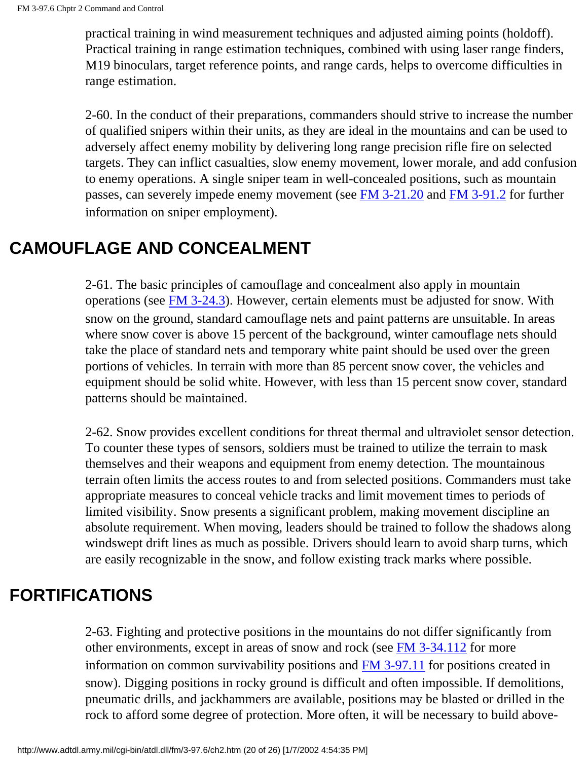practical training in wind measurement techniques and adjusted aiming points (holdoff). Practical training in range estimation techniques, combined with using laser range finders, M19 binoculars, target reference points, and range cards, helps to overcome difficulties in range estimation.

2-60. In the conduct of their preparations, commanders should strive to increase the number of qualified snipers within their units, as they are ideal in the mountains and can be used to adversely affect enemy mobility by delivering long range precision rifle fire on selected targets. They can inflict casualties, slow enemy movement, lower morale, and add confusion to enemy operations. A single sniper team in well-concealed positions, such as mountain passes, can severely impede enemy movement (see [FM 3-21.20](#page-144-1) and [FM 3-91.2](#page-145-1) for further information on sniper employment).

## **CAMOUFLAGE AND CONCEALMENT**

2-61. The basic principles of camouflage and concealment also apply in mountain operations (see [FM 3-24.3\)](#page-144-2). However, certain elements must be adjusted for snow. With snow on the ground, standard camouflage nets and paint patterns are unsuitable. In areas where snow cover is above 15 percent of the background, winter camouflage nets should take the place of standard nets and temporary white paint should be used over the green portions of vehicles. In terrain with more than 85 percent snow cover, the vehicles and equipment should be solid white. However, with less than 15 percent snow cover, standard patterns should be maintained.

2-62. Snow provides excellent conditions for threat thermal and ultraviolet sensor detection. To counter these types of sensors, soldiers must be trained to utilize the terrain to mask themselves and their weapons and equipment from enemy detection. The mountainous terrain often limits the access routes to and from selected positions. Commanders must take appropriate measures to conceal vehicle tracks and limit movement times to periods of limited visibility. Snow presents a significant problem, making movement discipline an absolute requirement. When moving, leaders should be trained to follow the shadows along windswept drift lines as much as possible. Drivers should learn to avoid sharp turns, which are easily recognizable in the snow, and follow existing track marks where possible.

## **FORTIFICATIONS**

2-63. Fighting and protective positions in the mountains do not differ significantly from other environments, except in areas of snow and rock (see **FM** 3-34.112 for more information on common survivability positions and [FM 3-97.11](#page-145-3) for positions created in snow). Digging positions in rocky ground is difficult and often impossible. If demolitions, pneumatic drills, and jackhammers are available, positions may be blasted or drilled in the rock to afford some degree of protection. More often, it will be necessary to build above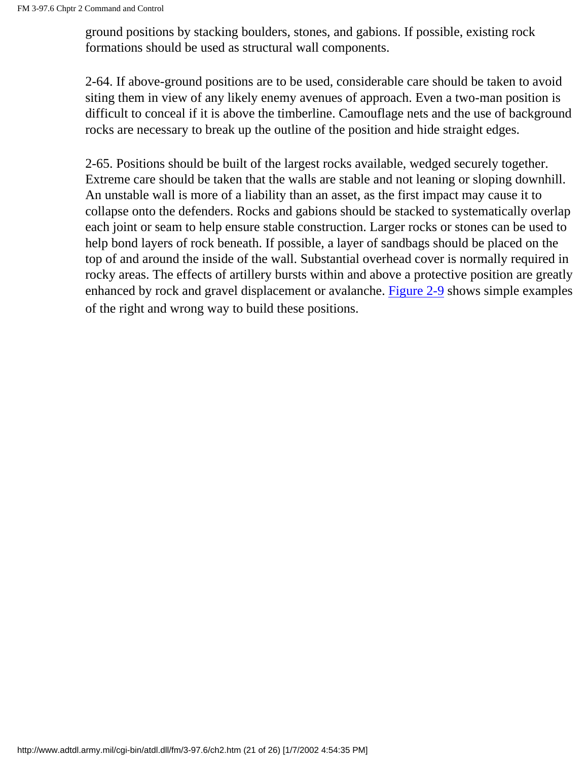ground positions by stacking boulders, stones, and gabions. If possible, existing rock formations should be used as structural wall components.

2-64. If above-ground positions are to be used, considerable care should be taken to avoid siting them in view of any likely enemy avenues of approach. Even a two-man position is difficult to conceal if it is above the timberline. Camouflage nets and the use of background rocks are necessary to break up the outline of the position and hide straight edges.

<span id="page-52-0"></span>2-65. Positions should be built of the largest rocks available, wedged securely together. Extreme care should be taken that the walls are stable and not leaning or sloping downhill. An unstable wall is more of a liability than an asset, as the first impact may cause it to collapse onto the defenders. Rocks and gabions should be stacked to systematically overlap each joint or seam to help ensure stable construction. Larger rocks or stones can be used to help bond layers of rock beneath. If possible, a layer of sandbags should be placed on the top of and around the inside of the wall. Substantial overhead cover is normally required in rocky areas. The effects of artillery bursts within and above a protective position are greatly enhanced by rock and gravel displacement or avalanche. [Figure 2-9](#page-52-0) shows simple examples of the right and wrong way to build these positions.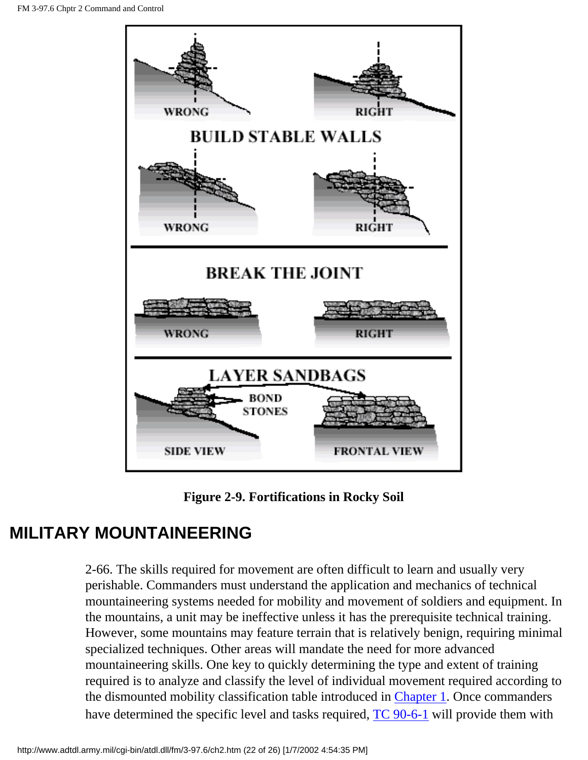

**Figure 2-9. Fortifications in Rocky Soil**

## **MILITARY MOUNTAINEERING**

2-66. The skills required for movement are often difficult to learn and usually very perishable. Commanders must understand the application and mechanics of technical mountaineering systems needed for mobility and movement of soldiers and equipment. In the mountains, a unit may be ineffective unless it has the prerequisite technical training. However, some mountains may feature terrain that is relatively benign, requiring minimal specialized techniques. Other areas will mandate the need for more advanced mountaineering skills. One key to quickly determining the type and extent of training required is to analyze and classify the level of individual movement required according to the dismounted mobility classification table introduced in [Chapter 1](#page-9-0). Once commanders have determined the specific level and tasks required, TC 90-6-1 will provide them with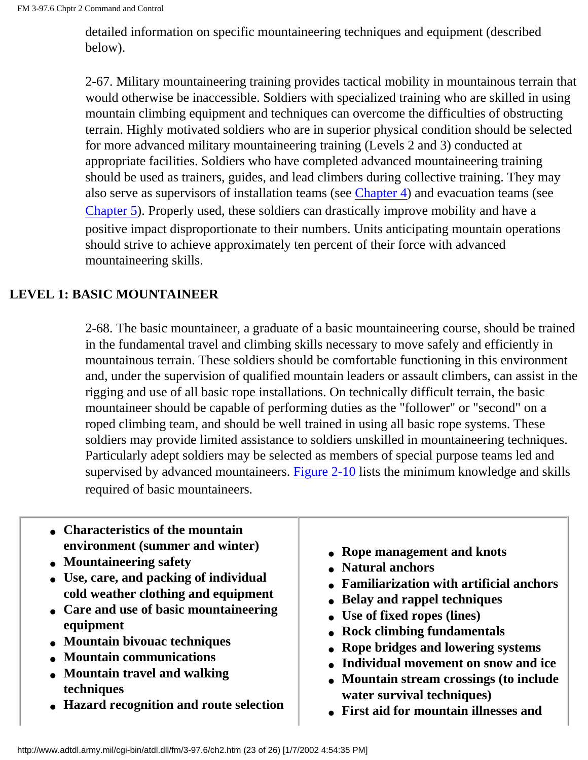detailed information on specific mountaineering techniques and equipment (described below).

2-67. Military mountaineering training provides tactical mobility in mountainous terrain that would otherwise be inaccessible. Soldiers with specialized training who are skilled in using mountain climbing equipment and techniques can overcome the difficulties of obstructing terrain. Highly motivated soldiers who are in superior physical condition should be selected for more advanced military mountaineering training (Levels 2 and 3) conducted at appropriate facilities. Soldiers who have completed advanced mountaineering training should be used as trainers, guides, and lead climbers during collective training. They may also serve as supervisors of installation teams (see [Chapter 4\)](#page-71-0) and evacuation teams (see [Chapter 5\)](#page-106-0). Properly used, these soldiers can drastically improve mobility and have a positive impact disproportionate to their numbers. Units anticipating mountain operations should strive to achieve approximately ten percent of their force with advanced mountaineering skills.

#### **LEVEL 1: BASIC MOUNTAINEER**

2-68. The basic mountaineer, a graduate of a basic mountaineering course, should be trained in the fundamental travel and climbing skills necessary to move safely and efficiently in mountainous terrain. These soldiers should be comfortable functioning in this environment and, under the supervision of qualified mountain leaders or assault climbers, can assist in the rigging and use of all basic rope installations. On technically difficult terrain, the basic mountaineer should be capable of performing duties as the "follower" or "second" on a roped climbing team, and should be well trained in using all basic rope systems. These soldiers may provide limited assistance to soldiers unskilled in mountaineering techniques. Particularly adept soldiers may be selected as members of special purpose teams led and supervised by advanced mountaineers. [Figure 2-10](#page-54-0) lists the minimum knowledge and skills required of basic mountaineers.

<span id="page-54-0"></span>

| • Characteristics of the mountain<br>environment (summer and winter)<br>• Mountaineering safety<br>• Use, care, and packing of individual<br>cold weather clothing and equipment<br>• Care and use of basic mountaineering<br>equipment<br>• Mountain bivouac techniques<br>• Mountain communications<br>• Mountain travel and walking<br>techniques<br>• Hazard recognition and route selection | • Rope management and knots<br>• Natural anchors<br>• Familiarization with artificial anchors<br>• Belay and rappel techniques<br>• Use of fixed ropes (lines)<br>• Rock climbing fundamentals<br>• Rope bridges and lowering systems<br>• Individual movement on snow and ice<br>• Mountain stream crossings (to include<br>water survival techniques) |
|--------------------------------------------------------------------------------------------------------------------------------------------------------------------------------------------------------------------------------------------------------------------------------------------------------------------------------------------------------------------------------------------------|---------------------------------------------------------------------------------------------------------------------------------------------------------------------------------------------------------------------------------------------------------------------------------------------------------------------------------------------------------|
|                                                                                                                                                                                                                                                                                                                                                                                                  | • First aid for mountain illnesses and                                                                                                                                                                                                                                                                                                                  |

http://www.adtdl.army.mil/cgi-bin/atdl.dll/fm/3-97.6/ch2.htm (23 of 26) [1/7/2002 4:54:35 PM]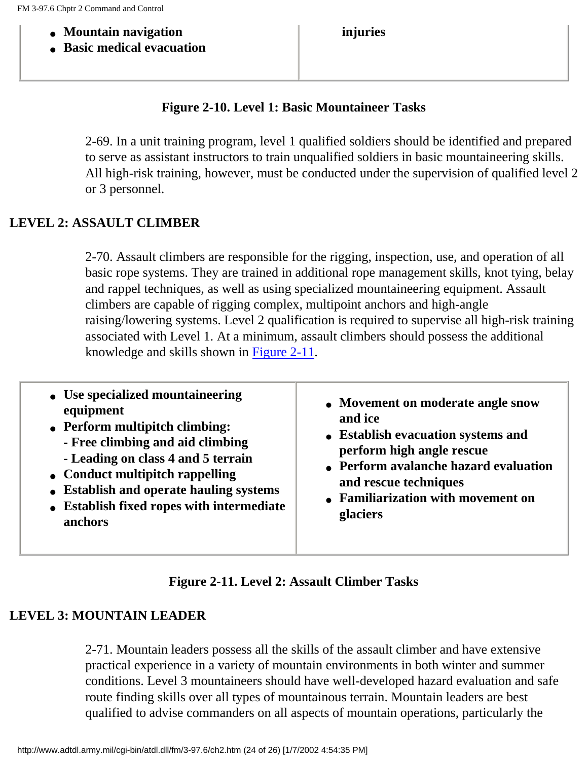- **Mountain navigation**
- **Basic medical evacuation**

**injuries**

#### **Figure 2-10. Level 1: Basic Mountaineer Tasks**

2-69. In a unit training program, level 1 qualified soldiers should be identified and prepared to serve as assistant instructors to train unqualified soldiers in basic mountaineering skills. All high-risk training, however, must be conducted under the supervision of qualified level 2 or 3 personnel.

#### **LEVEL 2: ASSAULT CLIMBER**

2-70. Assault climbers are responsible for the rigging, inspection, use, and operation of all basic rope systems. They are trained in additional rope management skills, knot tying, belay and rappel techniques, as well as using specialized mountaineering equipment. Assault climbers are capable of rigging complex, multipoint anchors and high-angle raising/lowering systems. Level 2 qualification is required to supervise all high-risk training associated with Level 1. At a minimum, assault climbers should possess the additional knowledge and skills shown in [Figure 2-11.](#page-55-0)

<span id="page-55-0"></span>

| • Use specialized mountaineering<br>equipment<br>• Perform multipitch climbing:<br>- Free climbing and aid climbing<br>- Leading on class 4 and 5 terrain<br>• Conduct multipitch rappelling<br>• Establish and operate hauling systems<br>• Establish fixed ropes with intermediate | • Movement on moderate angle snow<br>and ice<br>• Establish evacuation systems and<br>perform high angle rescue<br>• Perform avalanche hazard evaluation<br>and rescue techniques |
|--------------------------------------------------------------------------------------------------------------------------------------------------------------------------------------------------------------------------------------------------------------------------------------|-----------------------------------------------------------------------------------------------------------------------------------------------------------------------------------|
|--------------------------------------------------------------------------------------------------------------------------------------------------------------------------------------------------------------------------------------------------------------------------------------|-----------------------------------------------------------------------------------------------------------------------------------------------------------------------------------|

#### **Figure 2-11. Level 2: Assault Climber Tasks**

#### **LEVEL 3: MOUNTAIN LEADER**

2-71. Mountain leaders possess all the skills of the assault climber and have extensive practical experience in a variety of mountain environments in both winter and summer conditions. Level 3 mountaineers should have well-developed hazard evaluation and safe route finding skills over all types of mountainous terrain. Mountain leaders are best qualified to advise commanders on all aspects of mountain operations, particularly the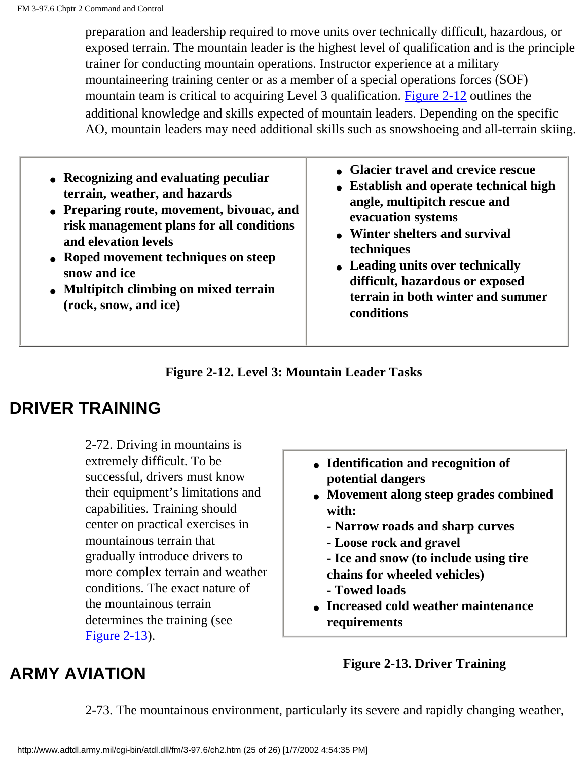preparation and leadership required to move units over technically difficult, hazardous, or exposed terrain. The mountain leader is the highest level of qualification and is the principle trainer for conducting mountain operations. Instructor experience at a military mountaineering training center or as a member of a special operations forces (SOF) mountain team is critical to acquiring Level 3 qualification. [Figure 2-12](#page-56-0) outlines the additional knowledge and skills expected of mountain leaders. Depending on the specific AO, mountain leaders may need additional skills such as snowshoeing and all-terrain skiing.

- <span id="page-56-0"></span>● **Recognizing and evaluating peculiar terrain, weather, and hazards**
- **Preparing route, movement, bivouac, and risk management plans for all conditions and elevation levels**
- **Roped movement techniques on steep snow and ice**
- **Multipitch climbing on mixed terrain (rock, snow, and ice)**
- **Glacier travel and crevice rescue**
- **Establish and operate technical high angle, multipitch rescue and evacuation systems**
- **Winter shelters and survival techniques**
- **Leading units over technically difficult, hazardous or exposed terrain in both winter and summer conditions**

#### **Figure 2-12. Level 3: Mountain Leader Tasks**

## <span id="page-56-1"></span>**DRIVER TRAINING**

2-72. Driving in mountains is extremely difficult. To be successful, drivers must know their equipment's limitations and capabilities. Training should center on practical exercises in mountainous terrain that gradually introduce drivers to more complex terrain and weather conditions. The exact nature of the mountainous terrain determines the training (see [Figure 2-13\)](#page-56-1).

- **Identification and recognition of potential dangers**
- **Movement along steep grades combined with:**
	- **Narrow roads and sharp curves**
	- **Loose rock and gravel**
	- **Ice and snow (to include using tire chains for wheeled vehicles)**
	- **Towed loads**
- **Increased cold weather maintenance requirements**

#### **Figure 2-13. Driver Training**

**ARMY AVIATION**

2-73. The mountainous environment, particularly its severe and rapidly changing weather,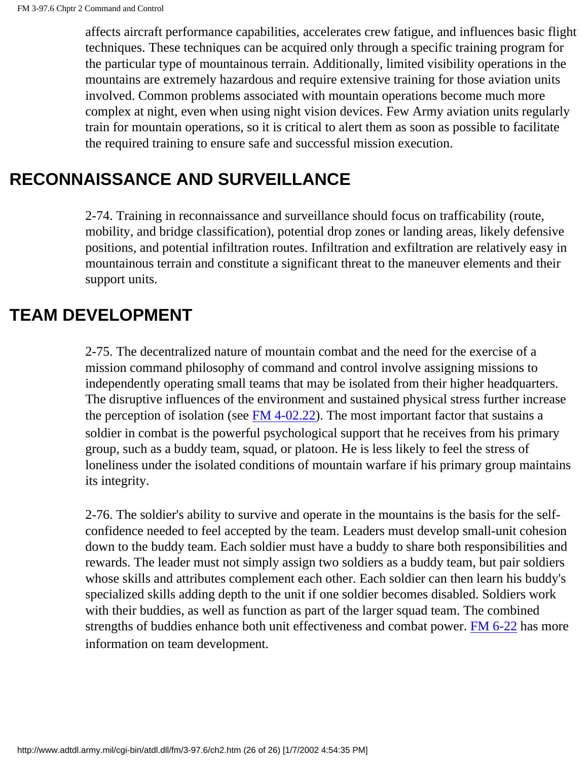affects aircraft performance capabilities, accelerates crew fatigue, and influences basic flight techniques. These techniques can be acquired only through a specific training program for the particular type of mountainous terrain. Additionally, limited visibility operations in the mountains are extremely hazardous and require extensive training for those aviation units involved. Common problems associated with mountain operations become much more complex at night, even when using night vision devices. Few Army aviation units regularly train for mountain operations, so it is critical to alert them as soon as possible to facilitate the required training to ensure safe and successful mission execution.

## **RECONNAISSANCE AND SURVEILLANCE**

2-74. Training in reconnaissance and surveillance should focus on trafficability (route, mobility, and bridge classification), potential drop zones or landing areas, likely defensive positions, and potential infiltration routes. Infiltration and exfiltration are relatively easy in mountainous terrain and constitute a significant threat to the maneuver elements and their support units.

## **TEAM DEVELOPMENT**

2-75. The decentralized nature of mountain combat and the need for the exercise of a mission command philosophy of command and control involve assigning missions to independently operating small teams that may be isolated from their higher headquarters. The disruptive influences of the environment and sustained physical stress further increase the perception of isolation (see  $FM$  4-02.22). The most important factor that sustains a soldier in combat is the powerful psychological support that he receives from his primary group, such as a buddy team, squad, or platoon. He is less likely to feel the stress of loneliness under the isolated conditions of mountain warfare if his primary group maintains its integrity.

2-76. The soldier's ability to survive and operate in the mountains is the basis for the selfconfidence needed to feel accepted by the team. Leaders must develop small-unit cohesion down to the buddy team. Each soldier must have a buddy to share both responsibilities and rewards. The leader must not simply assign two soldiers as a buddy team, but pair soldiers whose skills and attributes complement each other. Each soldier can then learn his buddy's specialized skills adding depth to the unit if one soldier becomes disabled. Soldiers work with their buddies, as well as function as part of the larger squad team. The combined strengths of buddies enhance both unit effectiveness and combat power. **FM 6-22** has more information on team development.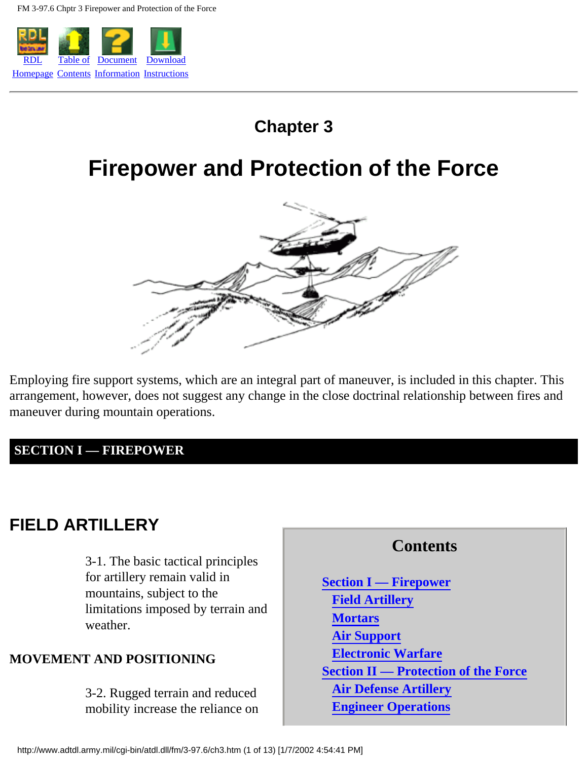

## **Chapter 3**

# **Firepower and Protection of the Force**



Employing fire support systems, which are an integral part of maneuver, is included in this chapter. This arrangement, however, does not suggest any change in the close doctrinal relationship between fires and maneuver during mountain operations.

#### **SECTION I — FIREPOWER**

## **FIELD ARTILLERY**

3-1. The basic tactical principles for artillery remain valid in mountains, subject to the limitations imposed by terrain and weather.

#### **MOVEMENT AND POSITIONING**

3-2. Rugged terrain and reduced mobility increase the reliance on

## **Contents**

**Section I — Firepower Field Artillery Mortars Air Support Electronic Warfare Section II — Protection of the Force Air Defense Artillery Engineer Operations**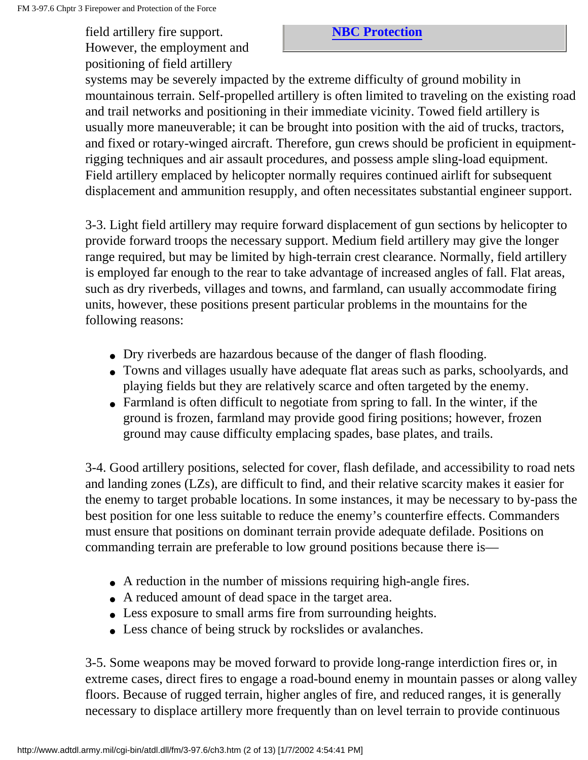field artillery fire support. **NBC Protection** However, the employment and positioning of field artillery

systems may be severely impacted by the extreme difficulty of ground mobility in mountainous terrain. Self-propelled artillery is often limited to traveling on the existing road and trail networks and positioning in their immediate vicinity. Towed field artillery is usually more maneuverable; it can be brought into position with the aid of trucks, tractors, and fixed or rotary-winged aircraft. Therefore, gun crews should be proficient in equipmentrigging techniques and air assault procedures, and possess ample sling-load equipment. Field artillery emplaced by helicopter normally requires continued airlift for subsequent displacement and ammunition resupply, and often necessitates substantial engineer support.

3-3. Light field artillery may require forward displacement of gun sections by helicopter to provide forward troops the necessary support. Medium field artillery may give the longer range required, but may be limited by high-terrain crest clearance. Normally, field artillery is employed far enough to the rear to take advantage of increased angles of fall. Flat areas, such as dry riverbeds, villages and towns, and farmland, can usually accommodate firing units, however, these positions present particular problems in the mountains for the following reasons:

- Dry riverbeds are hazardous because of the danger of flash flooding.
- Towns and villages usually have adequate flat areas such as parks, schoolyards, and playing fields but they are relatively scarce and often targeted by the enemy.
- Farmland is often difficult to negotiate from spring to fall. In the winter, if the ground is frozen, farmland may provide good firing positions; however, frozen ground may cause difficulty emplacing spades, base plates, and trails.

3-4. Good artillery positions, selected for cover, flash defilade, and accessibility to road nets and landing zones (LZs), are difficult to find, and their relative scarcity makes it easier for the enemy to target probable locations. In some instances, it may be necessary to by-pass the best position for one less suitable to reduce the enemy's counterfire effects. Commanders must ensure that positions on dominant terrain provide adequate defilade. Positions on commanding terrain are preferable to low ground positions because there is—

- A reduction in the number of missions requiring high-angle fires.
- A reduced amount of dead space in the target area.
- Less exposure to small arms fire from surrounding heights.
- Less chance of being struck by rockslides or avalanches.

3-5. Some weapons may be moved forward to provide long-range interdiction fires or, in extreme cases, direct fires to engage a road-bound enemy in mountain passes or along valley floors. Because of rugged terrain, higher angles of fire, and reduced ranges, it is generally necessary to displace artillery more frequently than on level terrain to provide continuous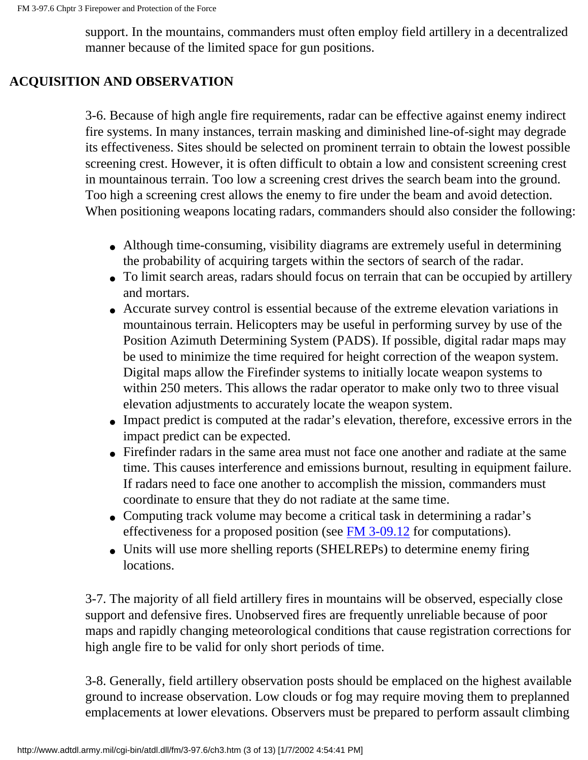support. In the mountains, commanders must often employ field artillery in a decentralized manner because of the limited space for gun positions.

#### **ACQUISITION AND OBSERVATION**

3-6. Because of high angle fire requirements, radar can be effective against enemy indirect fire systems. In many instances, terrain masking and diminished line-of-sight may degrade its effectiveness. Sites should be selected on prominent terrain to obtain the lowest possible screening crest. However, it is often difficult to obtain a low and consistent screening crest in mountainous terrain. Too low a screening crest drives the search beam into the ground. Too high a screening crest allows the enemy to fire under the beam and avoid detection. When positioning weapons locating radars, commanders should also consider the following:

- Although time-consuming, visibility diagrams are extremely useful in determining the probability of acquiring targets within the sectors of search of the radar.
- To limit search areas, radars should focus on terrain that can be occupied by artillery and mortars.
- Accurate survey control is essential because of the extreme elevation variations in mountainous terrain. Helicopters may be useful in performing survey by use of the Position Azimuth Determining System (PADS). If possible, digital radar maps may be used to minimize the time required for height correction of the weapon system. Digital maps allow the Firefinder systems to initially locate weapon systems to within 250 meters. This allows the radar operator to make only two to three visual elevation adjustments to accurately locate the weapon system.
- Impact predict is computed at the radar's elevation, therefore, excessive errors in the impact predict can be expected.
- Firefinder radars in the same area must not face one another and radiate at the same time. This causes interference and emissions burnout, resulting in equipment failure. If radars need to face one another to accomplish the mission, commanders must coordinate to ensure that they do not radiate at the same time.
- Computing track volume may become a critical task in determining a radar's effectiveness for a proposed position (see [FM 3-09.12](#page-144-3) for computations).
- Units will use more shelling reports (SHELREPs) to determine enemy firing locations.

3-7. The majority of all field artillery fires in mountains will be observed, especially close support and defensive fires. Unobserved fires are frequently unreliable because of poor maps and rapidly changing meteorological conditions that cause registration corrections for high angle fire to be valid for only short periods of time.

3-8. Generally, field artillery observation posts should be emplaced on the highest available ground to increase observation. Low clouds or fog may require moving them to preplanned emplacements at lower elevations. Observers must be prepared to perform assault climbing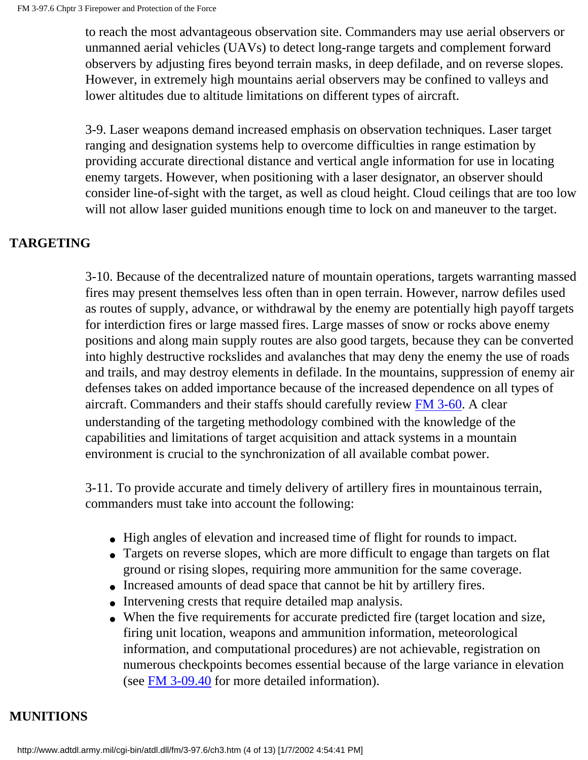to reach the most advantageous observation site. Commanders may use aerial observers or unmanned aerial vehicles (UAVs) to detect long-range targets and complement forward observers by adjusting fires beyond terrain masks, in deep defilade, and on reverse slopes. However, in extremely high mountains aerial observers may be confined to valleys and lower altitudes due to altitude limitations on different types of aircraft.

3-9. Laser weapons demand increased emphasis on observation techniques. Laser target ranging and designation systems help to overcome difficulties in range estimation by providing accurate directional distance and vertical angle information for use in locating enemy targets. However, when positioning with a laser designator, an observer should consider line-of-sight with the target, as well as cloud height. Cloud ceilings that are too low will not allow laser guided munitions enough time to lock on and maneuver to the target.

#### **TARGETING**

3-10. Because of the decentralized nature of mountain operations, targets warranting massed fires may present themselves less often than in open terrain. However, narrow defiles used as routes of supply, advance, or withdrawal by the enemy are potentially high payoff targets for interdiction fires or large massed fires. Large masses of snow or rocks above enemy positions and along main supply routes are also good targets, because they can be converted into highly destructive rockslides and avalanches that may deny the enemy the use of roads and trails, and may destroy elements in defilade. In the mountains, suppression of enemy air defenses takes on added importance because of the increased dependence on all types of aircraft. Commanders and their staffs should carefully review [FM 3-60](#page-145-4). A clear understanding of the targeting methodology combined with the knowledge of the capabilities and limitations of target acquisition and attack systems in a mountain environment is crucial to the synchronization of all available combat power.

3-11. To provide accurate and timely delivery of artillery fires in mountainous terrain, commanders must take into account the following:

- High angles of elevation and increased time of flight for rounds to impact.
- Targets on reverse slopes, which are more difficult to engage than targets on flat ground or rising slopes, requiring more ammunition for the same coverage.
- Increased amounts of dead space that cannot be hit by artillery fires.
- Intervening crests that require detailed map analysis.
- When the five requirements for accurate predicted fire (target location and size, firing unit location, weapons and ammunition information, meteorological information, and computational procedures) are not achievable, registration on numerous checkpoints becomes essential because of the large variance in elevation (see [FM 3-09.40](#page-144-4) for more detailed information).

#### **MUNITIONS**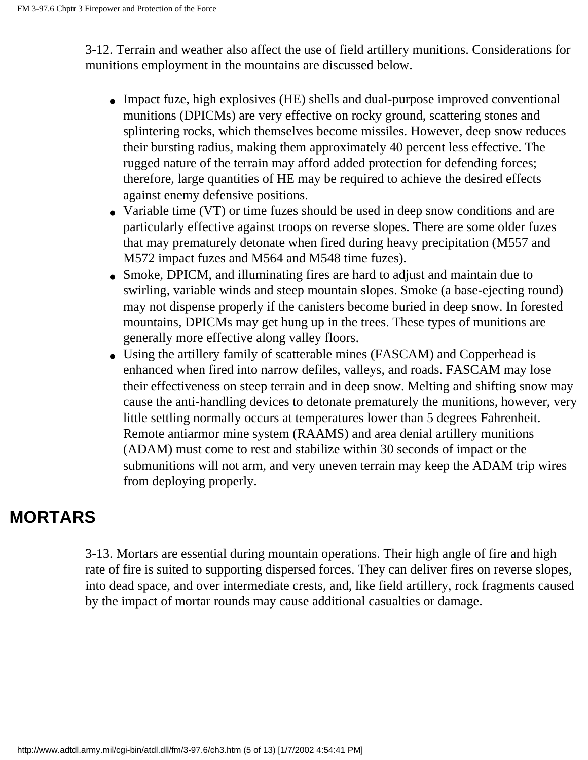3-12. Terrain and weather also affect the use of field artillery munitions. Considerations for munitions employment in the mountains are discussed below.

- Impact fuze, high explosives (HE) shells and dual-purpose improved conventional munitions (DPICMs) are very effective on rocky ground, scattering stones and splintering rocks, which themselves become missiles. However, deep snow reduces their bursting radius, making them approximately 40 percent less effective. The rugged nature of the terrain may afford added protection for defending forces; therefore, large quantities of HE may be required to achieve the desired effects against enemy defensive positions.
- Variable time (VT) or time fuzes should be used in deep snow conditions and are particularly effective against troops on reverse slopes. There are some older fuzes that may prematurely detonate when fired during heavy precipitation (M557 and M572 impact fuzes and M564 and M548 time fuzes).
- Smoke, DPICM, and illuminating fires are hard to adjust and maintain due to swirling, variable winds and steep mountain slopes. Smoke (a base-ejecting round) may not dispense properly if the canisters become buried in deep snow. In forested mountains, DPICMs may get hung up in the trees. These types of munitions are generally more effective along valley floors.
- Using the artillery family of scatterable mines (FASCAM) and Copperhead is enhanced when fired into narrow defiles, valleys, and roads. FASCAM may lose their effectiveness on steep terrain and in deep snow. Melting and shifting snow may cause the anti-handling devices to detonate prematurely the munitions, however, very little settling normally occurs at temperatures lower than 5 degrees Fahrenheit. Remote antiarmor mine system (RAAMS) and area denial artillery munitions (ADAM) must come to rest and stabilize within 30 seconds of impact or the submunitions will not arm, and very uneven terrain may keep the ADAM trip wires from deploying properly.

## **MORTARS**

3-13. Mortars are essential during mountain operations. Their high angle of fire and high rate of fire is suited to supporting dispersed forces. They can deliver fires on reverse slopes, into dead space, and over intermediate crests, and, like field artillery, rock fragments caused by the impact of mortar rounds may cause additional casualties or damage.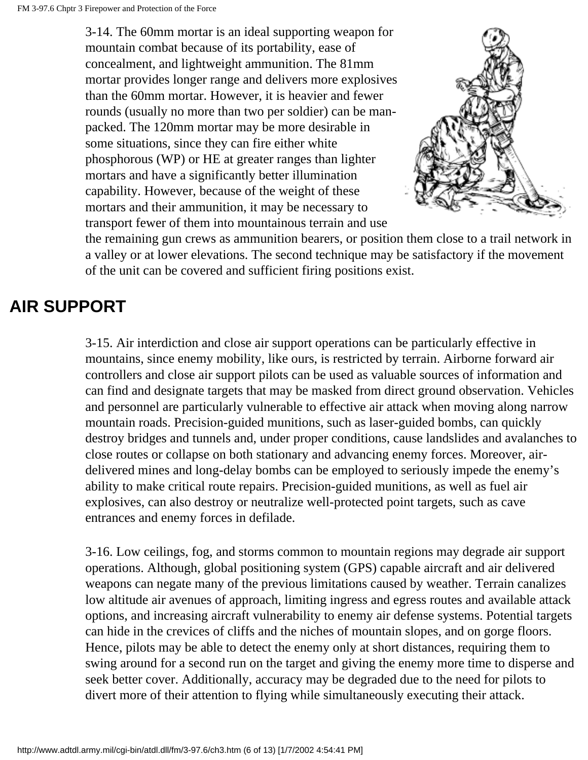3-14. The 60mm mortar is an ideal supporting weapon for mountain combat because of its portability, ease of concealment, and lightweight ammunition. The 81mm mortar provides longer range and delivers more explosives than the 60mm mortar. However, it is heavier and fewer rounds (usually no more than two per soldier) can be manpacked. The 120mm mortar may be more desirable in some situations, since they can fire either white phosphorous (WP) or HE at greater ranges than lighter mortars and have a significantly better illumination capability. However, because of the weight of these mortars and their ammunition, it may be necessary to transport fewer of them into mountainous terrain and use



the remaining gun crews as ammunition bearers, or position them close to a trail network in a valley or at lower elevations. The second technique may be satisfactory if the movement of the unit can be covered and sufficient firing positions exist.

## **AIR SUPPORT**

3-15. Air interdiction and close air support operations can be particularly effective in mountains, since enemy mobility, like ours, is restricted by terrain. Airborne forward air controllers and close air support pilots can be used as valuable sources of information and can find and designate targets that may be masked from direct ground observation. Vehicles and personnel are particularly vulnerable to effective air attack when moving along narrow mountain roads. Precision-guided munitions, such as laser-guided bombs, can quickly destroy bridges and tunnels and, under proper conditions, cause landslides and avalanches to close routes or collapse on both stationary and advancing enemy forces. Moreover, airdelivered mines and long-delay bombs can be employed to seriously impede the enemy's ability to make critical route repairs. Precision-guided munitions, as well as fuel air explosives, can also destroy or neutralize well-protected point targets, such as cave entrances and enemy forces in defilade.

3-16. Low ceilings, fog, and storms common to mountain regions may degrade air support operations. Although, global positioning system (GPS) capable aircraft and air delivered weapons can negate many of the previous limitations caused by weather. Terrain canalizes low altitude air avenues of approach, limiting ingress and egress routes and available attack options, and increasing aircraft vulnerability to enemy air defense systems. Potential targets can hide in the crevices of cliffs and the niches of mountain slopes, and on gorge floors. Hence, pilots may be able to detect the enemy only at short distances, requiring them to swing around for a second run on the target and giving the enemy more time to disperse and seek better cover. Additionally, accuracy may be degraded due to the need for pilots to divert more of their attention to flying while simultaneously executing their attack.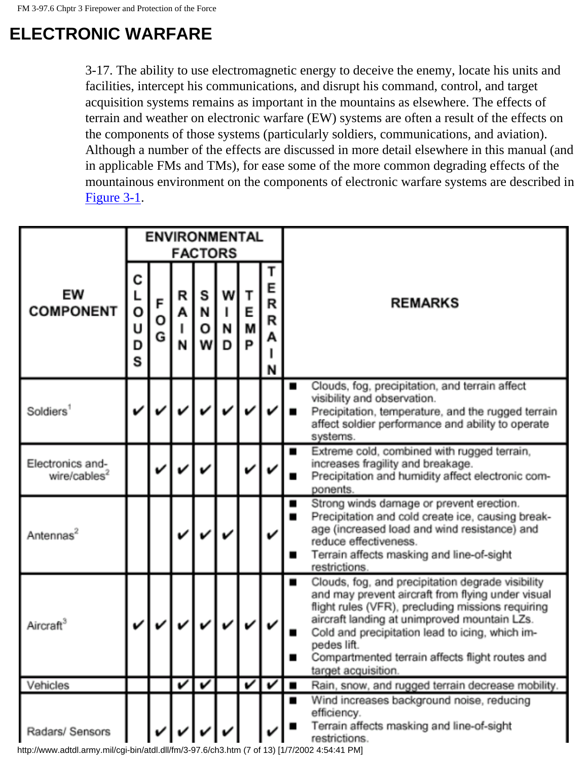## **ELECTRONIC WARFARE**

3-17. The ability to use electromagnetic energy to deceive the enemy, locate his units and facilities, intercept his communications, and disrupt his command, control, and target acquisition systems remains as important in the mountains as elsewhere. The effects of terrain and weather on electronic warfare (EW) systems are often a result of the effects on the components of those systems (particularly soldiers, communications, and aviation). Although a number of the effects are discussed in more detail elsewhere in this manual (and in applicable FMs and TMs), for ease some of the more common degrading effects of the mountainous environment on the components of electronic warfare systems are described in Figure 3-1.

|                                              | <b>ENVIRONMENTAL</b><br><b>FACTORS</b> |             |        |              |             |                  |                         |                                                                                                                                                                                                                                                                                                                                                         |
|----------------------------------------------|----------------------------------------|-------------|--------|--------------|-------------|------------------|-------------------------|---------------------------------------------------------------------------------------------------------------------------------------------------------------------------------------------------------------------------------------------------------------------------------------------------------------------------------------------------------|
| ΕW<br><b>COMPONENT</b>                       | с<br>O<br>U<br>D<br>S                  | F<br>о<br>G | R<br>N | s<br>N<br>wl | w<br>Ν<br>D | Τ<br>E<br>M<br>P | E<br>R<br>R<br>А<br>N   | <b>REMARKS</b>                                                                                                                                                                                                                                                                                                                                          |
| Soldiers <sup>1</sup>                        | v                                      |             |        |              |             |                  |                         | Clouds, fog, precipitation, and terrain affect<br>visibility and observation.<br>Precipitation, temperature, and the rugged terrain<br>affect soldier performance and ability to operate<br>systems.                                                                                                                                                    |
| Electronics and-<br>wire/cables <sup>2</sup> |                                        |             |        |              |             |                  |                         | Extreme cold, combined with rugged terrain,<br>increases fragility and breakage.<br>Precipitation and humidity affect electronic com-<br>ponents.                                                                                                                                                                                                       |
| Antennas <sup>2</sup>                        |                                        |             |        |              |             |                  |                         | Strong winds damage or prevent erection.<br>Precipitation and cold create ice, causing break-<br>age (increased load and wind resistance) and<br>reduce effectiveness.<br>Terrain affects masking and line-of-sight<br>restrictions.                                                                                                                    |
| Aircraft <sup>3</sup>                        |                                        |             |        |              |             |                  |                         | Clouds, fog, and precipitation degrade visibility<br>and may prevent aircraft from flying under visual<br>flight rules (VFR), precluding missions requiring<br>aircraft landing at unimproved mountain LZs.<br>Cold and precipitation lead to icing, which im-<br>pedes lift.<br>Compartmented terrain affects flight routes and<br>target acquisition. |
| Vehicles                                     |                                        |             | v      | v            |             | $\sqrt{1}$       | $\overline{\mathbf{v}}$ | Rain, snow, and rugged terrain decrease mobility.                                                                                                                                                                                                                                                                                                       |
| Radars/ Sensors                              |                                        |             |        |              | v v v v     |                  |                         | Wind increases background noise, reducing<br>efficiency.<br>Terrain affects masking and line-of-sight<br>restrictions.                                                                                                                                                                                                                                  |

http://www.adtdl.army.mil/cgi-bin/atdl.dll/fm/3-97.6/ch3.htm (7 of 13) [1/7/2002 4:54:41 PM]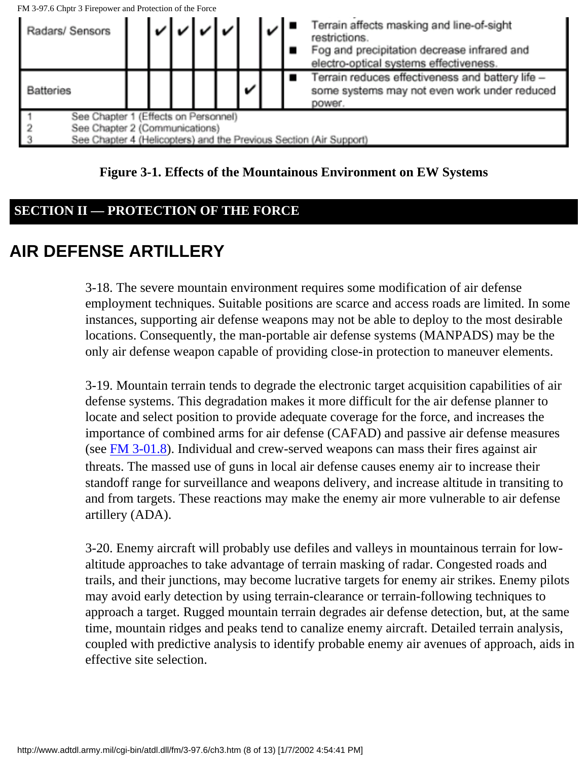| FM 3-97.6 Chptr 3 Firepower and Protection of the Force                |  |  |  |                                                                                                                                                     |
|------------------------------------------------------------------------|--|--|--|-----------------------------------------------------------------------------------------------------------------------------------------------------|
| Radars/ Sensors                                                        |  |  |  | Terrain affects masking and line-of-sight<br>restrictions.<br>Fog and precipitation decrease infrared and<br>electro-optical systems effectiveness. |
| Batteries                                                              |  |  |  | Terrain reduces effectiveness and battery life -<br>some systems may not even work under reduced<br>power.                                          |
| See Chapter 1 (Effects on Personnel)<br>See Chapter 2 (Communications) |  |  |  | See Chapter 4 (Helicopters) and the Previous Section (Air Support)                                                                                  |

#### **Figure 3-1. Effects of the Mountainous Environment on EW Systems**

## **SECTION II — PROTECTION OF THE FORCE**

## **AIR DEFENSE ARTILLERY**

3-18. The severe mountain environment requires some modification of air defense employment techniques. Suitable positions are scarce and access roads are limited. In some instances, supporting air defense weapons may not be able to deploy to the most desirable locations. Consequently, the man-portable air defense systems (MANPADS) may be the only air defense weapon capable of providing close-in protection to maneuver elements.

3-19. Mountain terrain tends to degrade the electronic target acquisition capabilities of air defense systems. This degradation makes it more difficult for the air defense planner to locate and select position to provide adequate coverage for the force, and increases the importance of combined arms for air defense (CAFAD) and passive air defense measures (see [FM 3-01.8\)](#page-143-0). Individual and crew-served weapons can mass their fires against air threats. The massed use of guns in local air defense causes enemy air to increase their standoff range for surveillance and weapons delivery, and increase altitude in transiting to and from targets. These reactions may make the enemy air more vulnerable to air defense artillery (ADA).

3-20. Enemy aircraft will probably use defiles and valleys in mountainous terrain for lowaltitude approaches to take advantage of terrain masking of radar. Congested roads and trails, and their junctions, may become lucrative targets for enemy air strikes. Enemy pilots may avoid early detection by using terrain-clearance or terrain-following techniques to approach a target. Rugged mountain terrain degrades air defense detection, but, at the same time, mountain ridges and peaks tend to canalize enemy aircraft. Detailed terrain analysis, coupled with predictive analysis to identify probable enemy air avenues of approach, aids in effective site selection.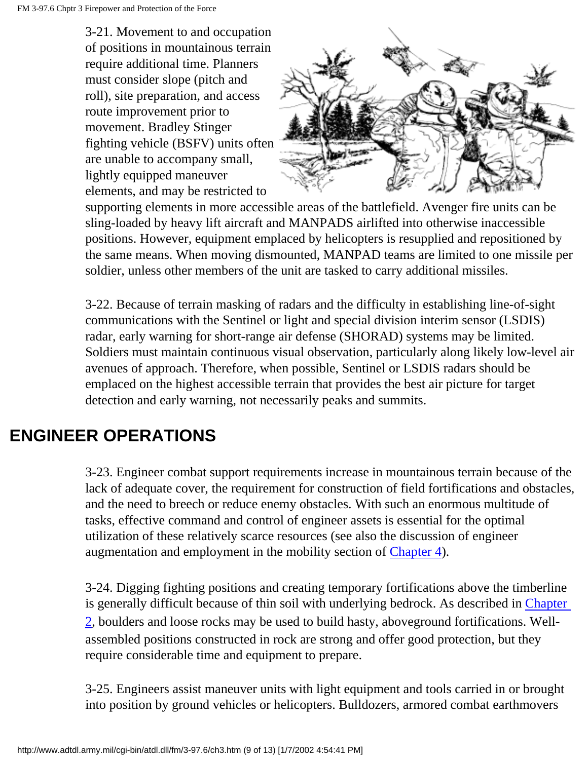3-21. Movement to and occupation of positions in mountainous terrain require additional time. Planners must consider slope (pitch and roll), site preparation, and access route improvement prior to movement. Bradley Stinger fighting vehicle (BSFV) units often are unable to accompany small, lightly equipped maneuver elements, and may be restricted to



supporting elements in more accessible areas of the battlefield. Avenger fire units can be sling-loaded by heavy lift aircraft and MANPADS airlifted into otherwise inaccessible positions. However, equipment emplaced by helicopters is resupplied and repositioned by the same means. When moving dismounted, MANPAD teams are limited to one missile per soldier, unless other members of the unit are tasked to carry additional missiles.

3-22. Because of terrain masking of radars and the difficulty in establishing line-of-sight communications with the Sentinel or light and special division interim sensor (LSDIS) radar, early warning for short-range air defense (SHORAD) systems may be limited. Soldiers must maintain continuous visual observation, particularly along likely low-level air avenues of approach. Therefore, when possible, Sentinel or LSDIS radars should be emplaced on the highest accessible terrain that provides the best air picture for target detection and early warning, not necessarily peaks and summits.

## **ENGINEER OPERATIONS**

3-23. Engineer combat support requirements increase in mountainous terrain because of the lack of adequate cover, the requirement for construction of field fortifications and obstacles, and the need to breech or reduce enemy obstacles. With such an enormous multitude of tasks, effective command and control of engineer assets is essential for the optimal utilization of these relatively scarce resources (see also the discussion of engineer augmentation and employment in the mobility section of [Chapter 4](#page-71-0)).

3-24. Digging fighting positions and creating temporary fortifications above the timberline is generally difficult because of thin soil with underlying bedrock. As described in [Chapter](#page-32-0)  [2,](#page-32-0) boulders and loose rocks may be used to build hasty, aboveground fortifications. Wellassembled positions constructed in rock are strong and offer good protection, but they require considerable time and equipment to prepare.

3-25. Engineers assist maneuver units with light equipment and tools carried in or brought into position by ground vehicles or helicopters. Bulldozers, armored combat earthmovers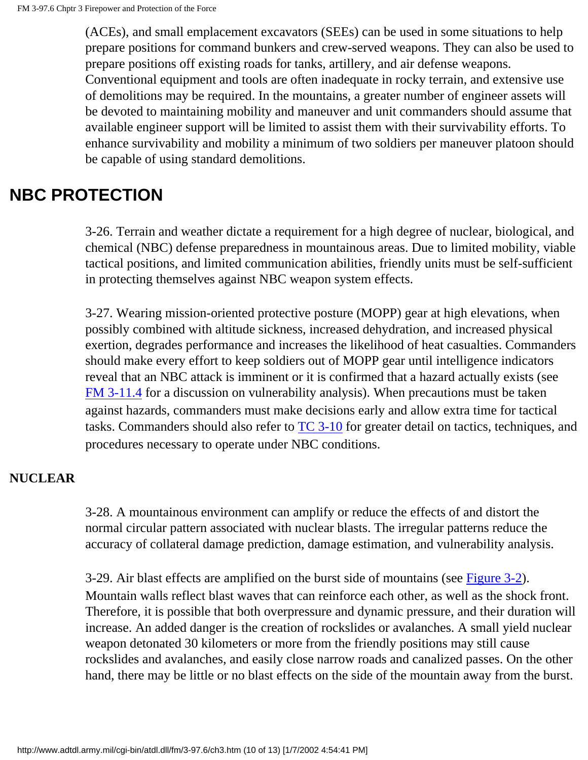(ACEs), and small emplacement excavators (SEEs) can be used in some situations to help prepare positions for command bunkers and crew-served weapons. They can also be used to prepare positions off existing roads for tanks, artillery, and air defense weapons. Conventional equipment and tools are often inadequate in rocky terrain, and extensive use of demolitions may be required. In the mountains, a greater number of engineer assets will be devoted to maintaining mobility and maneuver and unit commanders should assume that available engineer support will be limited to assist them with their survivability efforts. To enhance survivability and mobility a minimum of two soldiers per maneuver platoon should be capable of using standard demolitions.

## **NBC PROTECTION**

3-26. Terrain and weather dictate a requirement for a high degree of nuclear, biological, and chemical (NBC) defense preparedness in mountainous areas. Due to limited mobility, viable tactical positions, and limited communication abilities, friendly units must be self-sufficient in protecting themselves against NBC weapon system effects.

3-27. Wearing mission-oriented protective posture (MOPP) gear at high elevations, when possibly combined with altitude sickness, increased dehydration, and increased physical exertion, degrades performance and increases the likelihood of heat casualties. Commanders should make every effort to keep soldiers out of MOPP gear until intelligence indicators reveal that an NBC attack is imminent or it is confirmed that a hazard actually exists (see [FM 3-11.4](#page-144-5) for a discussion on vulnerability analysis). When precautions must be taken against hazards, commanders must make decisions early and allow extra time for tactical tasks. Commanders should also refer to TC 3-10 for greater detail on tactics, techniques, and procedures necessary to operate under NBC conditions.

#### **NUCLEAR**

3-28. A mountainous environment can amplify or reduce the effects of and distort the normal circular pattern associated with nuclear blasts. The irregular patterns reduce the accuracy of collateral damage prediction, damage estimation, and vulnerability analysis.

3-29. Air blast effects are amplified on the burst side of mountains (see Figure 3-2). Mountain walls reflect blast waves that can reinforce each other, as well as the shock front. Therefore, it is possible that both overpressure and dynamic pressure, and their duration will increase. An added danger is the creation of rockslides or avalanches. A small yield nuclear weapon detonated 30 kilometers or more from the friendly positions may still cause rockslides and avalanches, and easily close narrow roads and canalized passes. On the other hand, there may be little or no blast effects on the side of the mountain away from the burst.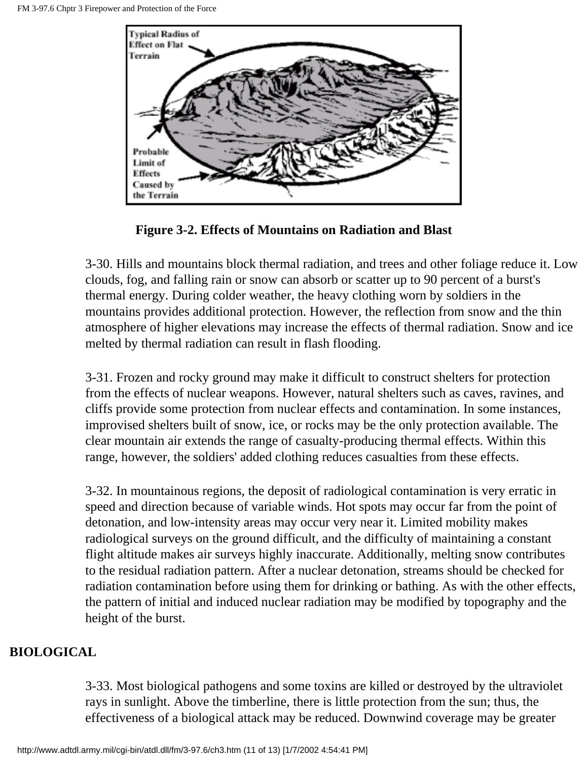

**Figure 3-2. Effects of Mountains on Radiation and Blast**

3-30. Hills and mountains block thermal radiation, and trees and other foliage reduce it. Low clouds, fog, and falling rain or snow can absorb or scatter up to 90 percent of a burst's thermal energy. During colder weather, the heavy clothing worn by soldiers in the mountains provides additional protection. However, the reflection from snow and the thin atmosphere of higher elevations may increase the effects of thermal radiation. Snow and ice melted by thermal radiation can result in flash flooding.

3-31. Frozen and rocky ground may make it difficult to construct shelters for protection from the effects of nuclear weapons. However, natural shelters such as caves, ravines, and cliffs provide some protection from nuclear effects and contamination. In some instances, improvised shelters built of snow, ice, or rocks may be the only protection available. The clear mountain air extends the range of casualty-producing thermal effects. Within this range, however, the soldiers' added clothing reduces casualties from these effects.

3-32. In mountainous regions, the deposit of radiological contamination is very erratic in speed and direction because of variable winds. Hot spots may occur far from the point of detonation, and low-intensity areas may occur very near it. Limited mobility makes radiological surveys on the ground difficult, and the difficulty of maintaining a constant flight altitude makes air surveys highly inaccurate. Additionally, melting snow contributes to the residual radiation pattern. After a nuclear detonation, streams should be checked for radiation contamination before using them for drinking or bathing. As with the other effects, the pattern of initial and induced nuclear radiation may be modified by topography and the height of the burst.

#### **BIOLOGICAL**

3-33. Most biological pathogens and some toxins are killed or destroyed by the ultraviolet rays in sunlight. Above the timberline, there is little protection from the sun; thus, the effectiveness of a biological attack may be reduced. Downwind coverage may be greater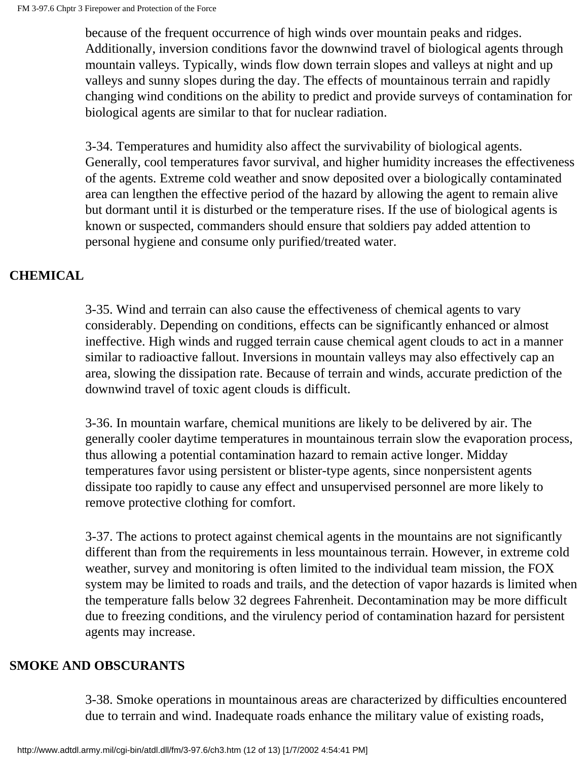because of the frequent occurrence of high winds over mountain peaks and ridges. Additionally, inversion conditions favor the downwind travel of biological agents through mountain valleys. Typically, winds flow down terrain slopes and valleys at night and up valleys and sunny slopes during the day. The effects of mountainous terrain and rapidly changing wind conditions on the ability to predict and provide surveys of contamination for biological agents are similar to that for nuclear radiation.

3-34. Temperatures and humidity also affect the survivability of biological agents. Generally, cool temperatures favor survival, and higher humidity increases the effectiveness of the agents. Extreme cold weather and snow deposited over a biologically contaminated area can lengthen the effective period of the hazard by allowing the agent to remain alive but dormant until it is disturbed or the temperature rises. If the use of biological agents is known or suspected, commanders should ensure that soldiers pay added attention to personal hygiene and consume only purified/treated water.

#### **CHEMICAL**

3-35. Wind and terrain can also cause the effectiveness of chemical agents to vary considerably. Depending on conditions, effects can be significantly enhanced or almost ineffective. High winds and rugged terrain cause chemical agent clouds to act in a manner similar to radioactive fallout. Inversions in mountain valleys may also effectively cap an area, slowing the dissipation rate. Because of terrain and winds, accurate prediction of the downwind travel of toxic agent clouds is difficult.

3-36. In mountain warfare, chemical munitions are likely to be delivered by air. The generally cooler daytime temperatures in mountainous terrain slow the evaporation process, thus allowing a potential contamination hazard to remain active longer. Midday temperatures favor using persistent or blister-type agents, since nonpersistent agents dissipate too rapidly to cause any effect and unsupervised personnel are more likely to remove protective clothing for comfort.

3-37. The actions to protect against chemical agents in the mountains are not significantly different than from the requirements in less mountainous terrain. However, in extreme cold weather, survey and monitoring is often limited to the individual team mission, the FOX system may be limited to roads and trails, and the detection of vapor hazards is limited when the temperature falls below 32 degrees Fahrenheit. Decontamination may be more difficult due to freezing conditions, and the virulency period of contamination hazard for persistent agents may increase.

#### **SMOKE AND OBSCURANTS**

3-38. Smoke operations in mountainous areas are characterized by difficulties encountered due to terrain and wind. Inadequate roads enhance the military value of existing roads,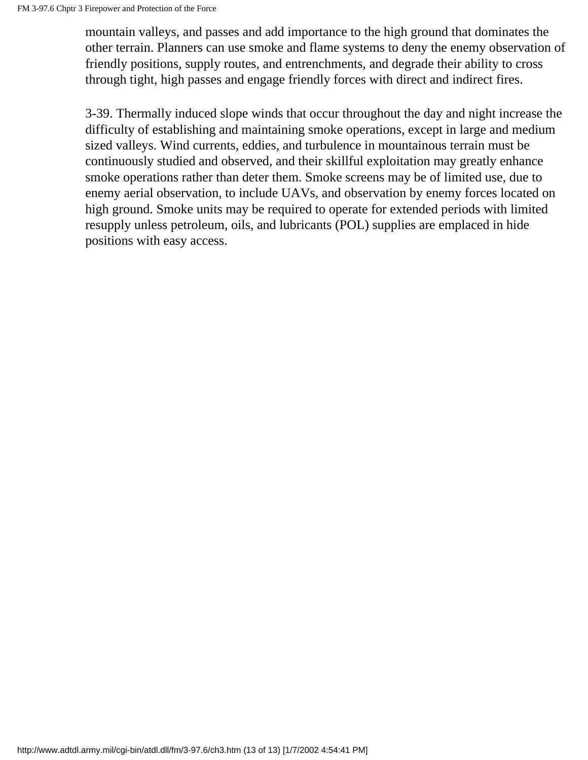mountain valleys, and passes and add importance to the high ground that dominates the other terrain. Planners can use smoke and flame systems to deny the enemy observation of friendly positions, supply routes, and entrenchments, and degrade their ability to cross through tight, high passes and engage friendly forces with direct and indirect fires.

3-39. Thermally induced slope winds that occur throughout the day and night increase the difficulty of establishing and maintaining smoke operations, except in large and medium sized valleys. Wind currents, eddies, and turbulence in mountainous terrain must be continuously studied and observed, and their skillful exploitation may greatly enhance smoke operations rather than deter them. Smoke screens may be of limited use, due to enemy aerial observation, to include UAVs, and observation by enemy forces located on high ground. Smoke units may be required to operate for extended periods with limited resupply unless petroleum, oils, and lubricants (POL) supplies are emplaced in hide positions with easy access.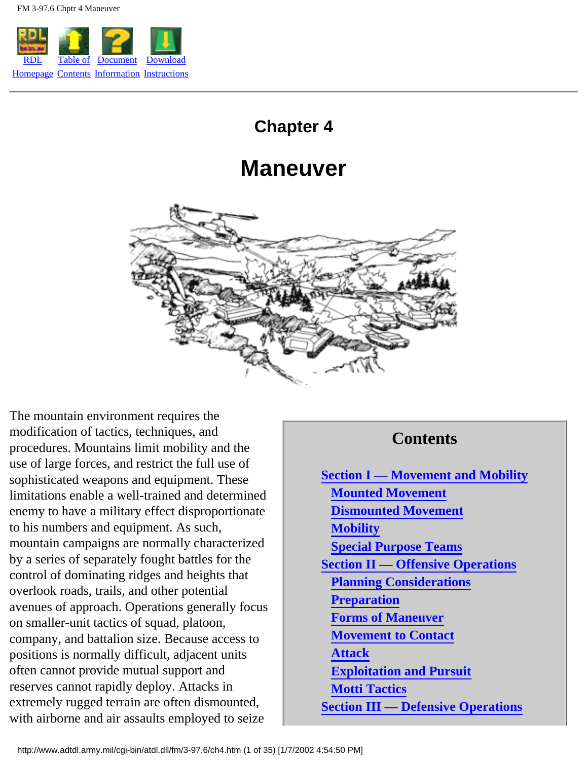<span id="page-71-0"></span>

## **Chapter 4**

# **Maneuver**



The mountain environment requires the modification of tactics, techniques, and procedures. Mountains limit mobility and the use of large forces, and restrict the full use of sophisticated weapons and equipment. These limitations enable a well-trained and determined enemy to have a military effect disproportionate to his numbers and equipment. As such, mountain campaigns are normally characterized by a series of separately fought battles for the control of dominating ridges and heights that overlook roads, trails, and other potential avenues of approach. Operations generally focus on smaller-unit tactics of squad, platoon, company, and battalion size. Because access to positions is normally difficult, adjacent units often cannot provide mutual support and reserves cannot rapidly deploy. Attacks in extremely rugged terrain are often dismounted, with airborne and air assaults employed to seize

## **Contents**

**Section I — Movement and Mobility Mounted Movement Dismounted Movement Mobility Special Purpose Teams Section II — Offensive Operations Planning Considerations Preparation [Forms of Maneuver](#page-90-0) [Movement to Contact](#page-92-0) [Attack](#page-93-0) [Exploitation and Pursuit](#page-95-0) [Motti Tactics](#page-95-1) [Section III — Defensive Operations](#page-97-0)**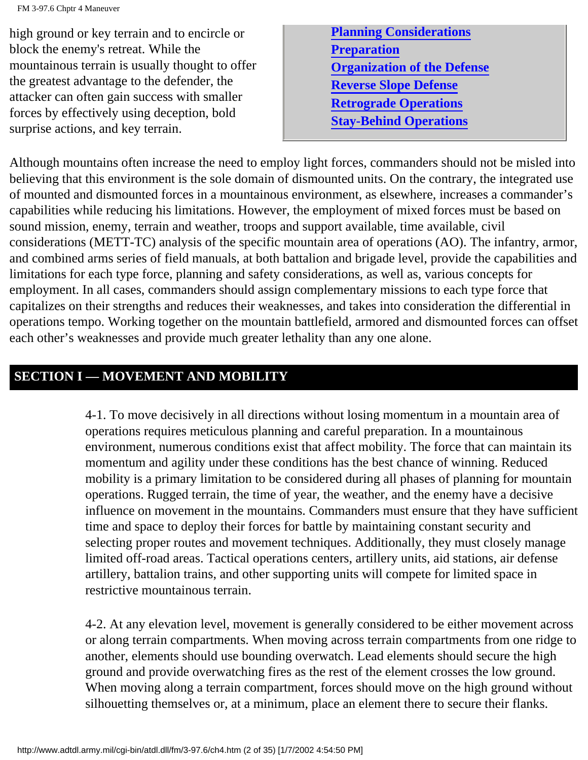high ground or key terrain and to encircle or block the enemy's retreat. While the mountainous terrain is usually thought to offer the greatest advantage to the defender, the attacker can often gain success with smaller forces by effectively using deception, bold surprise actions, and key terrain.

 **[Planning Considerations](#page-98-0) [Preparation](#page-99-0) [Organization of the Defense](#page-99-1) [Reverse Slope Defense](#page-102-0) [Retrograde Operations](#page-103-0) [Stay-Behind Operations](#page-104-0)**

Although mountains often increase the need to employ light forces, commanders should not be misled into believing that this environment is the sole domain of dismounted units. On the contrary, the integrated use of mounted and dismounted forces in a mountainous environment, as elsewhere, increases a commander's capabilities while reducing his limitations. However, the employment of mixed forces must be based on sound mission, enemy, terrain and weather, troops and support available, time available, civil considerations (METT-TC) analysis of the specific mountain area of operations (AO). The infantry, armor, and combined arms series of field manuals, at both battalion and brigade level, provide the capabilities and limitations for each type force, planning and safety considerations, as well as, various concepts for employment. In all cases, commanders should assign complementary missions to each type force that capitalizes on their strengths and reduces their weaknesses, and takes into consideration the differential in operations tempo. Working together on the mountain battlefield, armored and dismounted forces can offset each other's weaknesses and provide much greater lethality than any one alone.

### **SECTION I — MOVEMENT AND MOBILITY**

4-1. To move decisively in all directions without losing momentum in a mountain area of operations requires meticulous planning and careful preparation. In a mountainous environment, numerous conditions exist that affect mobility. The force that can maintain its momentum and agility under these conditions has the best chance of winning. Reduced mobility is a primary limitation to be considered during all phases of planning for mountain operations. Rugged terrain, the time of year, the weather, and the enemy have a decisive influence on movement in the mountains. Commanders must ensure that they have sufficient time and space to deploy their forces for battle by maintaining constant security and selecting proper routes and movement techniques. Additionally, they must closely manage limited off-road areas. Tactical operations centers, artillery units, aid stations, air defense artillery, battalion trains, and other supporting units will compete for limited space in restrictive mountainous terrain.

4-2. At any elevation level, movement is generally considered to be either movement across or along terrain compartments. When moving across terrain compartments from one ridge to another, elements should use bounding overwatch. Lead elements should secure the high ground and provide overwatching fires as the rest of the element crosses the low ground. When moving along a terrain compartment, forces should move on the high ground without silhouetting themselves or, at a minimum, place an element there to secure their flanks.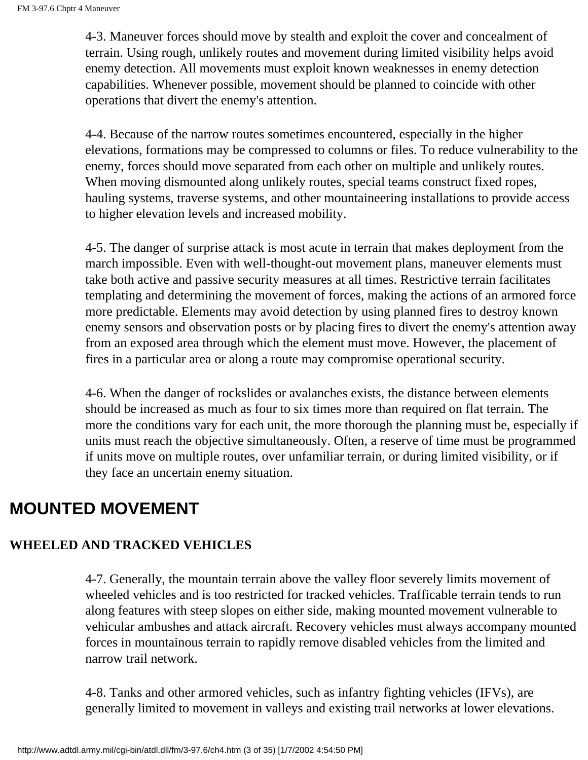4-3. Maneuver forces should move by stealth and exploit the cover and concealment of terrain. Using rough, unlikely routes and movement during limited visibility helps avoid enemy detection. All movements must exploit known weaknesses in enemy detection capabilities. Whenever possible, movement should be planned to coincide with other operations that divert the enemy's attention.

4-4. Because of the narrow routes sometimes encountered, especially in the higher elevations, formations may be compressed to columns or files. To reduce vulnerability to the enemy, forces should move separated from each other on multiple and unlikely routes. When moving dismounted along unlikely routes, special teams construct fixed ropes, hauling systems, traverse systems, and other mountaineering installations to provide access to higher elevation levels and increased mobility.

4-5. The danger of surprise attack is most acute in terrain that makes deployment from the march impossible. Even with well-thought-out movement plans, maneuver elements must take both active and passive security measures at all times. Restrictive terrain facilitates templating and determining the movement of forces, making the actions of an armored force more predictable. Elements may avoid detection by using planned fires to destroy known enemy sensors and observation posts or by placing fires to divert the enemy's attention away from an exposed area through which the element must move. However, the placement of fires in a particular area or along a route may compromise operational security.

4-6. When the danger of rockslides or avalanches exists, the distance between elements should be increased as much as four to six times more than required on flat terrain. The more the conditions vary for each unit, the more thorough the planning must be, especially if units must reach the objective simultaneously. Often, a reserve of time must be programmed if units move on multiple routes, over unfamiliar terrain, or during limited visibility, or if they face an uncertain enemy situation.

## **MOUNTED MOVEMENT**

### **WHEELED AND TRACKED VEHICLES**

4-7. Generally, the mountain terrain above the valley floor severely limits movement of wheeled vehicles and is too restricted for tracked vehicles. Trafficable terrain tends to run along features with steep slopes on either side, making mounted movement vulnerable to vehicular ambushes and attack aircraft. Recovery vehicles must always accompany mounted forces in mountainous terrain to rapidly remove disabled vehicles from the limited and narrow trail network.

4-8. Tanks and other armored vehicles, such as infantry fighting vehicles (IFVs), are generally limited to movement in valleys and existing trail networks at lower elevations.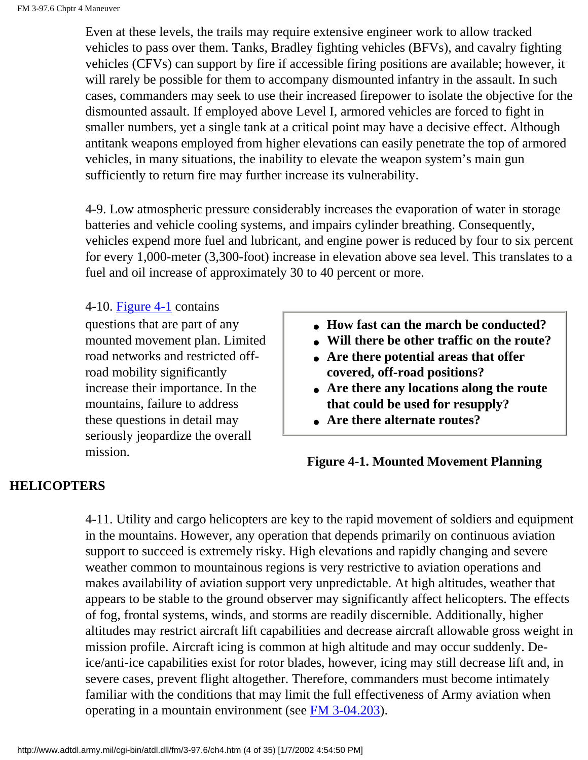Even at these levels, the trails may require extensive engineer work to allow tracked vehicles to pass over them. Tanks, Bradley fighting vehicles (BFVs), and cavalry fighting vehicles (CFVs) can support by fire if accessible firing positions are available; however, it will rarely be possible for them to accompany dismounted infantry in the assault. In such cases, commanders may seek to use their increased firepower to isolate the objective for the dismounted assault. If employed above Level I, armored vehicles are forced to fight in smaller numbers, yet a single tank at a critical point may have a decisive effect. Although antitank weapons employed from higher elevations can easily penetrate the top of armored vehicles, in many situations, the inability to elevate the weapon system's main gun sufficiently to return fire may further increase its vulnerability.

4-9. Low atmospheric pressure considerably increases the evaporation of water in storage batteries and vehicle cooling systems, and impairs cylinder breathing. Consequently, vehicles expend more fuel and lubricant, and engine power is reduced by four to six percent for every 1,000-meter (3,300-foot) increase in elevation above sea level. This translates to a fuel and oil increase of approximately 30 to 40 percent or more.

4-10. Figure 4-1 contains questions that are part of any mounted movement plan. Limited road networks and restricted offroad mobility significantly increase their importance. In the mountains, failure to address these questions in detail may seriously jeopardize the overall mission.

- **How fast can the march be conducted?**
- **Will there be other traffic on the route?**
- **Are there potential areas that offer covered, off-road positions?**
- **Are there any locations along the route that could be used for resupply?**
- **Are there alternate routes?**

#### **Figure 4-1. Mounted Movement Planning**

#### **HELICOPTERS**

4-11. Utility and cargo helicopters are key to the rapid movement of soldiers and equipment in the mountains. However, any operation that depends primarily on continuous aviation support to succeed is extremely risky. High elevations and rapidly changing and severe weather common to mountainous regions is very restrictive to aviation operations and makes availability of aviation support very unpredictable. At high altitudes, weather that appears to be stable to the ground observer may significantly affect helicopters. The effects of fog, frontal systems, winds, and storms are readily discernible. Additionally, higher altitudes may restrict aircraft lift capabilities and decrease aircraft allowable gross weight in mission profile. Aircraft icing is common at high altitude and may occur suddenly. Deice/anti-ice capabilities exist for rotor blades, however, icing may still decrease lift and, in severe cases, prevent flight altogether. Therefore, commanders must become intimately familiar with the conditions that may limit the full effectiveness of Army aviation when operating in a mountain environment (see [FM 3-04.203\)](#page-143-0).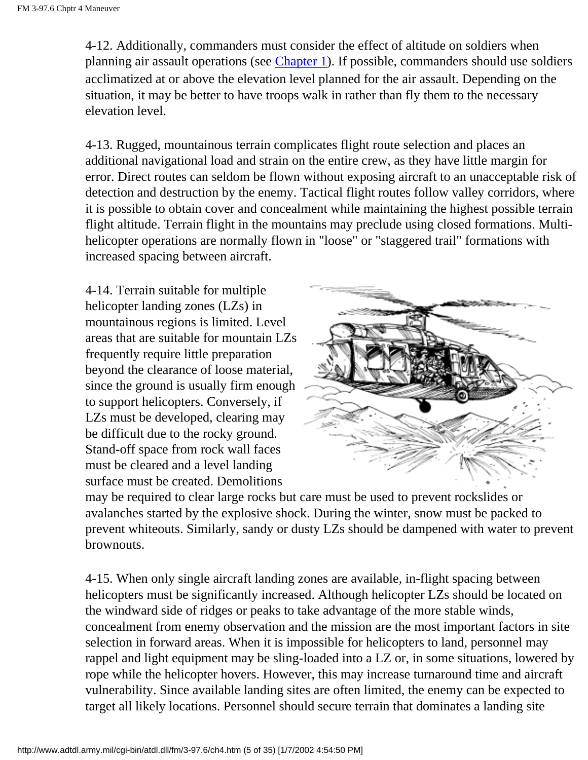4-12. Additionally, commanders must consider the effect of altitude on soldiers when planning air assault operations (see *Chapter 1*). If possible, commanders should use soldiers acclimatized at or above the elevation level planned for the air assault. Depending on the situation, it may be better to have troops walk in rather than fly them to the necessary elevation level.

4-13. Rugged, mountainous terrain complicates flight route selection and places an additional navigational load and strain on the entire crew, as they have little margin for error. Direct routes can seldom be flown without exposing aircraft to an unacceptable risk of detection and destruction by the enemy. Tactical flight routes follow valley corridors, where it is possible to obtain cover and concealment while maintaining the highest possible terrain flight altitude. Terrain flight in the mountains may preclude using closed formations. Multihelicopter operations are normally flown in "loose" or "staggered trail" formations with increased spacing between aircraft.

4-14. Terrain suitable for multiple helicopter landing zones (LZs) in mountainous regions is limited. Level areas that are suitable for mountain LZs frequently require little preparation beyond the clearance of loose material, since the ground is usually firm enough to support helicopters. Conversely, if LZs must be developed, clearing may be difficult due to the rocky ground. Stand-off space from rock wall faces must be cleared and a level landing surface must be created. Demolitions



may be required to clear large rocks but care must be used to prevent rockslides or avalanches started by the explosive shock. During the winter, snow must be packed to prevent whiteouts. Similarly, sandy or dusty LZs should be dampened with water to prevent brownouts.

4-15. When only single aircraft landing zones are available, in-flight spacing between helicopters must be significantly increased. Although helicopter LZs should be located on the windward side of ridges or peaks to take advantage of the more stable winds, concealment from enemy observation and the mission are the most important factors in site selection in forward areas. When it is impossible for helicopters to land, personnel may rappel and light equipment may be sling-loaded into a LZ or, in some situations, lowered by rope while the helicopter hovers. However, this may increase turnaround time and aircraft vulnerability. Since available landing sites are often limited, the enemy can be expected to target all likely locations. Personnel should secure terrain that dominates a landing site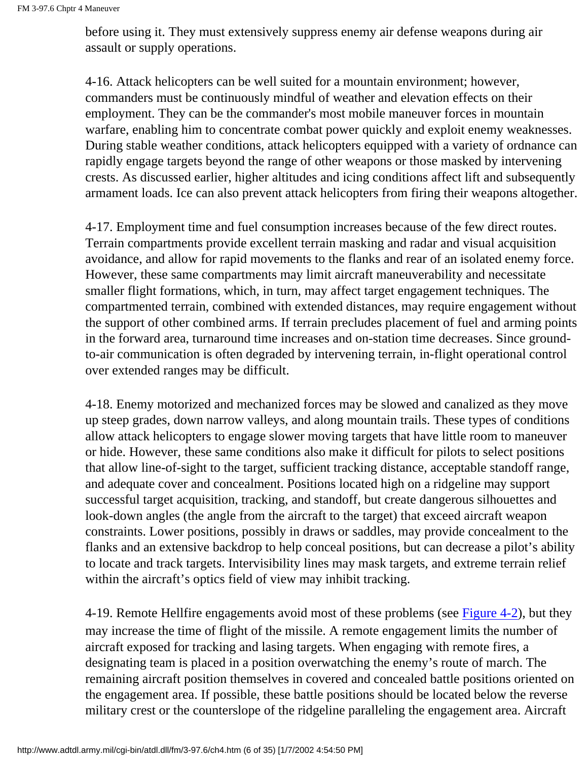before using it. They must extensively suppress enemy air defense weapons during air assault or supply operations.

4-16. Attack helicopters can be well suited for a mountain environment; however, commanders must be continuously mindful of weather and elevation effects on their employment. They can be the commander's most mobile maneuver forces in mountain warfare, enabling him to concentrate combat power quickly and exploit enemy weaknesses. During stable weather conditions, attack helicopters equipped with a variety of ordnance can rapidly engage targets beyond the range of other weapons or those masked by intervening crests. As discussed earlier, higher altitudes and icing conditions affect lift and subsequently armament loads. Ice can also prevent attack helicopters from firing their weapons altogether.

4-17. Employment time and fuel consumption increases because of the few direct routes. Terrain compartments provide excellent terrain masking and radar and visual acquisition avoidance, and allow for rapid movements to the flanks and rear of an isolated enemy force. However, these same compartments may limit aircraft maneuverability and necessitate smaller flight formations, which, in turn, may affect target engagement techniques. The compartmented terrain, combined with extended distances, may require engagement without the support of other combined arms. If terrain precludes placement of fuel and arming points in the forward area, turnaround time increases and on-station time decreases. Since groundto-air communication is often degraded by intervening terrain, in-flight operational control over extended ranges may be difficult.

4-18. Enemy motorized and mechanized forces may be slowed and canalized as they move up steep grades, down narrow valleys, and along mountain trails. These types of conditions allow attack helicopters to engage slower moving targets that have little room to maneuver or hide. However, these same conditions also make it difficult for pilots to select positions that allow line-of-sight to the target, sufficient tracking distance, acceptable standoff range, and adequate cover and concealment. Positions located high on a ridgeline may support successful target acquisition, tracking, and standoff, but create dangerous silhouettes and look-down angles (the angle from the aircraft to the target) that exceed aircraft weapon constraints. Lower positions, possibly in draws or saddles, may provide concealment to the flanks and an extensive backdrop to help conceal positions, but can decrease a pilot's ability to locate and track targets. Intervisibility lines may mask targets, and extreme terrain relief within the aircraft's optics field of view may inhibit tracking.

4-19. Remote Hellfire engagements avoid most of these problems (see Figure 4-2), but they may increase the time of flight of the missile. A remote engagement limits the number of aircraft exposed for tracking and lasing targets. When engaging with remote fires, a designating team is placed in a position overwatching the enemy's route of march. The remaining aircraft position themselves in covered and concealed battle positions oriented on the engagement area. If possible, these battle positions should be located below the reverse military crest or the counterslope of the ridgeline paralleling the engagement area. Aircraft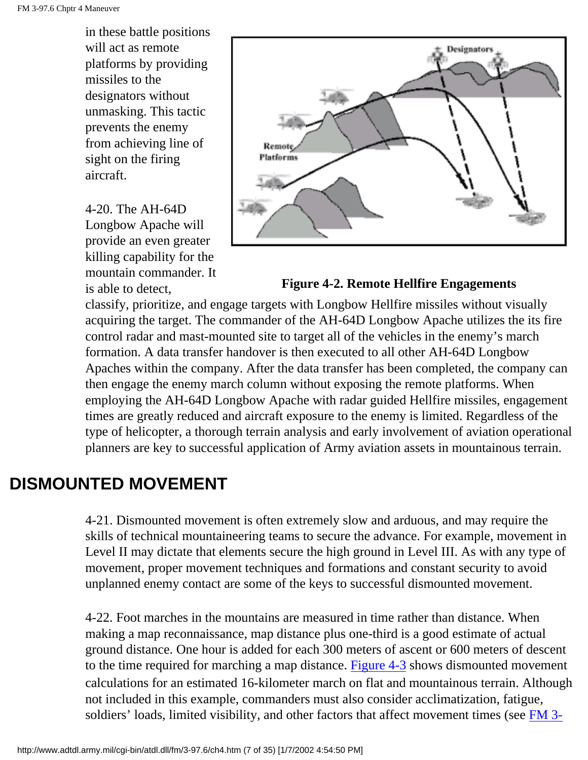in these battle positions will act as remote platforms by providing missiles to the designators without unmasking. This tactic prevents the enemy from achieving line of sight on the firing aircraft.

4-20. The AH-64D Longbow Apache will provide an even greater killing capability for the mountain commander. It is able to detect,



#### **Figure 4-2. Remote Hellfire Engagements**

classify, prioritize, and engage targets with Longbow Hellfire missiles without visually acquiring the target. The commander of the AH-64D Longbow Apache utilizes the its fire control radar and mast-mounted site to target all of the vehicles in the enemy's march formation. A data transfer handover is then executed to all other AH-64D Longbow Apaches within the company. After the data transfer has been completed, the company can then engage the enemy march column without exposing the remote platforms. When employing the AH-64D Longbow Apache with radar guided Hellfire missiles, engagement times are greatly reduced and aircraft exposure to the enemy is limited. Regardless of the type of helicopter, a thorough terrain analysis and early involvement of aviation operational planners are key to successful application of Army aviation assets in mountainous terrain.

## **DISMOUNTED MOVEMENT**

4-21. Dismounted movement is often extremely slow and arduous, and may require the skills of technical mountaineering teams to secure the advance. For example, movement in Level II may dictate that elements secure the high ground in Level III. As with any type of movement, proper movement techniques and formations and constant security to avoid unplanned enemy contact are some of the keys to successful dismounted movement.

4-22. Foot marches in the mountains are measured in time rather than distance. When making a map reconnaissance, map distance plus one-third is a good estimate of actual ground distance. One hour is added for each 300 meters of ascent or 600 meters of descent to the time required for marching a map distance. Figure 4-3 shows dismounted movement calculations for an estimated 16-kilometer march on flat and mountainous terrain. Although not included in this example, commanders must also consider acclimatization, fatigue, soldiers' loads, limited visibility, and other factors that affect movement times (see [FM 3-](#page-144-0)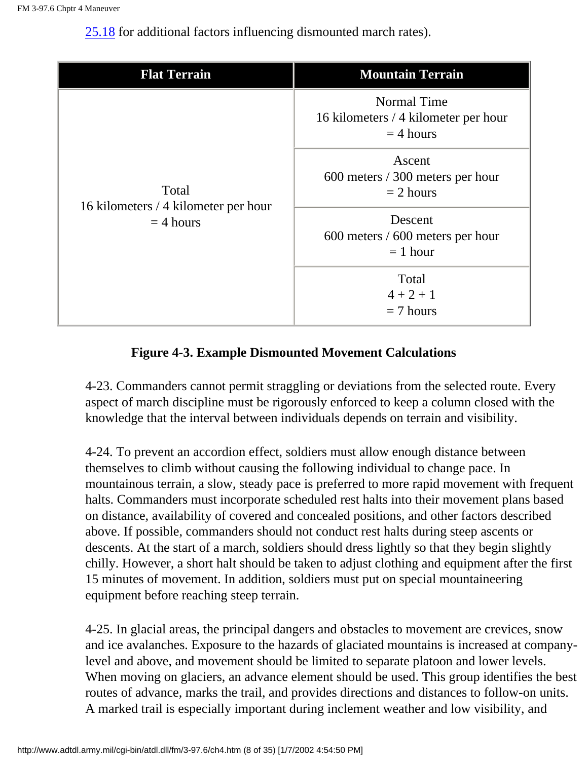[25.18](#page-144-0) for additional factors influencing dismounted march rates).

| <b>Flat Terrain</b>                                          | <b>Mountain Terrain</b>                                            |
|--------------------------------------------------------------|--------------------------------------------------------------------|
| Total<br>16 kilometers / 4 kilometer per hour<br>$=$ 4 hours | Normal Time<br>16 kilometers / 4 kilometer per hour<br>$=$ 4 hours |
|                                                              | Ascent<br>600 meters / 300 meters per hour<br>$= 2$ hours          |
|                                                              | Descent<br>600 meters / 600 meters per hour<br>$= 1$ hour          |
|                                                              | Total<br>$4 + 2 + 1$<br>$= 7$ hours                                |

### **Figure 4-3. Example Dismounted Movement Calculations**

4-23. Commanders cannot permit straggling or deviations from the selected route. Every aspect of march discipline must be rigorously enforced to keep a column closed with the knowledge that the interval between individuals depends on terrain and visibility.

4-24. To prevent an accordion effect, soldiers must allow enough distance between themselves to climb without causing the following individual to change pace. In mountainous terrain, a slow, steady pace is preferred to more rapid movement with frequent halts. Commanders must incorporate scheduled rest halts into their movement plans based on distance, availability of covered and concealed positions, and other factors described above. If possible, commanders should not conduct rest halts during steep ascents or descents. At the start of a march, soldiers should dress lightly so that they begin slightly chilly. However, a short halt should be taken to adjust clothing and equipment after the first 15 minutes of movement. In addition, soldiers must put on special mountaineering equipment before reaching steep terrain.

4-25. In glacial areas, the principal dangers and obstacles to movement are crevices, snow and ice avalanches. Exposure to the hazards of glaciated mountains is increased at companylevel and above, and movement should be limited to separate platoon and lower levels. When moving on glaciers, an advance element should be used. This group identifies the best routes of advance, marks the trail, and provides directions and distances to follow-on units. A marked trail is especially important during inclement weather and low visibility, and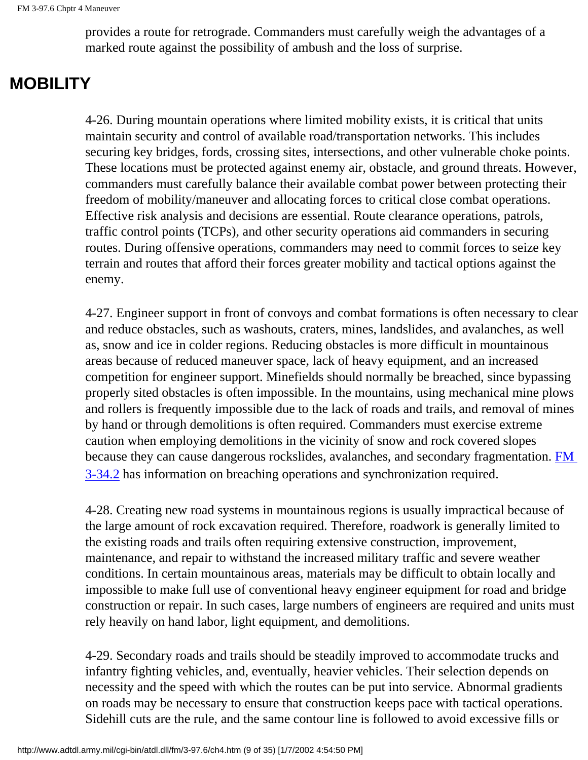provides a route for retrograde. Commanders must carefully weigh the advantages of a marked route against the possibility of ambush and the loss of surprise.

## **MOBILITY**

4-26. During mountain operations where limited mobility exists, it is critical that units maintain security and control of available road/transportation networks. This includes securing key bridges, fords, crossing sites, intersections, and other vulnerable choke points. These locations must be protected against enemy air, obstacle, and ground threats. However, commanders must carefully balance their available combat power between protecting their freedom of mobility/maneuver and allocating forces to critical close combat operations. Effective risk analysis and decisions are essential. Route clearance operations, patrols, traffic control points (TCPs), and other security operations aid commanders in securing routes. During offensive operations, commanders may need to commit forces to seize key terrain and routes that afford their forces greater mobility and tactical options against the enemy.

4-27. Engineer support in front of convoys and combat formations is often necessary to clear and reduce obstacles, such as washouts, craters, mines, landslides, and avalanches, as well as, snow and ice in colder regions. Reducing obstacles is more difficult in mountainous areas because of reduced maneuver space, lack of heavy equipment, and an increased competition for engineer support. Minefields should normally be breached, since bypassing properly sited obstacles is often impossible. In the mountains, using mechanical mine plows and rollers is frequently impossible due to the lack of roads and trails, and removal of mines by hand or through demolitions is often required. Commanders must exercise extreme caution when employing demolitions in the vicinity of snow and rock covered slopes because they can cause dangerous rockslides, avalanches, and secondary fragmentation. [FM](#page-145-0) [3-34.2](#page-145-0) has information on breaching operations and synchronization required.

4-28. Creating new road systems in mountainous regions is usually impractical because of the large amount of rock excavation required. Therefore, roadwork is generally limited to the existing roads and trails often requiring extensive construction, improvement, maintenance, and repair to withstand the increased military traffic and severe weather conditions. In certain mountainous areas, materials may be difficult to obtain locally and impossible to make full use of conventional heavy engineer equipment for road and bridge construction or repair. In such cases, large numbers of engineers are required and units must rely heavily on hand labor, light equipment, and demolitions.

4-29. Secondary roads and trails should be steadily improved to accommodate trucks and infantry fighting vehicles, and, eventually, heavier vehicles. Their selection depends on necessity and the speed with which the routes can be put into service. Abnormal gradients on roads may be necessary to ensure that construction keeps pace with tactical operations. Sidehill cuts are the rule, and the same contour line is followed to avoid excessive fills or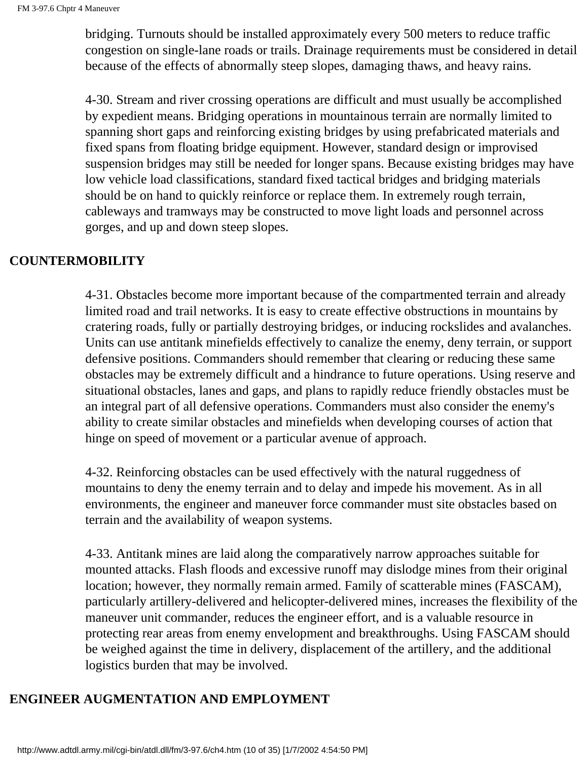bridging. Turnouts should be installed approximately every 500 meters to reduce traffic congestion on single-lane roads or trails. Drainage requirements must be considered in detail because of the effects of abnormally steep slopes, damaging thaws, and heavy rains.

4-30. Stream and river crossing operations are difficult and must usually be accomplished by expedient means. Bridging operations in mountainous terrain are normally limited to spanning short gaps and reinforcing existing bridges by using prefabricated materials and fixed spans from floating bridge equipment. However, standard design or improvised suspension bridges may still be needed for longer spans. Because existing bridges may have low vehicle load classifications, standard fixed tactical bridges and bridging materials should be on hand to quickly reinforce or replace them. In extremely rough terrain, cableways and tramways may be constructed to move light loads and personnel across gorges, and up and down steep slopes.

### **COUNTERMOBILITY**

4-31. Obstacles become more important because of the compartmented terrain and already limited road and trail networks. It is easy to create effective obstructions in mountains by cratering roads, fully or partially destroying bridges, or inducing rockslides and avalanches. Units can use antitank minefields effectively to canalize the enemy, deny terrain, or support defensive positions. Commanders should remember that clearing or reducing these same obstacles may be extremely difficult and a hindrance to future operations. Using reserve and situational obstacles, lanes and gaps, and plans to rapidly reduce friendly obstacles must be an integral part of all defensive operations. Commanders must also consider the enemy's ability to create similar obstacles and minefields when developing courses of action that hinge on speed of movement or a particular avenue of approach.

4-32. Reinforcing obstacles can be used effectively with the natural ruggedness of mountains to deny the enemy terrain and to delay and impede his movement. As in all environments, the engineer and maneuver force commander must site obstacles based on terrain and the availability of weapon systems.

4-33. Antitank mines are laid along the comparatively narrow approaches suitable for mounted attacks. Flash floods and excessive runoff may dislodge mines from their original location; however, they normally remain armed. Family of scatterable mines (FASCAM), particularly artillery-delivered and helicopter-delivered mines, increases the flexibility of the maneuver unit commander, reduces the engineer effort, and is a valuable resource in protecting rear areas from enemy envelopment and breakthroughs. Using FASCAM should be weighed against the time in delivery, displacement of the artillery, and the additional logistics burden that may be involved.

### **ENGINEER AUGMENTATION AND EMPLOYMENT**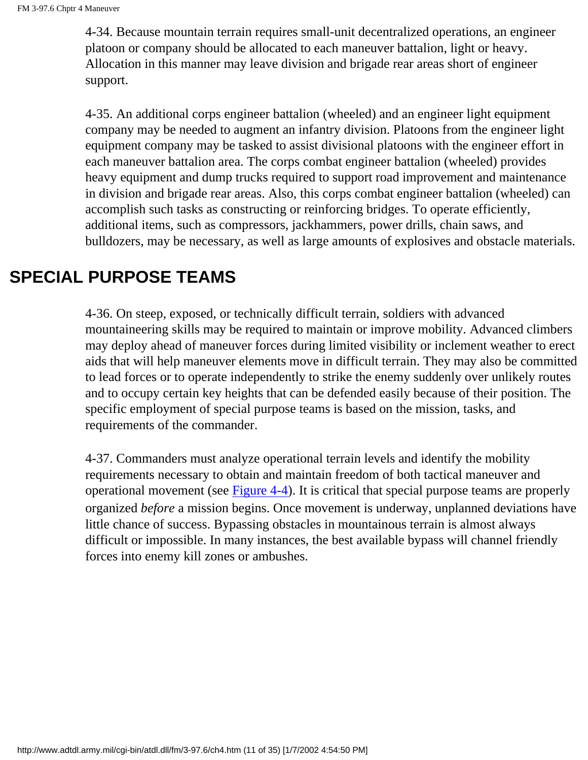4-34. Because mountain terrain requires small-unit decentralized operations, an engineer platoon or company should be allocated to each maneuver battalion, light or heavy. Allocation in this manner may leave division and brigade rear areas short of engineer support.

4-35. An additional corps engineer battalion (wheeled) and an engineer light equipment company may be needed to augment an infantry division. Platoons from the engineer light equipment company may be tasked to assist divisional platoons with the engineer effort in each maneuver battalion area. The corps combat engineer battalion (wheeled) provides heavy equipment and dump trucks required to support road improvement and maintenance in division and brigade rear areas. Also, this corps combat engineer battalion (wheeled) can accomplish such tasks as constructing or reinforcing bridges. To operate efficiently, additional items, such as compressors, jackhammers, power drills, chain saws, and bulldozers, may be necessary, as well as large amounts of explosives and obstacle materials.

## **SPECIAL PURPOSE TEAMS**

4-36. On steep, exposed, or technically difficult terrain, soldiers with advanced mountaineering skills may be required to maintain or improve mobility. Advanced climbers may deploy ahead of maneuver forces during limited visibility or inclement weather to erect aids that will help maneuver elements move in difficult terrain. They may also be committed to lead forces or to operate independently to strike the enemy suddenly over unlikely routes and to occupy certain key heights that can be defended easily because of their position. The specific employment of special purpose teams is based on the mission, tasks, and requirements of the commander.

4-37. Commanders must analyze operational terrain levels and identify the mobility requirements necessary to obtain and maintain freedom of both tactical maneuver and operational movement (see Figure 4-4). It is critical that special purpose teams are properly organized *before* a mission begins. Once movement is underway, unplanned deviations have little chance of success. Bypassing obstacles in mountainous terrain is almost always difficult or impossible. In many instances, the best available bypass will channel friendly forces into enemy kill zones or ambushes.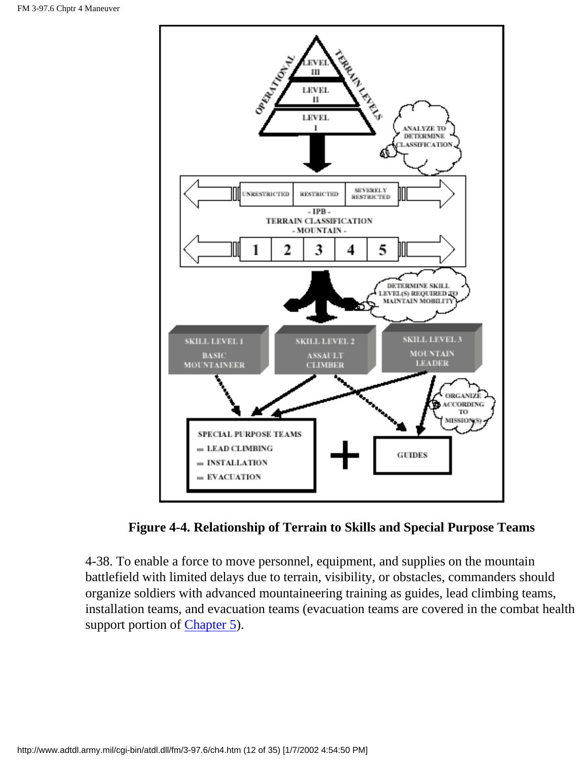

**Figure 4-4. Relationship of Terrain to Skills and Special Purpose Teams**

4-38. To enable a force to move personnel, equipment, and supplies on the mountain battlefield with limited delays due to terrain, visibility, or obstacles, commanders should organize soldiers with advanced mountaineering training as guides, lead climbing teams, installation teams, and evacuation teams (evacuation teams are covered in the combat health support portion of [Chapter 5](#page-106-0)).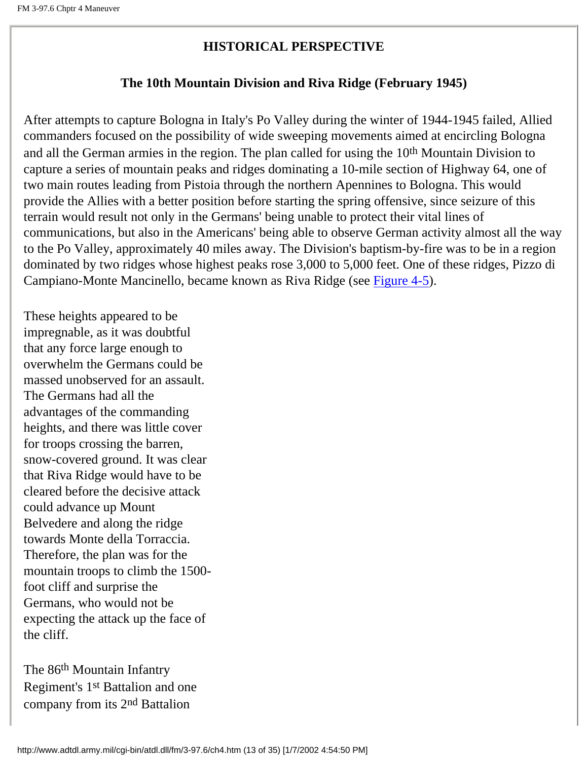### **HISTORICAL PERSPECTIVE**

#### **The 10th Mountain Division and Riva Ridge (February 1945)**

After attempts to capture Bologna in Italy's Po Valley during the winter of 1944-1945 failed, Allied commanders focused on the possibility of wide sweeping movements aimed at encircling Bologna and all the German armies in the region. The plan called for using the 10<sup>th</sup> Mountain Division to capture a series of mountain peaks and ridges dominating a 10-mile section of Highway 64, one of two main routes leading from Pistoia through the northern Apennines to Bologna. This would provide the Allies with a better position before starting the spring offensive, since seizure of this terrain would result not only in the Germans' being unable to protect their vital lines of communications, but also in the Americans' being able to observe German activity almost all the way to the Po Valley, approximately 40 miles away. The Division's baptism-by-fire was to be in a region dominated by two ridges whose highest peaks rose 3,000 to 5,000 feet. One of these ridges, Pizzo di Campiano-Monte Mancinello, became known as Riva Ridge (see Figure 4-5).

These heights appeared to be impregnable, as it was doubtful that any force large enough to overwhelm the Germans could be massed unobserved for an assault. The Germans had all the advantages of the commanding heights, and there was little cover for troops crossing the barren, snow-covered ground. It was clear that Riva Ridge would have to be cleared before the decisive attack could advance up Mount Belvedere and along the ridge towards Monte della Torraccia. Therefore, the plan was for the mountain troops to climb the 1500 foot cliff and surprise the Germans, who would not be expecting the attack up the face of the cliff.

The 86<sup>th</sup> Mountain Infantry Regiment's 1st Battalion and one company from its 2nd Battalion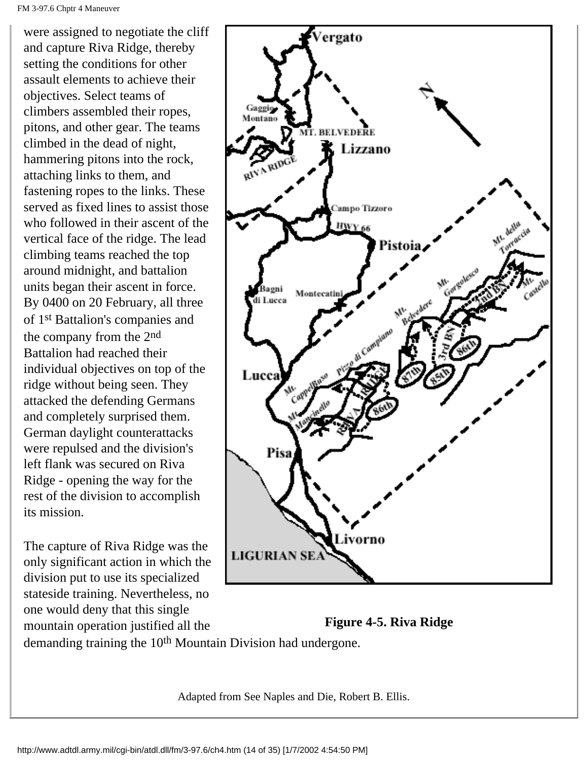were assigned to negotiate the cliff and capture Riva Ridge, thereby setting the conditions for other assault elements to achieve their objectives. Select teams of climbers assembled their ropes, pitons, and other gear. The teams climbed in the dead of night, hammering pitons into the rock, attaching links to them, and fastening ropes to the links. These served as fixed lines to assist those who followed in their ascent of the vertical face of the ridge. The lead climbing teams reached the top around midnight, and battalion units began their ascent in force. By 0400 on 20 February, all three of 1st Battalion's companies and the company from the 2nd Battalion had reached their individual objectives on top of the ridge without being seen. They attacked the defending Germans and completely surprised them. German daylight counterattacks were repulsed and the division's left flank was secured on Riva Ridge - opening the way for the rest of the division to accomplish its mission.

The capture of Riva Ridge was the only significant action in which the division put to use its specialized stateside training. Nevertheless, no one would deny that this single mountain operation justified all the



**Figure 4-5. Riva Ridge**

demanding training the 10<sup>th</sup> Mountain Division had undergone.

Adapted from See Naples and Die, Robert B. Ellis.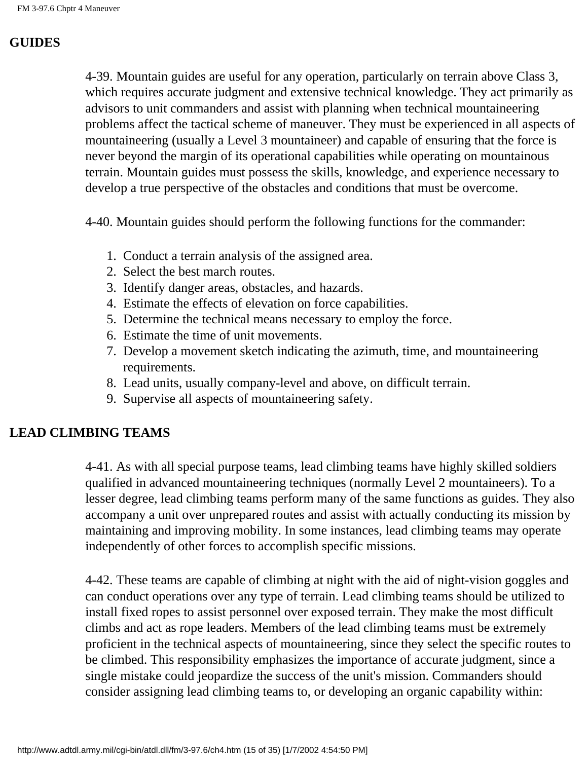### **GUIDES**

4-39. Mountain guides are useful for any operation, particularly on terrain above Class 3, which requires accurate judgment and extensive technical knowledge. They act primarily as advisors to unit commanders and assist with planning when technical mountaineering problems affect the tactical scheme of maneuver. They must be experienced in all aspects of mountaineering (usually a Level 3 mountaineer) and capable of ensuring that the force is never beyond the margin of its operational capabilities while operating on mountainous terrain. Mountain guides must possess the skills, knowledge, and experience necessary to develop a true perspective of the obstacles and conditions that must be overcome.

4-40. Mountain guides should perform the following functions for the commander:

- 1. Conduct a terrain analysis of the assigned area.
- 2. Select the best march routes.
- 3. Identify danger areas, obstacles, and hazards.
- 4. Estimate the effects of elevation on force capabilities.
- 5. Determine the technical means necessary to employ the force.
- 6. Estimate the time of unit movements.
- 7. Develop a movement sketch indicating the azimuth, time, and mountaineering requirements.
- 8. Lead units, usually company-level and above, on difficult terrain.
- 9. Supervise all aspects of mountaineering safety.

#### **LEAD CLIMBING TEAMS**

4-41. As with all special purpose teams, lead climbing teams have highly skilled soldiers qualified in advanced mountaineering techniques (normally Level 2 mountaineers). To a lesser degree, lead climbing teams perform many of the same functions as guides. They also accompany a unit over unprepared routes and assist with actually conducting its mission by maintaining and improving mobility. In some instances, lead climbing teams may operate independently of other forces to accomplish specific missions.

4-42. These teams are capable of climbing at night with the aid of night-vision goggles and can conduct operations over any type of terrain. Lead climbing teams should be utilized to install fixed ropes to assist personnel over exposed terrain. They make the most difficult climbs and act as rope leaders. Members of the lead climbing teams must be extremely proficient in the technical aspects of mountaineering, since they select the specific routes to be climbed. This responsibility emphasizes the importance of accurate judgment, since a single mistake could jeopardize the success of the unit's mission. Commanders should consider assigning lead climbing teams to, or developing an organic capability within: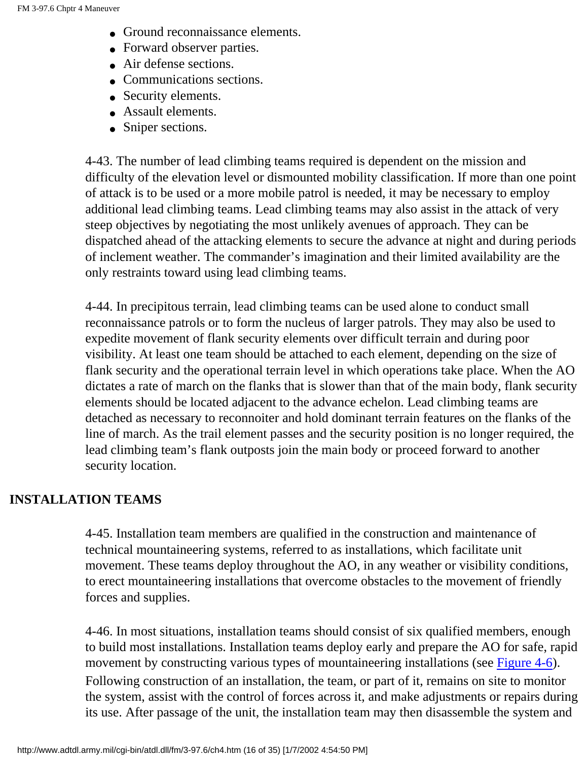- Ground reconnaissance elements.
- Forward observer parties.
- Air defense sections.
- Communications sections.
- Security elements.
- Assault elements.
- Sniper sections.

4-43. The number of lead climbing teams required is dependent on the mission and difficulty of the elevation level or dismounted mobility classification. If more than one point of attack is to be used or a more mobile patrol is needed, it may be necessary to employ additional lead climbing teams. Lead climbing teams may also assist in the attack of very steep objectives by negotiating the most unlikely avenues of approach. They can be dispatched ahead of the attacking elements to secure the advance at night and during periods of inclement weather. The commander's imagination and their limited availability are the only restraints toward using lead climbing teams.

4-44. In precipitous terrain, lead climbing teams can be used alone to conduct small reconnaissance patrols or to form the nucleus of larger patrols. They may also be used to expedite movement of flank security elements over difficult terrain and during poor visibility. At least one team should be attached to each element, depending on the size of flank security and the operational terrain level in which operations take place. When the AO dictates a rate of march on the flanks that is slower than that of the main body, flank security elements should be located adjacent to the advance echelon. Lead climbing teams are detached as necessary to reconnoiter and hold dominant terrain features on the flanks of the line of march. As the trail element passes and the security position is no longer required, the lead climbing team's flank outposts join the main body or proceed forward to another security location.

### **INSTALLATION TEAMS**

4-45. Installation team members are qualified in the construction and maintenance of technical mountaineering systems, referred to as installations, which facilitate unit movement. These teams deploy throughout the AO, in any weather or visibility conditions, to erect mountaineering installations that overcome obstacles to the movement of friendly forces and supplies.

4-46. In most situations, installation teams should consist of six qualified members, enough to build most installations. Installation teams deploy early and prepare the AO for safe, rapid movement by constructing various types of mountaineering installations (see Figure 4-6). Following construction of an installation, the team, or part of it, remains on site to monitor the system, assist with the control of forces across it, and make adjustments or repairs during its use. After passage of the unit, the installation team may then disassemble the system and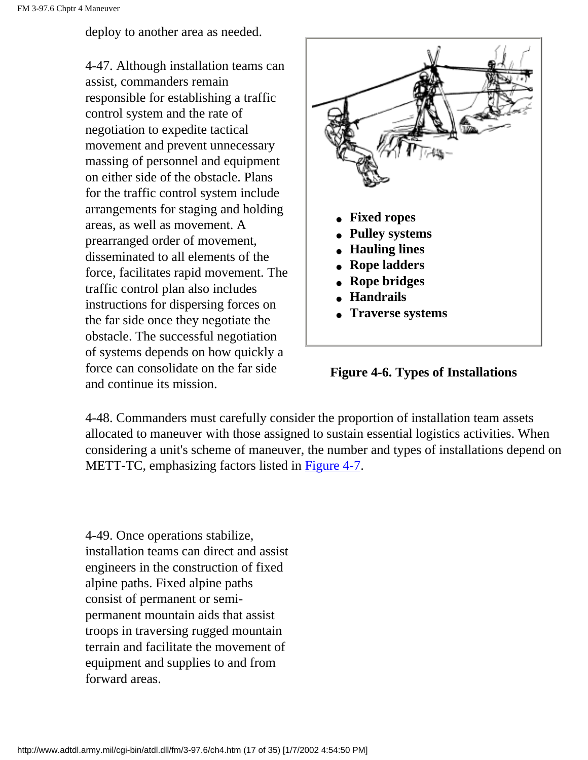deploy to another area as needed.

4-47. Although installation teams can assist, commanders remain responsible for establishing a traffic control system and the rate of negotiation to expedite tactical movement and prevent unnecessary massing of personnel and equipment on either side of the obstacle. Plans for the traffic control system include arrangements for staging and holding areas, as well as movement. A prearranged order of movement, disseminated to all elements of the force, facilitates rapid movement. The traffic control plan also includes instructions for dispersing forces on the far side once they negotiate the obstacle. The successful negotiation of systems depends on how quickly a force can consolidate on the far side and continue its mission.



**Figure 4-6. Types of Installations**

4-48. Commanders must carefully consider the proportion of installation team assets allocated to maneuver with those assigned to sustain essential logistics activities. When considering a unit's scheme of maneuver, the number and types of installations depend on METT-TC, emphasizing factors listed in Figure 4-7.

4-49. Once operations stabilize, installation teams can direct and assist engineers in the construction of fixed alpine paths. Fixed alpine paths consist of permanent or semipermanent mountain aids that assist troops in traversing rugged mountain terrain and facilitate the movement of equipment and supplies to and from forward areas.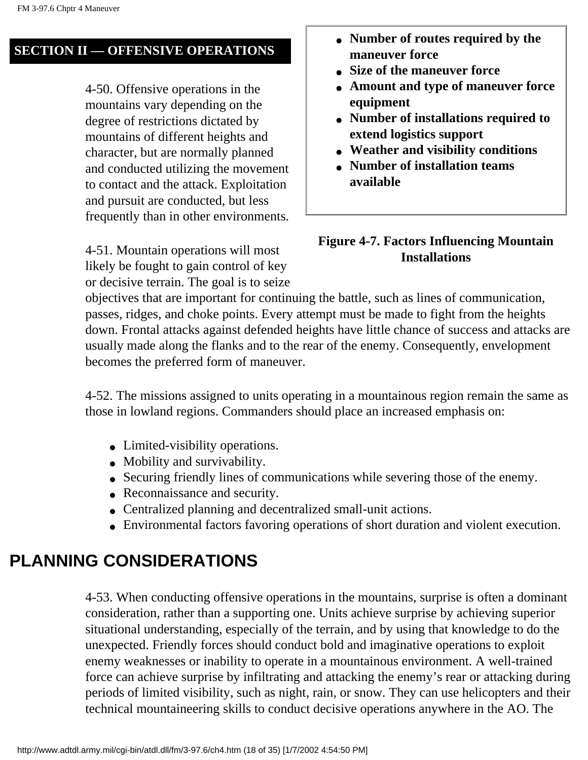### **SECTION II — OFFENSIVE OPERATIONS**

4-50. Offensive operations in the mountains vary depending on the degree of restrictions dictated by mountains of different heights and character, but are normally planned and conducted utilizing the movement to contact and the attack. Exploitation and pursuit are conducted, but less frequently than in other environments.

4-51. Mountain operations will most likely be fought to gain control of key or decisive terrain. The goal is to seize

- **Number of routes required by the maneuver force**
- **Size of the maneuver force**
- **Amount and type of maneuver force equipment**
- **Number of installations required to extend logistics support**
- **Weather and visibility conditions**
- **Number of installation teams available**

### **Figure 4-7. Factors Influencing Mountain Installations**

objectives that are important for continuing the battle, such as lines of communication, passes, ridges, and choke points. Every attempt must be made to fight from the heights down. Frontal attacks against defended heights have little chance of success and attacks are usually made along the flanks and to the rear of the enemy. Consequently, envelopment becomes the preferred form of maneuver.

4-52. The missions assigned to units operating in a mountainous region remain the same as those in lowland regions. Commanders should place an increased emphasis on:

- Limited-visibility operations.
- Mobility and survivability.
- Securing friendly lines of communications while severing those of the enemy.
- Reconnaissance and security.
- Centralized planning and decentralized small-unit actions.
- Environmental factors favoring operations of short duration and violent execution.

## **PLANNING CONSIDERATIONS**

4-53. When conducting offensive operations in the mountains, surprise is often a dominant consideration, rather than a supporting one. Units achieve surprise by achieving superior situational understanding, especially of the terrain, and by using that knowledge to do the unexpected. Friendly forces should conduct bold and imaginative operations to exploit enemy weaknesses or inability to operate in a mountainous environment. A well-trained force can achieve surprise by infiltrating and attacking the enemy's rear or attacking during periods of limited visibility, such as night, rain, or snow. They can use helicopters and their technical mountaineering skills to conduct decisive operations anywhere in the AO. The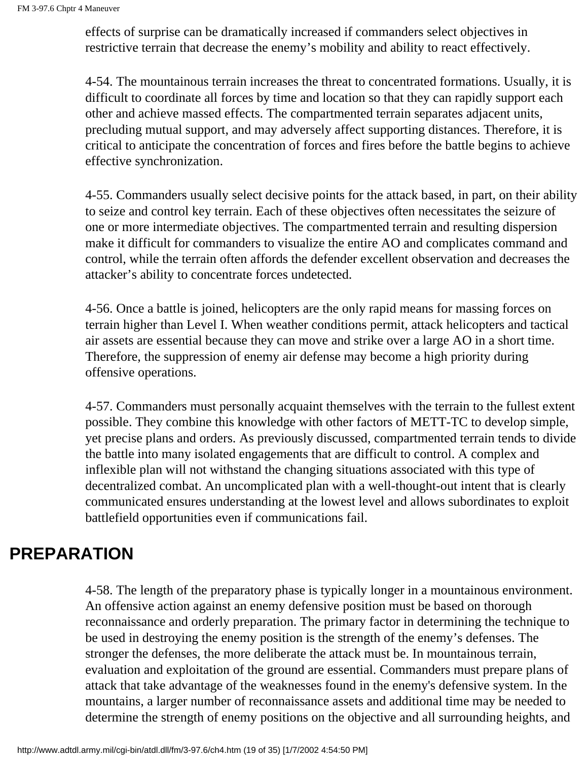effects of surprise can be dramatically increased if commanders select objectives in restrictive terrain that decrease the enemy's mobility and ability to react effectively.

4-54. The mountainous terrain increases the threat to concentrated formations. Usually, it is difficult to coordinate all forces by time and location so that they can rapidly support each other and achieve massed effects. The compartmented terrain separates adjacent units, precluding mutual support, and may adversely affect supporting distances. Therefore, it is critical to anticipate the concentration of forces and fires before the battle begins to achieve effective synchronization.

4-55. Commanders usually select decisive points for the attack based, in part, on their ability to seize and control key terrain. Each of these objectives often necessitates the seizure of one or more intermediate objectives. The compartmented terrain and resulting dispersion make it difficult for commanders to visualize the entire AO and complicates command and control, while the terrain often affords the defender excellent observation and decreases the attacker's ability to concentrate forces undetected.

4-56. Once a battle is joined, helicopters are the only rapid means for massing forces on terrain higher than Level I. When weather conditions permit, attack helicopters and tactical air assets are essential because they can move and strike over a large AO in a short time. Therefore, the suppression of enemy air defense may become a high priority during offensive operations.

4-57. Commanders must personally acquaint themselves with the terrain to the fullest extent possible. They combine this knowledge with other factors of METT-TC to develop simple, yet precise plans and orders. As previously discussed, compartmented terrain tends to divide the battle into many isolated engagements that are difficult to control. A complex and inflexible plan will not withstand the changing situations associated with this type of decentralized combat. An uncomplicated plan with a well-thought-out intent that is clearly communicated ensures understanding at the lowest level and allows subordinates to exploit battlefield opportunities even if communications fail.

## **PREPARATION**

4-58. The length of the preparatory phase is typically longer in a mountainous environment. An offensive action against an enemy defensive position must be based on thorough reconnaissance and orderly preparation. The primary factor in determining the technique to be used in destroying the enemy position is the strength of the enemy's defenses. The stronger the defenses, the more deliberate the attack must be. In mountainous terrain, evaluation and exploitation of the ground are essential. Commanders must prepare plans of attack that take advantage of the weaknesses found in the enemy's defensive system. In the mountains, a larger number of reconnaissance assets and additional time may be needed to determine the strength of enemy positions on the objective and all surrounding heights, and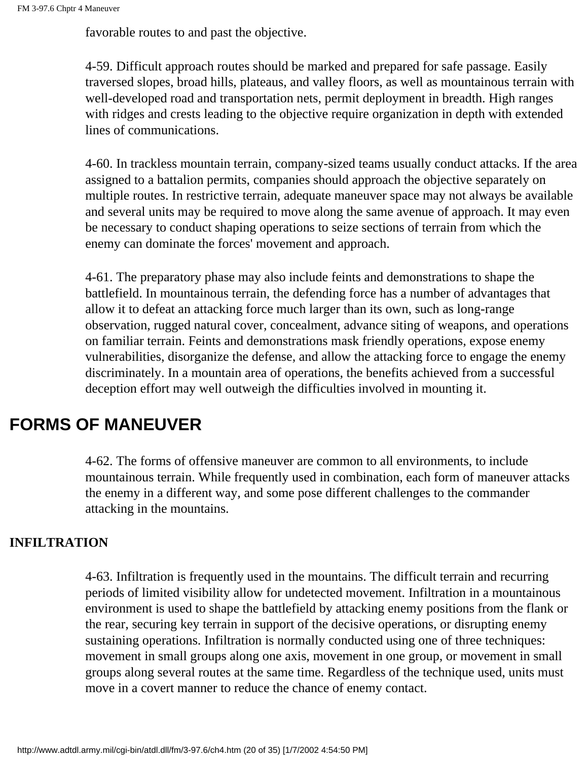favorable routes to and past the objective.

4-59. Difficult approach routes should be marked and prepared for safe passage. Easily traversed slopes, broad hills, plateaus, and valley floors, as well as mountainous terrain with well-developed road and transportation nets, permit deployment in breadth. High ranges with ridges and crests leading to the objective require organization in depth with extended lines of communications.

4-60. In trackless mountain terrain, company-sized teams usually conduct attacks. If the area assigned to a battalion permits, companies should approach the objective separately on multiple routes. In restrictive terrain, adequate maneuver space may not always be available and several units may be required to move along the same avenue of approach. It may even be necessary to conduct shaping operations to seize sections of terrain from which the enemy can dominate the forces' movement and approach.

4-61. The preparatory phase may also include feints and demonstrations to shape the battlefield. In mountainous terrain, the defending force has a number of advantages that allow it to defeat an attacking force much larger than its own, such as long-range observation, rugged natural cover, concealment, advance siting of weapons, and operations on familiar terrain. Feints and demonstrations mask friendly operations, expose enemy vulnerabilities, disorganize the defense, and allow the attacking force to engage the enemy discriminately. In a mountain area of operations, the benefits achieved from a successful deception effort may well outweigh the difficulties involved in mounting it.

## **FORMS OF MANEUVER**

4-62. The forms of offensive maneuver are common to all environments, to include mountainous terrain. While frequently used in combination, each form of maneuver attacks the enemy in a different way, and some pose different challenges to the commander attacking in the mountains.

#### **INFILTRATION**

4-63. Infiltration is frequently used in the mountains. The difficult terrain and recurring periods of limited visibility allow for undetected movement. Infiltration in a mountainous environment is used to shape the battlefield by attacking enemy positions from the flank or the rear, securing key terrain in support of the decisive operations, or disrupting enemy sustaining operations. Infiltration is normally conducted using one of three techniques: movement in small groups along one axis, movement in one group, or movement in small groups along several routes at the same time. Regardless of the technique used, units must move in a covert manner to reduce the chance of enemy contact.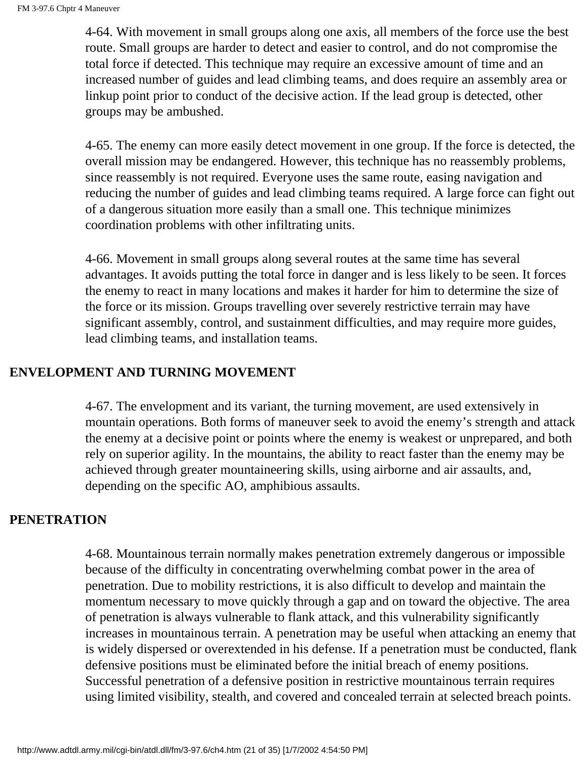4-64. With movement in small groups along one axis, all members of the force use the best route. Small groups are harder to detect and easier to control, and do not compromise the total force if detected. This technique may require an excessive amount of time and an increased number of guides and lead climbing teams, and does require an assembly area or linkup point prior to conduct of the decisive action. If the lead group is detected, other groups may be ambushed.

4-65. The enemy can more easily detect movement in one group. If the force is detected, the overall mission may be endangered. However, this technique has no reassembly problems, since reassembly is not required. Everyone uses the same route, easing navigation and reducing the number of guides and lead climbing teams required. A large force can fight out of a dangerous situation more easily than a small one. This technique minimizes coordination problems with other infiltrating units.

4-66. Movement in small groups along several routes at the same time has several advantages. It avoids putting the total force in danger and is less likely to be seen. It forces the enemy to react in many locations and makes it harder for him to determine the size of the force or its mission. Groups travelling over severely restrictive terrain may have significant assembly, control, and sustainment difficulties, and may require more guides, lead climbing teams, and installation teams.

#### **ENVELOPMENT AND TURNING MOVEMENT**

4-67. The envelopment and its variant, the turning movement, are used extensively in mountain operations. Both forms of maneuver seek to avoid the enemy's strength and attack the enemy at a decisive point or points where the enemy is weakest or unprepared, and both rely on superior agility. In the mountains, the ability to react faster than the enemy may be achieved through greater mountaineering skills, using airborne and air assaults, and, depending on the specific AO, amphibious assaults.

#### **PENETRATION**

4-68. Mountainous terrain normally makes penetration extremely dangerous or impossible because of the difficulty in concentrating overwhelming combat power in the area of penetration. Due to mobility restrictions, it is also difficult to develop and maintain the momentum necessary to move quickly through a gap and on toward the objective. The area of penetration is always vulnerable to flank attack, and this vulnerability significantly increases in mountainous terrain. A penetration may be useful when attacking an enemy that is widely dispersed or overextended in his defense. If a penetration must be conducted, flank defensive positions must be eliminated before the initial breach of enemy positions. Successful penetration of a defensive position in restrictive mountainous terrain requires using limited visibility, stealth, and covered and concealed terrain at selected breach points.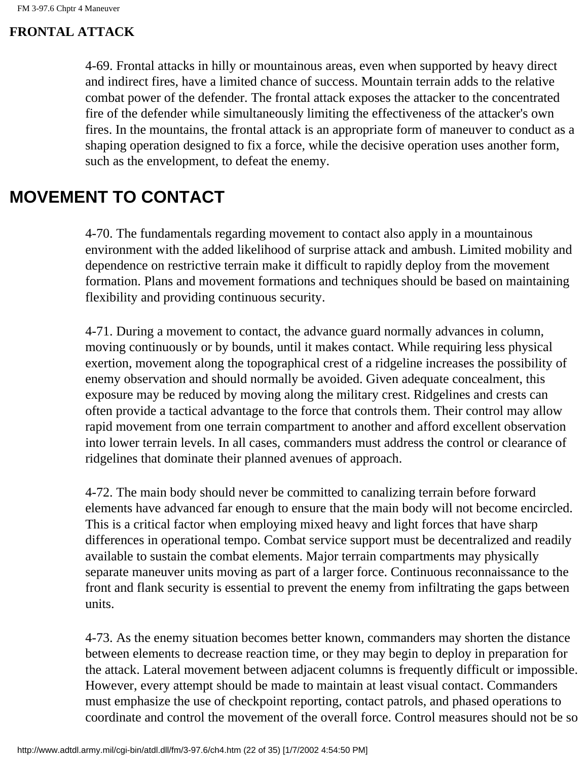### **FRONTAL ATTACK**

4-69. Frontal attacks in hilly or mountainous areas, even when supported by heavy direct and indirect fires, have a limited chance of success. Mountain terrain adds to the relative combat power of the defender. The frontal attack exposes the attacker to the concentrated fire of the defender while simultaneously limiting the effectiveness of the attacker's own fires. In the mountains, the frontal attack is an appropriate form of maneuver to conduct as a shaping operation designed to fix a force, while the decisive operation uses another form, such as the envelopment, to defeat the enemy.

## **MOVEMENT TO CONTACT**

4-70. The fundamentals regarding movement to contact also apply in a mountainous environment with the added likelihood of surprise attack and ambush. Limited mobility and dependence on restrictive terrain make it difficult to rapidly deploy from the movement formation. Plans and movement formations and techniques should be based on maintaining flexibility and providing continuous security.

4-71. During a movement to contact, the advance guard normally advances in column, moving continuously or by bounds, until it makes contact. While requiring less physical exertion, movement along the topographical crest of a ridgeline increases the possibility of enemy observation and should normally be avoided. Given adequate concealment, this exposure may be reduced by moving along the military crest. Ridgelines and crests can often provide a tactical advantage to the force that controls them. Their control may allow rapid movement from one terrain compartment to another and afford excellent observation into lower terrain levels. In all cases, commanders must address the control or clearance of ridgelines that dominate their planned avenues of approach.

4-72. The main body should never be committed to canalizing terrain before forward elements have advanced far enough to ensure that the main body will not become encircled. This is a critical factor when employing mixed heavy and light forces that have sharp differences in operational tempo. Combat service support must be decentralized and readily available to sustain the combat elements. Major terrain compartments may physically separate maneuver units moving as part of a larger force. Continuous reconnaissance to the front and flank security is essential to prevent the enemy from infiltrating the gaps between units.

4-73. As the enemy situation becomes better known, commanders may shorten the distance between elements to decrease reaction time, or they may begin to deploy in preparation for the attack. Lateral movement between adjacent columns is frequently difficult or impossible. However, every attempt should be made to maintain at least visual contact. Commanders must emphasize the use of checkpoint reporting, contact patrols, and phased operations to coordinate and control the movement of the overall force. Control measures should not be so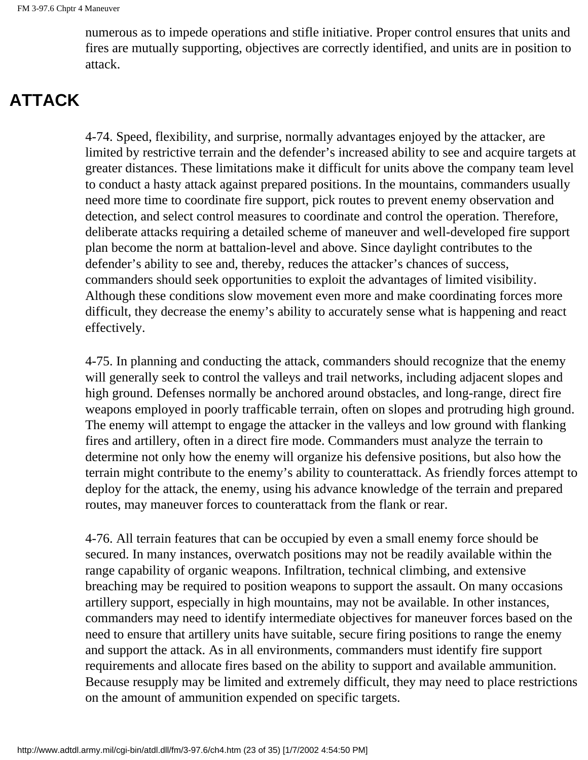numerous as to impede operations and stifle initiative. Proper control ensures that units and fires are mutually supporting, objectives are correctly identified, and units are in position to attack.

## **ATTACK**

4-74. Speed, flexibility, and surprise, normally advantages enjoyed by the attacker, are limited by restrictive terrain and the defender's increased ability to see and acquire targets at greater distances. These limitations make it difficult for units above the company team level to conduct a hasty attack against prepared positions. In the mountains, commanders usually need more time to coordinate fire support, pick routes to prevent enemy observation and detection, and select control measures to coordinate and control the operation. Therefore, deliberate attacks requiring a detailed scheme of maneuver and well-developed fire support plan become the norm at battalion-level and above. Since daylight contributes to the defender's ability to see and, thereby, reduces the attacker's chances of success, commanders should seek opportunities to exploit the advantages of limited visibility. Although these conditions slow movement even more and make coordinating forces more difficult, they decrease the enemy's ability to accurately sense what is happening and react effectively.

4-75. In planning and conducting the attack, commanders should recognize that the enemy will generally seek to control the valleys and trail networks, including adjacent slopes and high ground. Defenses normally be anchored around obstacles, and long-range, direct fire weapons employed in poorly trafficable terrain, often on slopes and protruding high ground. The enemy will attempt to engage the attacker in the valleys and low ground with flanking fires and artillery, often in a direct fire mode. Commanders must analyze the terrain to determine not only how the enemy will organize his defensive positions, but also how the terrain might contribute to the enemy's ability to counterattack. As friendly forces attempt to deploy for the attack, the enemy, using his advance knowledge of the terrain and prepared routes, may maneuver forces to counterattack from the flank or rear.

4-76. All terrain features that can be occupied by even a small enemy force should be secured. In many instances, overwatch positions may not be readily available within the range capability of organic weapons. Infiltration, technical climbing, and extensive breaching may be required to position weapons to support the assault. On many occasions artillery support, especially in high mountains, may not be available. In other instances, commanders may need to identify intermediate objectives for maneuver forces based on the need to ensure that artillery units have suitable, secure firing positions to range the enemy and support the attack. As in all environments, commanders must identify fire support requirements and allocate fires based on the ability to support and available ammunition. Because resupply may be limited and extremely difficult, they may need to place restrictions on the amount of ammunition expended on specific targets.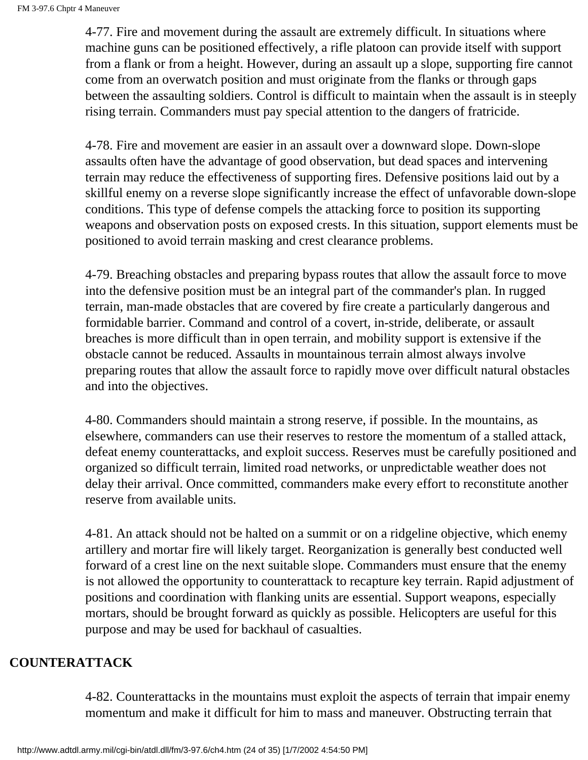4-77. Fire and movement during the assault are extremely difficult. In situations where machine guns can be positioned effectively, a rifle platoon can provide itself with support from a flank or from a height. However, during an assault up a slope, supporting fire cannot come from an overwatch position and must originate from the flanks or through gaps between the assaulting soldiers. Control is difficult to maintain when the assault is in steeply rising terrain. Commanders must pay special attention to the dangers of fratricide.

4-78. Fire and movement are easier in an assault over a downward slope. Down-slope assaults often have the advantage of good observation, but dead spaces and intervening terrain may reduce the effectiveness of supporting fires. Defensive positions laid out by a skillful enemy on a reverse slope significantly increase the effect of unfavorable down-slope conditions. This type of defense compels the attacking force to position its supporting weapons and observation posts on exposed crests. In this situation, support elements must be positioned to avoid terrain masking and crest clearance problems.

4-79. Breaching obstacles and preparing bypass routes that allow the assault force to move into the defensive position must be an integral part of the commander's plan. In rugged terrain, man-made obstacles that are covered by fire create a particularly dangerous and formidable barrier. Command and control of a covert, in-stride, deliberate, or assault breaches is more difficult than in open terrain, and mobility support is extensive if the obstacle cannot be reduced. Assaults in mountainous terrain almost always involve preparing routes that allow the assault force to rapidly move over difficult natural obstacles and into the objectives.

4-80. Commanders should maintain a strong reserve, if possible. In the mountains, as elsewhere, commanders can use their reserves to restore the momentum of a stalled attack, defeat enemy counterattacks, and exploit success. Reserves must be carefully positioned and organized so difficult terrain, limited road networks, or unpredictable weather does not delay their arrival. Once committed, commanders make every effort to reconstitute another reserve from available units.

4-81. An attack should not be halted on a summit or on a ridgeline objective, which enemy artillery and mortar fire will likely target. Reorganization is generally best conducted well forward of a crest line on the next suitable slope. Commanders must ensure that the enemy is not allowed the opportunity to counterattack to recapture key terrain. Rapid adjustment of positions and coordination with flanking units are essential. Support weapons, especially mortars, should be brought forward as quickly as possible. Helicopters are useful for this purpose and may be used for backhaul of casualties.

#### **COUNTERATTACK**

4-82. Counterattacks in the mountains must exploit the aspects of terrain that impair enemy momentum and make it difficult for him to mass and maneuver. Obstructing terrain that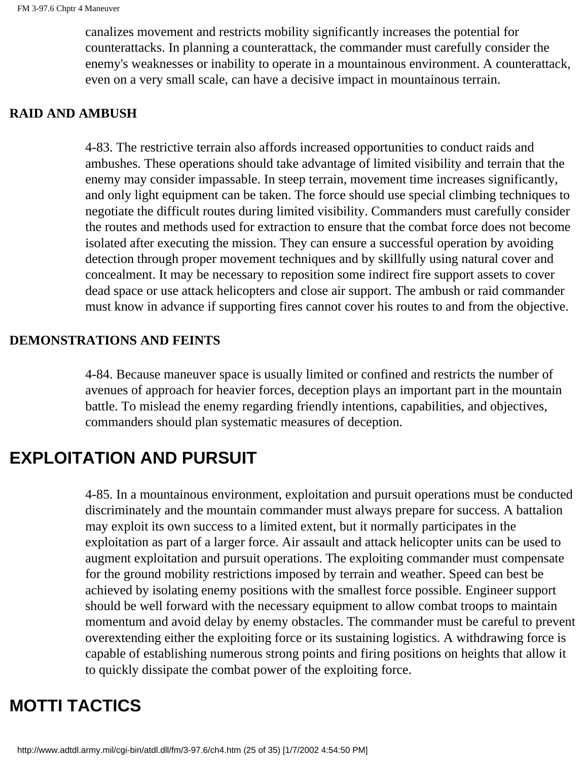canalizes movement and restricts mobility significantly increases the potential for counterattacks. In planning a counterattack, the commander must carefully consider the enemy's weaknesses or inability to operate in a mountainous environment. A counterattack, even on a very small scale, can have a decisive impact in mountainous terrain.

#### **RAID AND AMBUSH**

4-83. The restrictive terrain also affords increased opportunities to conduct raids and ambushes. These operations should take advantage of limited visibility and terrain that the enemy may consider impassable. In steep terrain, movement time increases significantly, and only light equipment can be taken. The force should use special climbing techniques to negotiate the difficult routes during limited visibility. Commanders must carefully consider the routes and methods used for extraction to ensure that the combat force does not become isolated after executing the mission. They can ensure a successful operation by avoiding detection through proper movement techniques and by skillfully using natural cover and concealment. It may be necessary to reposition some indirect fire support assets to cover dead space or use attack helicopters and close air support. The ambush or raid commander must know in advance if supporting fires cannot cover his routes to and from the objective.

#### **DEMONSTRATIONS AND FEINTS**

4-84. Because maneuver space is usually limited or confined and restricts the number of avenues of approach for heavier forces, deception plays an important part in the mountain battle. To mislead the enemy regarding friendly intentions, capabilities, and objectives, commanders should plan systematic measures of deception.

## **EXPLOITATION AND PURSUIT**

4-85. In a mountainous environment, exploitation and pursuit operations must be conducted discriminately and the mountain commander must always prepare for success. A battalion may exploit its own success to a limited extent, but it normally participates in the exploitation as part of a larger force. Air assault and attack helicopter units can be used to augment exploitation and pursuit operations. The exploiting commander must compensate for the ground mobility restrictions imposed by terrain and weather. Speed can best be achieved by isolating enemy positions with the smallest force possible. Engineer support should be well forward with the necessary equipment to allow combat troops to maintain momentum and avoid delay by enemy obstacles. The commander must be careful to prevent overextending either the exploiting force or its sustaining logistics. A withdrawing force is capable of establishing numerous strong points and firing positions on heights that allow it to quickly dissipate the combat power of the exploiting force.

## **MOTTI TACTICS**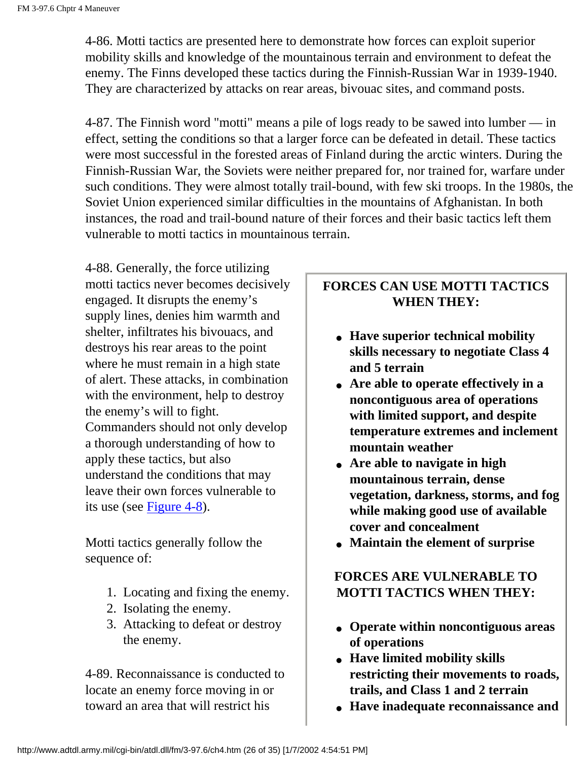4-86. Motti tactics are presented here to demonstrate how forces can exploit superior mobility skills and knowledge of the mountainous terrain and environment to defeat the enemy. The Finns developed these tactics during the Finnish-Russian War in 1939-1940. They are characterized by attacks on rear areas, bivouac sites, and command posts.

4-87. The Finnish word "motti" means a pile of logs ready to be sawed into lumber — in effect, setting the conditions so that a larger force can be defeated in detail. These tactics were most successful in the forested areas of Finland during the arctic winters. During the Finnish-Russian War, the Soviets were neither prepared for, nor trained for, warfare under such conditions. They were almost totally trail-bound, with few ski troops. In the 1980s, the Soviet Union experienced similar difficulties in the mountains of Afghanistan. In both instances, the road and trail-bound nature of their forces and their basic tactics left them vulnerable to motti tactics in mountainous terrain.

4-88. Generally, the force utilizing motti tactics never becomes decisively engaged. It disrupts the enemy's supply lines, denies him warmth and shelter, infiltrates his bivouacs, and destroys his rear areas to the point where he must remain in a high state of alert. These attacks, in combination with the environment, help to destroy the enemy's will to fight. Commanders should not only develop a thorough understanding of how to apply these tactics, but also understand the conditions that may leave their own forces vulnerable to its use (see Figure 4-8).

Motti tactics generally follow the sequence of:

- 1. Locating and fixing the enemy.
- 2. Isolating the enemy.
- 3. Attacking to defeat or destroy the enemy.

4-89. Reconnaissance is conducted to locate an enemy force moving in or toward an area that will restrict his

### **FORCES CAN USE MOTTI TACTICS WHEN THEY:**

- **Have superior technical mobility skills necessary to negotiate Class 4 and 5 terrain**
- **Are able to operate effectively in a noncontiguous area of operations with limited support, and despite temperature extremes and inclement mountain weather**
- **Are able to navigate in high mountainous terrain, dense vegetation, darkness, storms, and fog while making good use of available cover and concealment**
- **Maintain the element of surprise**

### **FORCES ARE VULNERABLE TO MOTTI TACTICS WHEN THEY:**

- **Operate within noncontiguous areas of operations**
- **Have limited mobility skills restricting their movements to roads, trails, and Class 1 and 2 terrain**
- **Have inadequate reconnaissance and**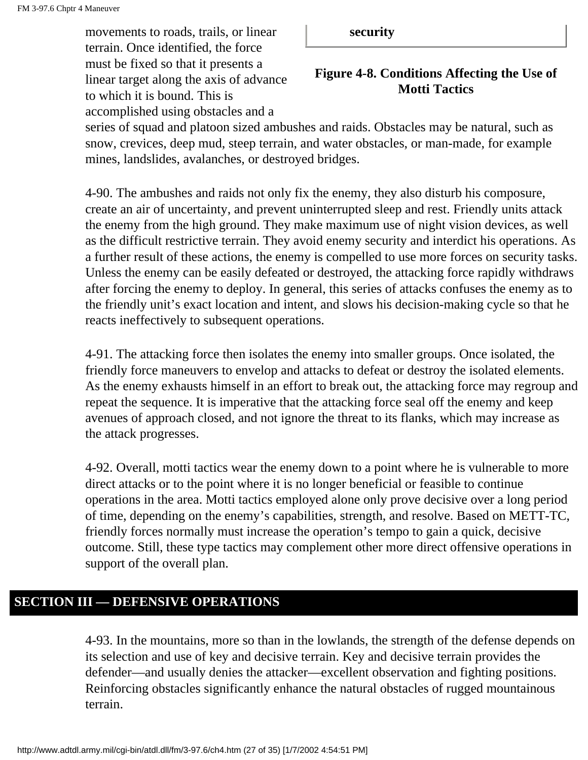movements to roads, trails, or linear terrain. Once identified, the force must be fixed so that it presents a linear target along the axis of advance to which it is bound. This is accomplished using obstacles and a

|  | security |
|--|----------|
|  |          |

### **Figure 4-8. Conditions Affecting the Use of Motti Tactics**

series of squad and platoon sized ambushes and raids. Obstacles may be natural, such as snow, crevices, deep mud, steep terrain, and water obstacles, or man-made, for example mines, landslides, avalanches, or destroyed bridges.

4-90. The ambushes and raids not only fix the enemy, they also disturb his composure, create an air of uncertainty, and prevent uninterrupted sleep and rest. Friendly units attack the enemy from the high ground. They make maximum use of night vision devices, as well as the difficult restrictive terrain. They avoid enemy security and interdict his operations. As a further result of these actions, the enemy is compelled to use more forces on security tasks. Unless the enemy can be easily defeated or destroyed, the attacking force rapidly withdraws after forcing the enemy to deploy. In general, this series of attacks confuses the enemy as to the friendly unit's exact location and intent, and slows his decision-making cycle so that he reacts ineffectively to subsequent operations.

4-91. The attacking force then isolates the enemy into smaller groups. Once isolated, the friendly force maneuvers to envelop and attacks to defeat or destroy the isolated elements. As the enemy exhausts himself in an effort to break out, the attacking force may regroup and repeat the sequence. It is imperative that the attacking force seal off the enemy and keep avenues of approach closed, and not ignore the threat to its flanks, which may increase as the attack progresses.

4-92. Overall, motti tactics wear the enemy down to a point where he is vulnerable to more direct attacks or to the point where it is no longer beneficial or feasible to continue operations in the area. Motti tactics employed alone only prove decisive over a long period of time, depending on the enemy's capabilities, strength, and resolve. Based on METT-TC, friendly forces normally must increase the operation's tempo to gain a quick, decisive outcome. Still, these type tactics may complement other more direct offensive operations in support of the overall plan.

### **SECTION III — DEFENSIVE OPERATIONS**

4-93. In the mountains, more so than in the lowlands, the strength of the defense depends on its selection and use of key and decisive terrain. Key and decisive terrain provides the defender—and usually denies the attacker—excellent observation and fighting positions. Reinforcing obstacles significantly enhance the natural obstacles of rugged mountainous terrain.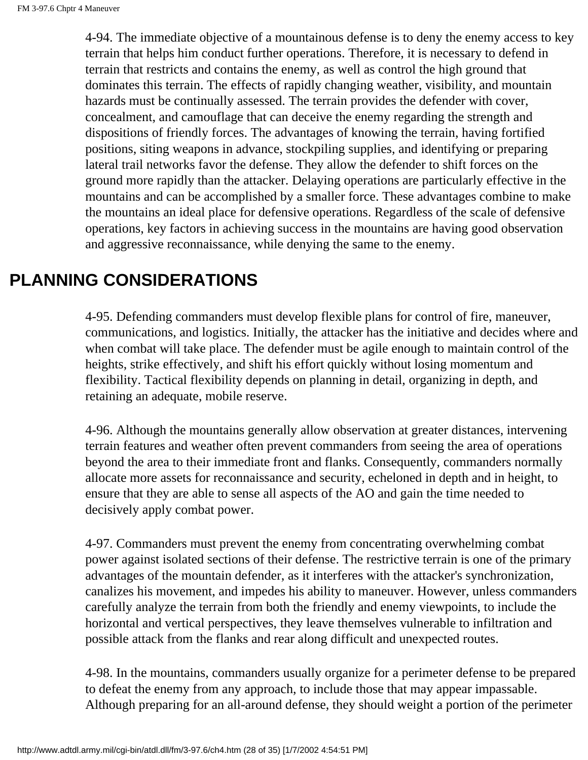4-94. The immediate objective of a mountainous defense is to deny the enemy access to key terrain that helps him conduct further operations. Therefore, it is necessary to defend in terrain that restricts and contains the enemy, as well as control the high ground that dominates this terrain. The effects of rapidly changing weather, visibility, and mountain hazards must be continually assessed. The terrain provides the defender with cover, concealment, and camouflage that can deceive the enemy regarding the strength and dispositions of friendly forces. The advantages of knowing the terrain, having fortified positions, siting weapons in advance, stockpiling supplies, and identifying or preparing lateral trail networks favor the defense. They allow the defender to shift forces on the ground more rapidly than the attacker. Delaying operations are particularly effective in the mountains and can be accomplished by a smaller force. These advantages combine to make the mountains an ideal place for defensive operations. Regardless of the scale of defensive operations, key factors in achieving success in the mountains are having good observation and aggressive reconnaissance, while denying the same to the enemy.

## <span id="page-98-0"></span>**PLANNING CONSIDERATIONS**

4-95. Defending commanders must develop flexible plans for control of fire, maneuver, communications, and logistics. Initially, the attacker has the initiative and decides where and when combat will take place. The defender must be agile enough to maintain control of the heights, strike effectively, and shift his effort quickly without losing momentum and flexibility. Tactical flexibility depends on planning in detail, organizing in depth, and retaining an adequate, mobile reserve.

4-96. Although the mountains generally allow observation at greater distances, intervening terrain features and weather often prevent commanders from seeing the area of operations beyond the area to their immediate front and flanks. Consequently, commanders normally allocate more assets for reconnaissance and security, echeloned in depth and in height, to ensure that they are able to sense all aspects of the AO and gain the time needed to decisively apply combat power.

4-97. Commanders must prevent the enemy from concentrating overwhelming combat power against isolated sections of their defense. The restrictive terrain is one of the primary advantages of the mountain defender, as it interferes with the attacker's synchronization, canalizes his movement, and impedes his ability to maneuver. However, unless commanders carefully analyze the terrain from both the friendly and enemy viewpoints, to include the horizontal and vertical perspectives, they leave themselves vulnerable to infiltration and possible attack from the flanks and rear along difficult and unexpected routes.

4-98. In the mountains, commanders usually organize for a perimeter defense to be prepared to defeat the enemy from any approach, to include those that may appear impassable. Although preparing for an all-around defense, they should weight a portion of the perimeter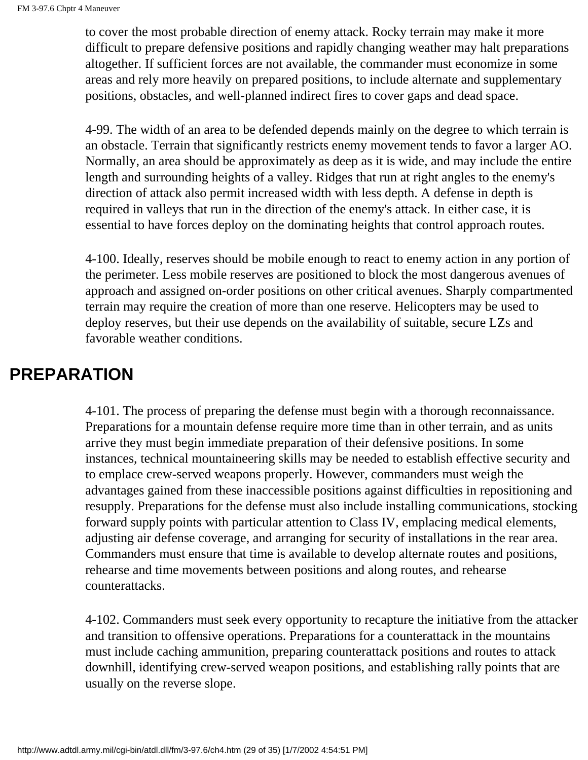to cover the most probable direction of enemy attack. Rocky terrain may make it more difficult to prepare defensive positions and rapidly changing weather may halt preparations altogether. If sufficient forces are not available, the commander must economize in some areas and rely more heavily on prepared positions, to include alternate and supplementary positions, obstacles, and well-planned indirect fires to cover gaps and dead space.

4-99. The width of an area to be defended depends mainly on the degree to which terrain is an obstacle. Terrain that significantly restricts enemy movement tends to favor a larger AO. Normally, an area should be approximately as deep as it is wide, and may include the entire length and surrounding heights of a valley. Ridges that run at right angles to the enemy's direction of attack also permit increased width with less depth. A defense in depth is required in valleys that run in the direction of the enemy's attack. In either case, it is essential to have forces deploy on the dominating heights that control approach routes.

4-100. Ideally, reserves should be mobile enough to react to enemy action in any portion of the perimeter. Less mobile reserves are positioned to block the most dangerous avenues of approach and assigned on-order positions on other critical avenues. Sharply compartmented terrain may require the creation of more than one reserve. Helicopters may be used to deploy reserves, but their use depends on the availability of suitable, secure LZs and favorable weather conditions.

## <span id="page-99-0"></span>**PREPARATION**

4-101. The process of preparing the defense must begin with a thorough reconnaissance. Preparations for a mountain defense require more time than in other terrain, and as units arrive they must begin immediate preparation of their defensive positions. In some instances, technical mountaineering skills may be needed to establish effective security and to emplace crew-served weapons properly. However, commanders must weigh the advantages gained from these inaccessible positions against difficulties in repositioning and resupply. Preparations for the defense must also include installing communications, stocking forward supply points with particular attention to Class IV, emplacing medical elements, adjusting air defense coverage, and arranging for security of installations in the rear area. Commanders must ensure that time is available to develop alternate routes and positions, rehearse and time movements between positions and along routes, and rehearse counterattacks.

<span id="page-99-1"></span>4-102. Commanders must seek every opportunity to recapture the initiative from the attacker and transition to offensive operations. Preparations for a counterattack in the mountains must include caching ammunition, preparing counterattack positions and routes to attack downhill, identifying crew-served weapon positions, and establishing rally points that are usually on the reverse slope.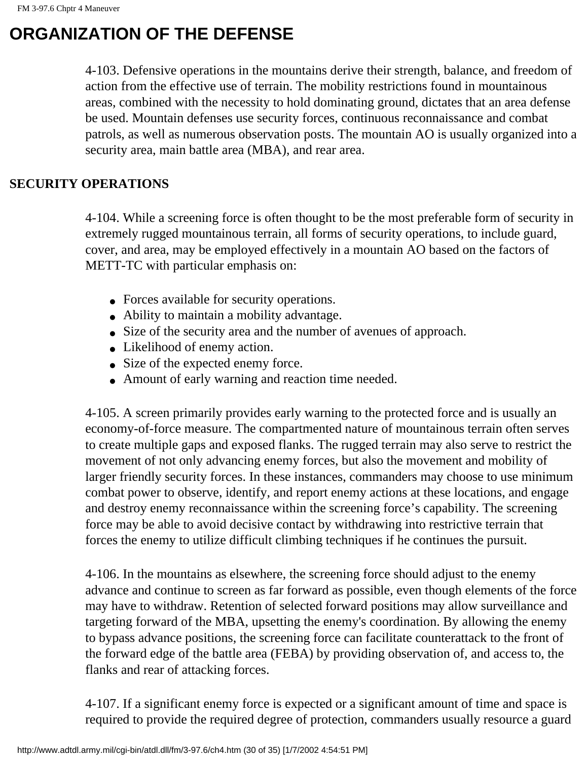## **ORGANIZATION OF THE DEFENSE**

4-103. Defensive operations in the mountains derive their strength, balance, and freedom of action from the effective use of terrain. The mobility restrictions found in mountainous areas, combined with the necessity to hold dominating ground, dictates that an area defense be used. Mountain defenses use security forces, continuous reconnaissance and combat patrols, as well as numerous observation posts. The mountain AO is usually organized into a security area, main battle area (MBA), and rear area.

### **SECURITY OPERATIONS**

4-104. While a screening force is often thought to be the most preferable form of security in extremely rugged mountainous terrain, all forms of security operations, to include guard, cover, and area, may be employed effectively in a mountain AO based on the factors of METT-TC with particular emphasis on:

- Forces available for security operations.
- Ability to maintain a mobility advantage.
- Size of the security area and the number of avenues of approach.
- Likelihood of enemy action.
- Size of the expected enemy force.
- Amount of early warning and reaction time needed.

4-105. A screen primarily provides early warning to the protected force and is usually an economy-of-force measure. The compartmented nature of mountainous terrain often serves to create multiple gaps and exposed flanks. The rugged terrain may also serve to restrict the movement of not only advancing enemy forces, but also the movement and mobility of larger friendly security forces. In these instances, commanders may choose to use minimum combat power to observe, identify, and report enemy actions at these locations, and engage and destroy enemy reconnaissance within the screening force's capability. The screening force may be able to avoid decisive contact by withdrawing into restrictive terrain that forces the enemy to utilize difficult climbing techniques if he continues the pursuit.

4-106. In the mountains as elsewhere, the screening force should adjust to the enemy advance and continue to screen as far forward as possible, even though elements of the force may have to withdraw. Retention of selected forward positions may allow surveillance and targeting forward of the MBA, upsetting the enemy's coordination. By allowing the enemy to bypass advance positions, the screening force can facilitate counterattack to the front of the forward edge of the battle area (FEBA) by providing observation of, and access to, the flanks and rear of attacking forces.

4-107. If a significant enemy force is expected or a significant amount of time and space is required to provide the required degree of protection, commanders usually resource a guard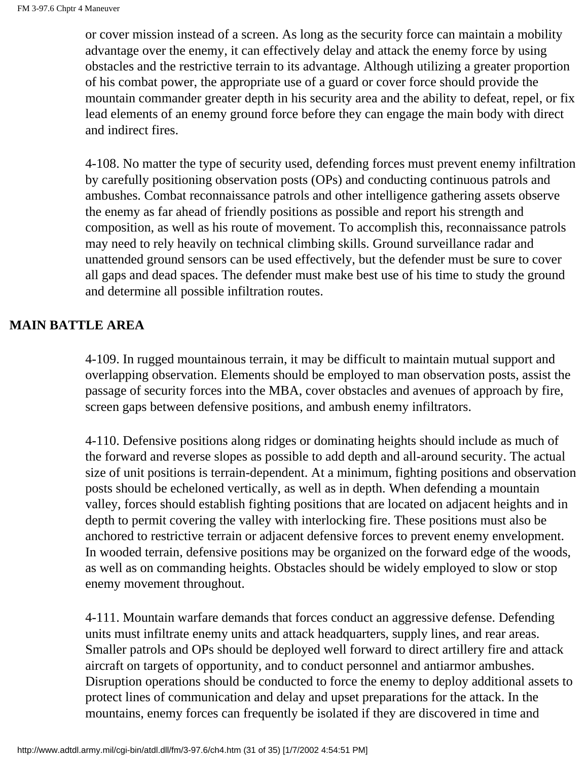or cover mission instead of a screen. As long as the security force can maintain a mobility advantage over the enemy, it can effectively delay and attack the enemy force by using obstacles and the restrictive terrain to its advantage. Although utilizing a greater proportion of his combat power, the appropriate use of a guard or cover force should provide the mountain commander greater depth in his security area and the ability to defeat, repel, or fix lead elements of an enemy ground force before they can engage the main body with direct and indirect fires.

4-108. No matter the type of security used, defending forces must prevent enemy infiltration by carefully positioning observation posts (OPs) and conducting continuous patrols and ambushes. Combat reconnaissance patrols and other intelligence gathering assets observe the enemy as far ahead of friendly positions as possible and report his strength and composition, as well as his route of movement. To accomplish this, reconnaissance patrols may need to rely heavily on technical climbing skills. Ground surveillance radar and unattended ground sensors can be used effectively, but the defender must be sure to cover all gaps and dead spaces. The defender must make best use of his time to study the ground and determine all possible infiltration routes.

#### **MAIN BATTLE AREA**

4-109. In rugged mountainous terrain, it may be difficult to maintain mutual support and overlapping observation. Elements should be employed to man observation posts, assist the passage of security forces into the MBA, cover obstacles and avenues of approach by fire, screen gaps between defensive positions, and ambush enemy infiltrators.

4-110. Defensive positions along ridges or dominating heights should include as much of the forward and reverse slopes as possible to add depth and all-around security. The actual size of unit positions is terrain-dependent. At a minimum, fighting positions and observation posts should be echeloned vertically, as well as in depth. When defending a mountain valley, forces should establish fighting positions that are located on adjacent heights and in depth to permit covering the valley with interlocking fire. These positions must also be anchored to restrictive terrain or adjacent defensive forces to prevent enemy envelopment. In wooded terrain, defensive positions may be organized on the forward edge of the woods, as well as on commanding heights. Obstacles should be widely employed to slow or stop enemy movement throughout.

4-111. Mountain warfare demands that forces conduct an aggressive defense. Defending units must infiltrate enemy units and attack headquarters, supply lines, and rear areas. Smaller patrols and OPs should be deployed well forward to direct artillery fire and attack aircraft on targets of opportunity, and to conduct personnel and antiarmor ambushes. Disruption operations should be conducted to force the enemy to deploy additional assets to protect lines of communication and delay and upset preparations for the attack. In the mountains, enemy forces can frequently be isolated if they are discovered in time and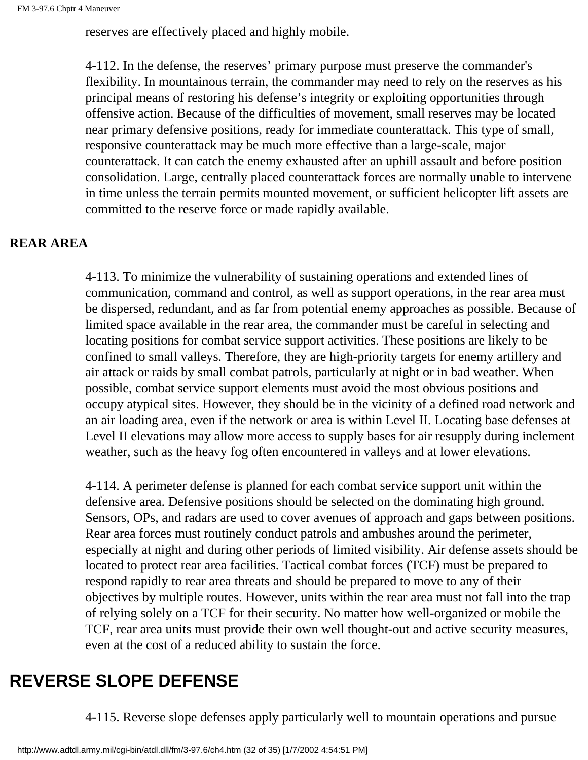reserves are effectively placed and highly mobile.

4-112. In the defense, the reserves' primary purpose must preserve the commander's flexibility. In mountainous terrain, the commander may need to rely on the reserves as his principal means of restoring his defense's integrity or exploiting opportunities through offensive action. Because of the difficulties of movement, small reserves may be located near primary defensive positions, ready for immediate counterattack. This type of small, responsive counterattack may be much more effective than a large-scale, major counterattack. It can catch the enemy exhausted after an uphill assault and before position consolidation. Large, centrally placed counterattack forces are normally unable to intervene in time unless the terrain permits mounted movement, or sufficient helicopter lift assets are committed to the reserve force or made rapidly available.

#### **REAR AREA**

4-113. To minimize the vulnerability of sustaining operations and extended lines of communication, command and control, as well as support operations, in the rear area must be dispersed, redundant, and as far from potential enemy approaches as possible. Because of limited space available in the rear area, the commander must be careful in selecting and locating positions for combat service support activities. These positions are likely to be confined to small valleys. Therefore, they are high-priority targets for enemy artillery and air attack or raids by small combat patrols, particularly at night or in bad weather. When possible, combat service support elements must avoid the most obvious positions and occupy atypical sites. However, they should be in the vicinity of a defined road network and an air loading area, even if the network or area is within Level II. Locating base defenses at Level II elevations may allow more access to supply bases for air resupply during inclement weather, such as the heavy fog often encountered in valleys and at lower elevations.

4-114. A perimeter defense is planned for each combat service support unit within the defensive area. Defensive positions should be selected on the dominating high ground. Sensors, OPs, and radars are used to cover avenues of approach and gaps between positions. Rear area forces must routinely conduct patrols and ambushes around the perimeter, especially at night and during other periods of limited visibility. Air defense assets should be located to protect rear area facilities. Tactical combat forces (TCF) must be prepared to respond rapidly to rear area threats and should be prepared to move to any of their objectives by multiple routes. However, units within the rear area must not fall into the trap of relying solely on a TCF for their security. No matter how well-organized or mobile the TCF, rear area units must provide their own well thought-out and active security measures, even at the cost of a reduced ability to sustain the force.

## <span id="page-102-0"></span>**REVERSE SLOPE DEFENSE**

4-115. Reverse slope defenses apply particularly well to mountain operations and pursue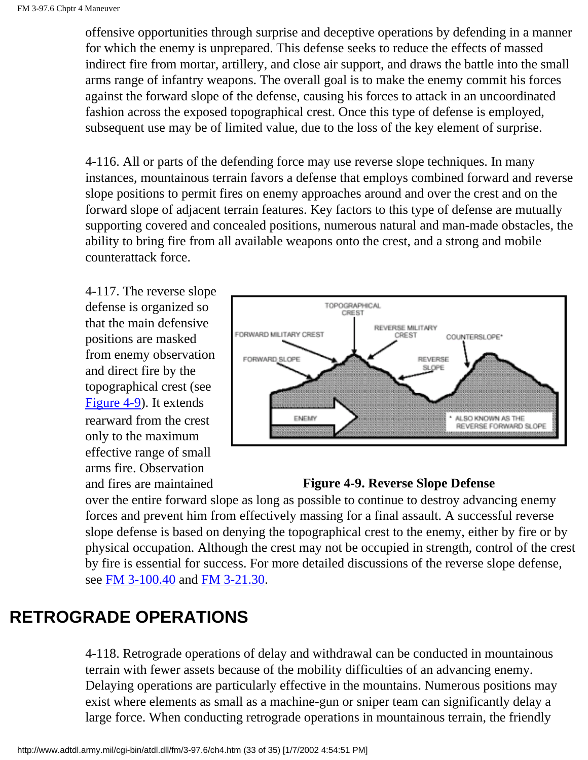offensive opportunities through surprise and deceptive operations by defending in a manner for which the enemy is unprepared. This defense seeks to reduce the effects of massed indirect fire from mortar, artillery, and close air support, and draws the battle into the small arms range of infantry weapons. The overall goal is to make the enemy commit his forces against the forward slope of the defense, causing his forces to attack in an uncoordinated fashion across the exposed topographical crest. Once this type of defense is employed, subsequent use may be of limited value, due to the loss of the key element of surprise.

4-116. All or parts of the defending force may use reverse slope techniques. In many instances, mountainous terrain favors a defense that employs combined forward and reverse slope positions to permit fires on enemy approaches around and over the crest and on the forward slope of adjacent terrain features. Key factors to this type of defense are mutually supporting covered and concealed positions, numerous natural and man-made obstacles, the ability to bring fire from all available weapons onto the crest, and a strong and mobile counterattack force.

4-117. The reverse slope defense is organized so that the main defensive positions are masked from enemy observation and direct fire by the topographical crest (see Figure 4-9). It extends rearward from the crest only to the maximum effective range of small arms fire. Observation and fires are maintained



#### **Figure 4-9. Reverse Slope Defense**

over the entire forward slope as long as possible to continue to destroy advancing enemy forces and prevent him from effectively massing for a final assault. A successful reverse slope defense is based on denying the topographical crest to the enemy, either by fire or by physical occupation. Although the crest may not be occupied in strength, control of the crest by fire is essential for success. For more detailed discussions of the reverse slope defense, see [FM 3-100.40](#page-146-0) and [FM 3-21.30.](#page-144-1)

## <span id="page-103-0"></span>**RETROGRADE OPERATIONS**

4-118. Retrograde operations of delay and withdrawal can be conducted in mountainous terrain with fewer assets because of the mobility difficulties of an advancing enemy. Delaying operations are particularly effective in the mountains. Numerous positions may exist where elements as small as a machine-gun or sniper team can significantly delay a large force. When conducting retrograde operations in mountainous terrain, the friendly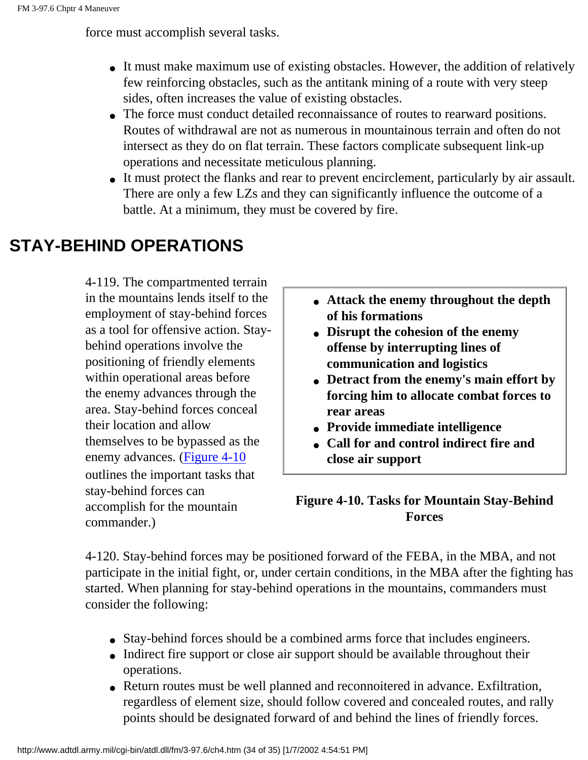force must accomplish several tasks.

- It must make maximum use of existing obstacles. However, the addition of relatively few reinforcing obstacles, such as the antitank mining of a route with very steep sides, often increases the value of existing obstacles.
- The force must conduct detailed reconnaissance of routes to rearward positions. Routes of withdrawal are not as numerous in mountainous terrain and often do not intersect as they do on flat terrain. These factors complicate subsequent link-up operations and necessitate meticulous planning.
- It must protect the flanks and rear to prevent encirclement, particularly by air assault. There are only a few LZs and they can significantly influence the outcome of a battle. At a minimum, they must be covered by fire.

## <span id="page-104-0"></span>**STAY-BEHIND OPERATIONS**

4-119. The compartmented terrain in the mountains lends itself to the employment of stay-behind forces as a tool for offensive action. Staybehind operations involve the positioning of friendly elements within operational areas before the enemy advances through the area. Stay-behind forces conceal their location and allow themselves to be bypassed as the enemy advances. (Figure 4-10 outlines the important tasks that stay-behind forces can accomplish for the mountain commander.)

- **Attack the enemy throughout the depth of his formations**
- **Disrupt the cohesion of the enemy offense by interrupting lines of communication and logistics**
- **Detract from the enemy's main effort by forcing him to allocate combat forces to rear areas**
- **Provide immediate intelligence**
- **Call for and control indirect fire and close air support**

### **Figure 4-10. Tasks for Mountain Stay-Behind Forces**

4-120. Stay-behind forces may be positioned forward of the FEBA, in the MBA, and not participate in the initial fight, or, under certain conditions, in the MBA after the fighting has started. When planning for stay-behind operations in the mountains, commanders must consider the following:

- Stay-behind forces should be a combined arms force that includes engineers.
- Indirect fire support or close air support should be available throughout their operations.
- Return routes must be well planned and reconnoitered in advance. Exfiltration, regardless of element size, should follow covered and concealed routes, and rally points should be designated forward of and behind the lines of friendly forces.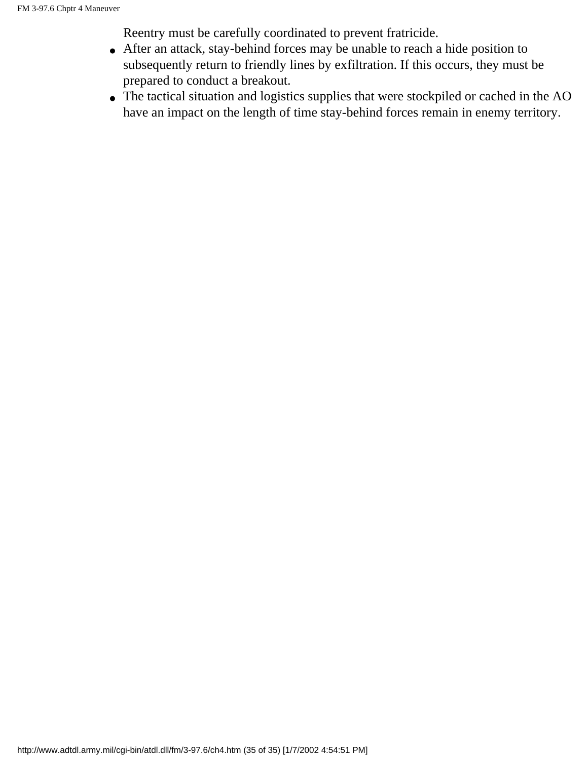Reentry must be carefully coordinated to prevent fratricide.

- After an attack, stay-behind forces may be unable to reach a hide position to subsequently return to friendly lines by exfiltration. If this occurs, they must be prepared to conduct a breakout.
- The tactical situation and logistics supplies that were stockpiled or cached in the AO have an impact on the length of time stay-behind forces remain in enemy territory.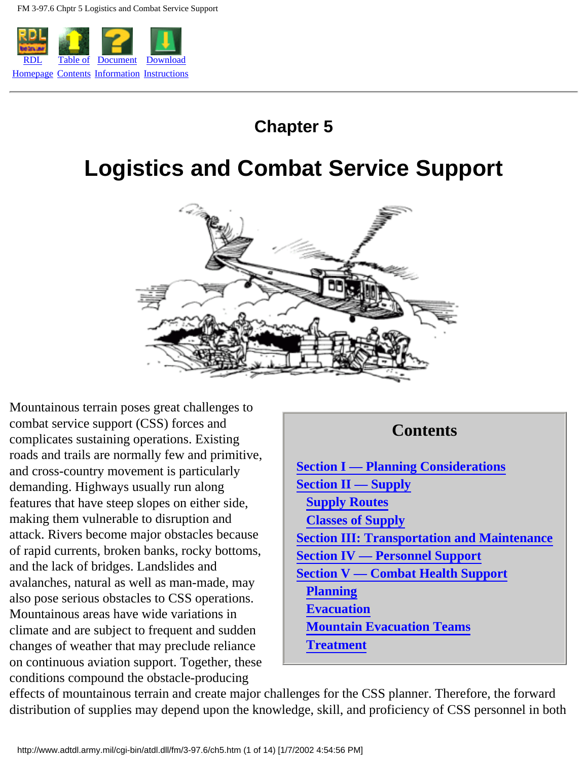<span id="page-106-0"></span>

## **Chapter 5**

# **Logistics and Combat Service Support**



Mountainous terrain poses great challenges to combat service support (CSS) forces and complicates sustaining operations. Existing roads and trails are normally few and primitive, and cross-country movement is particularly demanding. Highways usually run along features that have steep slopes on either side, making them vulnerable to disruption and attack. Rivers become major obstacles because of rapid currents, broken banks, rocky bottoms, and the lack of bridges. Landslides and avalanches, natural as well as man-made, may also pose serious obstacles to CSS operations. Mountainous areas have wide variations in climate and are subject to frequent and sudden changes of weather that may preclude reliance on continuous aviation support. Together, these conditions compound the obstacle-producing

## **Contents Section I — Planning Considerations Section II — Supply Supply Routes Classes of Supply Section III: Transportation and Maintenance Section IV — Personnel Support Section V — Combat Health Support Planning Evacuation Mountain Evacuation Teams Treatment**

effects of mountainous terrain and create major challenges for the CSS planner. Therefore, the forward distribution of supplies may depend upon the knowledge, skill, and proficiency of CSS personnel in both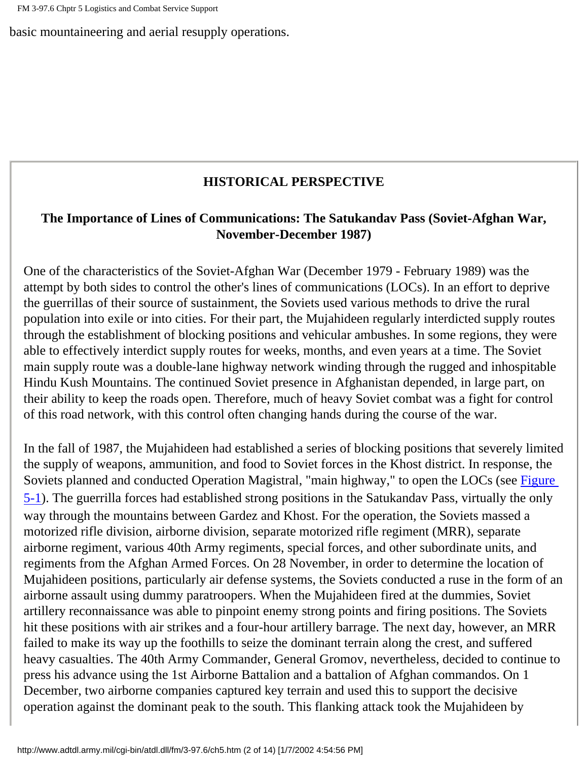basic mountaineering and aerial resupply operations.

### **HISTORICAL PERSPECTIVE**

### **The Importance of Lines of Communications: The Satukandav Pass (Soviet-Afghan War, November-December 1987)**

One of the characteristics of the Soviet-Afghan War (December 1979 - February 1989) was the attempt by both sides to control the other's lines of communications (LOCs). In an effort to deprive the guerrillas of their source of sustainment, the Soviets used various methods to drive the rural population into exile or into cities. For their part, the Mujahideen regularly interdicted supply routes through the establishment of blocking positions and vehicular ambushes. In some regions, they were able to effectively interdict supply routes for weeks, months, and even years at a time. The Soviet main supply route was a double-lane highway network winding through the rugged and inhospitable Hindu Kush Mountains. The continued Soviet presence in Afghanistan depended, in large part, on their ability to keep the roads open. Therefore, much of heavy Soviet combat was a fight for control of this road network, with this control often changing hands during the course of the war.

In the fall of 1987, the Mujahideen had established a series of blocking positions that severely limited the supply of weapons, ammunition, and food to Soviet forces in the Khost district. In response, the Soviets planned and conducted Operation Magistral, "main highway," to open the LOCs (see Figure 5-1). The guerrilla forces had established strong positions in the Satukandav Pass, virtually the only way through the mountains between Gardez and Khost. For the operation, the Soviets massed a motorized rifle division, airborne division, separate motorized rifle regiment (MRR), separate airborne regiment, various 40th Army regiments, special forces, and other subordinate units, and regiments from the Afghan Armed Forces. On 28 November, in order to determine the location of Mujahideen positions, particularly air defense systems, the Soviets conducted a ruse in the form of an airborne assault using dummy paratroopers. When the Mujahideen fired at the dummies, Soviet artillery reconnaissance was able to pinpoint enemy strong points and firing positions. The Soviets hit these positions with air strikes and a four-hour artillery barrage. The next day, however, an MRR failed to make its way up the foothills to seize the dominant terrain along the crest, and suffered heavy casualties. The 40th Army Commander, General Gromov, nevertheless, decided to continue to press his advance using the 1st Airborne Battalion and a battalion of Afghan commandos. On 1 December, two airborne companies captured key terrain and used this to support the decisive operation against the dominant peak to the south. This flanking attack took the Mujahideen by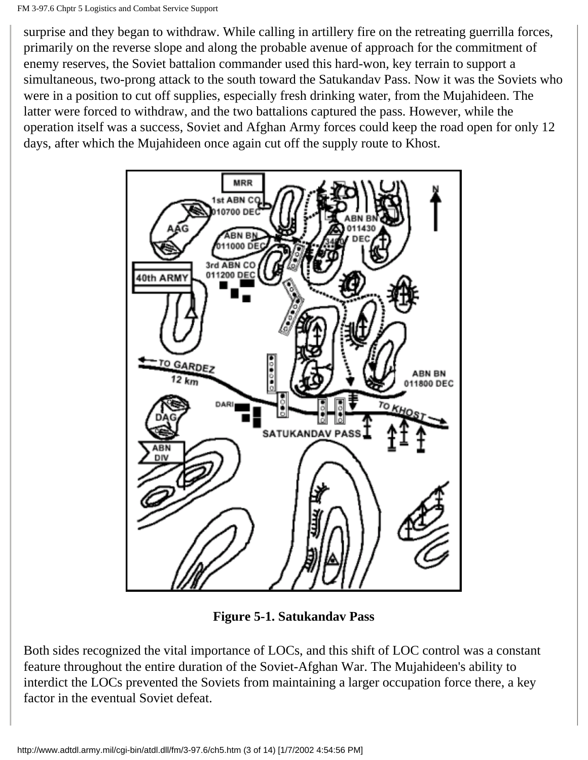#### FM 3-97.6 Chptr 5 Logistics and Combat Service Support

surprise and they began to withdraw. While calling in artillery fire on the retreating guerrilla forces, primarily on the reverse slope and along the probable avenue of approach for the commitment of enemy reserves, the Soviet battalion commander used this hard-won, key terrain to support a simultaneous, two-prong attack to the south toward the Satukandav Pass. Now it was the Soviets who were in a position to cut off supplies, especially fresh drinking water, from the Mujahideen. The latter were forced to withdraw, and the two battalions captured the pass. However, while the operation itself was a success, Soviet and Afghan Army forces could keep the road open for only 12 days, after which the Mujahideen once again cut off the supply route to Khost.



**Figure 5-1. Satukandav Pass**

Both sides recognized the vital importance of LOCs, and this shift of LOC control was a constant feature throughout the entire duration of the Soviet-Afghan War. The Mujahideen's ability to interdict the LOCs prevented the Soviets from maintaining a larger occupation force there, a key factor in the eventual Soviet defeat.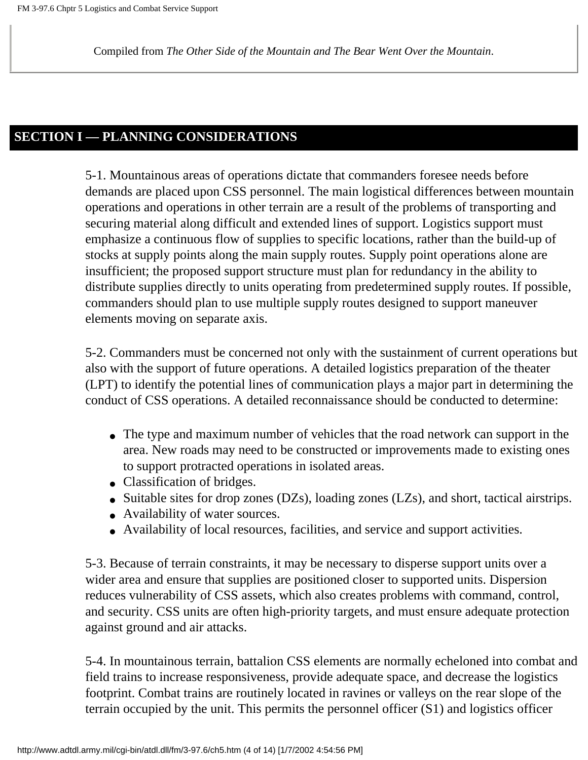Compiled from *The Other Side of the Mountain and The Bear Went Over the Mountain*.

#### **SECTION I — PLANNING CONSIDERATIONS**

5-1. Mountainous areas of operations dictate that commanders foresee needs before demands are placed upon CSS personnel. The main logistical differences between mountain operations and operations in other terrain are a result of the problems of transporting and securing material along difficult and extended lines of support. Logistics support must emphasize a continuous flow of supplies to specific locations, rather than the build-up of stocks at supply points along the main supply routes. Supply point operations alone are insufficient; the proposed support structure must plan for redundancy in the ability to distribute supplies directly to units operating from predetermined supply routes. If possible, commanders should plan to use multiple supply routes designed to support maneuver elements moving on separate axis.

5-2. Commanders must be concerned not only with the sustainment of current operations but also with the support of future operations. A detailed logistics preparation of the theater (LPT) to identify the potential lines of communication plays a major part in determining the conduct of CSS operations. A detailed reconnaissance should be conducted to determine:

- The type and maximum number of vehicles that the road network can support in the area. New roads may need to be constructed or improvements made to existing ones to support protracted operations in isolated areas.
- Classification of bridges.
- Suitable sites for drop zones (DZs), loading zones (LZs), and short, tactical airstrips.
- Availability of water sources.
- Availability of local resources, facilities, and service and support activities.

5-3. Because of terrain constraints, it may be necessary to disperse support units over a wider area and ensure that supplies are positioned closer to supported units. Dispersion reduces vulnerability of CSS assets, which also creates problems with command, control, and security. CSS units are often high-priority targets, and must ensure adequate protection against ground and air attacks.

5-4. In mountainous terrain, battalion CSS elements are normally echeloned into combat and field trains to increase responsiveness, provide adequate space, and decrease the logistics footprint. Combat trains are routinely located in ravines or valleys on the rear slope of the terrain occupied by the unit. This permits the personnel officer (S1) and logistics officer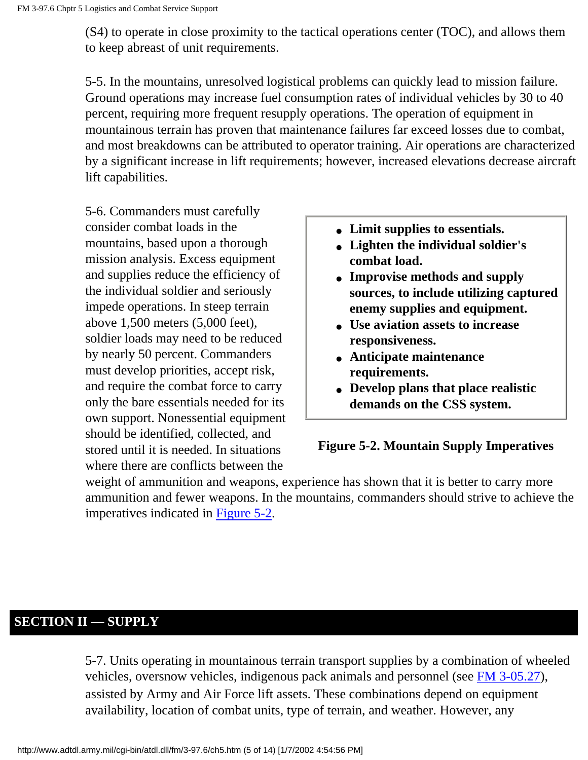(S4) to operate in close proximity to the tactical operations center (TOC), and allows them to keep abreast of unit requirements.

5-5. In the mountains, unresolved logistical problems can quickly lead to mission failure. Ground operations may increase fuel consumption rates of individual vehicles by 30 to 40 percent, requiring more frequent resupply operations. The operation of equipment in mountainous terrain has proven that maintenance failures far exceed losses due to combat, and most breakdowns can be attributed to operator training. Air operations are characterized by a significant increase in lift requirements; however, increased elevations decrease aircraft lift capabilities.

5-6. Commanders must carefully consider combat loads in the mountains, based upon a thorough mission analysis. Excess equipment and supplies reduce the efficiency of the individual soldier and seriously impede operations. In steep terrain above 1,500 meters (5,000 feet), soldier loads may need to be reduced by nearly 50 percent. Commanders must develop priorities, accept risk, and require the combat force to carry only the bare essentials needed for its own support. Nonessential equipment should be identified, collected, and stored until it is needed. In situations where there are conflicts between the

- **Limit supplies to essentials.**
- **Lighten the individual soldier's combat load.**
- **Improvise methods and supply sources, to include utilizing captured enemy supplies and equipment.**
- **Use aviation assets to increase responsiveness.**
- **Anticipate maintenance requirements.**
- **Develop plans that place realistic demands on the CSS system.**

#### **Figure 5-2. Mountain Supply Imperatives**

weight of ammunition and weapons, experience has shown that it is better to carry more ammunition and fewer weapons. In the mountains, commanders should strive to achieve the imperatives indicated in Figure 5-2.

### **SECTION II — SUPPLY**

5-7. Units operating in mountainous terrain transport supplies by a combination of wheeled vehicles, oversnow vehicles, indigenous pack animals and personnel (see [FM 3-05.27\)](#page-143-0), assisted by Army and Air Force lift assets. These combinations depend on equipment availability, location of combat units, type of terrain, and weather. However, any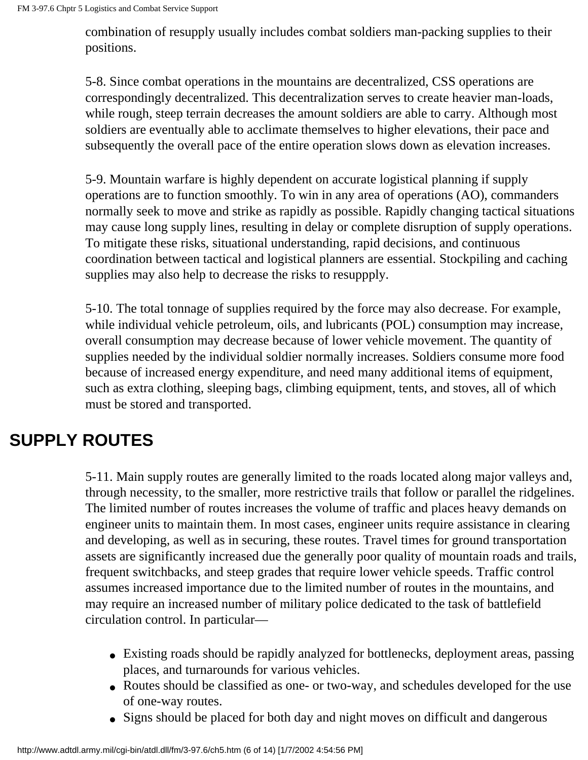combination of resupply usually includes combat soldiers man-packing supplies to their positions.

5-8. Since combat operations in the mountains are decentralized, CSS operations are correspondingly decentralized. This decentralization serves to create heavier man-loads, while rough, steep terrain decreases the amount soldiers are able to carry. Although most soldiers are eventually able to acclimate themselves to higher elevations, their pace and subsequently the overall pace of the entire operation slows down as elevation increases.

5-9. Mountain warfare is highly dependent on accurate logistical planning if supply operations are to function smoothly. To win in any area of operations (AO), commanders normally seek to move and strike as rapidly as possible. Rapidly changing tactical situations may cause long supply lines, resulting in delay or complete disruption of supply operations. To mitigate these risks, situational understanding, rapid decisions, and continuous coordination between tactical and logistical planners are essential. Stockpiling and caching supplies may also help to decrease the risks to resuppply.

5-10. The total tonnage of supplies required by the force may also decrease. For example, while individual vehicle petroleum, oils, and lubricants (POL) consumption may increase, overall consumption may decrease because of lower vehicle movement. The quantity of supplies needed by the individual soldier normally increases. Soldiers consume more food because of increased energy expenditure, and need many additional items of equipment, such as extra clothing, sleeping bags, climbing equipment, tents, and stoves, all of which must be stored and transported.

## **SUPPLY ROUTES**

5-11. Main supply routes are generally limited to the roads located along major valleys and, through necessity, to the smaller, more restrictive trails that follow or parallel the ridgelines. The limited number of routes increases the volume of traffic and places heavy demands on engineer units to maintain them. In most cases, engineer units require assistance in clearing and developing, as well as in securing, these routes. Travel times for ground transportation assets are significantly increased due the generally poor quality of mountain roads and trails, frequent switchbacks, and steep grades that require lower vehicle speeds. Traffic control assumes increased importance due to the limited number of routes in the mountains, and may require an increased number of military police dedicated to the task of battlefield circulation control. In particular—

- Existing roads should be rapidly analyzed for bottlenecks, deployment areas, passing places, and turnarounds for various vehicles.
- Routes should be classified as one- or two-way, and schedules developed for the use of one-way routes.
- Signs should be placed for both day and night moves on difficult and dangerous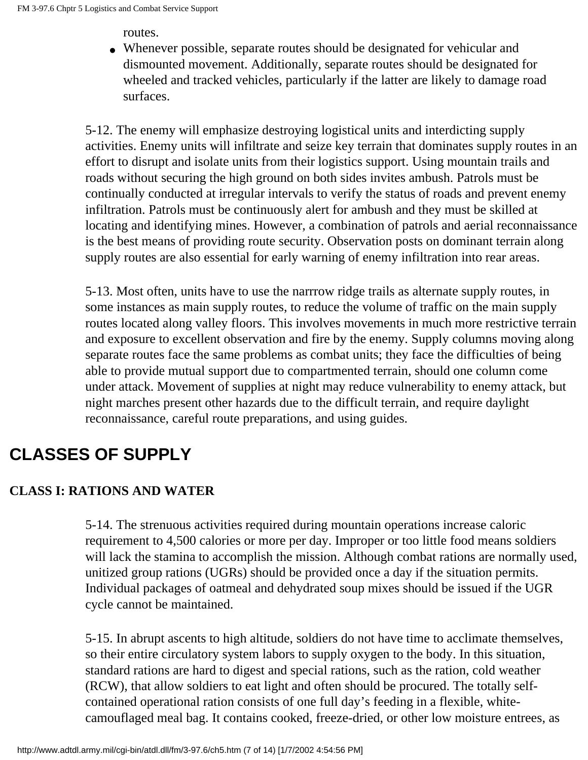routes.

• Whenever possible, separate routes should be designated for vehicular and dismounted movement. Additionally, separate routes should be designated for wheeled and tracked vehicles, particularly if the latter are likely to damage road surfaces.

5-12. The enemy will emphasize destroying logistical units and interdicting supply activities. Enemy units will infiltrate and seize key terrain that dominates supply routes in an effort to disrupt and isolate units from their logistics support. Using mountain trails and roads without securing the high ground on both sides invites ambush. Patrols must be continually conducted at irregular intervals to verify the status of roads and prevent enemy infiltration. Patrols must be continuously alert for ambush and they must be skilled at locating and identifying mines. However, a combination of patrols and aerial reconnaissance is the best means of providing route security. Observation posts on dominant terrain along supply routes are also essential for early warning of enemy infiltration into rear areas.

5-13. Most often, units have to use the narrrow ridge trails as alternate supply routes, in some instances as main supply routes, to reduce the volume of traffic on the main supply routes located along valley floors. This involves movements in much more restrictive terrain and exposure to excellent observation and fire by the enemy. Supply columns moving along separate routes face the same problems as combat units; they face the difficulties of being able to provide mutual support due to compartmented terrain, should one column come under attack. Movement of supplies at night may reduce vulnerability to enemy attack, but night marches present other hazards due to the difficult terrain, and require daylight reconnaissance, careful route preparations, and using guides.

## **CLASSES OF SUPPLY**

#### **CLASS I: RATIONS AND WATER**

5-14. The strenuous activities required during mountain operations increase caloric requirement to 4,500 calories or more per day. Improper or too little food means soldiers will lack the stamina to accomplish the mission. Although combat rations are normally used, unitized group rations (UGRs) should be provided once a day if the situation permits. Individual packages of oatmeal and dehydrated soup mixes should be issued if the UGR cycle cannot be maintained.

5-15. In abrupt ascents to high altitude, soldiers do not have time to acclimate themselves, so their entire circulatory system labors to supply oxygen to the body. In this situation, standard rations are hard to digest and special rations, such as the ration, cold weather (RCW), that allow soldiers to eat light and often should be procured. The totally selfcontained operational ration consists of one full day's feeding in a flexible, whitecamouflaged meal bag. It contains cooked, freeze-dried, or other low moisture entrees, as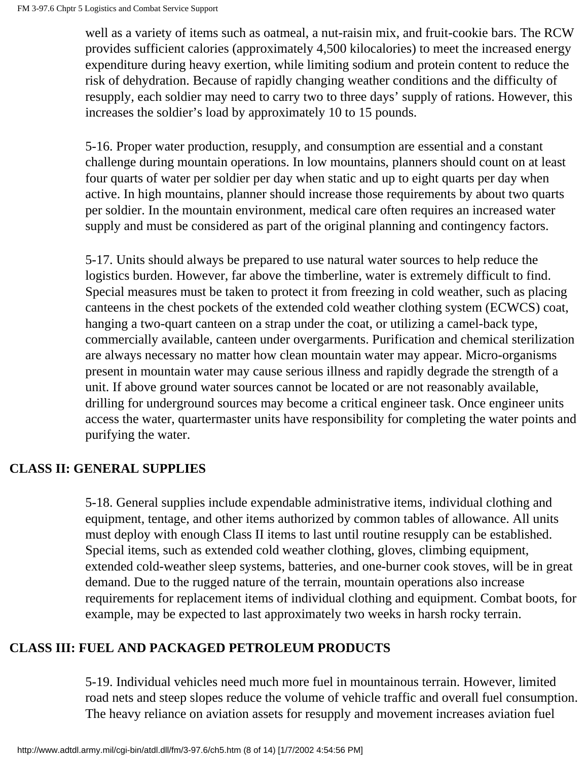well as a variety of items such as oatmeal, a nut-raisin mix, and fruit-cookie bars. The RCW provides sufficient calories (approximately 4,500 kilocalories) to meet the increased energy expenditure during heavy exertion, while limiting sodium and protein content to reduce the risk of dehydration. Because of rapidly changing weather conditions and the difficulty of resupply, each soldier may need to carry two to three days' supply of rations. However, this increases the soldier's load by approximately 10 to 15 pounds.

5-16. Proper water production, resupply, and consumption are essential and a constant challenge during mountain operations. In low mountains, planners should count on at least four quarts of water per soldier per day when static and up to eight quarts per day when active. In high mountains, planner should increase those requirements by about two quarts per soldier. In the mountain environment, medical care often requires an increased water supply and must be considered as part of the original planning and contingency factors.

5-17. Units should always be prepared to use natural water sources to help reduce the logistics burden. However, far above the timberline, water is extremely difficult to find. Special measures must be taken to protect it from freezing in cold weather, such as placing canteens in the chest pockets of the extended cold weather clothing system (ECWCS) coat, hanging a two-quart canteen on a strap under the coat, or utilizing a camel-back type, commercially available, canteen under overgarments. Purification and chemical sterilization are always necessary no matter how clean mountain water may appear. Micro-organisms present in mountain water may cause serious illness and rapidly degrade the strength of a unit. If above ground water sources cannot be located or are not reasonably available, drilling for underground sources may become a critical engineer task. Once engineer units access the water, quartermaster units have responsibility for completing the water points and purifying the water.

#### **CLASS II: GENERAL SUPPLIES**

5-18. General supplies include expendable administrative items, individual clothing and equipment, tentage, and other items authorized by common tables of allowance. All units must deploy with enough Class II items to last until routine resupply can be established. Special items, such as extended cold weather clothing, gloves, climbing equipment, extended cold-weather sleep systems, batteries, and one-burner cook stoves, will be in great demand. Due to the rugged nature of the terrain, mountain operations also increase requirements for replacement items of individual clothing and equipment. Combat boots, for example, may be expected to last approximately two weeks in harsh rocky terrain.

#### **CLASS III: FUEL AND PACKAGED PETROLEUM PRODUCTS**

5-19. Individual vehicles need much more fuel in mountainous terrain. However, limited road nets and steep slopes reduce the volume of vehicle traffic and overall fuel consumption. The heavy reliance on aviation assets for resupply and movement increases aviation fuel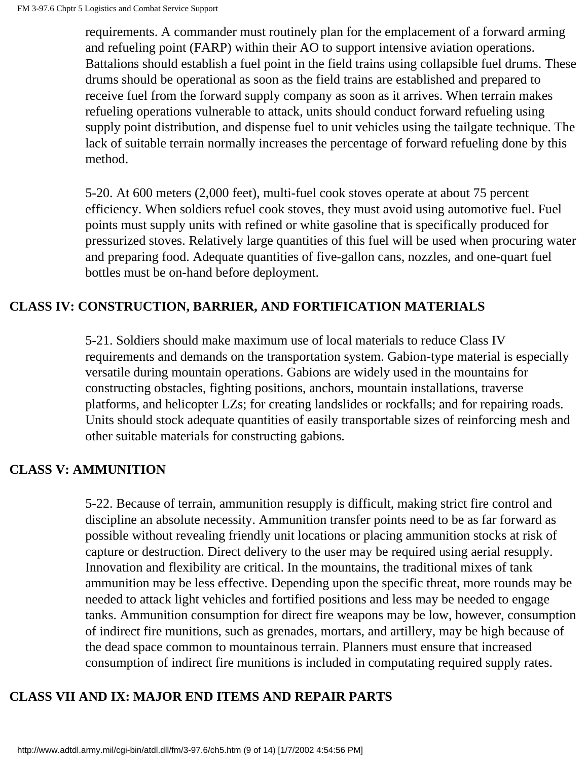requirements. A commander must routinely plan for the emplacement of a forward arming and refueling point (FARP) within their AO to support intensive aviation operations. Battalions should establish a fuel point in the field trains using collapsible fuel drums. These drums should be operational as soon as the field trains are established and prepared to receive fuel from the forward supply company as soon as it arrives. When terrain makes refueling operations vulnerable to attack, units should conduct forward refueling using supply point distribution, and dispense fuel to unit vehicles using the tailgate technique. The lack of suitable terrain normally increases the percentage of forward refueling done by this method.

5-20. At 600 meters (2,000 feet), multi-fuel cook stoves operate at about 75 percent efficiency. When soldiers refuel cook stoves, they must avoid using automotive fuel. Fuel points must supply units with refined or white gasoline that is specifically produced for pressurized stoves. Relatively large quantities of this fuel will be used when procuring water and preparing food. Adequate quantities of five-gallon cans, nozzles, and one-quart fuel bottles must be on-hand before deployment.

#### **CLASS IV: CONSTRUCTION, BARRIER, AND FORTIFICATION MATERIALS**

5-21. Soldiers should make maximum use of local materials to reduce Class IV requirements and demands on the transportation system. Gabion-type material is especially versatile during mountain operations. Gabions are widely used in the mountains for constructing obstacles, fighting positions, anchors, mountain installations, traverse platforms, and helicopter LZs; for creating landslides or rockfalls; and for repairing roads. Units should stock adequate quantities of easily transportable sizes of reinforcing mesh and other suitable materials for constructing gabions.

#### **CLASS V: AMMUNITION**

5-22. Because of terrain, ammunition resupply is difficult, making strict fire control and discipline an absolute necessity. Ammunition transfer points need to be as far forward as possible without revealing friendly unit locations or placing ammunition stocks at risk of capture or destruction. Direct delivery to the user may be required using aerial resupply. Innovation and flexibility are critical. In the mountains, the traditional mixes of tank ammunition may be less effective. Depending upon the specific threat, more rounds may be needed to attack light vehicles and fortified positions and less may be needed to engage tanks. Ammunition consumption for direct fire weapons may be low, however, consumption of indirect fire munitions, such as grenades, mortars, and artillery, may be high because of the dead space common to mountainous terrain. Planners must ensure that increased consumption of indirect fire munitions is included in computating required supply rates.

#### **CLASS VII AND IX: MAJOR END ITEMS AND REPAIR PARTS**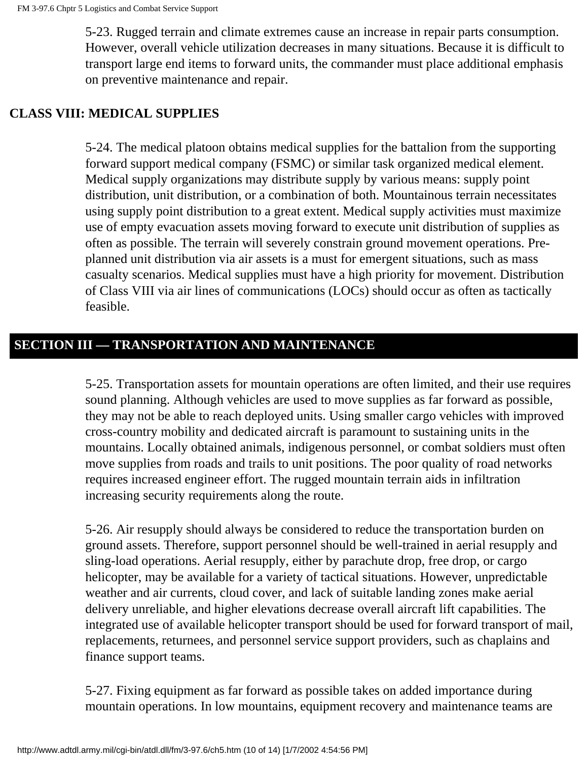5-23. Rugged terrain and climate extremes cause an increase in repair parts consumption. However, overall vehicle utilization decreases in many situations. Because it is difficult to transport large end items to forward units, the commander must place additional emphasis on preventive maintenance and repair.

#### **CLASS VIII: MEDICAL SUPPLIES**

5-24. The medical platoon obtains medical supplies for the battalion from the supporting forward support medical company (FSMC) or similar task organized medical element. Medical supply organizations may distribute supply by various means: supply point distribution, unit distribution, or a combination of both. Mountainous terrain necessitates using supply point distribution to a great extent. Medical supply activities must maximize use of empty evacuation assets moving forward to execute unit distribution of supplies as often as possible. The terrain will severely constrain ground movement operations. Preplanned unit distribution via air assets is a must for emergent situations, such as mass casualty scenarios. Medical supplies must have a high priority for movement. Distribution of Class VIII via air lines of communications (LOCs) should occur as often as tactically feasible.

### **SECTION III — TRANSPORTATION AND MAINTENANCE**

5-25. Transportation assets for mountain operations are often limited, and their use requires sound planning. Although vehicles are used to move supplies as far forward as possible, they may not be able to reach deployed units. Using smaller cargo vehicles with improved cross-country mobility and dedicated aircraft is paramount to sustaining units in the mountains. Locally obtained animals, indigenous personnel, or combat soldiers must often move supplies from roads and trails to unit positions. The poor quality of road networks requires increased engineer effort. The rugged mountain terrain aids in infiltration increasing security requirements along the route.

5-26. Air resupply should always be considered to reduce the transportation burden on ground assets. Therefore, support personnel should be well-trained in aerial resupply and sling-load operations. Aerial resupply, either by parachute drop, free drop, or cargo helicopter, may be available for a variety of tactical situations. However, unpredictable weather and air currents, cloud cover, and lack of suitable landing zones make aerial delivery unreliable, and higher elevations decrease overall aircraft lift capabilities. The integrated use of available helicopter transport should be used for forward transport of mail, replacements, returnees, and personnel service support providers, such as chaplains and finance support teams.

5-27. Fixing equipment as far forward as possible takes on added importance during mountain operations. In low mountains, equipment recovery and maintenance teams are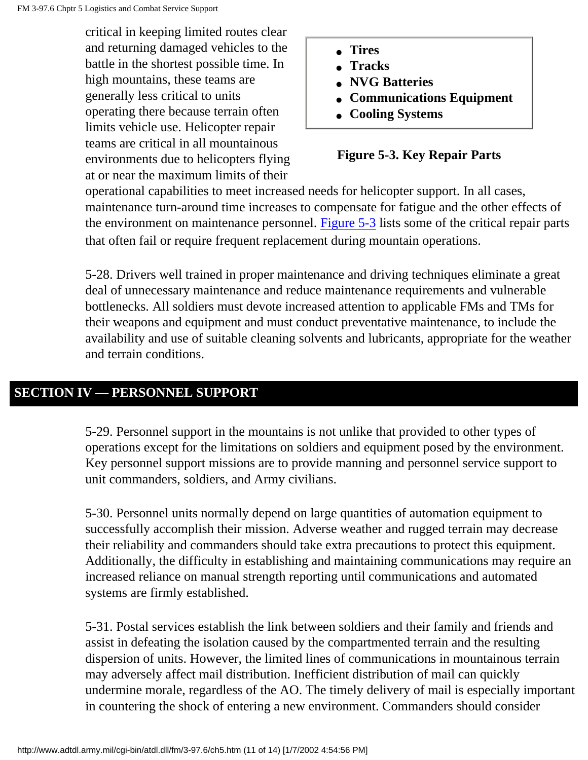critical in keeping limited routes clear and returning damaged vehicles to the battle in the shortest possible time. In high mountains, these teams are generally less critical to units operating there because terrain often limits vehicle use. Helicopter repair teams are critical in all mountainous environments due to helicopters flying at or near the maximum limits of their

- **Tires**
- **Tracks**
- **NVG Batteries**
- **Communications Equipment**
- **Cooling Systems**

#### **Figure 5-3. Key Repair Parts**

operational capabilities to meet increased needs for helicopter support. In all cases, maintenance turn-around time increases to compensate for fatigue and the other effects of the environment on maintenance personnel. Figure 5-3 lists some of the critical repair parts that often fail or require frequent replacement during mountain operations.

5-28. Drivers well trained in proper maintenance and driving techniques eliminate a great deal of unnecessary maintenance and reduce maintenance requirements and vulnerable bottlenecks. All soldiers must devote increased attention to applicable FMs and TMs for their weapons and equipment and must conduct preventative maintenance, to include the availability and use of suitable cleaning solvents and lubricants, appropriate for the weather and terrain conditions.

### **SECTION IV — PERSONNEL SUPPORT**

5-29. Personnel support in the mountains is not unlike that provided to other types of operations except for the limitations on soldiers and equipment posed by the environment. Key personnel support missions are to provide manning and personnel service support to unit commanders, soldiers, and Army civilians.

5-30. Personnel units normally depend on large quantities of automation equipment to successfully accomplish their mission. Adverse weather and rugged terrain may decrease their reliability and commanders should take extra precautions to protect this equipment. Additionally, the difficulty in establishing and maintaining communications may require an increased reliance on manual strength reporting until communications and automated systems are firmly established.

5-31. Postal services establish the link between soldiers and their family and friends and assist in defeating the isolation caused by the compartmented terrain and the resulting dispersion of units. However, the limited lines of communications in mountainous terrain may adversely affect mail distribution. Inefficient distribution of mail can quickly undermine morale, regardless of the AO. The timely delivery of mail is especially important in countering the shock of entering a new environment. Commanders should consider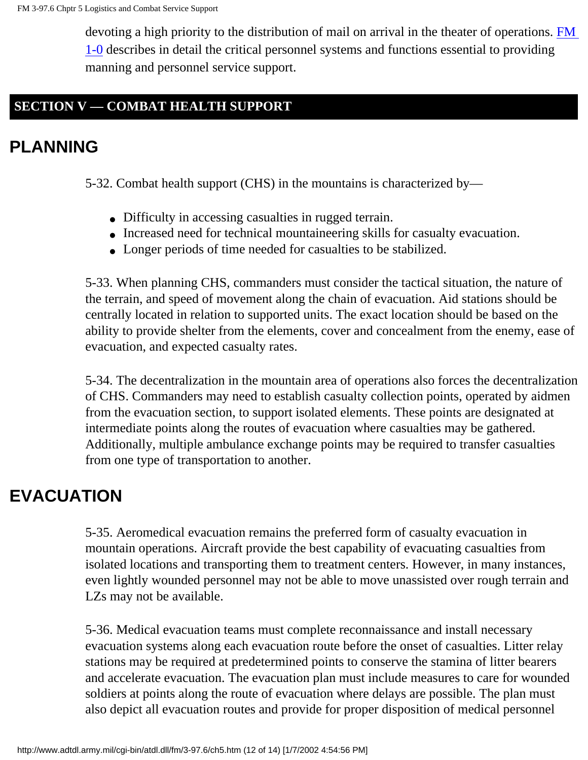devoting a high priority to the distribution of mail on arrival in the theater of operations. [FM](#page-143-1)  [1-0](#page-143-1) describes in detail the critical personnel systems and functions essential to providing manning and personnel service support.

#### **SECTION V — COMBAT HEALTH SUPPORT**

### **PLANNING**

5-32. Combat health support (CHS) in the mountains is characterized by—

- Difficulty in accessing casualties in rugged terrain.
- Increased need for technical mountaineering skills for casualty evacuation.
- Longer periods of time needed for casualties to be stabilized.

5-33. When planning CHS, commanders must consider the tactical situation, the nature of the terrain, and speed of movement along the chain of evacuation. Aid stations should be centrally located in relation to supported units. The exact location should be based on the ability to provide shelter from the elements, cover and concealment from the enemy, ease of evacuation, and expected casualty rates.

5-34. The decentralization in the mountain area of operations also forces the decentralization of CHS. Commanders may need to establish casualty collection points, operated by aidmen from the evacuation section, to support isolated elements. These points are designated at intermediate points along the routes of evacuation where casualties may be gathered. Additionally, multiple ambulance exchange points may be required to transfer casualties from one type of transportation to another.

## **EVACUATION**

5-35. Aeromedical evacuation remains the preferred form of casualty evacuation in mountain operations. Aircraft provide the best capability of evacuating casualties from isolated locations and transporting them to treatment centers. However, in many instances, even lightly wounded personnel may not be able to move unassisted over rough terrain and LZs may not be available.

5-36. Medical evacuation teams must complete reconnaissance and install necessary evacuation systems along each evacuation route before the onset of casualties. Litter relay stations may be required at predetermined points to conserve the stamina of litter bearers and accelerate evacuation. The evacuation plan must include measures to care for wounded soldiers at points along the route of evacuation where delays are possible. The plan must also depict all evacuation routes and provide for proper disposition of medical personnel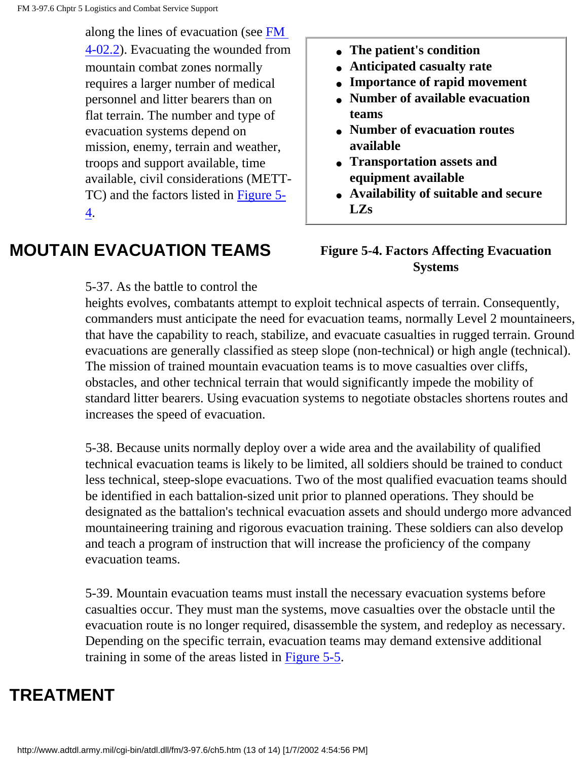along the lines of evacuation (see [FM](#page-146-0)  [4-02.2\)](#page-146-0). Evacuating the wounded from mountain combat zones normally requires a larger number of medical personnel and litter bearers than on flat terrain. The number and type of evacuation systems depend on mission, enemy, terrain and weather, troops and support available, time available, civil considerations (METT-TC) and the factors listed in Figure 5- 4.

## **MOUTAIN EVACUATION TEAMS**

#### 5-37. As the battle to control the

#### ● **The patient's condition**

- **Anticipated casualty rate**
- **Importance of rapid movement**
- **Number of available evacuation teams**
- **Number of evacuation routes available**
- **Transportation assets and equipment available**
- **Availability of suitable and secure LZs**

#### **Figure 5-4. Factors Affecting Evacuation Systems**

heights evolves, combatants attempt to exploit technical aspects of terrain. Consequently, commanders must anticipate the need for evacuation teams, normally Level 2 mountaineers, that have the capability to reach, stabilize, and evacuate casualties in rugged terrain. Ground evacuations are generally classified as steep slope (non-technical) or high angle (technical). The mission of trained mountain evacuation teams is to move casualties over cliffs, obstacles, and other technical terrain that would significantly impede the mobility of standard litter bearers. Using evacuation systems to negotiate obstacles shortens routes and increases the speed of evacuation.

5-38. Because units normally deploy over a wide area and the availability of qualified technical evacuation teams is likely to be limited, all soldiers should be trained to conduct less technical, steep-slope evacuations. Two of the most qualified evacuation teams should be identified in each battalion-sized unit prior to planned operations. They should be designated as the battalion's technical evacuation assets and should undergo more advanced mountaineering training and rigorous evacuation training. These soldiers can also develop and teach a program of instruction that will increase the proficiency of the company evacuation teams.

5-39. Mountain evacuation teams must install the necessary evacuation systems before casualties occur. They must man the systems, move casualties over the obstacle until the evacuation route is no longer required, disassemble the system, and redeploy as necessary. Depending on the specific terrain, evacuation teams may demand extensive additional training in some of the areas listed in Figure 5-5.

## **TREATMENT**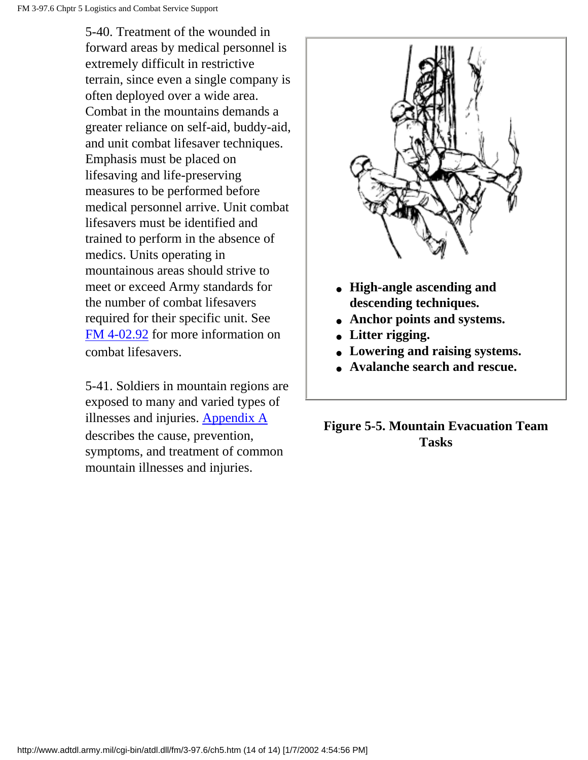5-40. Treatment of the wounded in forward areas by medical personnel is extremely difficult in restrictive terrain, since even a single company is often deployed over a wide area. Combat in the mountains demands a greater reliance on self-aid, buddy-aid, and unit combat lifesaver techniques. Emphasis must be placed on lifesaving and life-preserving measures to be performed before medical personnel arrive. Unit combat lifesavers must be identified and trained to perform in the absence of medics. Units operating in mountainous areas should strive to meet or exceed Army standards for the number of combat lifesavers required for their specific unit. See [FM 4-02.92](#page-146-1) for more information on combat lifesavers.

5-41. Soldiers in mountain regions are exposed to many and varied types of illnesses and injuries. [Appendix A](#page-120-0) describes the cause, prevention, symptoms, and treatment of common mountain illnesses and injuries.



- **High-angle ascending and descending techniques.**
- **Anchor points and systems.**
- **Litter rigging.**
- **Lowering and raising systems.**
- **Avalanche search and rescue.**

#### **Figure 5-5. Mountain Evacuation Team Tasks**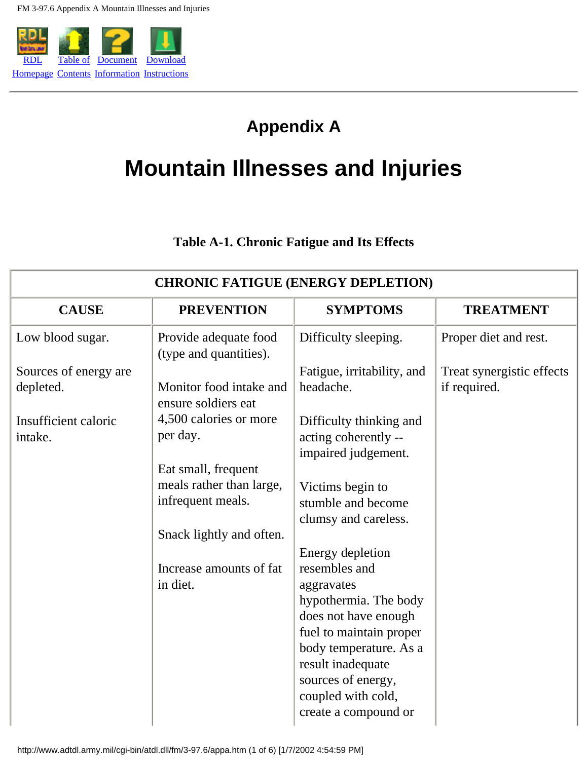<span id="page-120-0"></span>

## **Appendix A**

# **Mountain Illnesses and Injuries**

#### **Table A-1. Chronic Fatigue and Its Effects**

| <b>CHRONIC FATIGUE (ENERGY DEPLETION)</b> |                                                                                                  |                                                                                                                                                                                                                                                |                                           |
|-------------------------------------------|--------------------------------------------------------------------------------------------------|------------------------------------------------------------------------------------------------------------------------------------------------------------------------------------------------------------------------------------------------|-------------------------------------------|
| <b>CAUSE</b>                              | <b>PREVENTION</b>                                                                                | <b>SYMPTOMS</b>                                                                                                                                                                                                                                | <b>TREATMENT</b>                          |
| Low blood sugar.                          | Provide adequate food<br>(type and quantities).                                                  | Difficulty sleeping.                                                                                                                                                                                                                           | Proper diet and rest.                     |
| Sources of energy are<br>depleted.        | Monitor food intake and<br>ensure soldiers eat                                                   | Fatigue, irritability, and<br>headache.                                                                                                                                                                                                        | Treat synergistic effects<br>if required. |
| Insufficient caloric<br>intake.           | 4,500 calories or more<br>per day.                                                               | Difficulty thinking and<br>acting coherently --<br>impaired judgement.                                                                                                                                                                         |                                           |
|                                           | Eat small, frequent<br>meals rather than large,<br>infrequent meals.<br>Snack lightly and often. | Victims begin to<br>stumble and become<br>clumsy and careless.                                                                                                                                                                                 |                                           |
|                                           | Increase amounts of fat<br>in diet.                                                              | Energy depletion<br>resembles and<br>aggravates<br>hypothermia. The body<br>does not have enough<br>fuel to maintain proper<br>body temperature. As a<br>result inadequate<br>sources of energy,<br>coupled with cold,<br>create a compound or |                                           |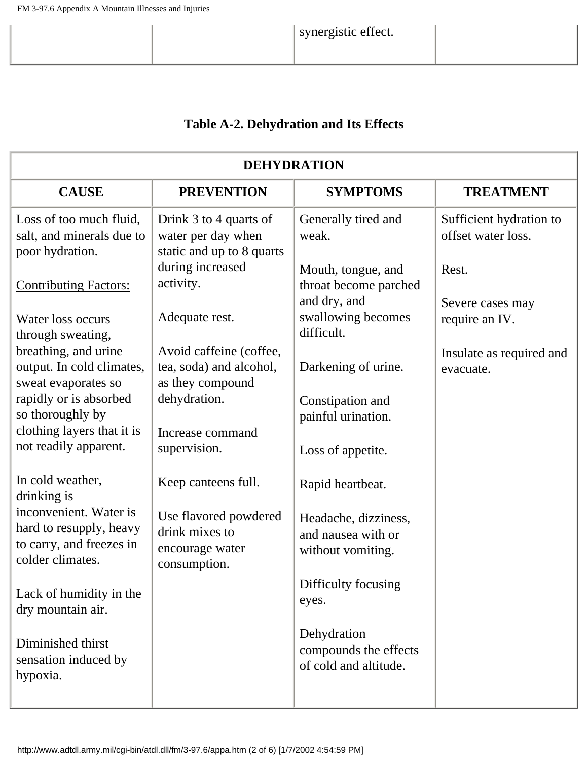### **Table A-2. Dehydration and Its Effects**

| <b>DEHYDRATION</b>                                                                                |                                                                            |                                                                 |                                               |
|---------------------------------------------------------------------------------------------------|----------------------------------------------------------------------------|-----------------------------------------------------------------|-----------------------------------------------|
| <b>CAUSE</b>                                                                                      | <b>PREVENTION</b>                                                          | <b>SYMPTOMS</b>                                                 | <b>TREATMENT</b>                              |
| Loss of too much fluid,<br>salt, and minerals due to<br>poor hydration.                           | Drink 3 to 4 quarts of<br>water per day when<br>static and up to 8 quarts  | Generally tired and<br>weak.                                    | Sufficient hydration to<br>offset water loss. |
| <b>Contributing Factors:</b>                                                                      | during increased<br>activity.                                              | Mouth, tongue, and<br>throat become parched<br>and dry, and     | Rest.                                         |
| Water loss occurs<br>through sweating,                                                            | Adequate rest.                                                             | swallowing becomes<br>difficult.                                | Severe cases may<br>require an IV.            |
| breathing, and urine<br>output. In cold climates,<br>sweat evaporates so                          | Avoid caffeine (coffee,<br>tea, soda) and alcohol,<br>as they compound     | Darkening of urine.                                             | Insulate as required and<br>evacuate.         |
| rapidly or is absorbed<br>so thoroughly by<br>clothing layers that it is                          | dehydration.                                                               | Constipation and<br>painful urination.                          |                                               |
| not readily apparent.                                                                             | Increase command<br>supervision.                                           | Loss of appetite.                                               |                                               |
| In cold weather,<br>drinking is                                                                   | Keep canteens full.                                                        | Rapid heartbeat.                                                |                                               |
| inconvenient. Water is<br>hard to resupply, heavy<br>to carry, and freezes in<br>colder climates. | Use flavored powdered<br>drink mixes to<br>encourage water<br>consumption. | Headache, dizziness,<br>and nausea with or<br>without vomiting. |                                               |
| Lack of humidity in the<br>dry mountain air.                                                      |                                                                            | Difficulty focusing<br>eyes.                                    |                                               |
| Diminished thirst<br>sensation induced by<br>hypoxia.                                             |                                                                            | Dehydration<br>compounds the effects<br>of cold and altitude.   |                                               |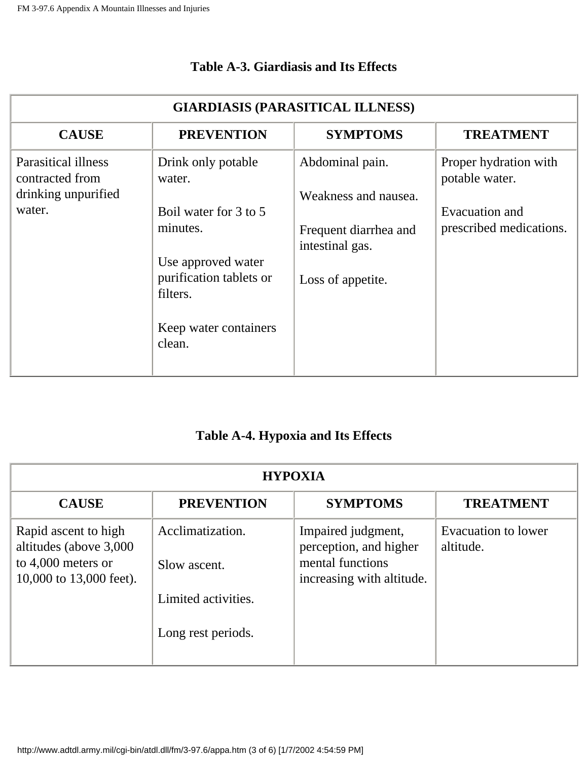| <b>GIARDIASIS (PARASITICAL ILLNESS)</b>                                 |                                                                                                                                                                   |                                                                                                          |                                                                                      |
|-------------------------------------------------------------------------|-------------------------------------------------------------------------------------------------------------------------------------------------------------------|----------------------------------------------------------------------------------------------------------|--------------------------------------------------------------------------------------|
| <b>CAUSE</b>                                                            | <b>PREVENTION</b>                                                                                                                                                 | <b>SYMPTOMS</b>                                                                                          | <b>TREATMENT</b>                                                                     |
| Parasitical illness<br>contracted from<br>drinking unpurified<br>water. | Drink only potable<br>water.<br>Boil water for 3 to 5<br>minutes.<br>Use approved water<br>purification tablets or<br>filters.<br>Keep water containers<br>clean. | Abdominal pain.<br>Weakness and nausea.<br>Frequent diarrhea and<br>intestinal gas.<br>Loss of appetite. | Proper hydration with<br>potable water.<br>Evacuation and<br>prescribed medications. |

#### **Table A-3. Giardiasis and Its Effects**

### **Table A-4. Hypoxia and Its Effects**

| <b>HYPOXIA</b>                                                                                    |                                                                               |                                                                                               |                                  |
|---------------------------------------------------------------------------------------------------|-------------------------------------------------------------------------------|-----------------------------------------------------------------------------------------------|----------------------------------|
| <b>CAUSE</b>                                                                                      | <b>PREVENTION</b>                                                             | <b>SYMPTOMS</b>                                                                               | <b>TREATMENT</b>                 |
| Rapid ascent to high<br>altitudes (above 3,000<br>to $4,000$ meters or<br>10,000 to 13,000 feet). | Acclimatization.<br>Slow ascent.<br>Limited activities.<br>Long rest periods. | Impaired judgment,<br>perception, and higher<br>mental functions<br>increasing with altitude. | Evacuation to lower<br>altitude. |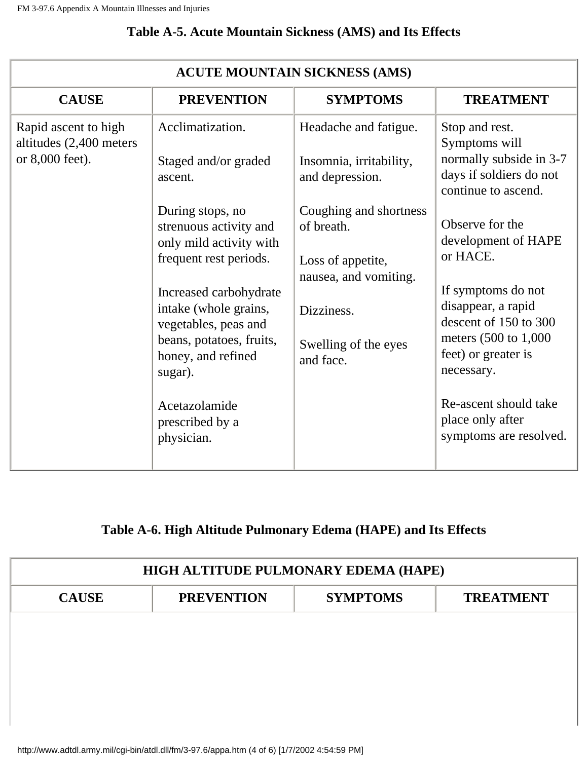#### **Table A-5. Acute Mountain Sickness (AMS) and Its Effects**

| <b>ACUTE MOUNTAIN SICKNESS (AMS)</b>                               |                                                                                                                                                                                                                                                                                           |                                                                                                                                       |                                                                                                                                                                                                                                                             |
|--------------------------------------------------------------------|-------------------------------------------------------------------------------------------------------------------------------------------------------------------------------------------------------------------------------------------------------------------------------------------|---------------------------------------------------------------------------------------------------------------------------------------|-------------------------------------------------------------------------------------------------------------------------------------------------------------------------------------------------------------------------------------------------------------|
| <b>CAUSE</b>                                                       | <b>PREVENTION</b>                                                                                                                                                                                                                                                                         | <b>SYMPTOMS</b>                                                                                                                       | <b>TREATMENT</b>                                                                                                                                                                                                                                            |
| Rapid ascent to high<br>altitudes (2,400 meters<br>or 8,000 feet). | Acclimatization.<br>Staged and/or graded<br>ascent.                                                                                                                                                                                                                                       | Headache and fatigue.<br>Insomnia, irritability,<br>and depression.                                                                   | Stop and rest.<br>Symptoms will<br>normally subside in 3-7<br>days if soldiers do not<br>continue to ascend.                                                                                                                                                |
|                                                                    | During stops, no<br>strenuous activity and<br>only mild activity with<br>frequent rest periods.<br>Increased carbohydrate<br>intake (whole grains,<br>vegetables, peas and<br>beans, potatoes, fruits,<br>honey, and refined<br>sugar).<br>Acetazolamide<br>prescribed by a<br>physician. | Coughing and shortness<br>of breath.<br>Loss of appetite,<br>nausea, and vomiting.<br>Dizziness.<br>Swelling of the eyes<br>and face. | Observe for the<br>development of HAPE<br>or HACE.<br>If symptoms do not<br>disappear, a rapid<br>descent of 150 to 300<br>meters (500 to 1,000<br>feet) or greater is<br>necessary.<br>Re-ascent should take<br>place only after<br>symptoms are resolved. |

### **Table A-6. High Altitude Pulmonary Edema (HAPE) and Its Effects**

|              | HIGH ALTITUDE PULMONARY EDEMA (HAPE) |                 |                  |
|--------------|--------------------------------------|-----------------|------------------|
| <b>CAUSE</b> | <b>PREVENTION</b>                    | <b>SYMPTOMS</b> | <b>TREATMENT</b> |
|              |                                      |                 |                  |
|              |                                      |                 |                  |
|              |                                      |                 |                  |
|              |                                      |                 |                  |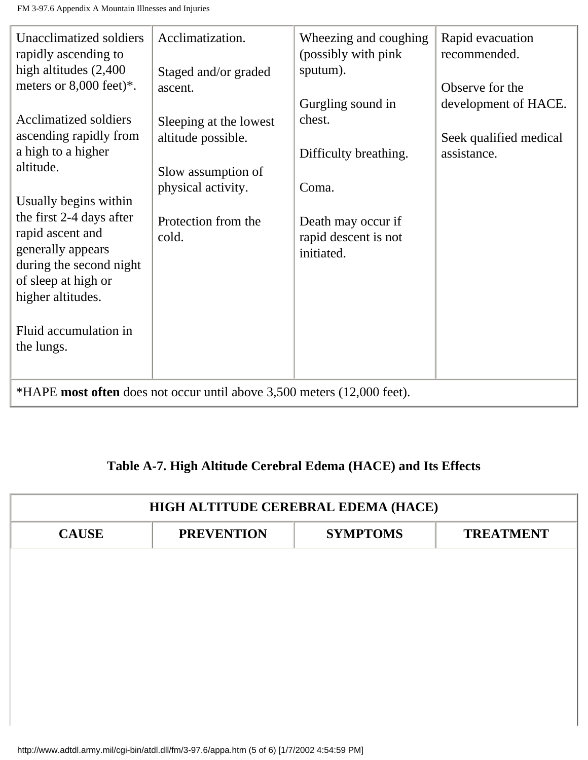FM 3-97.6 Appendix A Mountain Illnesses and Injuries

| Unacclimatized soldiers<br>rapidly ascending to<br>high altitudes $(2,400)$<br>meters or $8,000$ feet)*.<br>Acclimatized soldiers<br>ascending rapidly from<br>a high to a higher<br>altitude.<br>Usually begins within<br>the first 2-4 days after<br>rapid ascent and<br>generally appears<br>during the second night<br>of sleep at high or<br>higher altitudes.<br>Fluid accumulation in<br>the lungs. | Acclimatization.<br>Staged and/or graded<br>ascent.<br>Sleeping at the lowest<br>altitude possible.<br>Slow assumption of<br>physical activity.<br>Protection from the<br>cold. | Wheezing and coughing<br>(possibly with pink)<br>sputum).<br>Gurgling sound in<br>chest.<br>Difficulty breathing.<br>Coma.<br>Death may occur if<br>rapid descent is not<br>initiated. | Rapid evacuation<br>recommended.<br>Observe for the<br>development of HACE.<br>Seek qualified medical<br>assistance. |
|------------------------------------------------------------------------------------------------------------------------------------------------------------------------------------------------------------------------------------------------------------------------------------------------------------------------------------------------------------------------------------------------------------|---------------------------------------------------------------------------------------------------------------------------------------------------------------------------------|----------------------------------------------------------------------------------------------------------------------------------------------------------------------------------------|----------------------------------------------------------------------------------------------------------------------|
| *HAPE most often does not occur until above 3,500 meters (12,000 feet).                                                                                                                                                                                                                                                                                                                                    |                                                                                                                                                                                 |                                                                                                                                                                                        |                                                                                                                      |

### **Table A-7. High Altitude Cerebral Edema (HACE) and Its Effects**

| HIGH ALTITUDE CEREBRAL EDEMA (HACE) |                   |                 |                  |
|-------------------------------------|-------------------|-----------------|------------------|
| <b>CAUSE</b>                        | <b>PREVENTION</b> | <b>SYMPTOMS</b> | <b>TREATMENT</b> |
|                                     |                   |                 |                  |
|                                     |                   |                 |                  |
|                                     |                   |                 |                  |
|                                     |                   |                 |                  |
|                                     |                   |                 |                  |
|                                     |                   |                 |                  |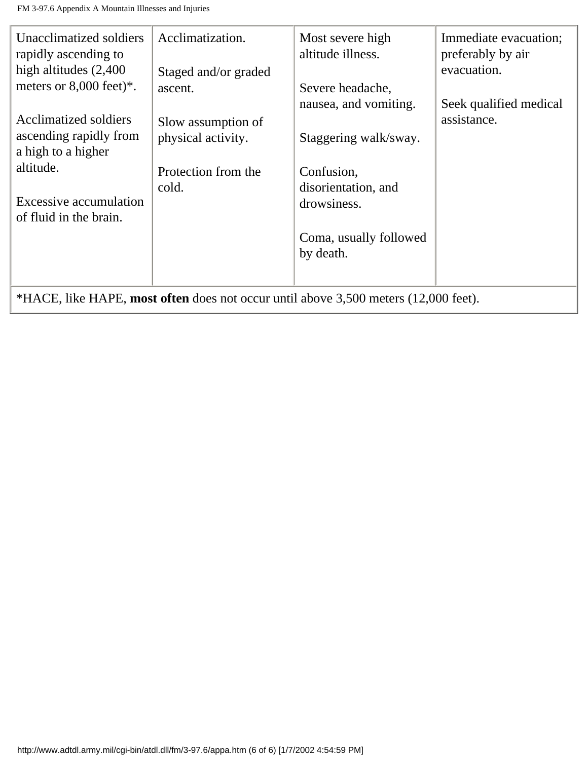| Unacclimatized soldiers<br>rapidly ascending to<br>high altitudes $(2,400)$ | Acclimatization.     | Most severe high<br>altitude illness. | Immediate evacuation;<br>preferably by air<br>evacuation. |
|-----------------------------------------------------------------------------|----------------------|---------------------------------------|-----------------------------------------------------------|
|                                                                             | Staged and/or graded |                                       |                                                           |
| meters or $8,000$ feet)*.                                                   | ascent.              | Severe headache,                      |                                                           |
|                                                                             |                      | nausea, and vomiting.                 | Seek qualified medical                                    |
| <b>Acclimatized soldiers</b>                                                | Slow assumption of   |                                       | assistance.                                               |
| ascending rapidly from<br>a high to a higher                                | physical activity.   | Staggering walk/sway.                 |                                                           |
| altitude.                                                                   | Protection from the  | Confusion,                            |                                                           |
|                                                                             | cold.                | disorientation, and                   |                                                           |
| Excessive accumulation<br>of fluid in the brain.                            |                      | drowsiness.                           |                                                           |
|                                                                             |                      | Coma, usually followed<br>by death.   |                                                           |
|                                                                             |                      |                                       |                                                           |
| $T_{\rm t}$ $\sim$ $T_{\rm t}$<br><b>*******</b>                            |                      | $\sim$ = $\sim$ $\sim$<br>(10000)     |                                                           |

\*HACE, like HAPE, **most often** does not occur until above 3,500 meters (12,000 feet).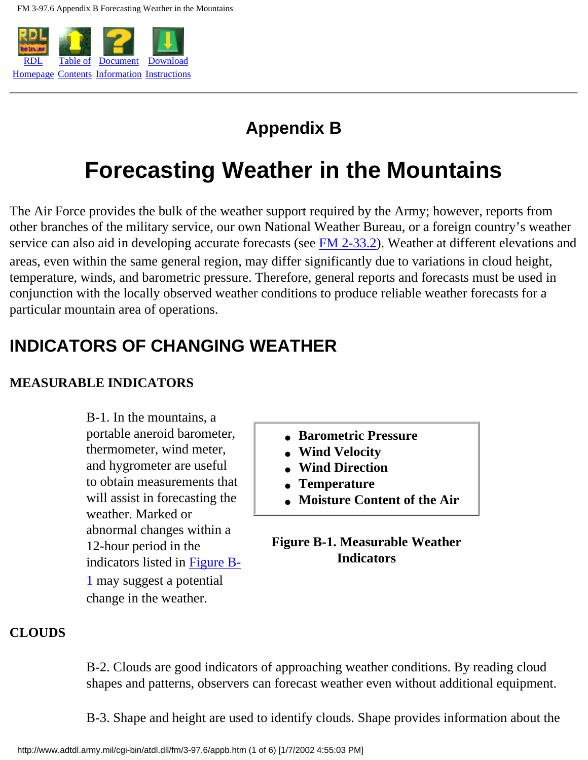

## **Appendix B**

# **Forecasting Weather in the Mountains**

The Air Force provides the bulk of the weather support required by the Army; however, reports from other branches of the military service, our own National Weather Bureau, or a foreign country's weather service can also aid in developing accurate forecasts (see [FM 2-33.2](#page-143-2)). Weather at different elevations and areas, even within the same general region, may differ significantly due to variations in cloud height, temperature, winds, and barometric pressure. Therefore, general reports and forecasts must be used in conjunction with the locally observed weather conditions to produce reliable weather forecasts for a particular mountain area of operations.

## **INDICATORS OF CHANGING WEATHER**

#### <span id="page-126-0"></span>**MEASURABLE INDICATORS**

B-1. In the mountains, a portable aneroid barometer, thermometer, wind meter, and hygrometer are useful to obtain measurements that will assist in forecasting the weather. Marked or abnormal changes within a 12-hour period in the indicators listed in [Figure B-](#page-126-0)[1](#page-126-0) may suggest a potential change in the weather.

- **Barometric Pressure**
- **Wind Velocity**
- **Wind Direction**
- **Temperature**
- **Moisture Content of the Air**

#### **Figure B-1. Measurable Weather Indicators**

#### **CLOUDS**

B-2. Clouds are good indicators of approaching weather conditions. By reading cloud shapes and patterns, observers can forecast weather even without additional equipment.

B-3. Shape and height are used to identify clouds. Shape provides information about the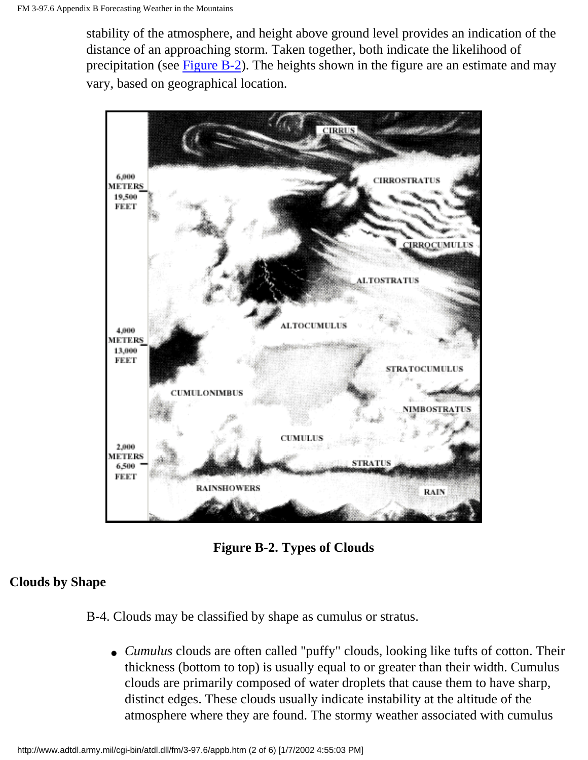stability of the atmosphere, and height above ground level provides an indication of the distance of an approaching storm. Taken together, both indicate the likelihood of precipitation (see [Figure B-2](#page-127-0)). The heights shown in the figure are an estimate and may vary, based on geographical location.

<span id="page-127-0"></span>

**Figure B-2. Types of Clouds**

#### **Clouds by Shape**

B-4. Clouds may be classified by shape as cumulus or stratus.

• *Cumulus* clouds are often called "puffy" clouds, looking like tufts of cotton. Their thickness (bottom to top) is usually equal to or greater than their width. Cumulus clouds are primarily composed of water droplets that cause them to have sharp, distinct edges. These clouds usually indicate instability at the altitude of the atmosphere where they are found. The stormy weather associated with cumulus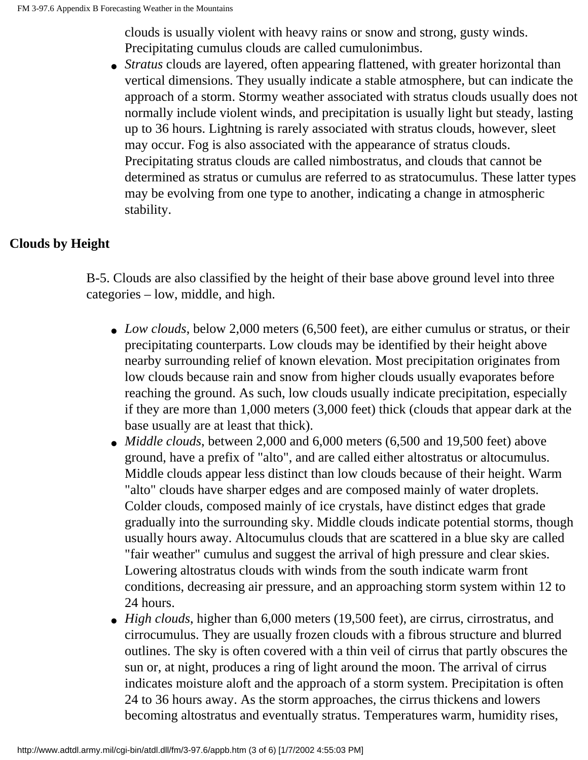clouds is usually violent with heavy rains or snow and strong, gusty winds. Precipitating cumulus clouds are called cumulonimbus.

• *Stratus* clouds are layered, often appearing flattened, with greater horizontal than vertical dimensions. They usually indicate a stable atmosphere, but can indicate the approach of a storm. Stormy weather associated with stratus clouds usually does not normally include violent winds, and precipitation is usually light but steady, lasting up to 36 hours. Lightning is rarely associated with stratus clouds, however, sleet may occur. Fog is also associated with the appearance of stratus clouds. Precipitating stratus clouds are called nimbostratus, and clouds that cannot be determined as stratus or cumulus are referred to as stratocumulus. These latter types may be evolving from one type to another, indicating a change in atmospheric stability.

#### **Clouds by Height**

B-5. Clouds are also classified by the height of their base above ground level into three categories – low, middle, and high.

- *Low clouds*, below 2,000 meters (6,500 feet), are either cumulus or stratus, or their precipitating counterparts. Low clouds may be identified by their height above nearby surrounding relief of known elevation. Most precipitation originates from low clouds because rain and snow from higher clouds usually evaporates before reaching the ground. As such, low clouds usually indicate precipitation, especially if they are more than 1,000 meters (3,000 feet) thick (clouds that appear dark at the base usually are at least that thick).
- *Middle clouds*, between 2,000 and 6,000 meters (6,500 and 19,500 feet) above ground, have a prefix of "alto", and are called either altostratus or altocumulus. Middle clouds appear less distinct than low clouds because of their height. Warm "alto" clouds have sharper edges and are composed mainly of water droplets. Colder clouds, composed mainly of ice crystals, have distinct edges that grade gradually into the surrounding sky. Middle clouds indicate potential storms, though usually hours away. Altocumulus clouds that are scattered in a blue sky are called "fair weather" cumulus and suggest the arrival of high pressure and clear skies. Lowering altostratus clouds with winds from the south indicate warm front conditions, decreasing air pressure, and an approaching storm system within 12 to 24 hours.
- *High clouds*, higher than 6,000 meters (19,500 feet), are cirrus, cirrostratus, and cirrocumulus. They are usually frozen clouds with a fibrous structure and blurred outlines. The sky is often covered with a thin veil of cirrus that partly obscures the sun or, at night, produces a ring of light around the moon. The arrival of cirrus indicates moisture aloft and the approach of a storm system. Precipitation is often 24 to 36 hours away. As the storm approaches, the cirrus thickens and lowers becoming altostratus and eventually stratus. Temperatures warm, humidity rises,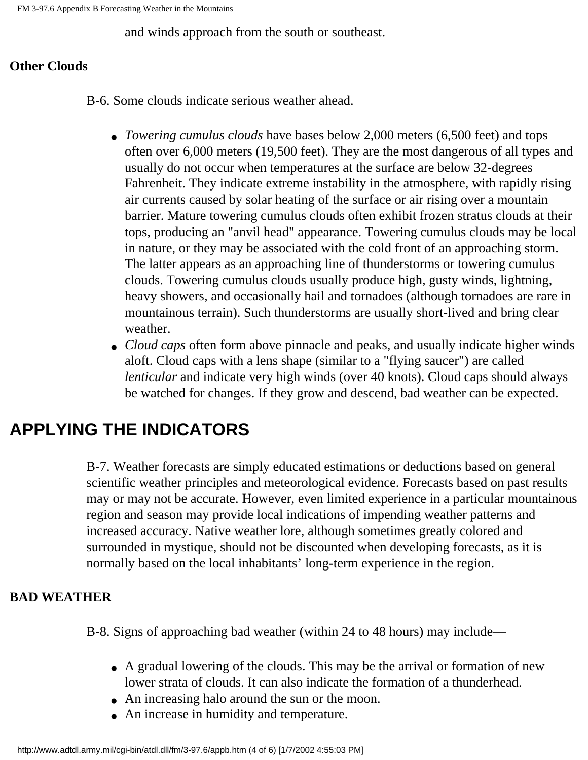```
FM 3-97.6 Appendix B Forecasting Weather in the Mountains
```
and winds approach from the south or southeast.

#### **Other Clouds**

B-6. Some clouds indicate serious weather ahead.

- *Towering cumulus clouds* have bases below 2,000 meters (6,500 feet) and tops often over 6,000 meters (19,500 feet). They are the most dangerous of all types and usually do not occur when temperatures at the surface are below 32-degrees Fahrenheit. They indicate extreme instability in the atmosphere, with rapidly rising air currents caused by solar heating of the surface or air rising over a mountain barrier. Mature towering cumulus clouds often exhibit frozen stratus clouds at their tops, producing an "anvil head" appearance. Towering cumulus clouds may be local in nature, or they may be associated with the cold front of an approaching storm. The latter appears as an approaching line of thunderstorms or towering cumulus clouds. Towering cumulus clouds usually produce high, gusty winds, lightning, heavy showers, and occasionally hail and tornadoes (although tornadoes are rare in mountainous terrain). Such thunderstorms are usually short-lived and bring clear weather.
- *Cloud caps* often form above pinnacle and peaks, and usually indicate higher winds aloft. Cloud caps with a lens shape (similar to a "flying saucer") are called *lenticular* and indicate very high winds (over 40 knots). Cloud caps should always be watched for changes. If they grow and descend, bad weather can be expected.

## **APPLYING THE INDICATORS**

B-7. Weather forecasts are simply educated estimations or deductions based on general scientific weather principles and meteorological evidence. Forecasts based on past results may or may not be accurate. However, even limited experience in a particular mountainous region and season may provide local indications of impending weather patterns and increased accuracy. Native weather lore, although sometimes greatly colored and surrounded in mystique, should not be discounted when developing forecasts, as it is normally based on the local inhabitants' long-term experience in the region.

#### **BAD WEATHER**

B-8. Signs of approaching bad weather (within 24 to 48 hours) may include—

- A gradual lowering of the clouds. This may be the arrival or formation of new lower strata of clouds. It can also indicate the formation of a thunderhead.
- An increasing halo around the sun or the moon.
- An increase in humidity and temperature.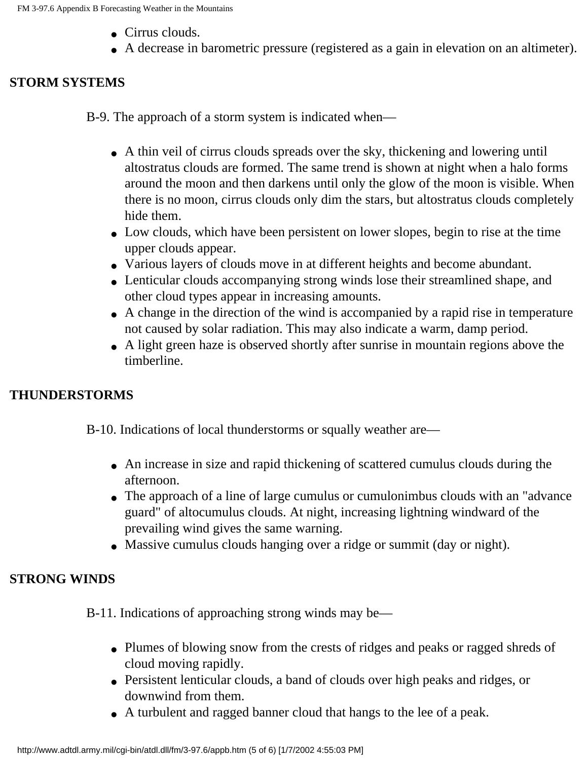- Cirrus clouds.
- A decrease in barometric pressure (registered as a gain in elevation on an altimeter).

#### **STORM SYSTEMS**

B-9. The approach of a storm system is indicated when—

- A thin veil of cirrus clouds spreads over the sky, thickening and lowering until altostratus clouds are formed. The same trend is shown at night when a halo forms around the moon and then darkens until only the glow of the moon is visible. When there is no moon, cirrus clouds only dim the stars, but altostratus clouds completely hide them.
- Low clouds, which have been persistent on lower slopes, begin to rise at the time upper clouds appear.
- Various layers of clouds move in at different heights and become abundant.
- Lenticular clouds accompanying strong winds lose their streamlined shape, and other cloud types appear in increasing amounts.
- A change in the direction of the wind is accompanied by a rapid rise in temperature not caused by solar radiation. This may also indicate a warm, damp period.
- A light green haze is observed shortly after sunrise in mountain regions above the timberline.

#### **THUNDERSTORMS**

B-10. Indications of local thunderstorms or squally weather are—

- An increase in size and rapid thickening of scattered cumulus clouds during the afternoon.
- The approach of a line of large cumulus or cumulonimbus clouds with an "advance" guard" of altocumulus clouds. At night, increasing lightning windward of the prevailing wind gives the same warning.
- Massive cumulus clouds hanging over a ridge or summit (day or night).

#### **STRONG WINDS**

B-11. Indications of approaching strong winds may be—

- Plumes of blowing snow from the crests of ridges and peaks or ragged shreds of cloud moving rapidly.
- Persistent lenticular clouds, a band of clouds over high peaks and ridges, or downwind from them.
- A turbulent and ragged banner cloud that hangs to the lee of a peak.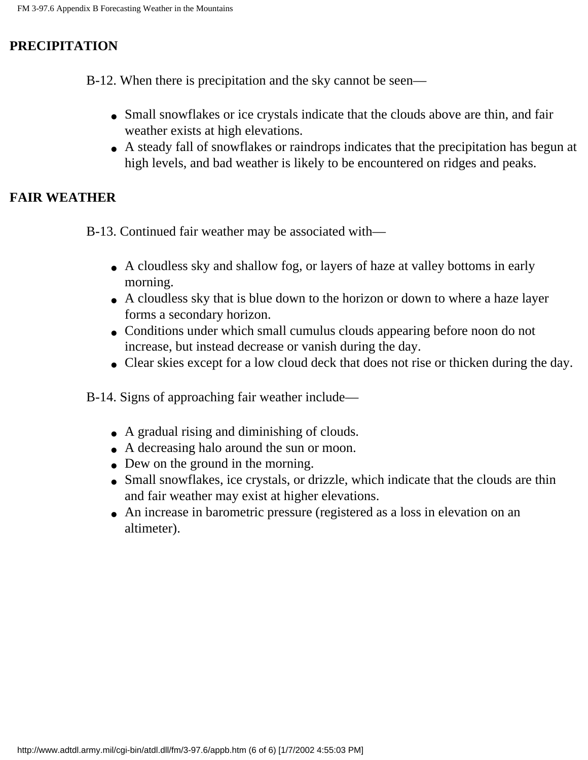### **PRECIPITATION**

B-12. When there is precipitation and the sky cannot be seen—

- Small snowflakes or ice crystals indicate that the clouds above are thin, and fair weather exists at high elevations.
- A steady fall of snowflakes or raindrops indicates that the precipitation has begun at high levels, and bad weather is likely to be encountered on ridges and peaks.

### **FAIR WEATHER**

B-13. Continued fair weather may be associated with—

- A cloudless sky and shallow fog, or layers of haze at valley bottoms in early morning.
- A cloudless sky that is blue down to the horizon or down to where a haze layer forms a secondary horizon.
- Conditions under which small cumulus clouds appearing before noon do not increase, but instead decrease or vanish during the day.
- Clear skies except for a low cloud deck that does not rise or thicken during the day.

B-14. Signs of approaching fair weather include—

- A gradual rising and diminishing of clouds.
- A decreasing halo around the sun or moon.
- Dew on the ground in the morning.
- Small snowflakes, ice crystals, or drizzle, which indicate that the clouds are thin and fair weather may exist at higher elevations.
- An increase in barometric pressure (registered as a loss in elevation on an altimeter).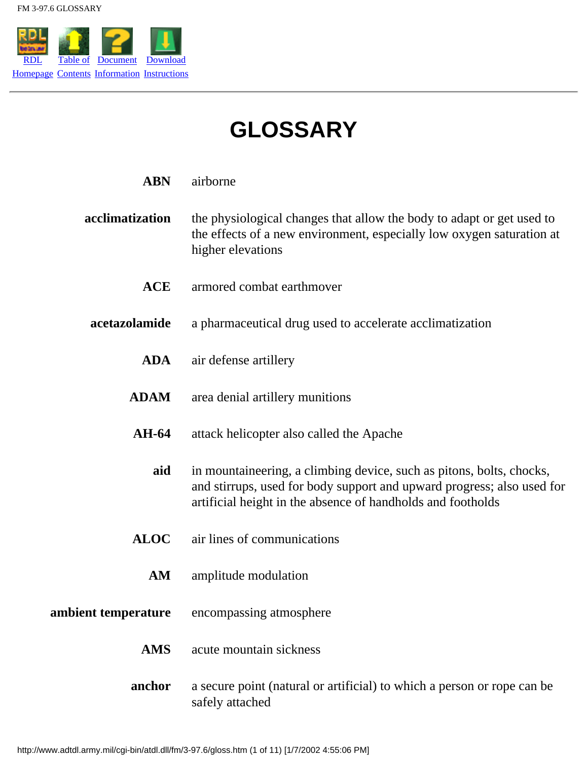

# **GLOSSARY**

| <b>ABN</b>          | airborne                                                                                                                                                                                                      |
|---------------------|---------------------------------------------------------------------------------------------------------------------------------------------------------------------------------------------------------------|
| acclimatization     | the physiological changes that allow the body to adapt or get used to<br>the effects of a new environment, especially low oxygen saturation at<br>higher elevations                                           |
| <b>ACE</b>          | armored combat earthmover                                                                                                                                                                                     |
| acetazolamide       | a pharmaceutical drug used to accelerate acclimatization                                                                                                                                                      |
| <b>ADA</b>          | air defense artillery                                                                                                                                                                                         |
| <b>ADAM</b>         | area denial artillery munitions                                                                                                                                                                               |
| AH-64               | attack helicopter also called the Apache                                                                                                                                                                      |
| aid                 | in mountaineering, a climbing device, such as pitons, bolts, chocks,<br>and stirrups, used for body support and upward progress; also used for<br>artificial height in the absence of handholds and footholds |
| <b>ALOC</b>         | air lines of communications                                                                                                                                                                                   |
| AM                  | amplitude modulation                                                                                                                                                                                          |
| ambient temperature | encompassing atmosphere                                                                                                                                                                                       |
| <b>AMS</b>          | acute mountain sickness                                                                                                                                                                                       |
| anchor              | a secure point (natural or artificial) to which a person or rope can be<br>safely attached                                                                                                                    |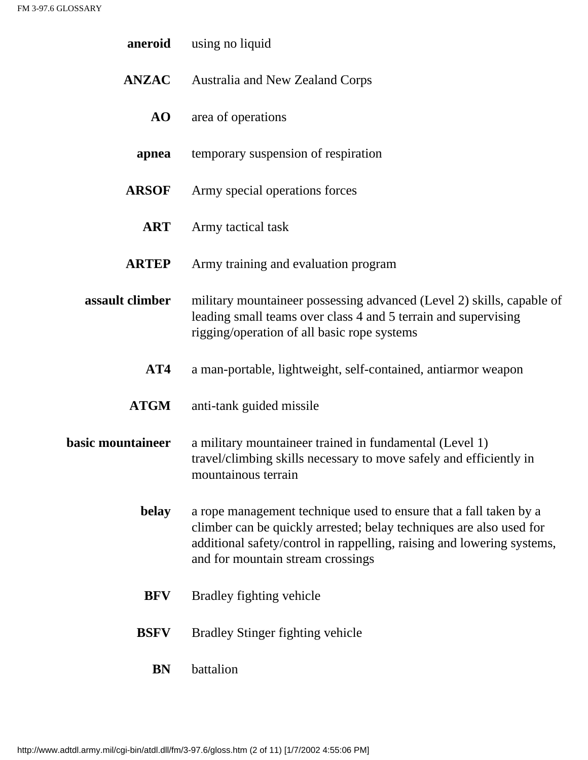| aneroid           | using no liquid                                                                                                                                                                                                                                         |
|-------------------|---------------------------------------------------------------------------------------------------------------------------------------------------------------------------------------------------------------------------------------------------------|
| <b>ANZAC</b>      | Australia and New Zealand Corps                                                                                                                                                                                                                         |
| AO                | area of operations                                                                                                                                                                                                                                      |
| apnea             | temporary suspension of respiration                                                                                                                                                                                                                     |
| <b>ARSOF</b>      | Army special operations forces                                                                                                                                                                                                                          |
| <b>ART</b>        | Army tactical task                                                                                                                                                                                                                                      |
| <b>ARTEP</b>      | Army training and evaluation program                                                                                                                                                                                                                    |
| assault climber   | military mountaineer possessing advanced (Level 2) skills, capable of<br>leading small teams over class 4 and 5 terrain and supervising<br>rigging/operation of all basic rope systems                                                                  |
| AT4               | a man-portable, lightweight, self-contained, antiarmor weapon                                                                                                                                                                                           |
| <b>ATGM</b>       | anti-tank guided missile                                                                                                                                                                                                                                |
| basic mountaineer | a military mountaineer trained in fundamental (Level 1)<br>travel/climbing skills necessary to move safely and efficiently in<br>mountainous terrain                                                                                                    |
| <b>belay</b>      | a rope management technique used to ensure that a fall taken by a<br>climber can be quickly arrested; belay techniques are also used for<br>additional safety/control in rappelling, raising and lowering systems,<br>and for mountain stream crossings |
| <b>BFV</b>        | Bradley fighting vehicle                                                                                                                                                                                                                                |
| <b>BSFV</b>       | <b>Bradley Stinger fighting vehicle</b>                                                                                                                                                                                                                 |
| <b>BN</b>         | battalion                                                                                                                                                                                                                                               |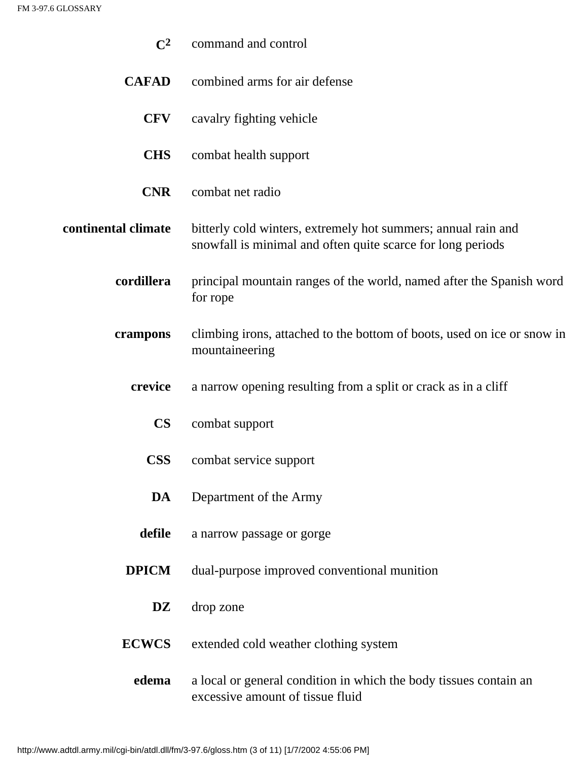| $\mathbf{C}^2$      | command and control                                                                                                          |
|---------------------|------------------------------------------------------------------------------------------------------------------------------|
| <b>CAFAD</b>        | combined arms for air defense                                                                                                |
| <b>CFV</b>          | cavalry fighting vehicle                                                                                                     |
| <b>CHS</b>          | combat health support                                                                                                        |
| <b>CNR</b>          | combat net radio                                                                                                             |
| continental climate | bitterly cold winters, extremely hot summers; annual rain and<br>snowfall is minimal and often quite scarce for long periods |
| cordillera          | principal mountain ranges of the world, named after the Spanish word<br>for rope                                             |
| crampons            | climbing irons, attached to the bottom of boots, used on ice or snow in<br>mountaineering                                    |
| crevice             | a narrow opening resulting from a split or crack as in a cliff                                                               |
| <b>CS</b>           | combat support                                                                                                               |
| <b>CSS</b>          | combat service support                                                                                                       |
| DA                  | Department of the Army                                                                                                       |
| defile              | a narrow passage or gorge                                                                                                    |
| <b>DPICM</b>        | dual-purpose improved conventional munition                                                                                  |
| DZ                  | drop zone                                                                                                                    |
| <b>ECWCS</b>        | extended cold weather clothing system                                                                                        |
| edema               | a local or general condition in which the body tissues contain an<br>excessive amount of tissue fluid                        |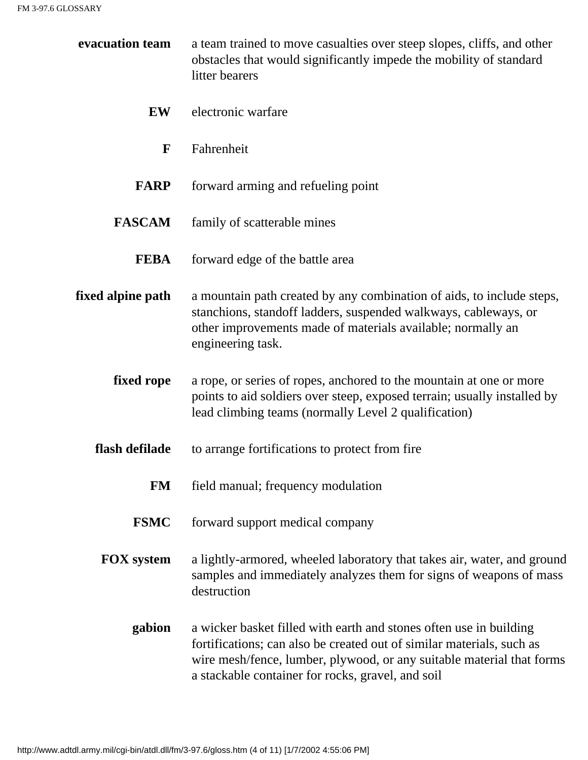| evacuation team   | a team trained to move casualties over steep slopes, cliffs, and other<br>obstacles that would significantly impede the mobility of standard<br>litter bearers                                                                                                            |
|-------------------|---------------------------------------------------------------------------------------------------------------------------------------------------------------------------------------------------------------------------------------------------------------------------|
| EW                | electronic warfare                                                                                                                                                                                                                                                        |
| $\mathbf{F}$      | Fahrenheit                                                                                                                                                                                                                                                                |
| <b>FARP</b>       | forward arming and refueling point                                                                                                                                                                                                                                        |
| <b>FASCAM</b>     | family of scatterable mines                                                                                                                                                                                                                                               |
| <b>FEBA</b>       | forward edge of the battle area                                                                                                                                                                                                                                           |
| fixed alpine path | a mountain path created by any combination of aids, to include steps,<br>stanchions, standoff ladders, suspended walkways, cableways, or<br>other improvements made of materials available; normally an<br>engineering task.                                              |
| fixed rope        | a rope, or series of ropes, anchored to the mountain at one or more<br>points to aid soldiers over steep, exposed terrain; usually installed by<br>lead climbing teams (normally Level 2 qualification)                                                                   |
| flash defilade    | to arrange fortifications to protect from fire                                                                                                                                                                                                                            |
| <b>FM</b>         | field manual; frequency modulation                                                                                                                                                                                                                                        |
| <b>FSMC</b>       | forward support medical company                                                                                                                                                                                                                                           |
| <b>FOX</b> system | a lightly-armored, wheeled laboratory that takes air, water, and ground<br>samples and immediately analyzes them for signs of weapons of mass<br>destruction                                                                                                              |
| gabion            | a wicker basket filled with earth and stones often use in building<br>fortifications; can also be created out of similar materials, such as<br>wire mesh/fence, lumber, plywood, or any suitable material that forms<br>a stackable container for rocks, gravel, and soil |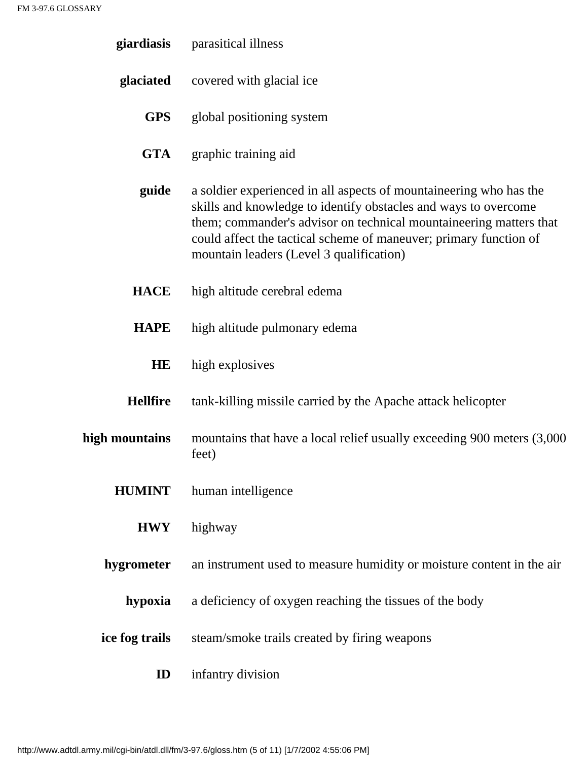| giardiasis      | parasitical illness                                                                                                                                                                                                                                                                                                          |  |
|-----------------|------------------------------------------------------------------------------------------------------------------------------------------------------------------------------------------------------------------------------------------------------------------------------------------------------------------------------|--|
| glaciated       | covered with glacial ice                                                                                                                                                                                                                                                                                                     |  |
| <b>GPS</b>      | global positioning system                                                                                                                                                                                                                                                                                                    |  |
| <b>GTA</b>      | graphic training aid                                                                                                                                                                                                                                                                                                         |  |
| guide           | a soldier experienced in all aspects of mountaineering who has the<br>skills and knowledge to identify obstacles and ways to overcome<br>them; commander's advisor on technical mountaineering matters that<br>could affect the tactical scheme of maneuver; primary function of<br>mountain leaders (Level 3 qualification) |  |
| <b>HACE</b>     | high altitude cerebral edema                                                                                                                                                                                                                                                                                                 |  |
| <b>HAPE</b>     | high altitude pulmonary edema                                                                                                                                                                                                                                                                                                |  |
| HE              | high explosives                                                                                                                                                                                                                                                                                                              |  |
| <b>Hellfire</b> | tank-killing missile carried by the Apache attack helicopter                                                                                                                                                                                                                                                                 |  |
| high mountains  | mountains that have a local relief usually exceeding 900 meters (3,000)<br>feet)                                                                                                                                                                                                                                             |  |
| <b>HUMINT</b>   | human intelligence                                                                                                                                                                                                                                                                                                           |  |
| <b>HWY</b>      | highway                                                                                                                                                                                                                                                                                                                      |  |
| hygrometer      | an instrument used to measure humidity or moisture content in the air                                                                                                                                                                                                                                                        |  |
| hypoxia         | a deficiency of oxygen reaching the tissues of the body                                                                                                                                                                                                                                                                      |  |
| ice fog trails  | steam/smoke trails created by firing weapons                                                                                                                                                                                                                                                                                 |  |
| ID              | infantry division                                                                                                                                                                                                                                                                                                            |  |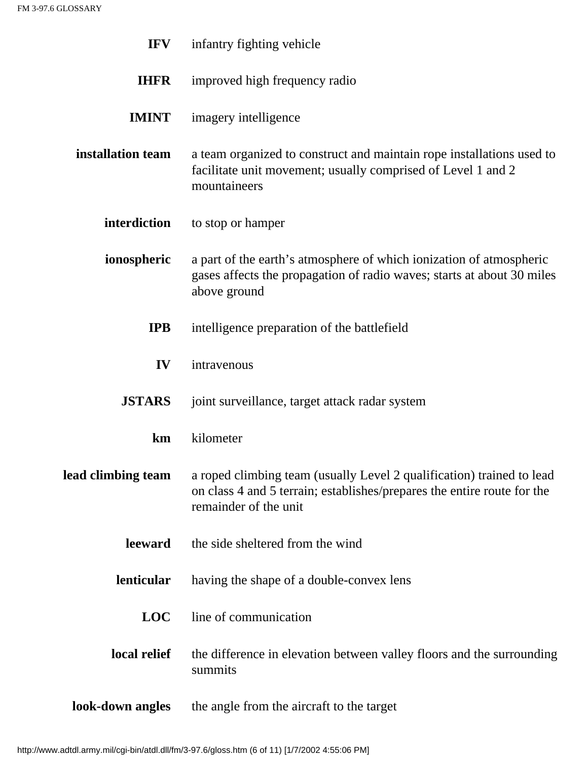**IFV** infantry fighting vehicle **IHFR** improved high frequency radio **IMINT** imagery intelligence **installation team** a team organized to construct and maintain rope installations used to facilitate unit movement; usually comprised of Level 1 and 2 mountaineers **interdiction** to stop or hamper **ionospheric** a part of the earth's atmosphere of which ionization of atmospheric gases affects the propagation of radio waves; starts at about 30 miles above ground **IPB** intelligence preparation of the battlefield **IV** intravenous **JSTARS** joint surveillance, target attack radar system **km** kilometer **lead climbing team** a roped climbing team (usually Level 2 qualification) trained to lead on class 4 and 5 terrain; establishes/prepares the entire route for the remainder of the unit **leeward** the side sheltered from the wind **lenticular** having the shape of a double-convex lens **LOC** line of communication **local relief** the difference in elevation between valley floors and the surrounding summits **look-down angles** the angle from the aircraft to the target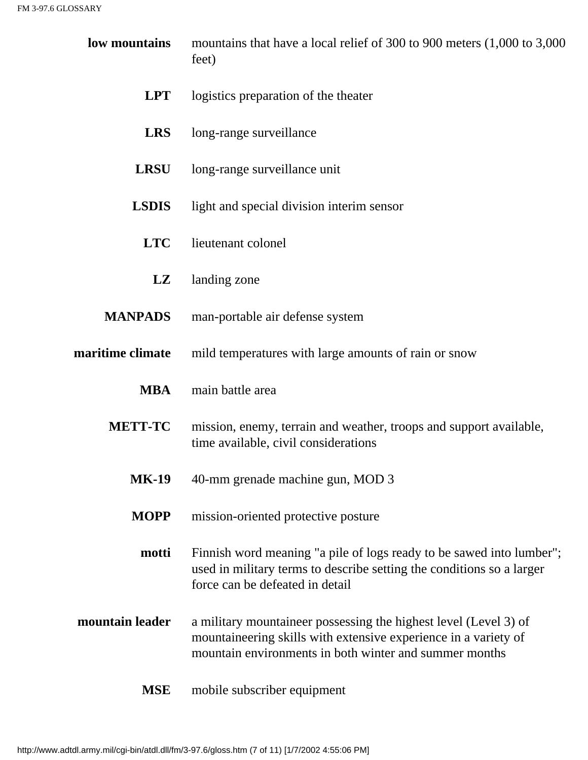| low mountains    | mountains that have a local relief of 300 to 900 meters $(1,000 \text{ to } 3,000$<br>feet)                                                                                                   |
|------------------|-----------------------------------------------------------------------------------------------------------------------------------------------------------------------------------------------|
| <b>LPT</b>       | logistics preparation of the theater                                                                                                                                                          |
| <b>LRS</b>       | long-range surveillance                                                                                                                                                                       |
| <b>LRSU</b>      | long-range surveillance unit                                                                                                                                                                  |
| <b>LSDIS</b>     | light and special division interim sensor                                                                                                                                                     |
| <b>LTC</b>       | lieutenant colonel                                                                                                                                                                            |
| LZ               | landing zone                                                                                                                                                                                  |
| <b>MANPADS</b>   | man-portable air defense system                                                                                                                                                               |
| maritime climate | mild temperatures with large amounts of rain or snow                                                                                                                                          |
| <b>MBA</b>       | main battle area                                                                                                                                                                              |
| <b>METT-TC</b>   | mission, enemy, terrain and weather, troops and support available,<br>time available, civil considerations                                                                                    |
| <b>MK-19</b>     | 40-mm grenade machine gun, MOD 3                                                                                                                                                              |
| <b>MOPP</b>      | mission-oriented protective posture                                                                                                                                                           |
| motti            | Finnish word meaning "a pile of logs ready to be sawed into lumber";<br>used in military terms to describe setting the conditions so a larger<br>force can be defeated in detail              |
| mountain leader  | a military mountaineer possessing the highest level (Level 3) of<br>mountaineering skills with extensive experience in a variety of<br>mountain environments in both winter and summer months |
| <b>MSE</b>       | mobile subscriber equipment                                                                                                                                                                   |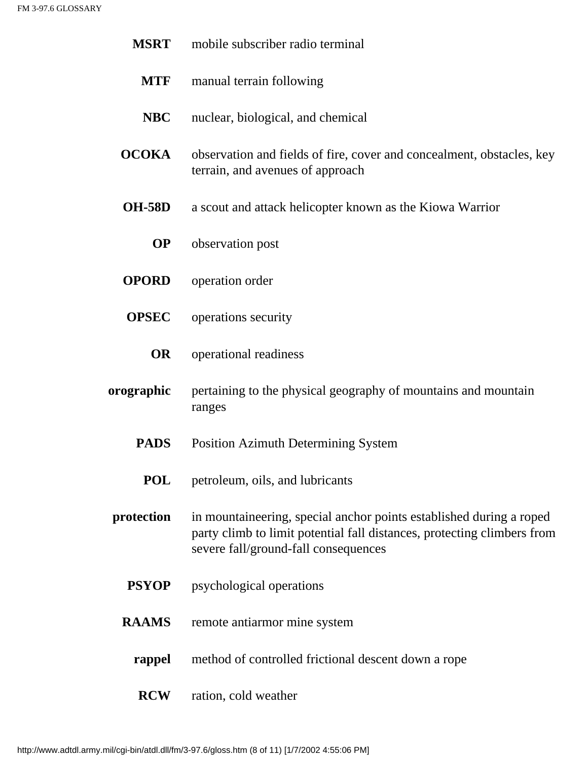- **MSRT** mobile subscriber radio terminal
	- **MTF** manual terrain following
	- **NBC** nuclear, biological, and chemical
- **OCOKA** observation and fields of fire, cover and concealment, obstacles, key terrain, and avenues of approach
- **OH-58D** a scout and attack helicopter known as the Kiowa Warrior
	- **OP** observation post
- **OPORD** operation order
- **OPSEC** operations security
	- **OR** operational readiness
- **orographic** pertaining to the physical geography of mountains and mountain ranges
	- **PADS** Position Azimuth Determining System
		- **POL** petroleum, oils, and lubricants
	- **protection** in mountaineering, special anchor points established during a roped party climb to limit potential fall distances, protecting climbers from severe fall/ground-fall consequences
		- **PSYOP** psychological operations
		- **RAAMS** remote antiarmor mine system
			- **rappel** method of controlled frictional descent down a rope
				- **RCW** ration, cold weather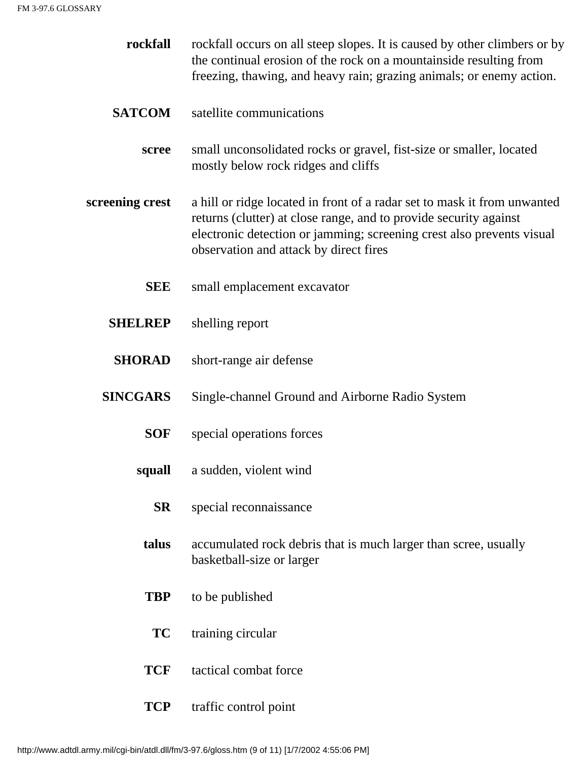- **rockfall** rockfall occurs on all steep slopes. It is caused by other climbers or by the continual erosion of the rock on a mountainside resulting from freezing, thawing, and heavy rain; grazing animals; or enemy action. **SATCOM** satellite communications **scree** small unconsolidated rocks or gravel, fist-size or smaller, located mostly below rock ridges and cliffs **screening crest** a hill or ridge located in front of a radar set to mask it from unwanted returns (clutter) at close range, and to provide security against electronic detection or jamming; screening crest also prevents visual observation and attack by direct fires **SEE** small emplacement excavator **SHELREP** shelling report **SHORAD** short-range air defense **SINCGARS** Single-channel Ground and Airborne Radio System **SOF** special operations forces **squall** a sudden, violent wind **SR** special reconnaissance **talus** accumulated rock debris that is much larger than scree, usually basketball-size or larger **TBP** to be published **TC** training circular
	- **TCF** tactical combat force
	- **TCP** traffic control point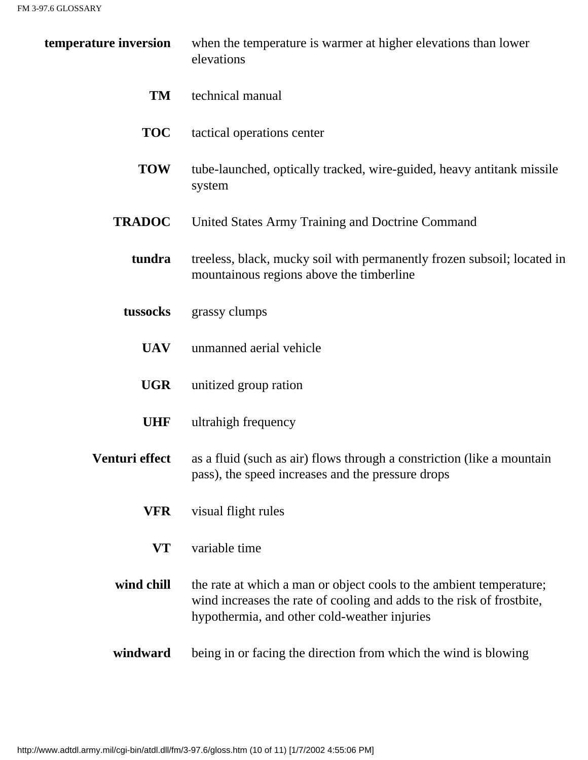| temperature inversion | when the temperature is warmer at higher elevations than lower<br>elevations                                                                                                                 |
|-----------------------|----------------------------------------------------------------------------------------------------------------------------------------------------------------------------------------------|
| <b>TM</b>             | technical manual                                                                                                                                                                             |
| <b>TOC</b>            | tactical operations center                                                                                                                                                                   |
| <b>TOW</b>            | tube-launched, optically tracked, wire-guided, heavy antitank missile<br>system                                                                                                              |
| <b>TRADOC</b>         | United States Army Training and Doctrine Command                                                                                                                                             |
| tundra                | treeless, black, mucky soil with permanently frozen subsoil; located in<br>mountainous regions above the timberline                                                                          |
| tussocks              | grassy clumps                                                                                                                                                                                |
| <b>UAV</b>            | unmanned aerial vehicle                                                                                                                                                                      |
| <b>UGR</b>            | unitized group ration                                                                                                                                                                        |
| <b>UHF</b>            | ultrahigh frequency                                                                                                                                                                          |
| Venturi effect        | as a fluid (such as air) flows through a constriction (like a mountain<br>pass), the speed increases and the pressure drops                                                                  |
| <b>VFR</b>            | visual flight rules                                                                                                                                                                          |
| <b>VT</b>             | variable time                                                                                                                                                                                |
| wind chill            | the rate at which a man or object cools to the ambient temperature;<br>wind increases the rate of cooling and adds to the risk of frostbite,<br>hypothermia, and other cold-weather injuries |
| windward              | being in or facing the direction from which the wind is blowing                                                                                                                              |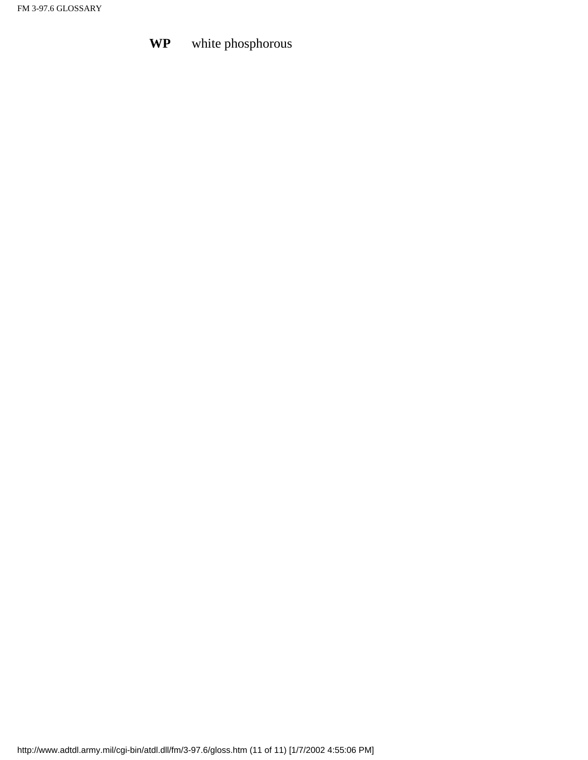### **WP** white phosphorous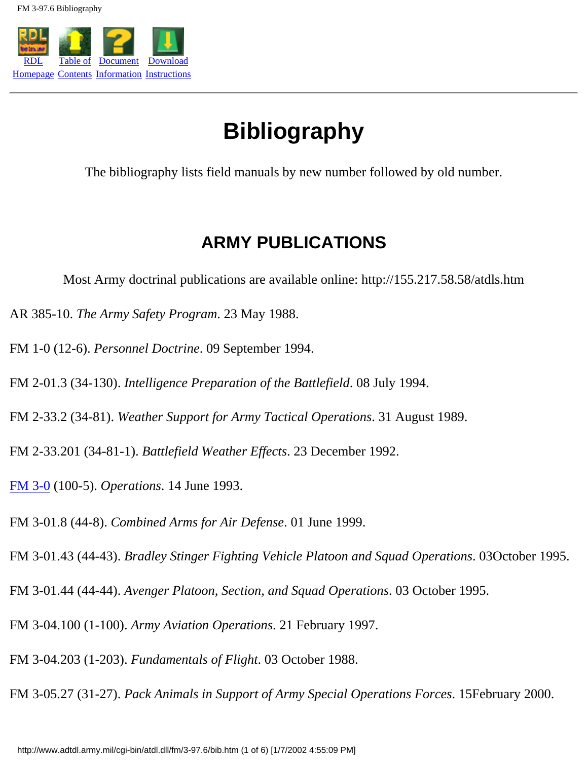

# **Bibliography**

The bibliography lists field manuals by new number followed by old number.

## **ARMY PUBLICATIONS**

Most Army doctrinal publications are available online: http://155.217.58.58/atdls.htm

- AR 385-10. *The Army Safety Program*. 23 May 1988.
- <span id="page-143-1"></span>FM 1-0 (12-6). *Personnel Doctrine*. 09 September 1994.
- FM 2-01.3 (34-130). *Intelligence Preparation of the Battlefield*. 08 July 1994.
- <span id="page-143-2"></span>FM 2-33.2 (34-81). *Weather Support for Army Tactical Operations*. 31 August 1989.
- FM 2-33.201 (34-81-1). *Battlefield Weather Effects*. 23 December 1992.
- [FM 3-0](http://www.adtdl.army.mil/cgi-bin/atdl.dll/fm/3-0/toc.htm) (100-5). *Operations*. 14 June 1993.
- FM 3-01.8 (44-8). *Combined Arms for Air Defense*. 01 June 1999.
- FM 3-01.43 (44-43). *Bradley Stinger Fighting Vehicle Platoon and Squad Operations*. 03October 1995.
- FM 3-01.44 (44-44). *Avenger Platoon, Section, and Squad Operations*. 03 October 1995.
- FM 3-04.100 (1-100). *Army Aviation Operations*. 21 February 1997.
- FM 3-04.203 (1-203). *Fundamentals of Flight*. 03 October 1988.
- <span id="page-143-0"></span>FM 3-05.27 (31-27). *Pack Animals in Support of Army Special Operations Forces*. 15February 2000.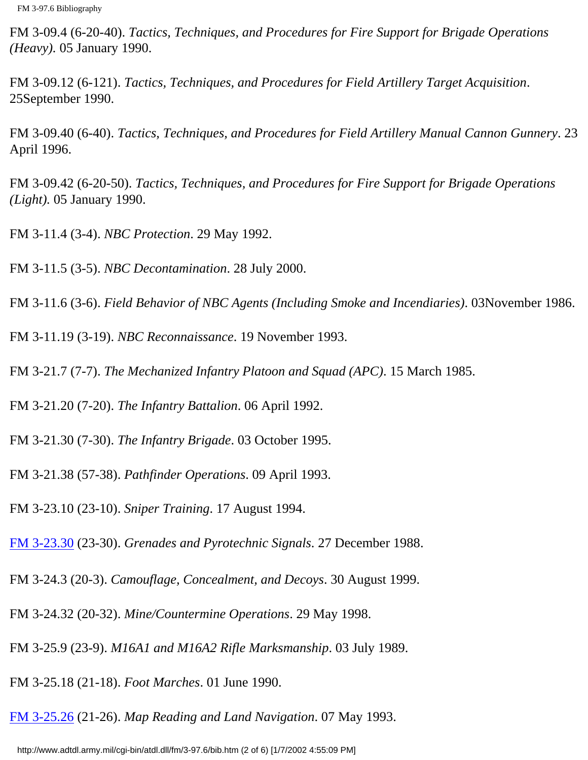FM 3-09.4 (6-20-40). *Tactics, Techniques, and Procedures for Fire Support for Brigade Operations (Heavy).* 05 January 1990.

FM 3-09.12 (6-121). *Tactics, Techniques, and Procedures for Field Artillery Target Acquisition*. 25September 1990.

FM 3-09.40 (6-40). *Tactics, Techniques, and Procedures for Field Artillery Manual Cannon Gunnery*. 23 April 1996.

FM 3-09.42 (6-20-50). *Tactics, Techniques, and Procedures for Fire Support for Brigade Operations (Light).* 05 January 1990.

FM 3-11.4 (3-4). *NBC Protection*. 29 May 1992.

FM 3-11.5 (3-5). *NBC Decontamination*. 28 July 2000.

FM 3-11.6 (3-6). *Field Behavior of NBC Agents (Including Smoke and Incendiaries)*. 03November 1986.

FM 3-11.19 (3-19). *NBC Reconnaissance*. 19 November 1993.

FM 3-21.7 (7-7). *The Mechanized Infantry Platoon and Squad (APC)*. 15 March 1985.

FM 3-21.20 (7-20). *The Infantry Battalion*. 06 April 1992.

FM 3-21.30 (7-30). *The Infantry Brigade*. 03 October 1995.

FM 3-21.38 (57-38). *Pathfinder Operations*. 09 April 1993.

FM 3-23.10 (23-10). *Sniper Training*. 17 August 1994.

[FM 3-23.30](http://www.adtdl.army.mil/cgi-bin/atdl.dll/fm/3-23.30/toc.htm) (23-30). *Grenades and Pyrotechnic Signals*. 27 December 1988.

FM 3-24.3 (20-3). *Camouflage, Concealment, and Decoys*. 30 August 1999.

FM 3-24.32 (20-32). *Mine/Countermine Operations*. 29 May 1998.

FM 3-25.9 (23-9). *M16A1 and M16A2 Rifle Marksmanship*. 03 July 1989.

FM 3-25.18 (21-18). *Foot Marches*. 01 June 1990.

[FM 3-25.26](http://www.adtdl.army.mil/cgi-bin/atdl.dll/fm/3-25.26/toc.htm) (21-26). *Map Reading and Land Navigation*. 07 May 1993.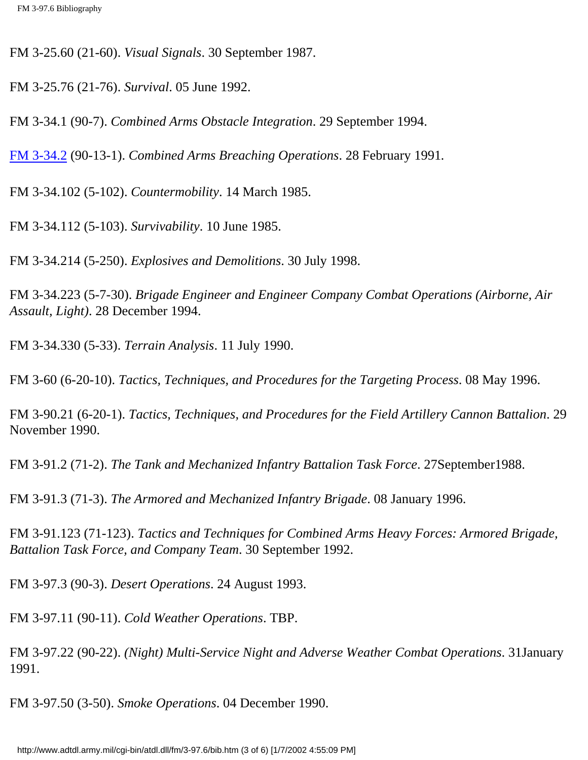FM 3-25.60 (21-60). *Visual Signals*. 30 September 1987.

FM 3-25.76 (21-76). *Survival*. 05 June 1992.

FM 3-34.1 (90-7). *Combined Arms Obstacle Integration*. 29 September 1994.

[FM 3-34.2](http://www.adtdl.army.mil/cgi-bin/atdl.dll/fm/3-34.2/toc.htm) (90-13-1). *Combined Arms Breaching Operations*. 28 February 1991*.*

FM 3-34.102 (5-102). *Countermobility*. 14 March 1985.

FM 3-34.112 (5-103). *Survivability*. 10 June 1985.

FM 3-34.214 (5-250). *Explosives and Demolitions*. 30 July 1998.

FM 3-34.223 (5-7-30). *Brigade Engineer and Engineer Company Combat Operations (Airborne, Air Assault, Light)*. 28 December 1994.

FM 3-34.330 (5-33). *Terrain Analysis*. 11 July 1990.

FM 3-60 (6-20-10). *Tactics, Techniques, and Procedures for the Targeting Process*. 08 May 1996.

FM 3-90.21 (6-20-1). *Tactics, Techniques, and Procedures for the Field Artillery Cannon Battalion*. 29 November 1990.

FM 3-91.2 (71-2). *The Tank and Mechanized Infantry Battalion Task Force*. 27September1988.

FM 3-91.3 (71-3). *The Armored and Mechanized Infantry Brigade*. 08 January 1996.

FM 3-91.123 (71-123). *Tactics and Techniques for Combined Arms Heavy Forces: Armored Brigade, Battalion Task Force, and Company Team*. 30 September 1992.

FM 3-97.3 (90-3). *Desert Operations*. 24 August 1993.

FM 3-97.11 (90-11). *Cold Weather Operations*. TBP.

FM 3-97.22 (90-22). *(Night) Multi-Service Night and Adverse Weather Combat Operations*. 31January 1991.

FM 3-97.50 (3-50). *Smoke Operations*. 04 December 1990.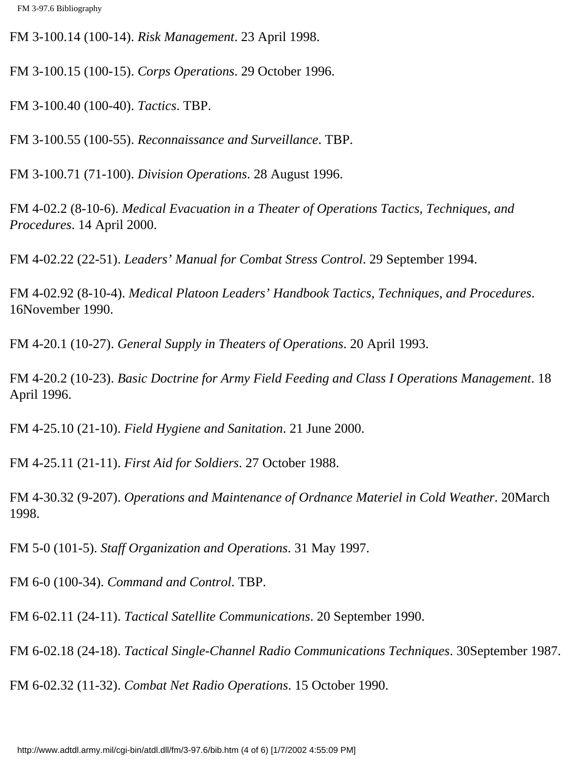FM 3-100.14 (100-14). *Risk Management*. 23 April 1998.

FM 3-100.15 (100-15). *Corps Operations*. 29 October 1996.

FM 3-100.40 (100-40). *Tactics*. TBP.

FM 3-100.55 (100-55). *Reconnaissance and Surveillance*. TBP.

FM 3-100.71 (71-100). *Division Operations*. 28 August 1996.

FM 4-02.2 (8-10-6). *Medical Evacuation in a Theater of Operations Tactics, Techniques, and Procedures*. 14 April 2000.

FM 4-02.22 (22-51). *Leaders' Manual for Combat Stress Control*. 29 September 1994.

FM 4-02.92 (8-10-4). *Medical Platoon Leaders' Handbook Tactics, Techniques, and Procedures*. 16November 1990.

FM 4-20.1 (10-27). *General Supply in Theaters of Operations*. 20 April 1993.

FM 4-20.2 (10-23). *Basic Doctrine for Army Field Feeding and Class I Operations Management*. 18 April 1996.

FM 4-25.10 (21-10). *Field Hygiene and Sanitation*. 21 June 2000.

FM 4-25.11 (21-11). *First Aid for Soldiers*. 27 October 1988.

FM 4-30.32 (9-207). *Operations and Maintenance of Ordnance Materiel in Cold Weather*. 20March 1998.

FM 5-0 (101-5). *Staff Organization and Operations*. 31 May 1997.

FM 6-0 (100-34). *Command and Control*. TBP.

FM 6-02.11 (24-11). *Tactical Satellite Communications*. 20 September 1990.

FM 6-02.18 (24-18). *Tactical Single-Channel Radio Communications Techniques*. 30September 1987.

FM 6-02.32 (11-32). *Combat Net Radio Operations*. 15 October 1990.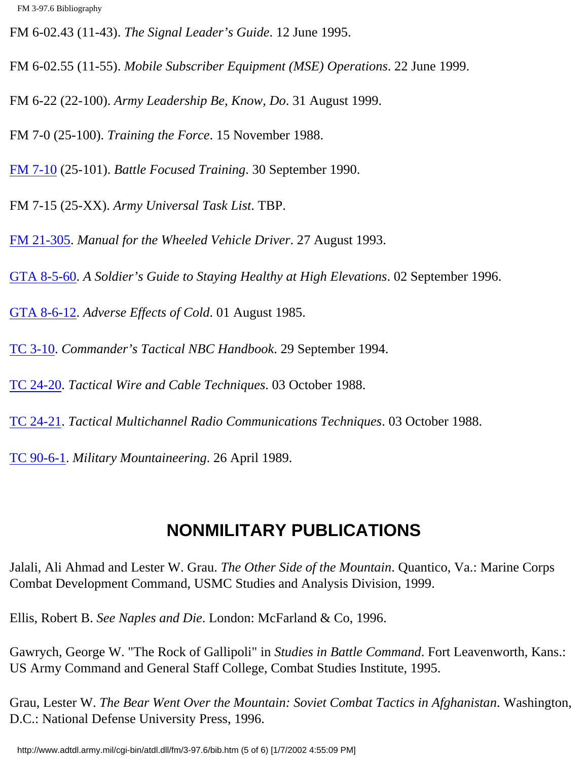FM 6-02.43 (11-43). *The Signal Leader's Guide*. 12 June 1995.

FM 6-02.55 (11-55). *Mobile Subscriber Equipment (MSE) Operations*. 22 June 1999.

FM 6-22 (22-100). *Army Leadership Be, Know, Do*. 31 August 1999.

FM 7-0 (25-100). *Training the Force*. 15 November 1988.

[FM 7-10](http://www.adtdl.army.mil/cgi-bin/atdl.dll/fm/7-10/toc.htm) (25-101). *Battle Focused Training*. 30 September 1990.

FM 7-15 (25-XX). *Army Universal Task List*. TBP.

[FM 21-305](http://www.adtdl.army.mil/cgi-bin/atdl.dll/fm/21-305/toc.htm). *Manual for the Wheeled Vehicle Driver*. 27 August 1993.

[GTA 8-5-60.](http://www.adtdl.army.mil/cgi-bin/atdl.dll/gta/08-05-060/0805060_top.htm) *A Soldier's Guide to Staying Healthy at High Elevations*. 02 September 1996.

[GTA 8-6-12.](http://www.adtdl.army.mil/cgi-bin/atdl.dll/gta/08-06-012/0806012_top.htm) *Adverse Effects of Cold*. 01 August 1985.

[TC 3-10](http://www.adtdl.army.mil/cgi-bin/atdl.dll/tc/3-10/toc.htm). *Commander's Tactical NBC Handbook*. 29 September 1994.

[TC 24-20](https://hosta.atsc.eustis.army.mil/cgi-bin/atdl.dll/tc/24-20/toc.htm). *Tactical Wire and Cable Techniques*. 03 October 1988.

[TC 24-21](https://hosta.atsc.eustis.army.mil/cgi-bin/atdl.dll/tc/24-21/toc.htm). *Tactical Multichannel Radio Communications Techniques*. 03 October 1988.

[TC 90-6-1.](https://hosta.atsc.eustis.army.mil/cgi-bin/atdl.dll/tc/90-6-1/toc.htm) *Military Mountaineering*. 26 April 1989.

## **NONMILITARY PUBLICATIONS**

Jalali, Ali Ahmad and Lester W. Grau. *The Other Side of the Mountain*. Quantico, Va.: Marine Corps Combat Development Command, USMC Studies and Analysis Division, 1999.

Ellis, Robert B. *See Naples and Die*. London: McFarland & Co, 1996.

Gawrych, George W. "The Rock of Gallipoli" in *Studies in Battle Command*. Fort Leavenworth, Kans.: US Army Command and General Staff College, Combat Studies Institute, 1995.

Grau, Lester W. *The Bear Went Over the Mountain: Soviet Combat Tactics in Afghanistan*. Washington, D.C.: National Defense University Press, 1996.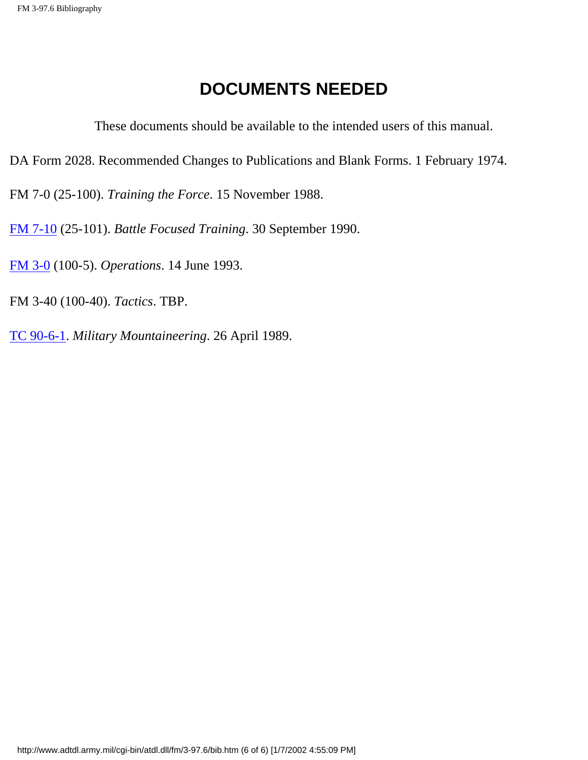## **DOCUMENTS NEEDED**

These documents should be available to the intended users of this manual.

DA Form 2028. Recommended Changes to Publications and Blank Forms. 1 February 1974.

FM 7-0 (25-100). *Training the Force*. 15 November 1988.

[FM 7-10](http://www.adtdl.army.mil/cgi-bin/atdl.dll/fm/7-10/toc.htm) (25-101). *Battle Focused Training*. 30 September 1990.

[FM 3-0](http://www.adtdl.army.mil/cgi-bin/atdl.dll/fm/3-0/toc.htm) (100-5). *Operations*. 14 June 1993.

FM 3-40 (100-40). *Tactics*. TBP.

[TC 90-6-1.](https://hosta.atsc.eustis.army.mil/cgi-bin/atdl.dll/tc/90-6-1/toc.htm) *Military Mountaineering*. 26 April 1989.